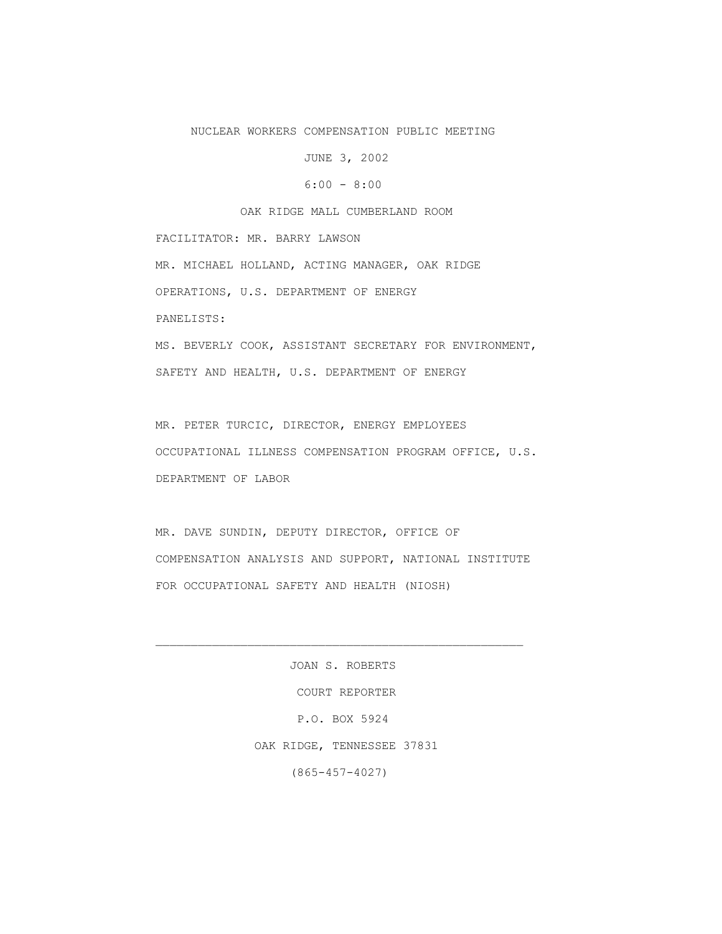## NUCLEAR WORKERS COMPENSATION PUBLIC MEETING

JUNE 3, 2002

 $6:00 - 8:00$ 

OAK RIDGE MALL CUMBERLAND ROOM

 FACILITATOR: MR. BARRY LAWSON MR. MICHAEL HOLLAND, ACTING MANAGER, OAK RIDGE OPERATIONS, U.S. DEPARTMENT OF ENERGY PANELISTS: MS. BEVERLY COOK, ASSISTANT SECRETARY FOR ENVIRONMENT, SAFETY AND HEALTH, U.S. DEPARTMENT OF ENERGY

 MR. PETER TURCIC, DIRECTOR, ENERGY EMPLOYEES OCCUPATIONAL ILLNESS COMPENSATION PROGRAM OFFICE, U.S. DEPARTMENT OF LABOR

 MR. DAVE SUNDIN, DEPUTY DIRECTOR, OFFICE OF COMPENSATION ANALYSIS AND SUPPORT, NATIONAL INSTITUTE FOR OCCUPATIONAL SAFETY AND HEALTH (NIOSH)

> JOAN S. ROBERTS COURT REPORTER P.O. BOX 5924 OAK RIDGE, TENNESSEE 37831 (865-457-4027)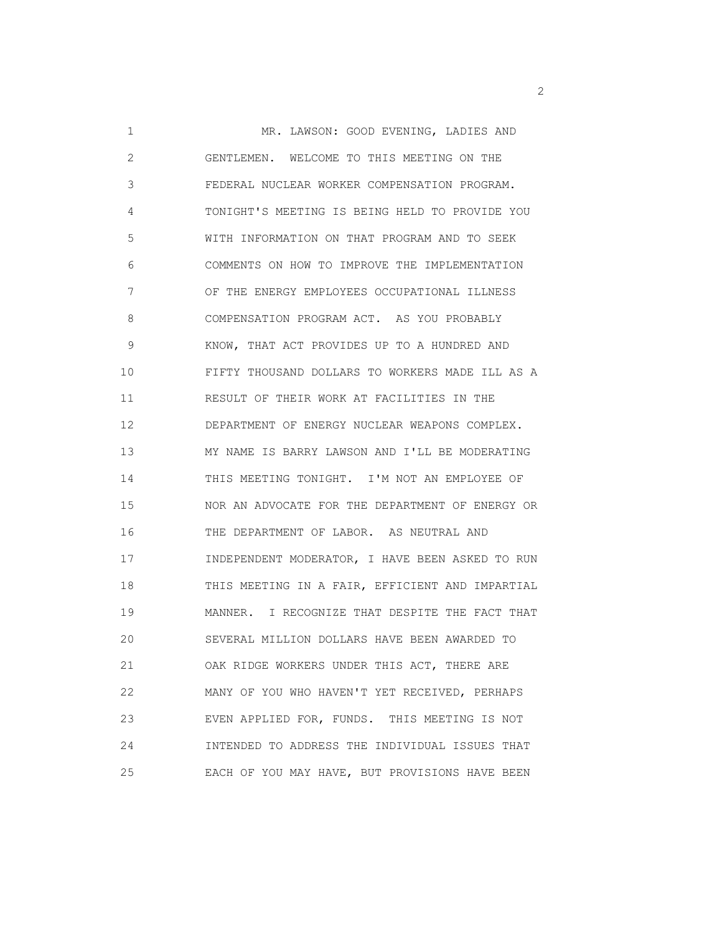1 MR. LAWSON: GOOD EVENING, LADIES AND 2 GENTLEMEN. WELCOME TO THIS MEETING ON THE 3 FEDERAL NUCLEAR WORKER COMPENSATION PROGRAM. 4 TONIGHT'S MEETING IS BEING HELD TO PROVIDE YOU 5 WITH INFORMATION ON THAT PROGRAM AND TO SEEK 6 COMMENTS ON HOW TO IMPROVE THE IMPLEMENTATION 7 OF THE ENERGY EMPLOYEES OCCUPATIONAL ILLNESS 8 COMPENSATION PROGRAM ACT. AS YOU PROBABLY 9 KNOW, THAT ACT PROVIDES UP TO A HUNDRED AND 10 FIFTY THOUSAND DOLLARS TO WORKERS MADE ILL AS A 11 RESULT OF THEIR WORK AT FACILITIES IN THE 12 DEPARTMENT OF ENERGY NUCLEAR WEAPONS COMPLEX. 13 MY NAME IS BARRY LAWSON AND I'LL BE MODERATING 14 THIS MEETING TONIGHT. I'M NOT AN EMPLOYEE OF 15 NOR AN ADVOCATE FOR THE DEPARTMENT OF ENERGY OR 16 THE DEPARTMENT OF LABOR. AS NEUTRAL AND 17 INDEPENDENT MODERATOR, I HAVE BEEN ASKED TO RUN 18 THIS MEETING IN A FAIR, EFFICIENT AND IMPARTIAL 19 MANNER. I RECOGNIZE THAT DESPITE THE FACT THAT 20 SEVERAL MILLION DOLLARS HAVE BEEN AWARDED TO 21 OAK RIDGE WORKERS UNDER THIS ACT, THERE ARE 22 MANY OF YOU WHO HAVEN'T YET RECEIVED, PERHAPS 23 EVEN APPLIED FOR, FUNDS. THIS MEETING IS NOT 24 INTENDED TO ADDRESS THE INDIVIDUAL ISSUES THAT 25 EACH OF YOU MAY HAVE, BUT PROVISIONS HAVE BEEN

 $\overline{2}$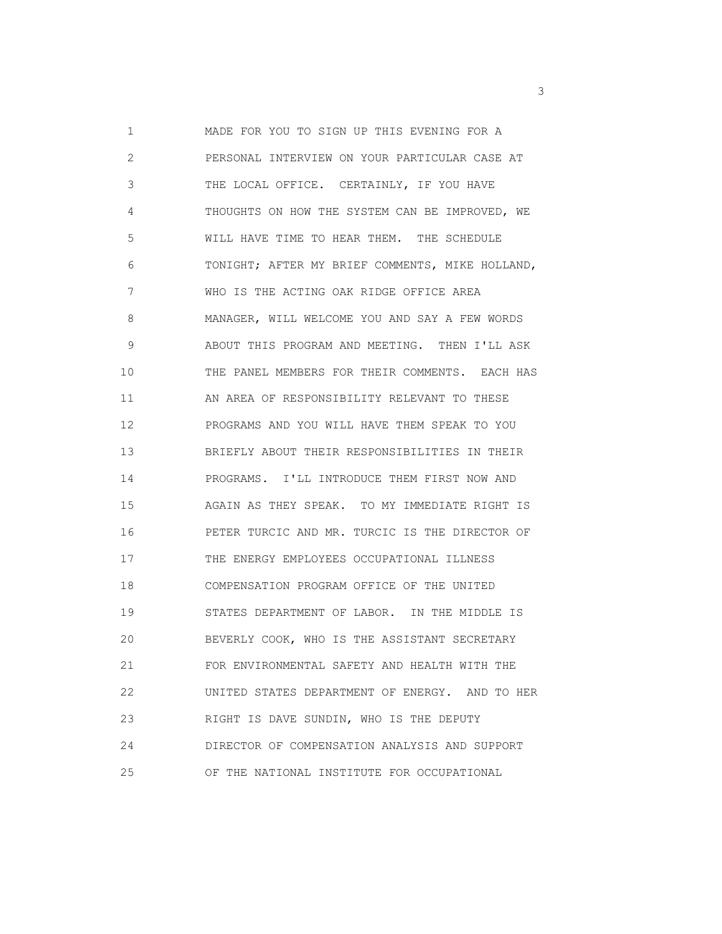1 MADE FOR YOU TO SIGN UP THIS EVENING FOR A 2 PERSONAL INTERVIEW ON YOUR PARTICULAR CASE AT 3 THE LOCAL OFFICE. CERTAINLY, IF YOU HAVE 4 THOUGHTS ON HOW THE SYSTEM CAN BE IMPROVED, WE 5 WILL HAVE TIME TO HEAR THEM. THE SCHEDULE 6 TONIGHT; AFTER MY BRIEF COMMENTS, MIKE HOLLAND, 7 WHO IS THE ACTING OAK RIDGE OFFICE AREA 8 MANAGER, WILL WELCOME YOU AND SAY A FEW WORDS 9 ABOUT THIS PROGRAM AND MEETING. THEN I'LL ASK 10 THE PANEL MEMBERS FOR THEIR COMMENTS. EACH HAS 11 AN AREA OF RESPONSIBILITY RELEVANT TO THESE 12 PROGRAMS AND YOU WILL HAVE THEM SPEAK TO YOU 13 BRIEFLY ABOUT THEIR RESPONSIBILITIES IN THEIR 14 PROGRAMS. I'LL INTRODUCE THEM FIRST NOW AND 15 AGAIN AS THEY SPEAK. TO MY IMMEDIATE RIGHT IS 16 PETER TURCIC AND MR. TURCIC IS THE DIRECTOR OF 17 THE ENERGY EMPLOYEES OCCUPATIONAL ILLNESS 18 COMPENSATION PROGRAM OFFICE OF THE UNITED 19 STATES DEPARTMENT OF LABOR. IN THE MIDDLE IS 20 BEVERLY COOK, WHO IS THE ASSISTANT SECRETARY 21 FOR ENVIRONMENTAL SAFETY AND HEALTH WITH THE 22 UNITED STATES DEPARTMENT OF ENERGY. AND TO HER 23 RIGHT IS DAVE SUNDIN, WHO IS THE DEPUTY 24 DIRECTOR OF COMPENSATION ANALYSIS AND SUPPORT 25 OF THE NATIONAL INSTITUTE FOR OCCUPATIONAL

 $\sim$  3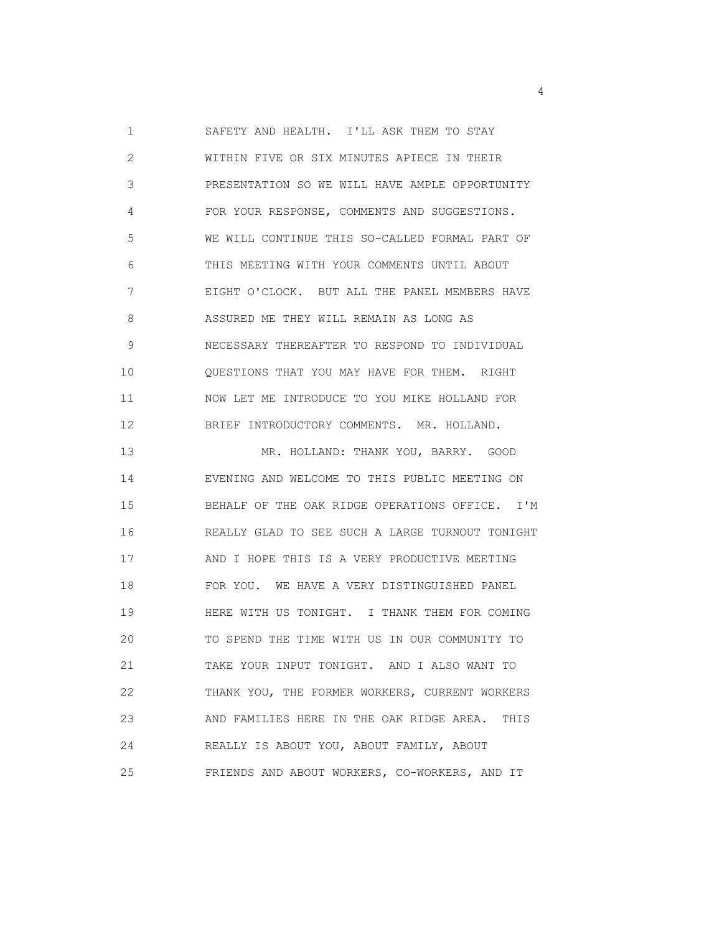1 SAFETY AND HEALTH. I'LL ASK THEM TO STAY 2 WITHIN FIVE OR SIX MINUTES APIECE IN THEIR 3 PRESENTATION SO WE WILL HAVE AMPLE OPPORTUNITY 4 FOR YOUR RESPONSE, COMMENTS AND SUGGESTIONS. 5 WE WILL CONTINUE THIS SO-CALLED FORMAL PART OF 6 THIS MEETING WITH YOUR COMMENTS UNTIL ABOUT 7 EIGHT O'CLOCK. BUT ALL THE PANEL MEMBERS HAVE 8 ASSURED ME THEY WILL REMAIN AS LONG AS 9 NECESSARY THEREAFTER TO RESPOND TO INDIVIDUAL 10 QUESTIONS THAT YOU MAY HAVE FOR THEM. RIGHT 11 NOW LET ME INTRODUCE TO YOU MIKE HOLLAND FOR 12 BRIEF INTRODUCTORY COMMENTS. MR. HOLLAND. 13 MR. HOLLAND: THANK YOU, BARRY. GOOD 14 EVENING AND WELCOME TO THIS PUBLIC MEETING ON 15 BEHALF OF THE OAK RIDGE OPERATIONS OFFICE. I'M 16 REALLY GLAD TO SEE SUCH A LARGE TURNOUT TONIGHT 17 AND I HOPE THIS IS A VERY PRODUCTIVE MEETING 18 FOR YOU. WE HAVE A VERY DISTINGUISHED PANEL 19 HERE WITH US TONIGHT. I THANK THEM FOR COMING 20 TO SPEND THE TIME WITH US IN OUR COMMUNITY TO 21 TAKE YOUR INPUT TONIGHT. AND I ALSO WANT TO 22 THANK YOU, THE FORMER WORKERS, CURRENT WORKERS 23 AND FAMILIES HERE IN THE OAK RIDGE AREA. THIS 24 REALLY IS ABOUT YOU, ABOUT FAMILY, ABOUT 25 FRIENDS AND ABOUT WORKERS, CO-WORKERS, AND IT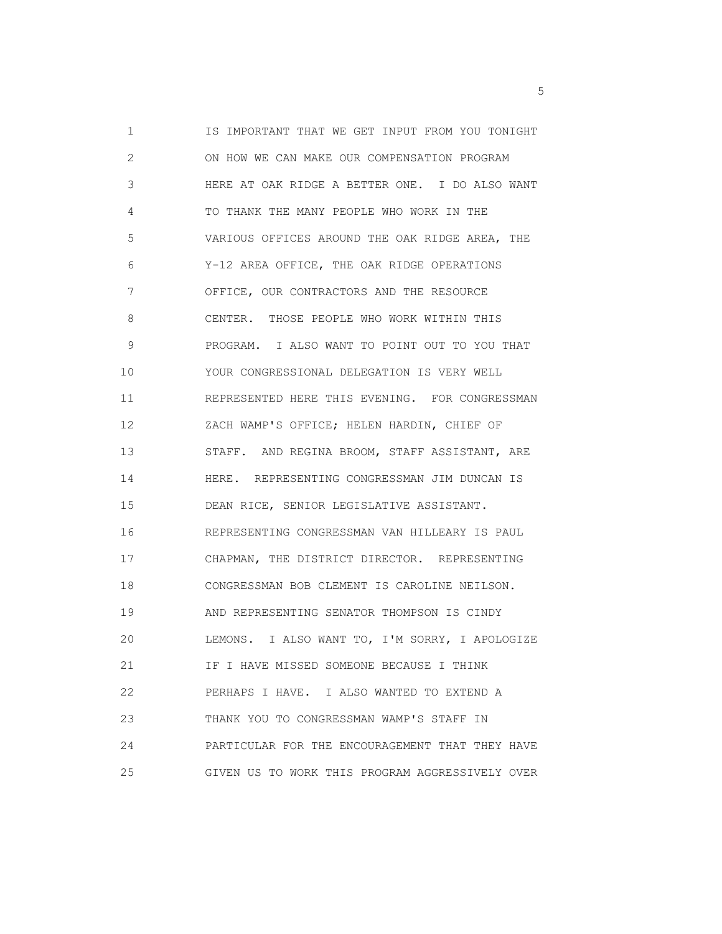1 IS IMPORTANT THAT WE GET INPUT FROM YOU TONIGHT 2 ON HOW WE CAN MAKE OUR COMPENSATION PROGRAM 3 HERE AT OAK RIDGE A BETTER ONE. I DO ALSO WANT 4 TO THANK THE MANY PEOPLE WHO WORK IN THE 5 VARIOUS OFFICES AROUND THE OAK RIDGE AREA, THE 6 Y-12 AREA OFFICE, THE OAK RIDGE OPERATIONS 7 OFFICE, OUR CONTRACTORS AND THE RESOURCE 8 CENTER. THOSE PEOPLE WHO WORK WITHIN THIS 9 PROGRAM. I ALSO WANT TO POINT OUT TO YOU THAT 10 YOUR CONGRESSIONAL DELEGATION IS VERY WELL 11 REPRESENTED HERE THIS EVENING. FOR CONGRESSMAN 12 ZACH WAMP'S OFFICE; HELEN HARDIN, CHIEF OF 13 STAFF. AND REGINA BROOM, STAFF ASSISTANT, ARE 14 HERE. REPRESENTING CONGRESSMAN JIM DUNCAN IS 15 DEAN RICE, SENIOR LEGISLATIVE ASSISTANT. 16 REPRESENTING CONGRESSMAN VAN HILLEARY IS PAUL 17 CHAPMAN, THE DISTRICT DIRECTOR. REPRESENTING 18 CONGRESSMAN BOB CLEMENT IS CAROLINE NEILSON. 19 AND REPRESENTING SENATOR THOMPSON IS CINDY 20 LEMONS. I ALSO WANT TO, I'M SORRY, I APOLOGIZE 21 **IF I HAVE MISSED SOMEONE BECAUSE I THINK**  22 PERHAPS I HAVE. I ALSO WANTED TO EXTEND A 23 THANK YOU TO CONGRESSMAN WAMP'S STAFF IN 24 PARTICULAR FOR THE ENCOURAGEMENT THAT THEY HAVE 25 GIVEN US TO WORK THIS PROGRAM AGGRESSIVELY OVER

 $\sim$  5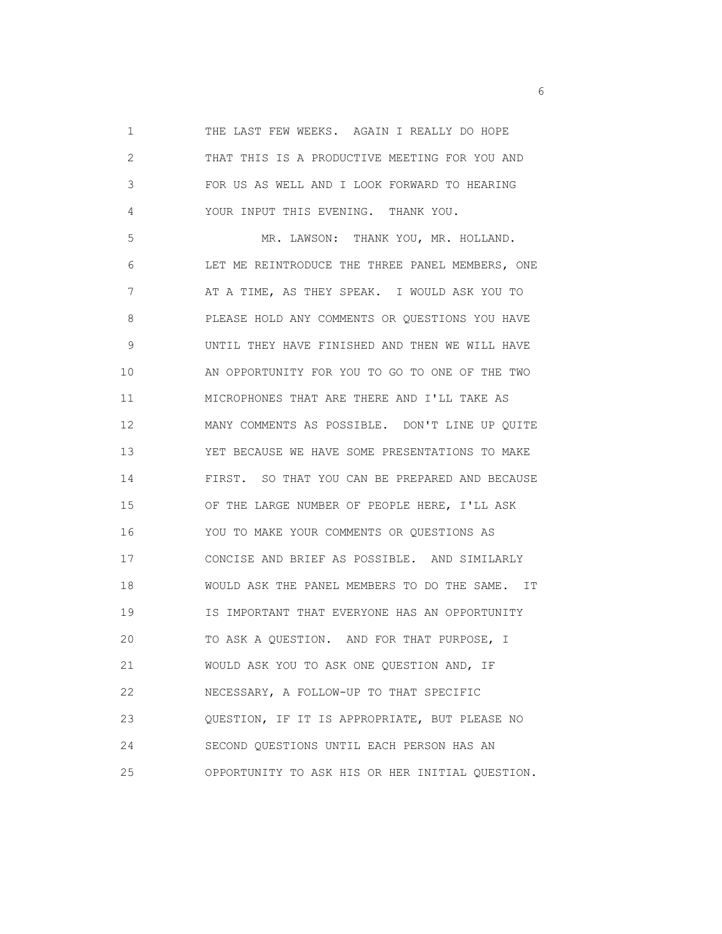1 THE LAST FEW WEEKS. AGAIN I REALLY DO HOPE 2 THAT THIS IS A PRODUCTIVE MEETING FOR YOU AND 3 FOR US AS WELL AND I LOOK FORWARD TO HEARING 4 YOUR INPUT THIS EVENING. THANK YOU.

 5 MR. LAWSON: THANK YOU, MR. HOLLAND. 6 LET ME REINTRODUCE THE THREE PANEL MEMBERS, ONE 7 AT A TIME, AS THEY SPEAK. I WOULD ASK YOU TO 8 PLEASE HOLD ANY COMMENTS OR QUESTIONS YOU HAVE 9 UNTIL THEY HAVE FINISHED AND THEN WE WILL HAVE 10 AN OPPORTUNITY FOR YOU TO GO TO ONE OF THE TWO 11 MICROPHONES THAT ARE THERE AND I'LL TAKE AS 12 MANY COMMENTS AS POSSIBLE. DON'T LINE UP QUITE 13 YET BECAUSE WE HAVE SOME PRESENTATIONS TO MAKE 14 FIRST. SO THAT YOU CAN BE PREPARED AND BECAUSE 15 OF THE LARGE NUMBER OF PEOPLE HERE, I'LL ASK 16 YOU TO MAKE YOUR COMMENTS OR QUESTIONS AS 17 CONCISE AND BRIEF AS POSSIBLE. AND SIMILARLY 18 WOULD ASK THE PANEL MEMBERS TO DO THE SAME. IT 19 IS IMPORTANT THAT EVERYONE HAS AN OPPORTUNITY 20 TO ASK A QUESTION. AND FOR THAT PURPOSE, I 21 WOULD ASK YOU TO ASK ONE QUESTION AND, IF 22 NECESSARY, A FOLLOW-UP TO THAT SPECIFIC 23 QUESTION, IF IT IS APPROPRIATE, BUT PLEASE NO 24 SECOND QUESTIONS UNTIL EACH PERSON HAS AN 25 OPPORTUNITY TO ASK HIS OR HER INITIAL QUESTION.

 $\sim$  6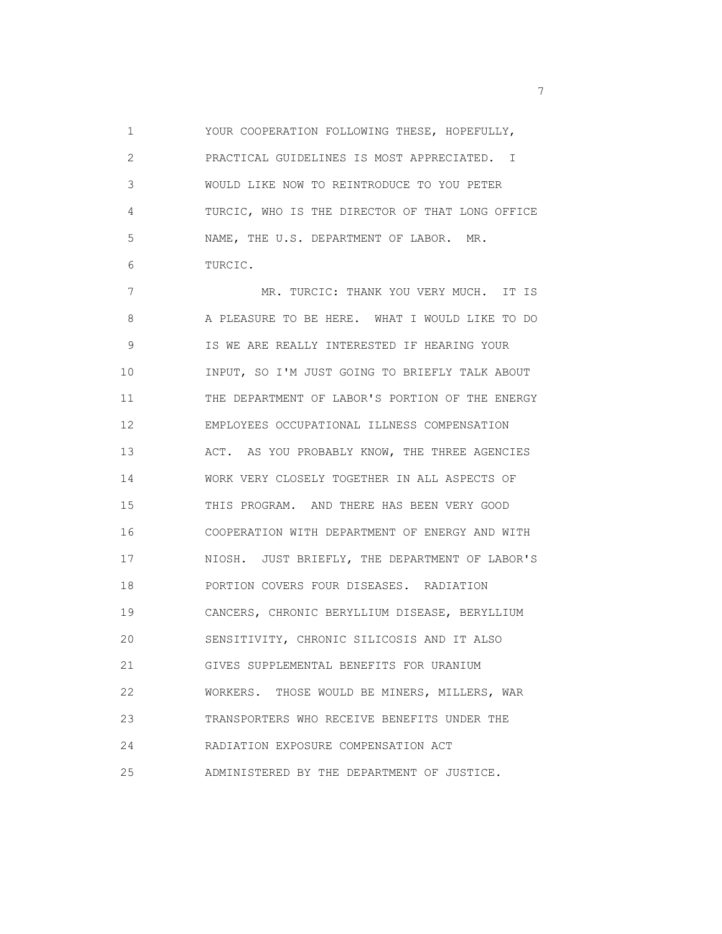1 YOUR COOPERATION FOLLOWING THESE, HOPEFULLY, 2 PRACTICAL GUIDELINES IS MOST APPRECIATED. I 3 WOULD LIKE NOW TO REINTRODUCE TO YOU PETER 4 TURCIC, WHO IS THE DIRECTOR OF THAT LONG OFFICE 5 NAME, THE U.S. DEPARTMENT OF LABOR. MR. 6 TURCIC.

 7 MR. TURCIC: THANK YOU VERY MUCH. IT IS 8 A PLEASURE TO BE HERE. WHAT I WOULD LIKE TO DO 9 IS WE ARE REALLY INTERESTED IF HEARING YOUR 10 INPUT, SO I'M JUST GOING TO BRIEFLY TALK ABOUT 11 THE DEPARTMENT OF LABOR'S PORTION OF THE ENERGY 12 EMPLOYEES OCCUPATIONAL ILLNESS COMPENSATION 13 ACT. AS YOU PROBABLY KNOW, THE THREE AGENCIES 14 WORK VERY CLOSELY TOGETHER IN ALL ASPECTS OF 15 THIS PROGRAM. AND THERE HAS BEEN VERY GOOD 16 COOPERATION WITH DEPARTMENT OF ENERGY AND WITH 17 NIOSH. JUST BRIEFLY, THE DEPARTMENT OF LABOR'S 18 PORTION COVERS FOUR DISEASES. RADIATION 19 CANCERS, CHRONIC BERYLLIUM DISEASE, BERYLLIUM 20 SENSITIVITY, CHRONIC SILICOSIS AND IT ALSO 21 GIVES SUPPLEMENTAL BENEFITS FOR URANIUM 22 WORKERS. THOSE WOULD BE MINERS, MILLERS, WAR 23 TRANSPORTERS WHO RECEIVE BENEFITS UNDER THE 24 RADIATION EXPOSURE COMPENSATION ACT 25 ADMINISTERED BY THE DEPARTMENT OF JUSTICE.

<u>2</u>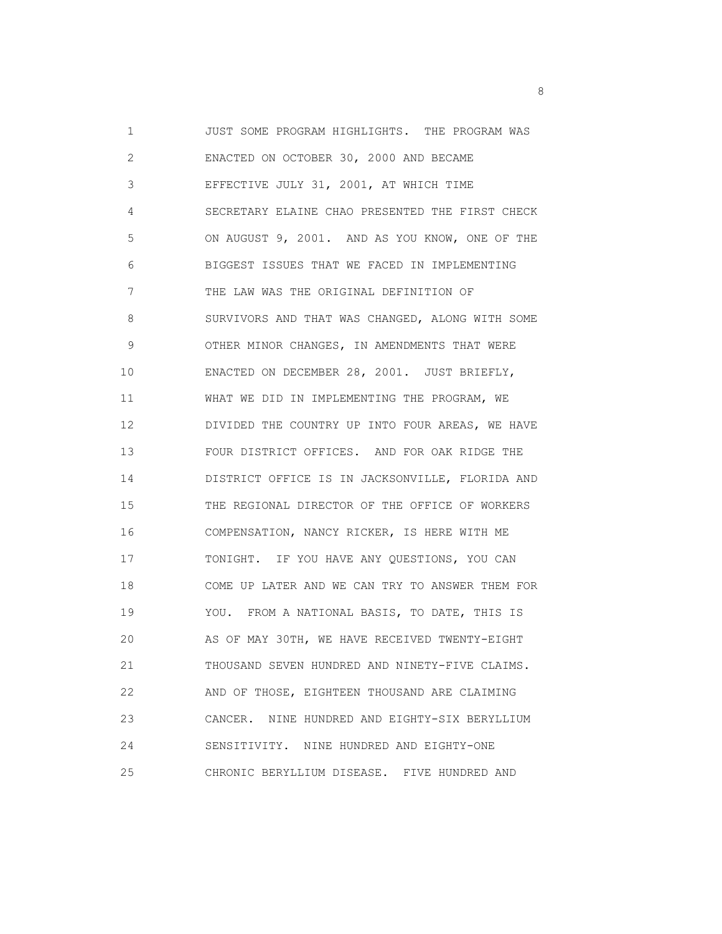1 JUST SOME PROGRAM HIGHLIGHTS. THE PROGRAM WAS 2 ENACTED ON OCTOBER 30, 2000 AND BECAME 3 EFFECTIVE JULY 31, 2001, AT WHICH TIME 4 SECRETARY ELAINE CHAO PRESENTED THE FIRST CHECK 5 ON AUGUST 9, 2001. AND AS YOU KNOW, ONE OF THE 6 BIGGEST ISSUES THAT WE FACED IN IMPLEMENTING 7 THE LAW WAS THE ORIGINAL DEFINITION OF 8 SURVIVORS AND THAT WAS CHANGED, ALONG WITH SOME 9 OTHER MINOR CHANGES, IN AMENDMENTS THAT WERE 10 ENACTED ON DECEMBER 28, 2001. JUST BRIEFLY, 11 WHAT WE DID IN IMPLEMENTING THE PROGRAM, WE 12 DIVIDED THE COUNTRY UP INTO FOUR AREAS, WE HAVE 13 FOUR DISTRICT OFFICES. AND FOR OAK RIDGE THE 14 DISTRICT OFFICE IS IN JACKSONVILLE, FLORIDA AND 15 THE REGIONAL DIRECTOR OF THE OFFICE OF WORKERS 16 COMPENSATION, NANCY RICKER, IS HERE WITH ME 17 TONIGHT. IF YOU HAVE ANY QUESTIONS, YOU CAN 18 COME UP LATER AND WE CAN TRY TO ANSWER THEM FOR 19 YOU. FROM A NATIONAL BASIS, TO DATE, THIS IS 20 AS OF MAY 30TH, WE HAVE RECEIVED TWENTY-EIGHT 21 THOUSAND SEVEN HUNDRED AND NINETY-FIVE CLAIMS. 22 AND OF THOSE, EIGHTEEN THOUSAND ARE CLAIMING 23 CANCER. NINE HUNDRED AND EIGHTY-SIX BERYLLIUM 24 SENSITIVITY. NINE HUNDRED AND EIGHTY-ONE 25 CHRONIC BERYLLIUM DISEASE. FIVE HUNDRED AND

en andere de la provincia de la provincia de la provincia de la provincia de la provincia de la provincia del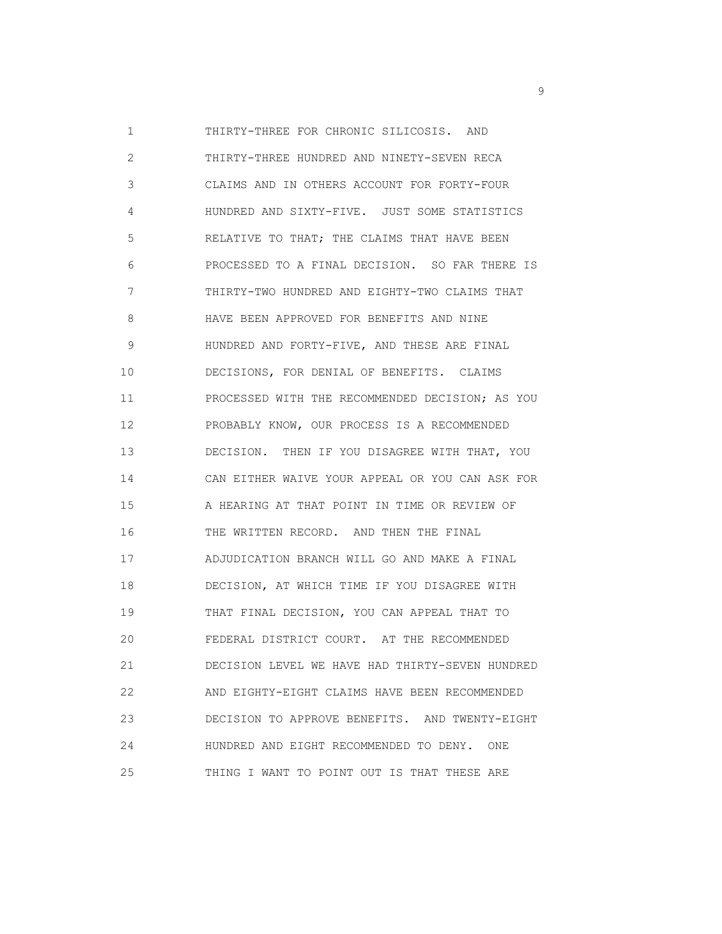1 THIRTY-THREE FOR CHRONIC SILICOSIS. AND 2 THIRTY-THREE HUNDRED AND NINETY-SEVEN RECA 3 CLAIMS AND IN OTHERS ACCOUNT FOR FORTY-FOUR 4 HUNDRED AND SIXTY-FIVE. JUST SOME STATISTICS 5 RELATIVE TO THAT; THE CLAIMS THAT HAVE BEEN 6 PROCESSED TO A FINAL DECISION. SO FAR THERE IS 7 THIRTY-TWO HUNDRED AND EIGHTY-TWO CLAIMS THAT 8 HAVE BEEN APPROVED FOR BENEFITS AND NINE 9 HUNDRED AND FORTY-FIVE, AND THESE ARE FINAL 10 DECISIONS, FOR DENIAL OF BENEFITS. CLAIMS 11 PROCESSED WITH THE RECOMMENDED DECISION; AS YOU 12 PROBABLY KNOW, OUR PROCESS IS A RECOMMENDED 13 DECISION. THEN IF YOU DISAGREE WITH THAT, YOU 14 CAN EITHER WAIVE YOUR APPEAL OR YOU CAN ASK FOR 15 A HEARING AT THAT POINT IN TIME OR REVIEW OF 16 THE WRITTEN RECORD. AND THEN THE FINAL 17 ADJUDICATION BRANCH WILL GO AND MAKE A FINAL 18 DECISION, AT WHICH TIME IF YOU DISAGREE WITH 19 THAT FINAL DECISION, YOU CAN APPEAL THAT TO 20 FEDERAL DISTRICT COURT. AT THE RECOMMENDED 21 DECISION LEVEL WE HAVE HAD THIRTY-SEVEN HUNDRED 22 AND EIGHTY-EIGHT CLAIMS HAVE BEEN RECOMMENDED 23 DECISION TO APPROVE BENEFITS. AND TWENTY-EIGHT 24 HUNDRED AND EIGHT RECOMMENDED TO DENY. ONE 25 THING I WANT TO POINT OUT IS THAT THESE ARE

experience of the state of the state of the state of the state of the state of the state of the state of the s<br>The state of the state of the state of the state of the state of the state of the state of the state of the st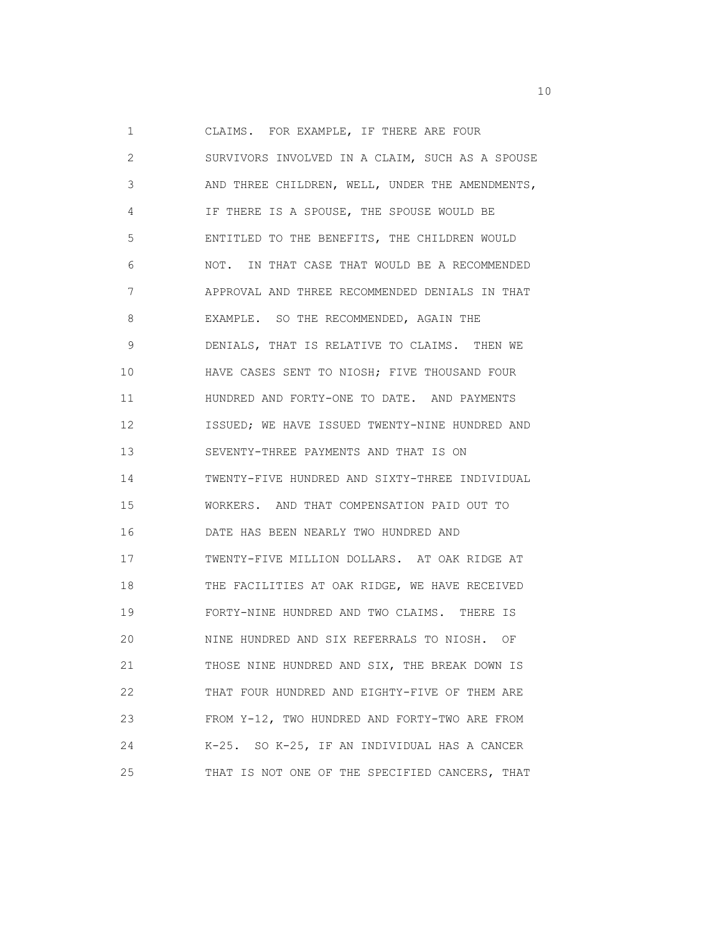1 CLAIMS. FOR EXAMPLE, IF THERE ARE FOUR 2 SURVIVORS INVOLVED IN A CLAIM, SUCH AS A SPOUSE 3 AND THREE CHILDREN, WELL, UNDER THE AMENDMENTS, 4 IF THERE IS A SPOUSE, THE SPOUSE WOULD BE 5 ENTITLED TO THE BENEFITS, THE CHILDREN WOULD 6 NOT. IN THAT CASE THAT WOULD BE A RECOMMENDED 7 APPROVAL AND THREE RECOMMENDED DENIALS IN THAT 8 EXAMPLE. SO THE RECOMMENDED, AGAIN THE 9 DENIALS, THAT IS RELATIVE TO CLAIMS. THEN WE 10 HAVE CASES SENT TO NIOSH; FIVE THOUSAND FOUR 11 **HUNDRED AND FORTY-ONE TO DATE. AND PAYMENTS**  12 ISSUED; WE HAVE ISSUED TWENTY-NINE HUNDRED AND 13 SEVENTY-THREE PAYMENTS AND THAT IS ON 14 TWENTY-FIVE HUNDRED AND SIXTY-THREE INDIVIDUAL 15 WORKERS. AND THAT COMPENSATION PAID OUT TO 16 DATE HAS BEEN NEARLY TWO HUNDRED AND 17 TWENTY-FIVE MILLION DOLLARS. AT OAK RIDGE AT 18 THE FACILITIES AT OAK RIDGE, WE HAVE RECEIVED 19 FORTY-NINE HUNDRED AND TWO CLAIMS. THERE IS 20 NINE HUNDRED AND SIX REFERRALS TO NIOSH. OF 21 THOSE NINE HUNDRED AND SIX, THE BREAK DOWN IS 22 THAT FOUR HUNDRED AND EIGHTY-FIVE OF THEM ARE 23 FROM Y-12, TWO HUNDRED AND FORTY-TWO ARE FROM 24 K-25. SO K-25, IF AN INDIVIDUAL HAS A CANCER 25 THAT IS NOT ONE OF THE SPECIFIED CANCERS, THAT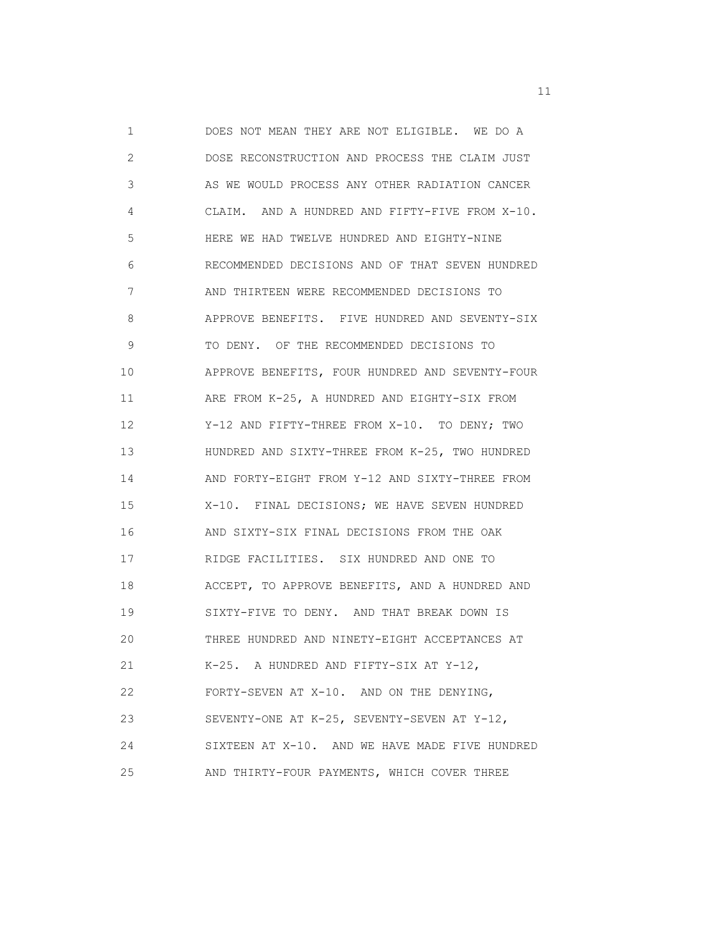1 DOES NOT MEAN THEY ARE NOT ELIGIBLE. WE DO A 2 DOSE RECONSTRUCTION AND PROCESS THE CLAIM JUST 3 AS WE WOULD PROCESS ANY OTHER RADIATION CANCER 4 CLAIM. AND A HUNDRED AND FIFTY-FIVE FROM X-10. 5 HERE WE HAD TWELVE HUNDRED AND EIGHTY-NINE 6 RECOMMENDED DECISIONS AND OF THAT SEVEN HUNDRED 7 AND THIRTEEN WERE RECOMMENDED DECISIONS TO 8 APPROVE BENEFITS. FIVE HUNDRED AND SEVENTY-SIX 9 TO DENY. OF THE RECOMMENDED DECISIONS TO 10 APPROVE BENEFITS, FOUR HUNDRED AND SEVENTY-FOUR 11 ARE FROM K-25, A HUNDRED AND EIGHTY-SIX FROM 12 Y-12 AND FIFTY-THREE FROM X-10. TO DENY; TWO 13 HUNDRED AND SIXTY-THREE FROM K-25, TWO HUNDRED 14 AND FORTY-EIGHT FROM Y-12 AND SIXTY-THREE FROM 15 X-10. FINAL DECISIONS; WE HAVE SEVEN HUNDRED 16 AND SIXTY-SIX FINAL DECISIONS FROM THE OAK 17 RIDGE FACILITIES. SIX HUNDRED AND ONE TO 18 ACCEPT, TO APPROVE BENEFITS, AND A HUNDRED AND 19 SIXTY-FIVE TO DENY. AND THAT BREAK DOWN IS 20 THREE HUNDRED AND NINETY-EIGHT ACCEPTANCES AT 21 K-25. A HUNDRED AND FIFTY-SIX AT Y-12, 22 FORTY-SEVEN AT X-10. AND ON THE DENYING, 23 SEVENTY-ONE AT K-25, SEVENTY-SEVEN AT Y-12, 24 SIXTEEN AT X-10. AND WE HAVE MADE FIVE HUNDRED 25 AND THIRTY-FOUR PAYMENTS, WHICH COVER THREE

the contract of the contract of the contract of the contract of the contract of the contract of the contract of the contract of the contract of the contract of the contract of the contract of the contract of the contract o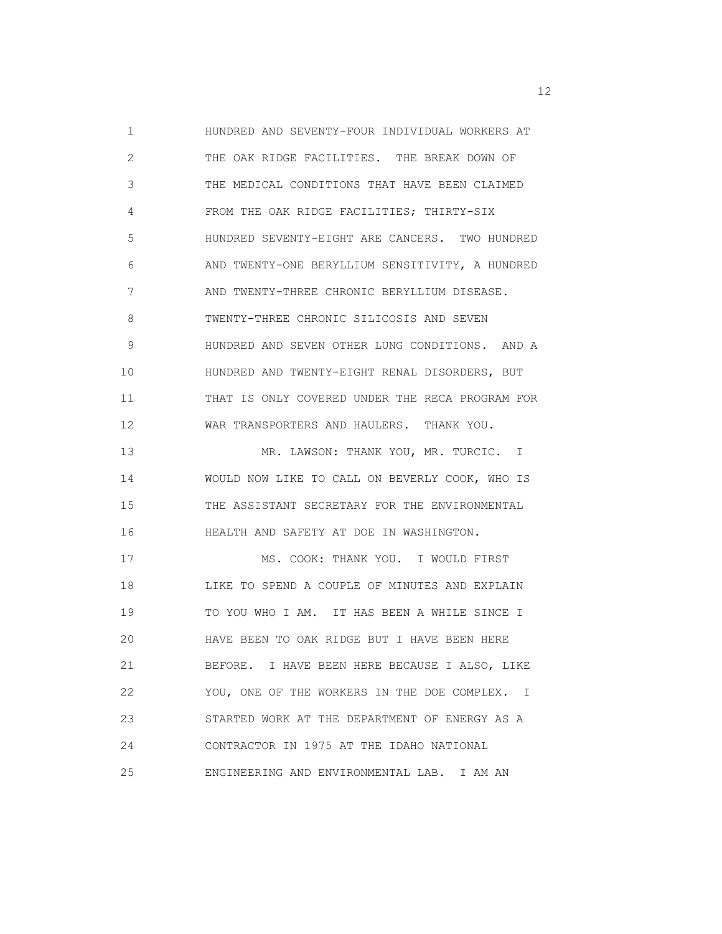1 HUNDRED AND SEVENTY-FOUR INDIVIDUAL WORKERS AT 2 THE OAK RIDGE FACILITIES. THE BREAK DOWN OF 3 THE MEDICAL CONDITIONS THAT HAVE BEEN CLAIMED 4 FROM THE OAK RIDGE FACILITIES; THIRTY-SIX 5 HUNDRED SEVENTY-EIGHT ARE CANCERS. TWO HUNDRED 6 AND TWENTY-ONE BERYLLIUM SENSITIVITY, A HUNDRED 7 AND TWENTY-THREE CHRONIC BERYLLIUM DISEASE. 8 TWENTY-THREE CHRONIC SILICOSIS AND SEVEN 9 HUNDRED AND SEVEN OTHER LUNG CONDITIONS. AND A 10 HUNDRED AND TWENTY-EIGHT RENAL DISORDERS, BUT 11 THAT IS ONLY COVERED UNDER THE RECA PROGRAM FOR 12 WAR TRANSPORTERS AND HAULERS. THANK YOU. 13 MR. LAWSON: THANK YOU, MR. TURCIC. I 14 WOULD NOW LIKE TO CALL ON BEVERLY COOK, WHO IS 15 THE ASSISTANT SECRETARY FOR THE ENVIRONMENTAL 16 HEALTH AND SAFETY AT DOE IN WASHINGTON. 17 MS. COOK: THANK YOU. I WOULD FIRST 18 LIKE TO SPEND A COUPLE OF MINUTES AND EXPLAIN 19 TO YOU WHO I AM. IT HAS BEEN A WHILE SINCE I 20 HAVE BEEN TO OAK RIDGE BUT I HAVE BEEN HERE 21 BEFORE. I HAVE BEEN HERE BECAUSE I ALSO, LIKE 22 YOU, ONE OF THE WORKERS IN THE DOE COMPLEX. I 23 STARTED WORK AT THE DEPARTMENT OF ENERGY AS A 24 CONTRACTOR IN 1975 AT THE IDAHO NATIONAL 25 ENGINEERING AND ENVIRONMENTAL LAB. I AM AN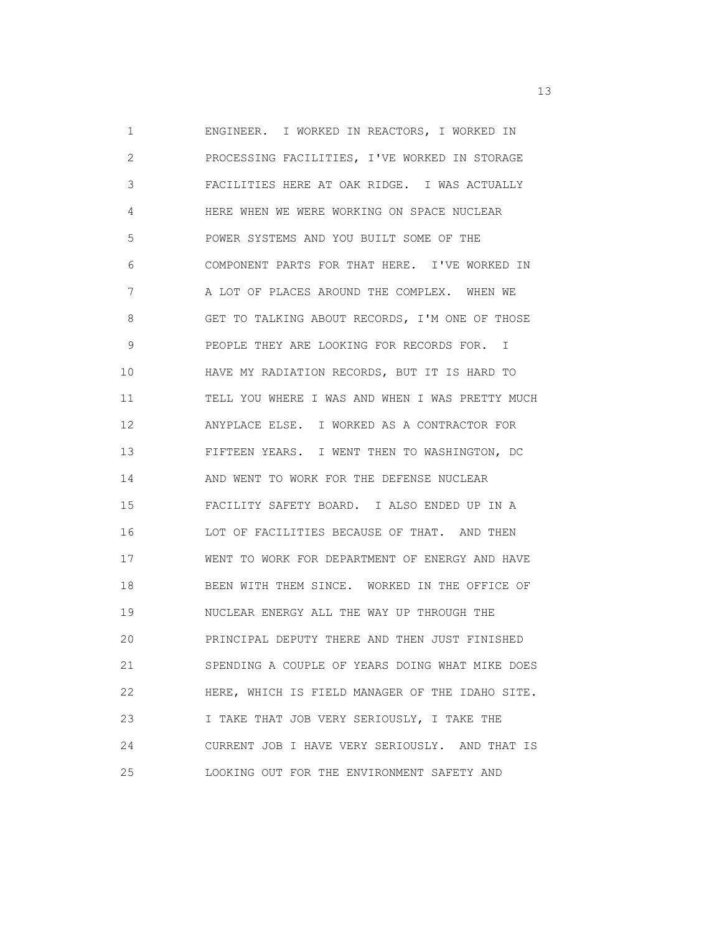1 ENGINEER. I WORKED IN REACTORS, I WORKED IN 2 PROCESSING FACILITIES, I'VE WORKED IN STORAGE 3 FACILITIES HERE AT OAK RIDGE. I WAS ACTUALLY 4 HERE WHEN WE WERE WORKING ON SPACE NUCLEAR 5 POWER SYSTEMS AND YOU BUILT SOME OF THE 6 COMPONENT PARTS FOR THAT HERE. I'VE WORKED IN 7 A LOT OF PLACES AROUND THE COMPLEX. WHEN WE 8 GET TO TALKING ABOUT RECORDS, I'M ONE OF THOSE 9 PEOPLE THEY ARE LOOKING FOR RECORDS FOR. I 10 HAVE MY RADIATION RECORDS, BUT IT IS HARD TO 11 TELL YOU WHERE I WAS AND WHEN I WAS PRETTY MUCH 12 ANYPLACE ELSE. I WORKED AS A CONTRACTOR FOR 13 FIFTEEN YEARS. I WENT THEN TO WASHINGTON, DC 14 AND WENT TO WORK FOR THE DEFENSE NUCLEAR 15 FACILITY SAFETY BOARD. I ALSO ENDED UP IN A 16 LOT OF FACILITIES BECAUSE OF THAT. AND THEN 17 WENT TO WORK FOR DEPARTMENT OF ENERGY AND HAVE 18 BEEN WITH THEM SINCE. WORKED IN THE OFFICE OF 19 NUCLEAR ENERGY ALL THE WAY UP THROUGH THE 20 PRINCIPAL DEPUTY THERE AND THEN JUST FINISHED 21 SPENDING A COUPLE OF YEARS DOING WHAT MIKE DOES 22 HERE, WHICH IS FIELD MANAGER OF THE IDAHO SITE. 23 I TAKE THAT JOB VERY SERIOUSLY, I TAKE THE 24 CURRENT JOB I HAVE VERY SERIOUSLY. AND THAT IS 25 LOOKING OUT FOR THE ENVIRONMENT SAFETY AND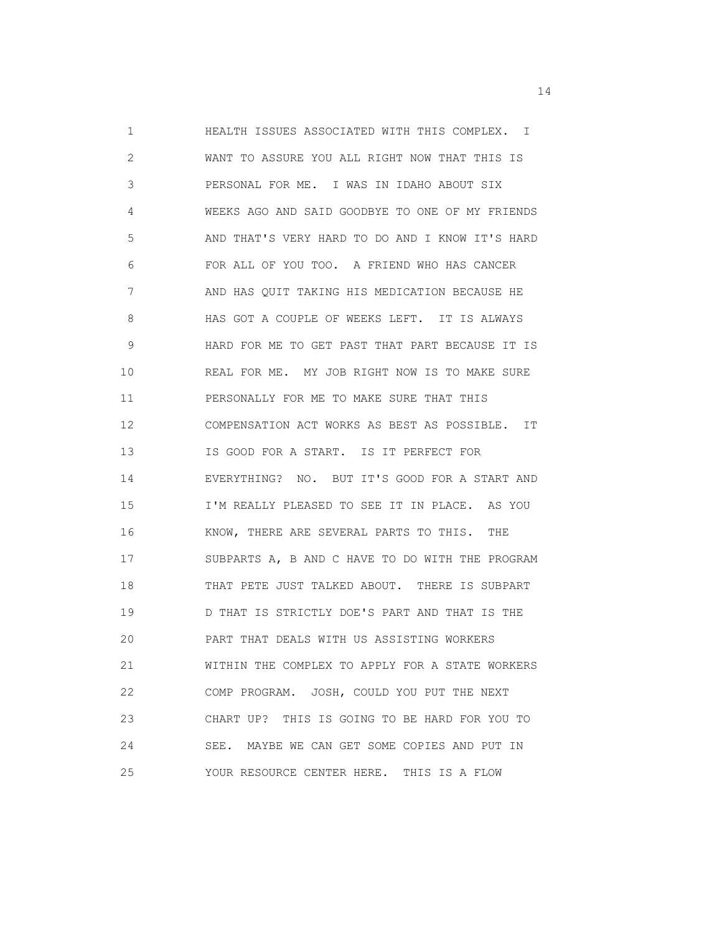1 HEALTH ISSUES ASSOCIATED WITH THIS COMPLEX. I 2 WANT TO ASSURE YOU ALL RIGHT NOW THAT THIS IS 3 PERSONAL FOR ME. I WAS IN IDAHO ABOUT SIX 4 WEEKS AGO AND SAID GOODBYE TO ONE OF MY FRIENDS 5 AND THAT'S VERY HARD TO DO AND I KNOW IT'S HARD 6 FOR ALL OF YOU TOO. A FRIEND WHO HAS CANCER 7 AND HAS QUIT TAKING HIS MEDICATION BECAUSE HE 8 HAS GOT A COUPLE OF WEEKS LEFT. IT IS ALWAYS 9 HARD FOR ME TO GET PAST THAT PART BECAUSE IT IS 10 REAL FOR ME. MY JOB RIGHT NOW IS TO MAKE SURE 11 PERSONALLY FOR ME TO MAKE SURE THAT THIS 12 COMPENSATION ACT WORKS AS BEST AS POSSIBLE. IT 13 IS GOOD FOR A START. IS IT PERFECT FOR 14 EVERYTHING? NO. BUT IT'S GOOD FOR A START AND 15 I'M REALLY PLEASED TO SEE IT IN PLACE. AS YOU 16 KNOW, THERE ARE SEVERAL PARTS TO THIS. THE 17 SUBPARTS A, B AND C HAVE TO DO WITH THE PROGRAM 18 THAT PETE JUST TALKED ABOUT. THERE IS SUBPART 19 D THAT IS STRICTLY DOE'S PART AND THAT IS THE 20 PART THAT DEALS WITH US ASSISTING WORKERS 21 WITHIN THE COMPLEX TO APPLY FOR A STATE WORKERS 22 COMP PROGRAM. JOSH, COULD YOU PUT THE NEXT 23 CHART UP? THIS IS GOING TO BE HARD FOR YOU TO 24 SEE. MAYBE WE CAN GET SOME COPIES AND PUT IN 25 YOUR RESOURCE CENTER HERE. THIS IS A FLOW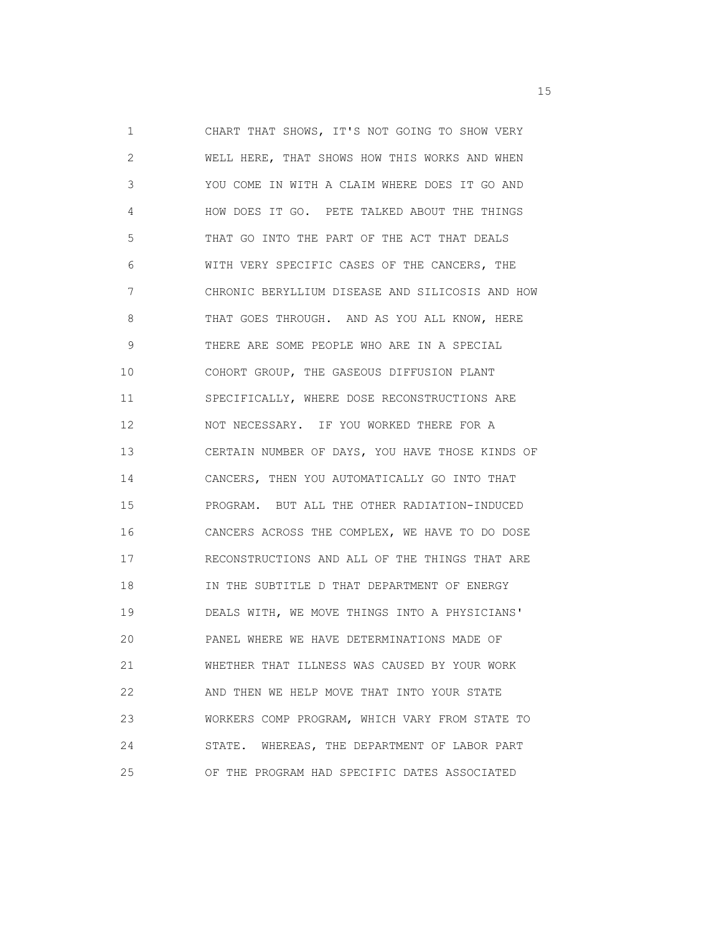1 CHART THAT SHOWS, IT'S NOT GOING TO SHOW VERY 2 WELL HERE, THAT SHOWS HOW THIS WORKS AND WHEN 3 YOU COME IN WITH A CLAIM WHERE DOES IT GO AND 4 HOW DOES IT GO. PETE TALKED ABOUT THE THINGS 5 THAT GO INTO THE PART OF THE ACT THAT DEALS 6 WITH VERY SPECIFIC CASES OF THE CANCERS, THE 7 CHRONIC BERYLLIUM DISEASE AND SILICOSIS AND HOW 8 THAT GOES THROUGH. AND AS YOU ALL KNOW, HERE 9 THERE ARE SOME PEOPLE WHO ARE IN A SPECIAL 10 COHORT GROUP, THE GASEOUS DIFFUSION PLANT 11 SPECIFICALLY, WHERE DOSE RECONSTRUCTIONS ARE 12 NOT NECESSARY. IF YOU WORKED THERE FOR A 13 CERTAIN NUMBER OF DAYS, YOU HAVE THOSE KINDS OF 14 CANCERS, THEN YOU AUTOMATICALLY GO INTO THAT 15 PROGRAM. BUT ALL THE OTHER RADIATION-INDUCED 16 CANCERS ACROSS THE COMPLEX, WE HAVE TO DO DOSE 17 RECONSTRUCTIONS AND ALL OF THE THINGS THAT ARE 18 IN THE SUBTITLE D THAT DEPARTMENT OF ENERGY 19 DEALS WITH, WE MOVE THINGS INTO A PHYSICIANS' 20 PANEL WHERE WE HAVE DETERMINATIONS MADE OF 21 WHETHER THAT ILLNESS WAS CAUSED BY YOUR WORK 22 AND THEN WE HELP MOVE THAT INTO YOUR STATE 23 WORKERS COMP PROGRAM, WHICH VARY FROM STATE TO 24 STATE. WHEREAS, THE DEPARTMENT OF LABOR PART 25 OF THE PROGRAM HAD SPECIFIC DATES ASSOCIATED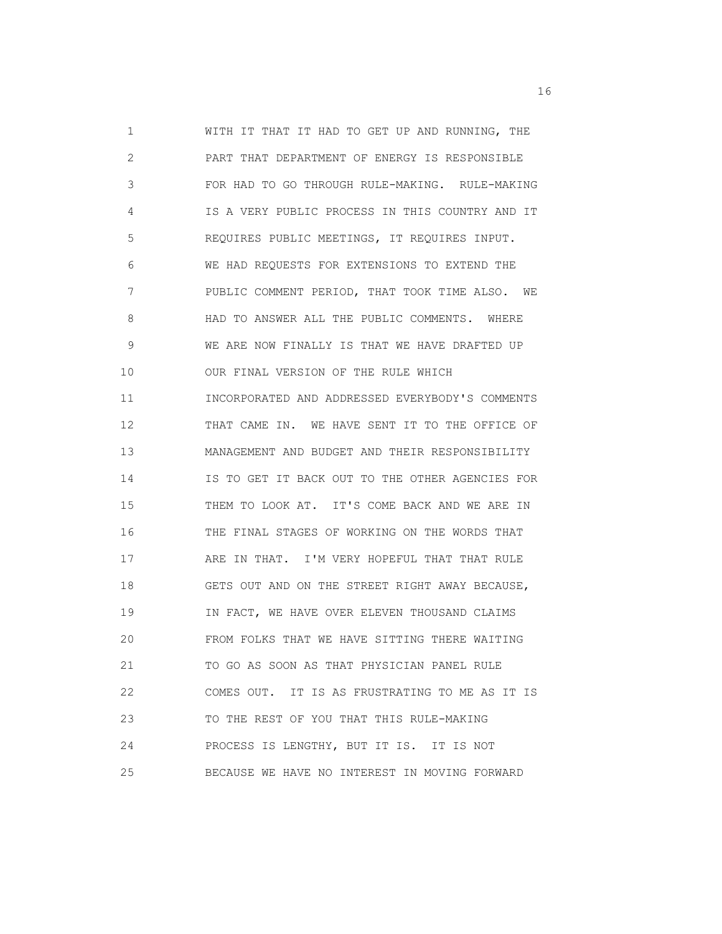1 WITH IT THAT IT HAD TO GET UP AND RUNNING, THE 2 PART THAT DEPARTMENT OF ENERGY IS RESPONSIBLE 3 FOR HAD TO GO THROUGH RULE-MAKING. RULE-MAKING 4 IS A VERY PUBLIC PROCESS IN THIS COUNTRY AND IT 5 REQUIRES PUBLIC MEETINGS, IT REQUIRES INPUT. 6 WE HAD REQUESTS FOR EXTENSIONS TO EXTEND THE 7 PUBLIC COMMENT PERIOD, THAT TOOK TIME ALSO. WE 8 HAD TO ANSWER ALL THE PUBLIC COMMENTS. WHERE 9 WE ARE NOW FINALLY IS THAT WE HAVE DRAFTED UP 10 OUR FINAL VERSION OF THE RULE WHICH 11 INCORPORATED AND ADDRESSED EVERYBODY'S COMMENTS 12 THAT CAME IN. WE HAVE SENT IT TO THE OFFICE OF 13 MANAGEMENT AND BUDGET AND THEIR RESPONSIBILITY 14 IS TO GET IT BACK OUT TO THE OTHER AGENCIES FOR 15 THEM TO LOOK AT. IT'S COME BACK AND WE ARE IN 16 THE FINAL STAGES OF WORKING ON THE WORDS THAT 17 ARE IN THAT. I'M VERY HOPEFUL THAT THAT RULE 18 GETS OUT AND ON THE STREET RIGHT AWAY BECAUSE, 19 IN FACT, WE HAVE OVER ELEVEN THOUSAND CLAIMS 20 FROM FOLKS THAT WE HAVE SITTING THERE WAITING 21 TO GO AS SOON AS THAT PHYSICIAN PANEL RULE 22 COMES OUT. IT IS AS FRUSTRATING TO ME AS IT IS 23 TO THE REST OF YOU THAT THIS RULE-MAKING 24 PROCESS IS LENGTHY, BUT IT IS. IT IS NOT 25 BECAUSE WE HAVE NO INTEREST IN MOVING FORWARD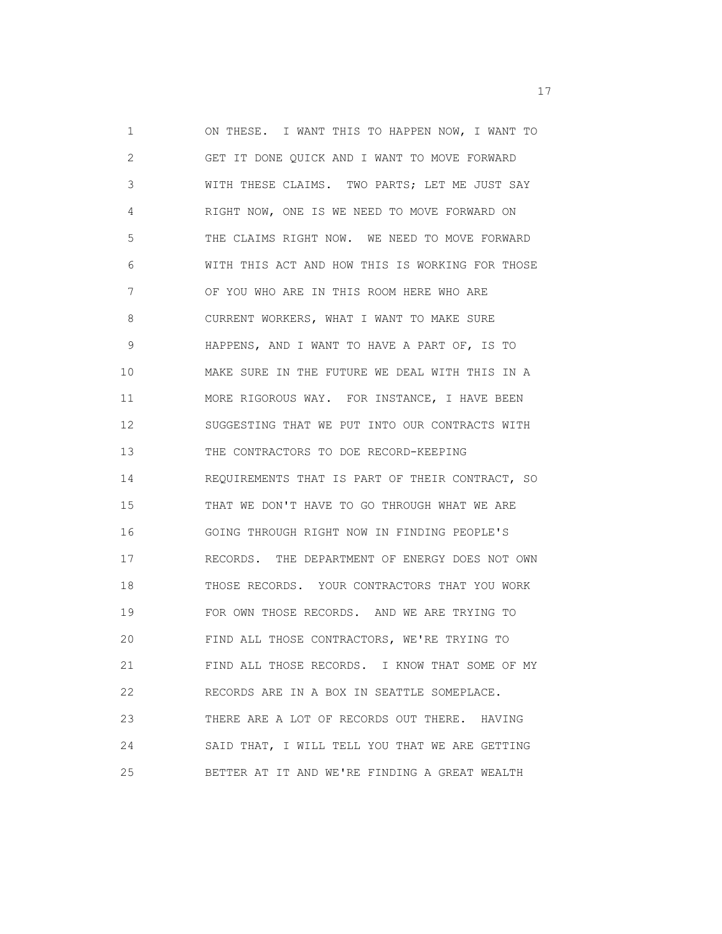1 ON THESE. I WANT THIS TO HAPPEN NOW, I WANT TO 2 GET IT DONE QUICK AND I WANT TO MOVE FORWARD 3 WITH THESE CLAIMS. TWO PARTS; LET ME JUST SAY 4 RIGHT NOW, ONE IS WE NEED TO MOVE FORWARD ON 5 THE CLAIMS RIGHT NOW. WE NEED TO MOVE FORWARD 6 WITH THIS ACT AND HOW THIS IS WORKING FOR THOSE 7 OF YOU WHO ARE IN THIS ROOM HERE WHO ARE 8 CURRENT WORKERS, WHAT I WANT TO MAKE SURE 9 HAPPENS, AND I WANT TO HAVE A PART OF, IS TO 10 MAKE SURE IN THE FUTURE WE DEAL WITH THIS IN A 11 MORE RIGOROUS WAY. FOR INSTANCE, I HAVE BEEN 12 SUGGESTING THAT WE PUT INTO OUR CONTRACTS WITH 13 THE CONTRACTORS TO DOE RECORD-KEEPING 14 REQUIREMENTS THAT IS PART OF THEIR CONTRACT, SO 15 THAT WE DON'T HAVE TO GO THROUGH WHAT WE ARE 16 GOING THROUGH RIGHT NOW IN FINDING PEOPLE'S 17 RECORDS. THE DEPARTMENT OF ENERGY DOES NOT OWN 18 THOSE RECORDS. YOUR CONTRACTORS THAT YOU WORK 19 FOR OWN THOSE RECORDS. AND WE ARE TRYING TO 20 FIND ALL THOSE CONTRACTORS, WE'RE TRYING TO 21 FIND ALL THOSE RECORDS. I KNOW THAT SOME OF MY 22 RECORDS ARE IN A BOX IN SEATTLE SOMEPLACE. 23 THERE ARE A LOT OF RECORDS OUT THERE. HAVING 24 SAID THAT, I WILL TELL YOU THAT WE ARE GETTING 25 BETTER AT IT AND WE'RE FINDING A GREAT WEALTH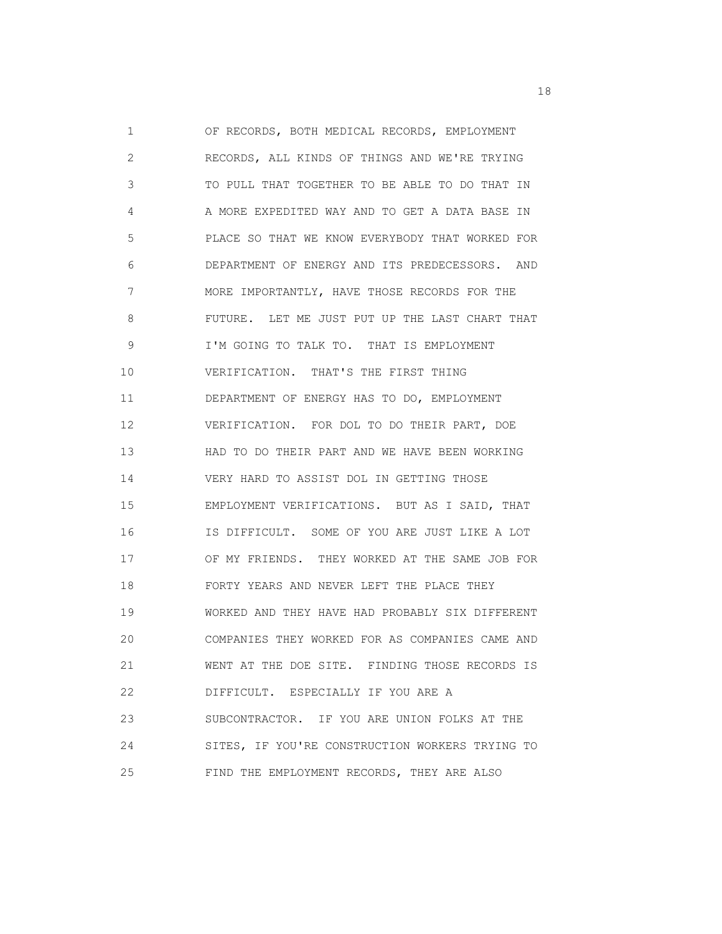1 OF RECORDS, BOTH MEDICAL RECORDS, EMPLOYMENT 2 RECORDS, ALL KINDS OF THINGS AND WE'RE TRYING 3 TO PULL THAT TOGETHER TO BE ABLE TO DO THAT IN 4 A MORE EXPEDITED WAY AND TO GET A DATA BASE IN 5 PLACE SO THAT WE KNOW EVERYBODY THAT WORKED FOR 6 DEPARTMENT OF ENERGY AND ITS PREDECESSORS. AND 7 MORE IMPORTANTLY, HAVE THOSE RECORDS FOR THE 8 FUTURE. LET ME JUST PUT UP THE LAST CHART THAT 9 I'M GOING TO TALK TO. THAT IS EMPLOYMENT 10 VERIFICATION. THAT'S THE FIRST THING 11 DEPARTMENT OF ENERGY HAS TO DO, EMPLOYMENT 12 VERIFICATION. FOR DOL TO DO THEIR PART, DOE 13 HAD TO DO THEIR PART AND WE HAVE BEEN WORKING 14 VERY HARD TO ASSIST DOL IN GETTING THOSE 15 EMPLOYMENT VERIFICATIONS. BUT AS I SAID, THAT 16 IS DIFFICULT. SOME OF YOU ARE JUST LIKE A LOT 17 OF MY FRIENDS. THEY WORKED AT THE SAME JOB FOR 18 FORTY YEARS AND NEVER LEFT THE PLACE THEY 19 WORKED AND THEY HAVE HAD PROBABLY SIX DIFFERENT 20 COMPANIES THEY WORKED FOR AS COMPANIES CAME AND 21 WENT AT THE DOE SITE. FINDING THOSE RECORDS IS 22 DIFFICULT. ESPECIALLY IF YOU ARE A 23 SUBCONTRACTOR. IF YOU ARE UNION FOLKS AT THE 24 SITES, IF YOU'RE CONSTRUCTION WORKERS TRYING TO 25 FIND THE EMPLOYMENT RECORDS, THEY ARE ALSO

n 18 ann an 18 an t-Iomraid ann an 18 an t-Iomraid ann an 18 an t-Iomraid ann an 18 an t-Iomraid ann an 18 an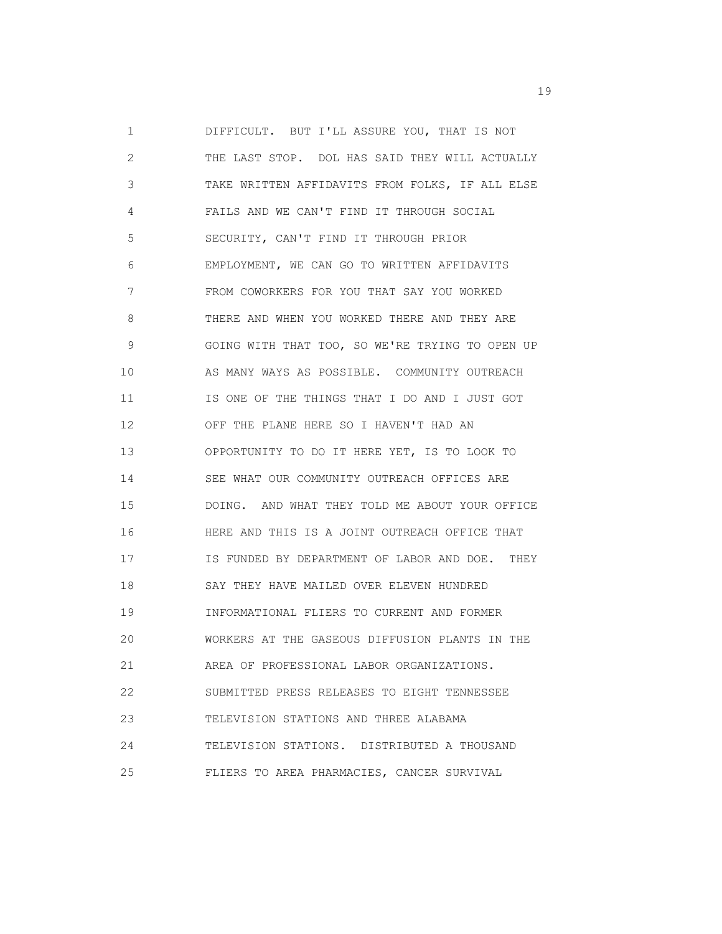1 DIFFICULT. BUT I'LL ASSURE YOU, THAT IS NOT 2 THE LAST STOP. DOL HAS SAID THEY WILL ACTUALLY 3 TAKE WRITTEN AFFIDAVITS FROM FOLKS, IF ALL ELSE 4 FAILS AND WE CAN'T FIND IT THROUGH SOCIAL 5 SECURITY, CAN'T FIND IT THROUGH PRIOR 6 EMPLOYMENT, WE CAN GO TO WRITTEN AFFIDAVITS 7 FROM COWORKERS FOR YOU THAT SAY YOU WORKED 8 THERE AND WHEN YOU WORKED THERE AND THEY ARE 9 GOING WITH THAT TOO, SO WE'RE TRYING TO OPEN UP 10 AS MANY WAYS AS POSSIBLE. COMMUNITY OUTREACH 11 IS ONE OF THE THINGS THAT I DO AND I JUST GOT 12 OFF THE PLANE HERE SO I HAVEN'T HAD AN 13 OPPORTUNITY TO DO IT HERE YET, IS TO LOOK TO 14 SEE WHAT OUR COMMUNITY OUTREACH OFFICES ARE 15 DOING. AND WHAT THEY TOLD ME ABOUT YOUR OFFICE 16 HERE AND THIS IS A JOINT OUTREACH OFFICE THAT 17 IS FUNDED BY DEPARTMENT OF LABOR AND DOE. THEY 18 SAY THEY HAVE MAILED OVER ELEVEN HUNDRED 19 INFORMATIONAL FLIERS TO CURRENT AND FORMER 20 WORKERS AT THE GASEOUS DIFFUSION PLANTS IN THE 21 AREA OF PROFESSIONAL LABOR ORGANIZATIONS. 22 SUBMITTED PRESS RELEASES TO EIGHT TENNESSEE 23 TELEVISION STATIONS AND THREE ALABAMA 24 TELEVISION STATIONS. DISTRIBUTED A THOUSAND 25 FLIERS TO AREA PHARMACIES, CANCER SURVIVAL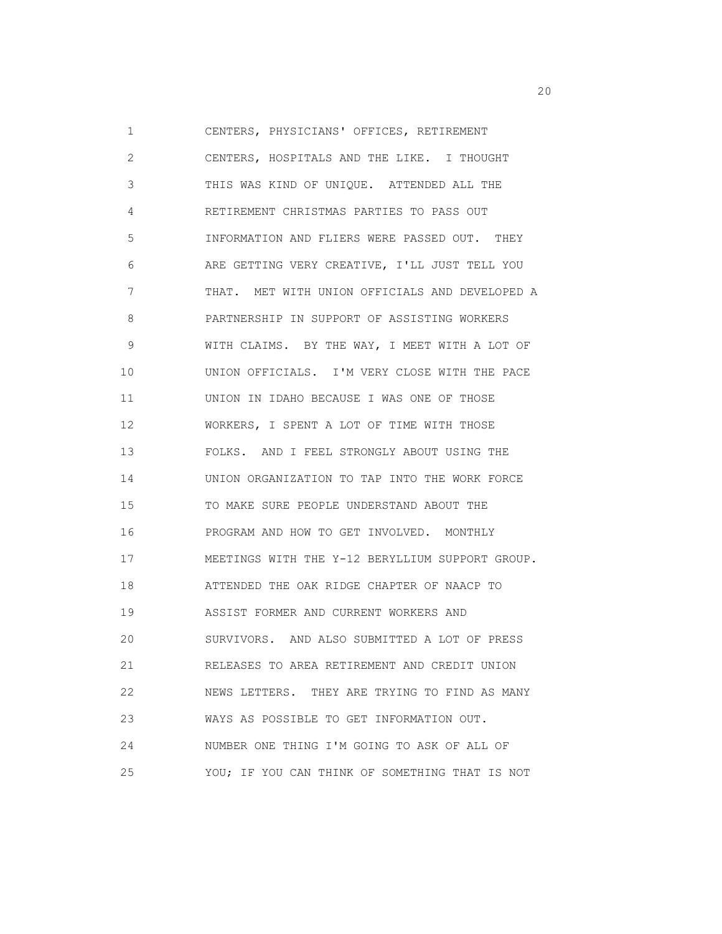1 CENTERS, PHYSICIANS' OFFICES, RETIREMENT 2 CENTERS, HOSPITALS AND THE LIKE. I THOUGHT 3 THIS WAS KIND OF UNIQUE. ATTENDED ALL THE 4 RETIREMENT CHRISTMAS PARTIES TO PASS OUT 5 INFORMATION AND FLIERS WERE PASSED OUT. THEY 6 ARE GETTING VERY CREATIVE, I'LL JUST TELL YOU 7 THAT. MET WITH UNION OFFICIALS AND DEVELOPED A 8 PARTNERSHIP IN SUPPORT OF ASSISTING WORKERS 9 WITH CLAIMS. BY THE WAY, I MEET WITH A LOT OF 10 UNION OFFICIALS. I'M VERY CLOSE WITH THE PACE 11 UNION IN IDAHO BECAUSE I WAS ONE OF THOSE 12 WORKERS, I SPENT A LOT OF TIME WITH THOSE 13 FOLKS. AND I FEEL STRONGLY ABOUT USING THE 14 UNION ORGANIZATION TO TAP INTO THE WORK FORCE 15 TO MAKE SURE PEOPLE UNDERSTAND ABOUT THE 16 PROGRAM AND HOW TO GET INVOLVED. MONTHLY 17 MEETINGS WITH THE Y-12 BERYLLIUM SUPPORT GROUP. 18 ATTENDED THE OAK RIDGE CHAPTER OF NAACP TO 19 ASSIST FORMER AND CURRENT WORKERS AND 20 SURVIVORS. AND ALSO SUBMITTED A LOT OF PRESS 21 RELEASES TO AREA RETIREMENT AND CREDIT UNION 22 NEWS LETTERS. THEY ARE TRYING TO FIND AS MANY 23 WAYS AS POSSIBLE TO GET INFORMATION OUT. 24 NUMBER ONE THING I'M GOING TO ASK OF ALL OF 25 YOU; IF YOU CAN THINK OF SOMETHING THAT IS NOT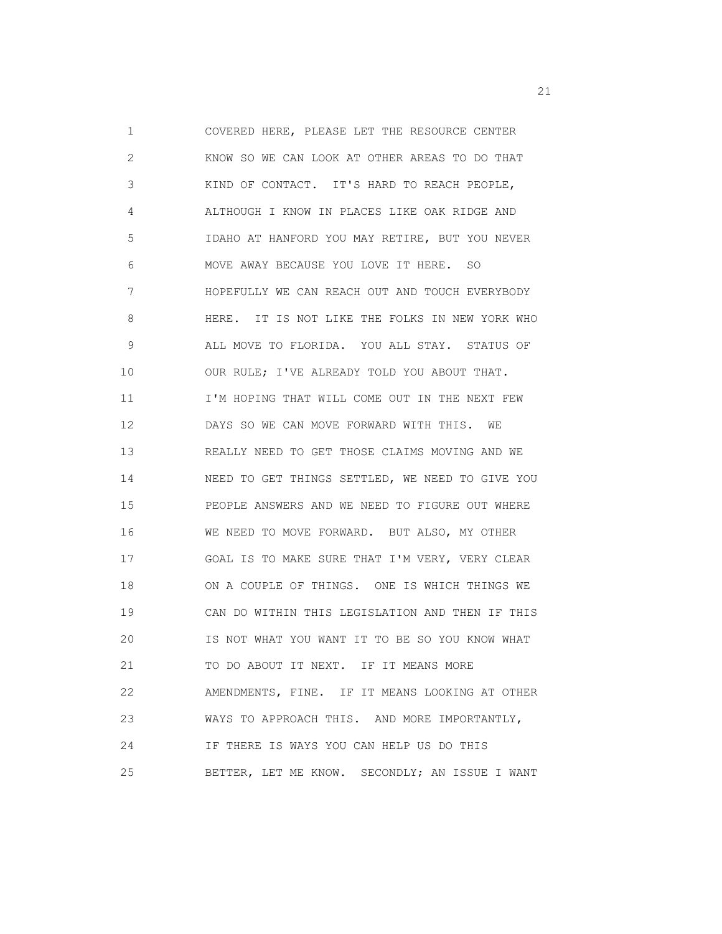1 COVERED HERE, PLEASE LET THE RESOURCE CENTER 2 KNOW SO WE CAN LOOK AT OTHER AREAS TO DO THAT 3 KIND OF CONTACT. IT'S HARD TO REACH PEOPLE, 4 ALTHOUGH I KNOW IN PLACES LIKE OAK RIDGE AND 5 IDAHO AT HANFORD YOU MAY RETIRE, BUT YOU NEVER 6 MOVE AWAY BECAUSE YOU LOVE IT HERE. SO 7 HOPEFULLY WE CAN REACH OUT AND TOUCH EVERYBODY 8 HERE. IT IS NOT LIKE THE FOLKS IN NEW YORK WHO 9 ALL MOVE TO FLORIDA. YOU ALL STAY. STATUS OF 10 OUR RULE; I'VE ALREADY TOLD YOU ABOUT THAT. 11 **I'M HOPING THAT WILL COME OUT IN THE NEXT FEW**  12 DAYS SO WE CAN MOVE FORWARD WITH THIS. WE 13 REALLY NEED TO GET THOSE CLAIMS MOVING AND WE 14 NEED TO GET THINGS SETTLED, WE NEED TO GIVE YOU 15 PEOPLE ANSWERS AND WE NEED TO FIGURE OUT WHERE 16 WE NEED TO MOVE FORWARD. BUT ALSO, MY OTHER 17 GOAL IS TO MAKE SURE THAT I'M VERY, VERY CLEAR 18 ON A COUPLE OF THINGS. ONE IS WHICH THINGS WE 19 CAN DO WITHIN THIS LEGISLATION AND THEN IF THIS 20 IS NOT WHAT YOU WANT IT TO BE SO YOU KNOW WHAT 21 TO DO ABOUT IT NEXT. IF IT MEANS MORE 22 AMENDMENTS, FINE. IF IT MEANS LOOKING AT OTHER 23 WAYS TO APPROACH THIS. AND MORE IMPORTANTLY, 24 IF THERE IS WAYS YOU CAN HELP US DO THIS 25 BETTER, LET ME KNOW. SECONDLY; AN ISSUE I WANT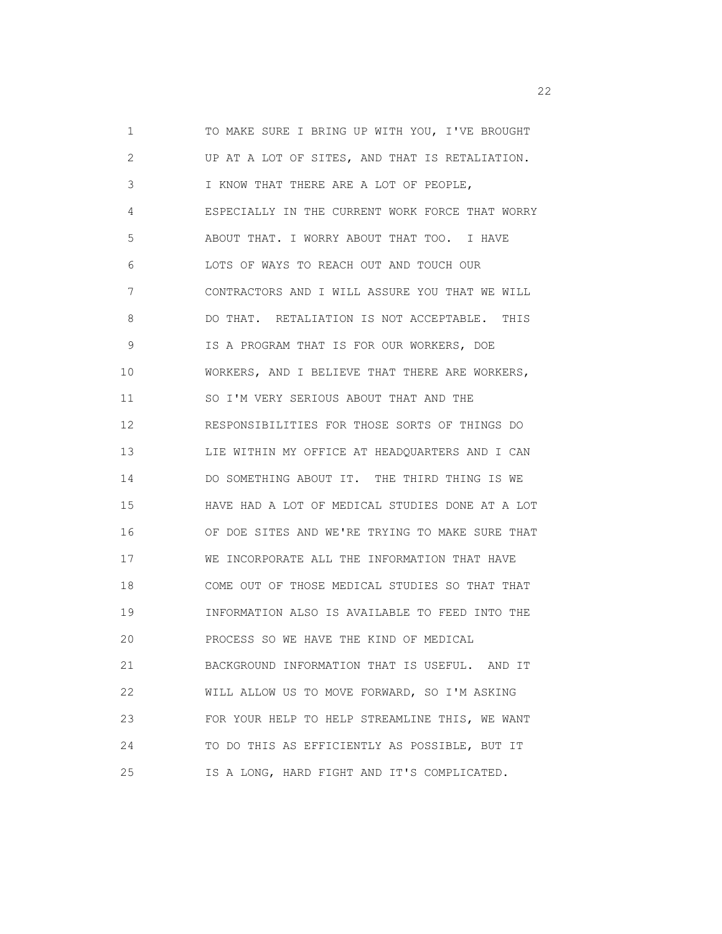1 TO MAKE SURE I BRING UP WITH YOU, I'VE BROUGHT 2 UP AT A LOT OF SITES, AND THAT IS RETALIATION. 3 I KNOW THAT THERE ARE A LOT OF PEOPLE, 4 ESPECIALLY IN THE CURRENT WORK FORCE THAT WORRY 5 ABOUT THAT. I WORRY ABOUT THAT TOO. I HAVE 6 LOTS OF WAYS TO REACH OUT AND TOUCH OUR 7 CONTRACTORS AND I WILL ASSURE YOU THAT WE WILL 8 DO THAT. RETALIATION IS NOT ACCEPTABLE. THIS 9 IS A PROGRAM THAT IS FOR OUR WORKERS, DOE 10 WORKERS, AND I BELIEVE THAT THERE ARE WORKERS, 11 SO I'M VERY SERIOUS ABOUT THAT AND THE 12 RESPONSIBILITIES FOR THOSE SORTS OF THINGS DO 13 LIE WITHIN MY OFFICE AT HEADQUARTERS AND I CAN 14 DO SOMETHING ABOUT IT. THE THIRD THING IS WE 15 HAVE HAD A LOT OF MEDICAL STUDIES DONE AT A LOT 16 OF DOE SITES AND WE'RE TRYING TO MAKE SURE THAT 17 WE INCORPORATE ALL THE INFORMATION THAT HAVE 18 COME OUT OF THOSE MEDICAL STUDIES SO THAT THAT 19 INFORMATION ALSO IS AVAILABLE TO FEED INTO THE 20 PROCESS SO WE HAVE THE KIND OF MEDICAL 21 BACKGROUND INFORMATION THAT IS USEFUL. AND IT 22 WILL ALLOW US TO MOVE FORWARD, SO I'M ASKING 23 FOR YOUR HELP TO HELP STREAMLINE THIS, WE WANT 24 TO DO THIS AS EFFICIENTLY AS POSSIBLE, BUT IT 25 IS A LONG, HARD FIGHT AND IT'S COMPLICATED.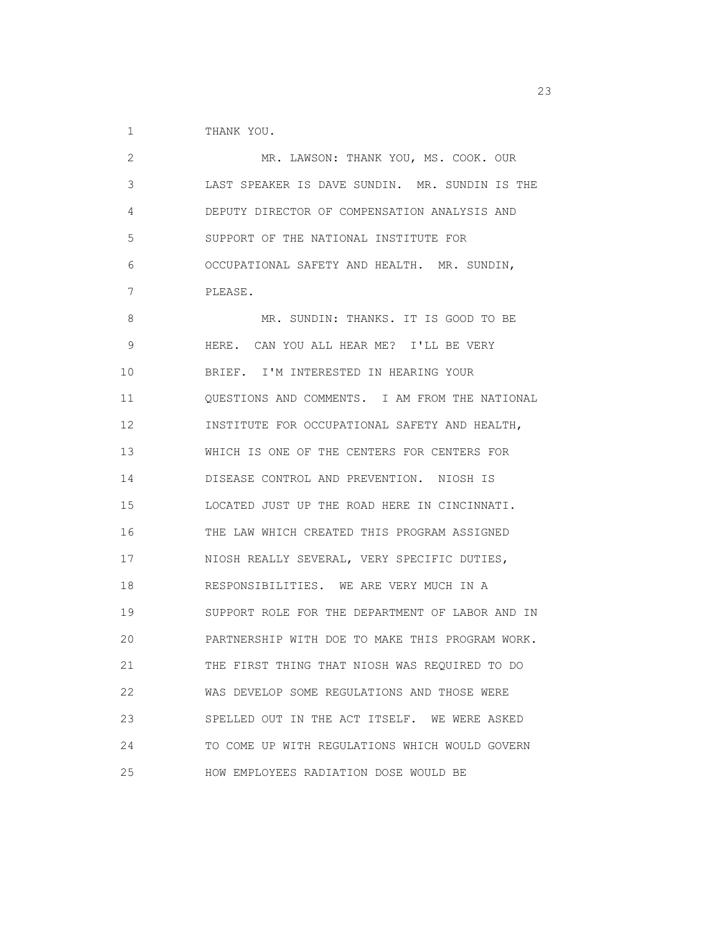1 THANK YOU.

| 2  | MR. LAWSON: THANK YOU, MS. COOK. OUR            |
|----|-------------------------------------------------|
| 3  | LAST SPEAKER IS DAVE SUNDIN. MR. SUNDIN IS THE  |
| 4  | DEPUTY DIRECTOR OF COMPENSATION ANALYSIS AND    |
| 5  | SUPPORT OF THE NATIONAL INSTITUTE FOR           |
| 6  | OCCUPATIONAL SAFETY AND HEALTH. MR. SUNDIN,     |
| 7  | PLEASE.                                         |
| 8  | MR. SUNDIN: THANKS. IT IS GOOD TO BE            |
| 9  | HERE. CAN YOU ALL HEAR ME? I'LL BE VERY         |
| 10 | BRIEF. I'M INTERESTED IN HEARING YOUR           |
| 11 | QUESTIONS AND COMMENTS. I AM FROM THE NATIONAL  |
| 12 | INSTITUTE FOR OCCUPATIONAL SAFETY AND HEALTH,   |
| 13 | WHICH IS ONE OF THE CENTERS FOR CENTERS FOR     |
| 14 | DISEASE CONTROL AND PREVENTION. NIOSH IS        |
| 15 | LOCATED JUST UP THE ROAD HERE IN CINCINNATI.    |
| 16 | THE LAW WHICH CREATED THIS PROGRAM ASSIGNED     |
| 17 | NIOSH REALLY SEVERAL, VERY SPECIFIC DUTIES,     |
| 18 | RESPONSIBILITIES. WE ARE VERY MUCH IN A         |
| 19 | SUPPORT ROLE FOR THE DEPARTMENT OF LABOR AND IN |
| 20 | PARTNERSHIP WITH DOE TO MAKE THIS PROGRAM WORK. |
| 21 | THE FIRST THING THAT NIOSH WAS REQUIRED TO DO   |
| 22 | WAS DEVELOP SOME REGULATIONS AND THOSE WERE     |
| 23 | SPELLED OUT IN THE ACT ITSELF. WE WERE ASKED    |
| 24 | TO COME UP WITH REGULATIONS WHICH WOULD GOVERN  |
| 25 | HOW EMPLOYEES RADIATION DOSE WOULD BE           |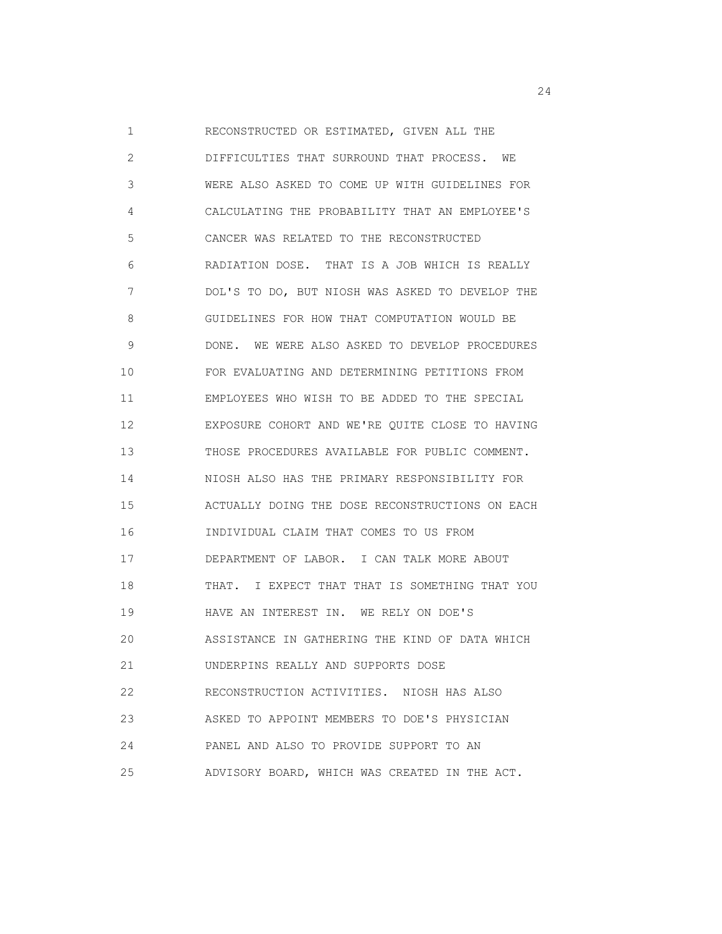1 RECONSTRUCTED OR ESTIMATED, GIVEN ALL THE 2 DIFFICULTIES THAT SURROUND THAT PROCESS. WE 3 WERE ALSO ASKED TO COME UP WITH GUIDELINES FOR 4 CALCULATING THE PROBABILITY THAT AN EMPLOYEE'S 5 CANCER WAS RELATED TO THE RECONSTRUCTED 6 RADIATION DOSE. THAT IS A JOB WHICH IS REALLY 7 DOL'S TO DO, BUT NIOSH WAS ASKED TO DEVELOP THE 8 GUIDELINES FOR HOW THAT COMPUTATION WOULD BE 9 DONE. WE WERE ALSO ASKED TO DEVELOP PROCEDURES 10 FOR EVALUATING AND DETERMINING PETITIONS FROM 11 EMPLOYEES WHO WISH TO BE ADDED TO THE SPECIAL 12 EXPOSURE COHORT AND WE'RE QUITE CLOSE TO HAVING 13 THOSE PROCEDURES AVAILABLE FOR PUBLIC COMMENT. 14 NIOSH ALSO HAS THE PRIMARY RESPONSIBILITY FOR 15 ACTUALLY DOING THE DOSE RECONSTRUCTIONS ON EACH 16 INDIVIDUAL CLAIM THAT COMES TO US FROM 17 DEPARTMENT OF LABOR. I CAN TALK MORE ABOUT 18 THAT. I EXPECT THAT THAT IS SOMETHING THAT YOU 19 HAVE AN INTEREST IN. WE RELY ON DOE'S 20 ASSISTANCE IN GATHERING THE KIND OF DATA WHICH 21 UNDERPINS REALLY AND SUPPORTS DOSE 22 RECONSTRUCTION ACTIVITIES. NIOSH HAS ALSO 23 ASKED TO APPOINT MEMBERS TO DOE'S PHYSICIAN 24 PANEL AND ALSO TO PROVIDE SUPPORT TO AN 25 ADVISORY BOARD, WHICH WAS CREATED IN THE ACT.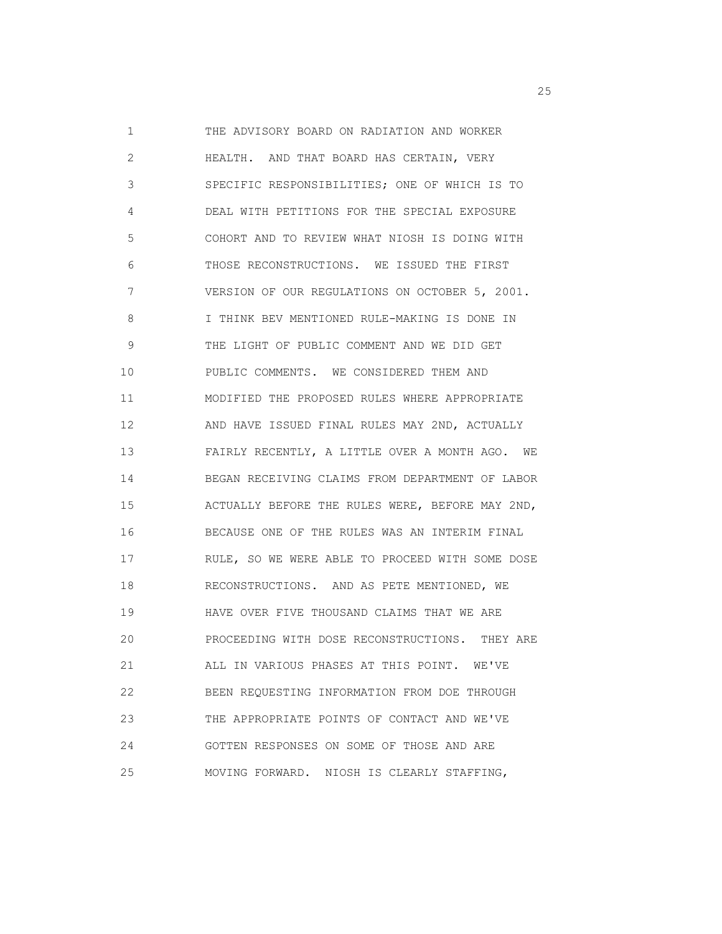1 THE ADVISORY BOARD ON RADIATION AND WORKER 2 HEALTH. AND THAT BOARD HAS CERTAIN, VERY 3 SPECIFIC RESPONSIBILITIES; ONE OF WHICH IS TO 4 DEAL WITH PETITIONS FOR THE SPECIAL EXPOSURE 5 COHORT AND TO REVIEW WHAT NIOSH IS DOING WITH 6 THOSE RECONSTRUCTIONS. WE ISSUED THE FIRST 7 VERSION OF OUR REGULATIONS ON OCTOBER 5, 2001. 8 I THINK BEV MENTIONED RULE-MAKING IS DONE IN 9 THE LIGHT OF PUBLIC COMMENT AND WE DID GET 10 PUBLIC COMMENTS. WE CONSIDERED THEM AND 11 MODIFIED THE PROPOSED RULES WHERE APPROPRIATE 12 AND HAVE ISSUED FINAL RULES MAY 2ND, ACTUALLY 13 FAIRLY RECENTLY, A LITTLE OVER A MONTH AGO. WE 14 BEGAN RECEIVING CLAIMS FROM DEPARTMENT OF LABOR 15 ACTUALLY BEFORE THE RULES WERE, BEFORE MAY 2ND, 16 BECAUSE ONE OF THE RULES WAS AN INTERIM FINAL 17 RULE, SO WE WERE ABLE TO PROCEED WITH SOME DOSE 18 RECONSTRUCTIONS. AND AS PETE MENTIONED, WE 19 HAVE OVER FIVE THOUSAND CLAIMS THAT WE ARE 20 PROCEEDING WITH DOSE RECONSTRUCTIONS. THEY ARE 21 ALL IN VARIOUS PHASES AT THIS POINT. WE'VE 22 BEEN REQUESTING INFORMATION FROM DOE THROUGH 23 THE APPROPRIATE POINTS OF CONTACT AND WE'VE 24 GOTTEN RESPONSES ON SOME OF THOSE AND ARE 25 MOVING FORWARD. NIOSH IS CLEARLY STAFFING,

<u>25</u>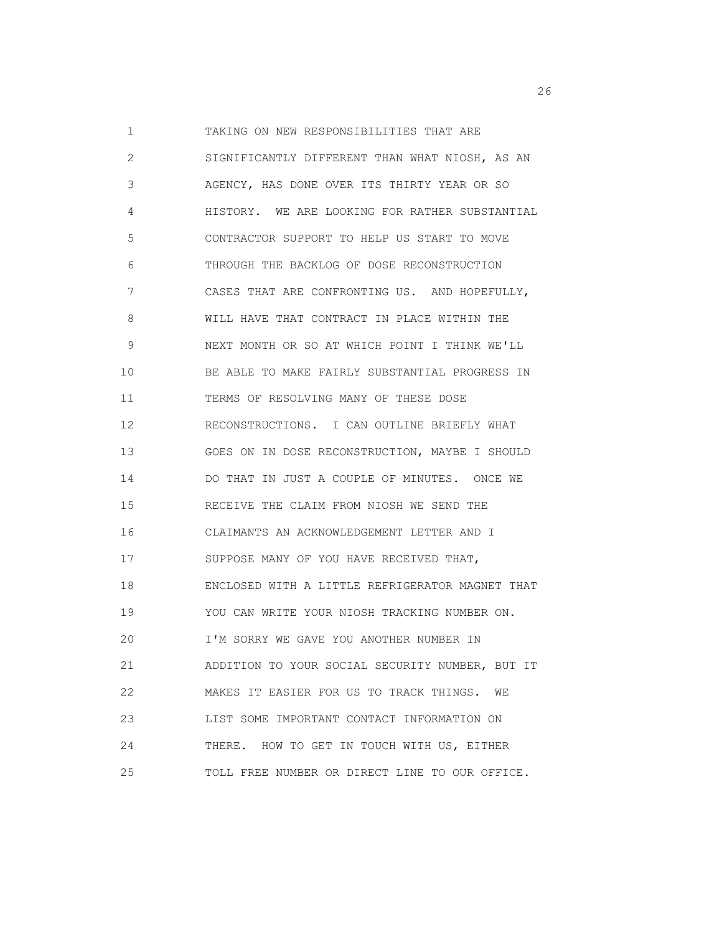1 TAKING ON NEW RESPONSIBILITIES THAT ARE 2 SIGNIFICANTLY DIFFERENT THAN WHAT NIOSH, AS AN 3 AGENCY, HAS DONE OVER ITS THIRTY YEAR OR SO 4 HISTORY. WE ARE LOOKING FOR RATHER SUBSTANTIAL 5 CONTRACTOR SUPPORT TO HELP US START TO MOVE 6 THROUGH THE BACKLOG OF DOSE RECONSTRUCTION 7 CASES THAT ARE CONFRONTING US. AND HOPEFULLY, 8 WILL HAVE THAT CONTRACT IN PLACE WITHIN THE 9 NEXT MONTH OR SO AT WHICH POINT I THINK WE'LL 10 BE ABLE TO MAKE FAIRLY SUBSTANTIAL PROGRESS IN 11 TERMS OF RESOLVING MANY OF THESE DOSE 12 RECONSTRUCTIONS. I CAN OUTLINE BRIEFLY WHAT 13 GOES ON IN DOSE RECONSTRUCTION, MAYBE I SHOULD 14 DO THAT IN JUST A COUPLE OF MINUTES. ONCE WE 15 RECEIVE THE CLAIM FROM NIOSH WE SEND THE 16 CLAIMANTS AN ACKNOWLEDGEMENT LETTER AND I 17 SUPPOSE MANY OF YOU HAVE RECEIVED THAT, 18 ENCLOSED WITH A LITTLE REFRIGERATOR MAGNET THAT 19 YOU CAN WRITE YOUR NIOSH TRACKING NUMBER ON. 20 I'M SORRY WE GAVE YOU ANOTHER NUMBER IN 21 ADDITION TO YOUR SOCIAL SECURITY NUMBER, BUT IT 22 MAKES IT EASIER FOR US TO TRACK THINGS. WE 23 LIST SOME IMPORTANT CONTACT INFORMATION ON 24 THERE. HOW TO GET IN TOUCH WITH US, EITHER 25 TOLL FREE NUMBER OR DIRECT LINE TO OUR OFFICE.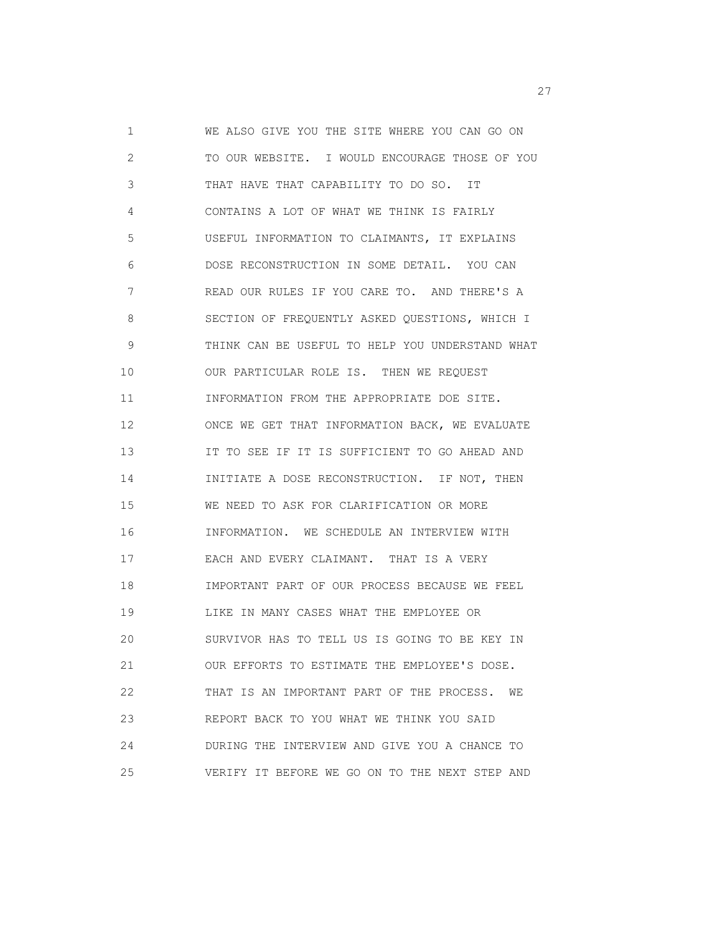1 WE ALSO GIVE YOU THE SITE WHERE YOU CAN GO ON 2 TO OUR WEBSITE. I WOULD ENCOURAGE THOSE OF YOU 3 THAT HAVE THAT CAPABILITY TO DO SO. IT 4 CONTAINS A LOT OF WHAT WE THINK IS FAIRLY 5 USEFUL INFORMATION TO CLAIMANTS, IT EXPLAINS 6 DOSE RECONSTRUCTION IN SOME DETAIL. YOU CAN 7 READ OUR RULES IF YOU CARE TO. AND THERE'S A 8 SECTION OF FREQUENTLY ASKED QUESTIONS, WHICH I 9 THINK CAN BE USEFUL TO HELP YOU UNDERSTAND WHAT 10 OUR PARTICULAR ROLE IS. THEN WE REQUEST 11 INFORMATION FROM THE APPROPRIATE DOE SITE. 12 ONCE WE GET THAT INFORMATION BACK, WE EVALUATE 13 IT TO SEE IF IT IS SUFFICIENT TO GO AHEAD AND 14 INITIATE A DOSE RECONSTRUCTION. IF NOT, THEN 15 WE NEED TO ASK FOR CLARIFICATION OR MORE 16 INFORMATION. WE SCHEDULE AN INTERVIEW WITH 17 EACH AND EVERY CLAIMANT. THAT IS A VERY 18 IMPORTANT PART OF OUR PROCESS BECAUSE WE FEEL 19 LIKE IN MANY CASES WHAT THE EMPLOYEE OR 20 SURVIVOR HAS TO TELL US IS GOING TO BE KEY IN 21 OUR EFFORTS TO ESTIMATE THE EMPLOYEE'S DOSE. 22 THAT IS AN IMPORTANT PART OF THE PROCESS. WE 23 REPORT BACK TO YOU WHAT WE THINK YOU SAID 24 DURING THE INTERVIEW AND GIVE YOU A CHANCE TO 25 VERIFY IT BEFORE WE GO ON TO THE NEXT STEP AND

<u>27</u>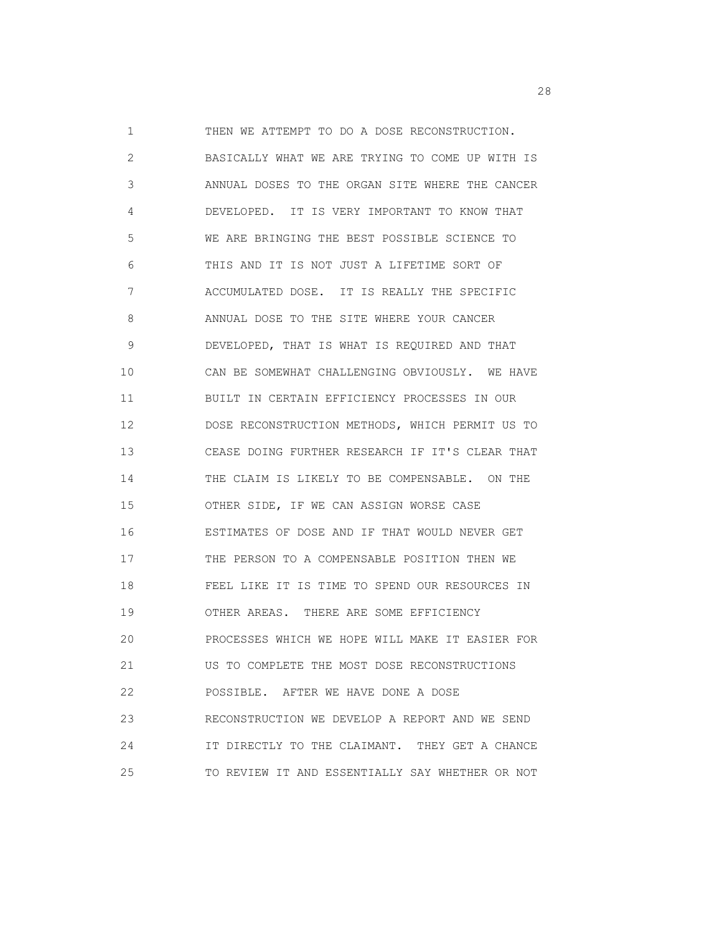1 THEN WE ATTEMPT TO DO A DOSE RECONSTRUCTION. 2 BASICALLY WHAT WE ARE TRYING TO COME UP WITH IS 3 ANNUAL DOSES TO THE ORGAN SITE WHERE THE CANCER 4 DEVELOPED. IT IS VERY IMPORTANT TO KNOW THAT 5 WE ARE BRINGING THE BEST POSSIBLE SCIENCE TO 6 THIS AND IT IS NOT JUST A LIFETIME SORT OF 7 ACCUMULATED DOSE. IT IS REALLY THE SPECIFIC 8 ANNUAL DOSE TO THE SITE WHERE YOUR CANCER 9 DEVELOPED, THAT IS WHAT IS REQUIRED AND THAT 10 CAN BE SOMEWHAT CHALLENGING OBVIOUSLY. WE HAVE 11 BUILT IN CERTAIN EFFICIENCY PROCESSES IN OUR 12 DOSE RECONSTRUCTION METHODS, WHICH PERMIT US TO 13 CEASE DOING FURTHER RESEARCH IF IT'S CLEAR THAT 14 THE CLAIM IS LIKELY TO BE COMPENSABLE. ON THE 15 OTHER SIDE, IF WE CAN ASSIGN WORSE CASE 16 ESTIMATES OF DOSE AND IF THAT WOULD NEVER GET 17 THE PERSON TO A COMPENSABLE POSITION THEN WE 18 FEEL LIKE IT IS TIME TO SPEND OUR RESOURCES IN 19 OTHER AREAS. THERE ARE SOME EFFICIENCY 20 PROCESSES WHICH WE HOPE WILL MAKE IT EASIER FOR 21 US TO COMPLETE THE MOST DOSE RECONSTRUCTIONS 22 POSSIBLE. AFTER WE HAVE DONE A DOSE 23 RECONSTRUCTION WE DEVELOP A REPORT AND WE SEND 24 IT DIRECTLY TO THE CLAIMANT. THEY GET A CHANCE 25 TO REVIEW IT AND ESSENTIALLY SAY WHETHER OR NOT

<u>28</u> and 28 and 28 and 28 and 28 and 28 and 28 and 28 and 28 and 28 and 28 and 28 and 28 and 28 and 28 and 28 and 28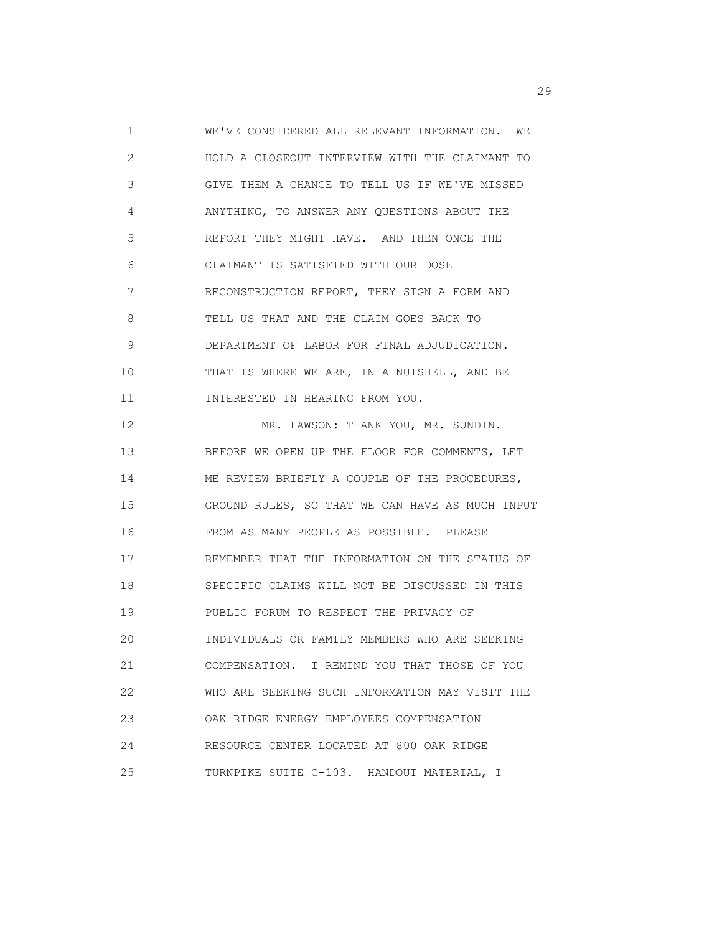1 WE'VE CONSIDERED ALL RELEVANT INFORMATION. WE 2 HOLD A CLOSEOUT INTERVIEW WITH THE CLAIMANT TO 3 GIVE THEM A CHANCE TO TELL US IF WE'VE MISSED 4 ANYTHING, TO ANSWER ANY QUESTIONS ABOUT THE 5 REPORT THEY MIGHT HAVE. AND THEN ONCE THE 6 CLAIMANT IS SATISFIED WITH OUR DOSE 7 RECONSTRUCTION REPORT, THEY SIGN A FORM AND 8 TELL US THAT AND THE CLAIM GOES BACK TO 9 DEPARTMENT OF LABOR FOR FINAL ADJUDICATION. 10 THAT IS WHERE WE ARE, IN A NUTSHELL, AND BE 11 INTERESTED IN HEARING FROM YOU. 12 MR. LAWSON: THANK YOU, MR. SUNDIN. 13 BEFORE WE OPEN UP THE FLOOR FOR COMMENTS, LET 14 ME REVIEW BRIEFLY A COUPLE OF THE PROCEDURES, 15 GROUND RULES, SO THAT WE CAN HAVE AS MUCH INPUT 16 FROM AS MANY PEOPLE AS POSSIBLE. PLEASE 17 REMEMBER THAT THE INFORMATION ON THE STATUS OF 18 SPECIFIC CLAIMS WILL NOT BE DISCUSSED IN THIS 19 PUBLIC FORUM TO RESPECT THE PRIVACY OF 20 INDIVIDUALS OR FAMILY MEMBERS WHO ARE SEEKING 21 COMPENSATION. I REMIND YOU THAT THOSE OF YOU 22 WHO ARE SEEKING SUCH INFORMATION MAY VISIT THE 23 OAK RIDGE ENERGY EMPLOYEES COMPENSATION 24 RESOURCE CENTER LOCATED AT 800 OAK RIDGE 25 TURNPIKE SUITE C-103. HANDOUT MATERIAL, I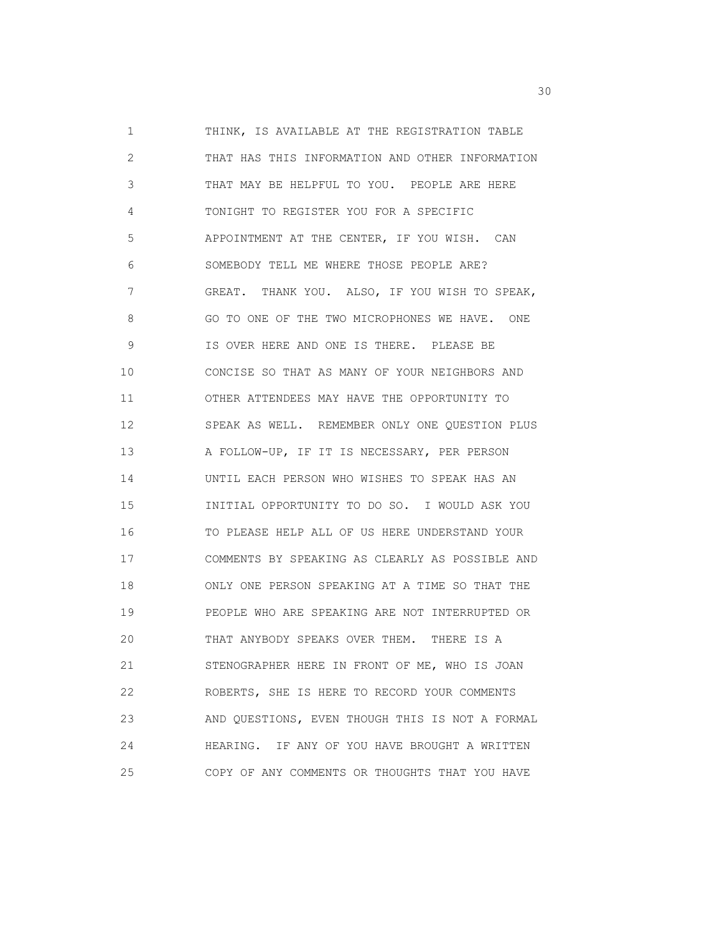1 THINK, IS AVAILABLE AT THE REGISTRATION TABLE 2 THAT HAS THIS INFORMATION AND OTHER INFORMATION 3 THAT MAY BE HELPFUL TO YOU. PEOPLE ARE HERE 4 TONIGHT TO REGISTER YOU FOR A SPECIFIC 5 APPOINTMENT AT THE CENTER, IF YOU WISH. CAN 6 SOMEBODY TELL ME WHERE THOSE PEOPLE ARE? 7 GREAT. THANK YOU. ALSO, IF YOU WISH TO SPEAK, 8 GO TO ONE OF THE TWO MICROPHONES WE HAVE. ONE 9 IS OVER HERE AND ONE IS THERE. PLEASE BE 10 CONCISE SO THAT AS MANY OF YOUR NEIGHBORS AND 11 OTHER ATTENDEES MAY HAVE THE OPPORTUNITY TO 12 SPEAK AS WELL. REMEMBER ONLY ONE QUESTION PLUS 13 A FOLLOW-UP, IF IT IS NECESSARY, PER PERSON 14 UNTIL EACH PERSON WHO WISHES TO SPEAK HAS AN 15 INITIAL OPPORTUNITY TO DO SO. I WOULD ASK YOU 16 TO PLEASE HELP ALL OF US HERE UNDERSTAND YOUR 17 COMMENTS BY SPEAKING AS CLEARLY AS POSSIBLE AND 18 ONLY ONE PERSON SPEAKING AT A TIME SO THAT THE 19 PEOPLE WHO ARE SPEAKING ARE NOT INTERRUPTED OR 20 THAT ANYBODY SPEAKS OVER THEM. THERE IS A 21 STENOGRAPHER HERE IN FRONT OF ME, WHO IS JOAN 22 ROBERTS, SHE IS HERE TO RECORD YOUR COMMENTS 23 AND QUESTIONS, EVEN THOUGH THIS IS NOT A FORMAL 24 HEARING. IF ANY OF YOU HAVE BROUGHT A WRITTEN 25 COPY OF ANY COMMENTS OR THOUGHTS THAT YOU HAVE

and the contract of the contract of the contract of the contract of the contract of the contract of the contract of the contract of the contract of the contract of the contract of the contract of the contract of the contra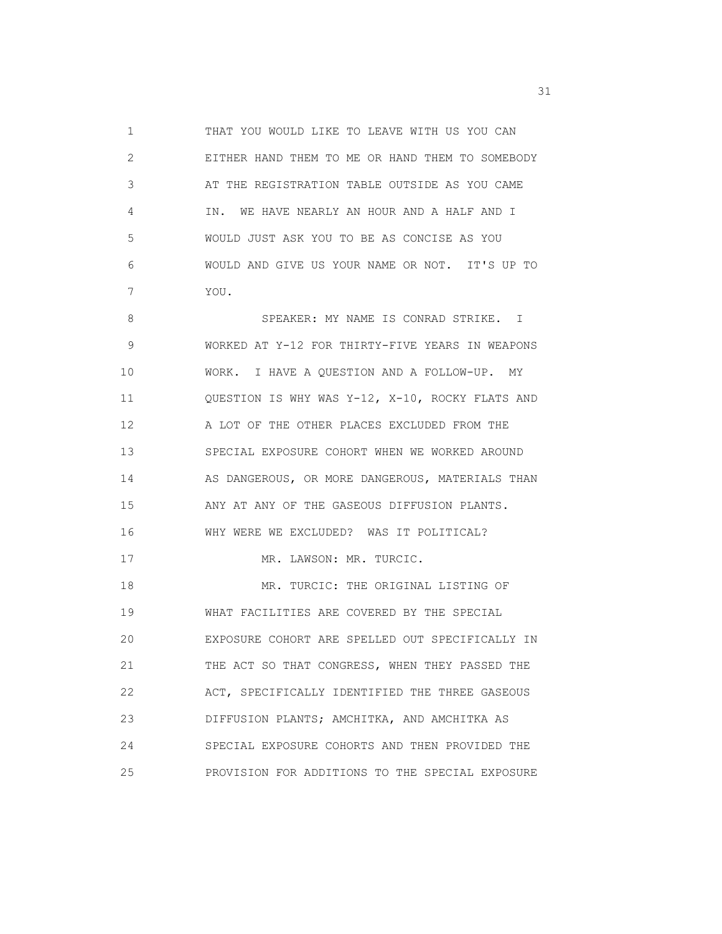1 THAT YOU WOULD LIKE TO LEAVE WITH US YOU CAN 2 EITHER HAND THEM TO ME OR HAND THEM TO SOMEBODY 3 AT THE REGISTRATION TABLE OUTSIDE AS YOU CAME 4 IN. WE HAVE NEARLY AN HOUR AND A HALF AND I 5 WOULD JUST ASK YOU TO BE AS CONCISE AS YOU 6 WOULD AND GIVE US YOUR NAME OR NOT. IT'S UP TO 7 YOU.

8 SPEAKER: MY NAME IS CONRAD STRIKE. I 9 WORKED AT Y-12 FOR THIRTY-FIVE YEARS IN WEAPONS 10 WORK. I HAVE A QUESTION AND A FOLLOW-UP. MY 11 QUESTION IS WHY WAS Y-12, X-10, ROCKY FLATS AND 12 A LOT OF THE OTHER PLACES EXCLUDED FROM THE 13 SPECIAL EXPOSURE COHORT WHEN WE WORKED AROUND 14 AS DANGEROUS, OR MORE DANGEROUS, MATERIALS THAN 15 ANY AT ANY OF THE GASEOUS DIFFUSION PLANTS. 16 WHY WERE WE EXCLUDED? WAS IT POLITICAL? 17 MR. LAWSON: MR. TURCIC. 18 MR. TURCIC: THE ORIGINAL LISTING OF 19 WHAT FACILITIES ARE COVERED BY THE SPECIAL 20 EXPOSURE COHORT ARE SPELLED OUT SPECIFICALLY IN 21 THE ACT SO THAT CONGRESS, WHEN THEY PASSED THE 22 ACT, SPECIFICALLY IDENTIFIED THE THREE GASEOUS 23 DIFFUSION PLANTS; AMCHITKA, AND AMCHITKA AS 24 SPECIAL EXPOSURE COHORTS AND THEN PROVIDED THE 25 PROVISION FOR ADDITIONS TO THE SPECIAL EXPOSURE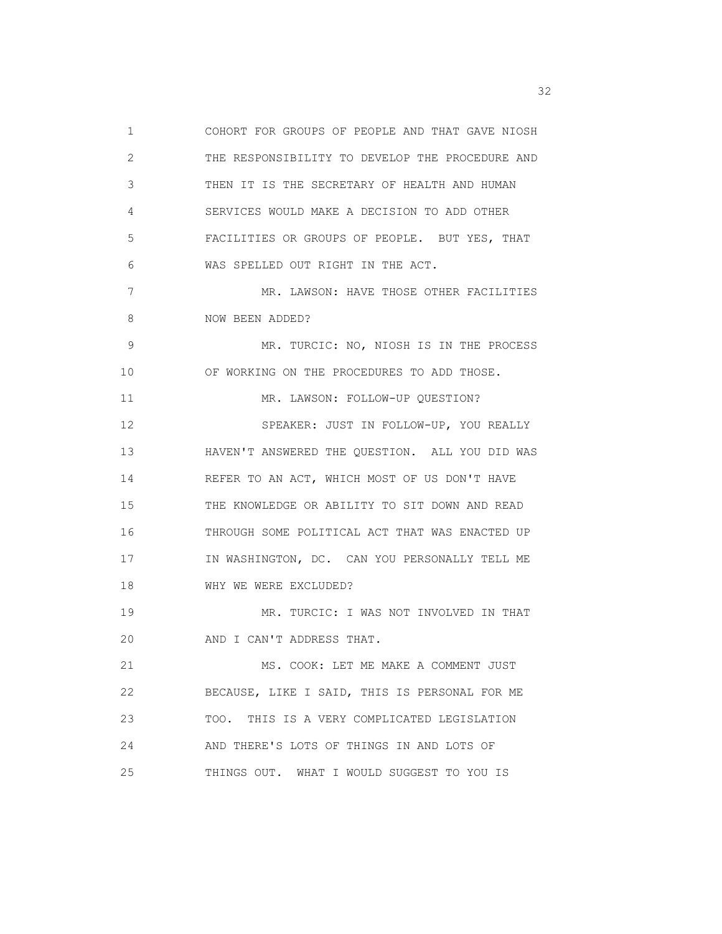1 COHORT FOR GROUPS OF PEOPLE AND THAT GAVE NIOSH 2 THE RESPONSIBILITY TO DEVELOP THE PROCEDURE AND 3 THEN IT IS THE SECRETARY OF HEALTH AND HUMAN 4 SERVICES WOULD MAKE A DECISION TO ADD OTHER 5 FACILITIES OR GROUPS OF PEOPLE. BUT YES, THAT 6 WAS SPELLED OUT RIGHT IN THE ACT. 7 MR. LAWSON: HAVE THOSE OTHER FACILITIES 8 NOW BEEN ADDED? 9 MR. TURCIC: NO, NIOSH IS IN THE PROCESS 10 OF WORKING ON THE PROCEDURES TO ADD THOSE. 11 MR. LAWSON: FOLLOW-UP QUESTION? 12 SPEAKER: JUST IN FOLLOW-UP, YOU REALLY 13 HAVEN'T ANSWERED THE QUESTION. ALL YOU DID WAS 14 REFER TO AN ACT, WHICH MOST OF US DON'T HAVE 15 THE KNOWLEDGE OR ABILITY TO SIT DOWN AND READ 16 THROUGH SOME POLITICAL ACT THAT WAS ENACTED UP 17 IN WASHINGTON, DC. CAN YOU PERSONALLY TELL ME 18 WHY WE WERE EXCLUDED? 19 MR. TURCIC: I WAS NOT INVOLVED IN THAT 20 AND I CAN'T ADDRESS THAT. 21 MS. COOK: LET ME MAKE A COMMENT JUST 22 BECAUSE, LIKE I SAID, THIS IS PERSONAL FOR ME 23 TOO. THIS IS A VERY COMPLICATED LEGISLATION 24 AND THERE'S LOTS OF THINGS IN AND LOTS OF 25 THINGS OUT. WHAT I WOULD SUGGEST TO YOU IS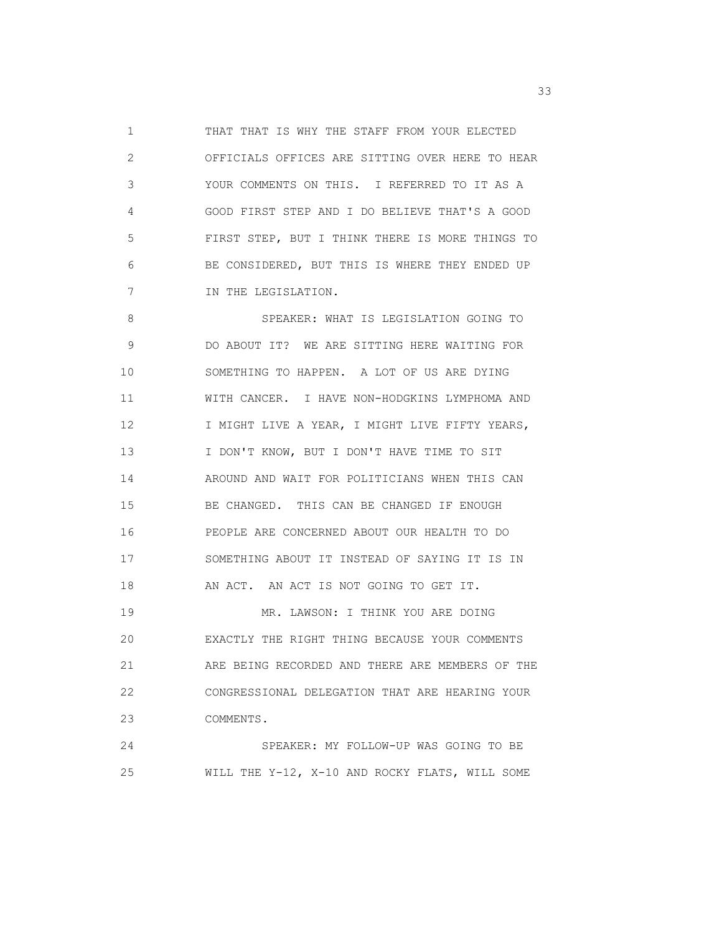1 THAT THAT IS WHY THE STAFF FROM YOUR ELECTED 2 OFFICIALS OFFICES ARE SITTING OVER HERE TO HEAR 3 YOUR COMMENTS ON THIS. I REFERRED TO IT AS A 4 GOOD FIRST STEP AND I DO BELIEVE THAT'S A GOOD 5 FIRST STEP, BUT I THINK THERE IS MORE THINGS TO 6 BE CONSIDERED, BUT THIS IS WHERE THEY ENDED UP 7 IN THE LEGISLATION.

 8 SPEAKER: WHAT IS LEGISLATION GOING TO 9 DO ABOUT IT? WE ARE SITTING HERE WAITING FOR 10 SOMETHING TO HAPPEN. A LOT OF US ARE DYING 11 WITH CANCER. I HAVE NON-HODGKINS LYMPHOMA AND 12 I MIGHT LIVE A YEAR, I MIGHT LIVE FIFTY YEARS, 13 I DON'T KNOW, BUT I DON'T HAVE TIME TO SIT 14 AROUND AND WAIT FOR POLITICIANS WHEN THIS CAN 15 BE CHANGED. THIS CAN BE CHANGED IF ENOUGH 16 PEOPLE ARE CONCERNED ABOUT OUR HEALTH TO DO 17 SOMETHING ABOUT IT INSTEAD OF SAYING IT IS IN 18 AN ACT. AN ACT IS NOT GOING TO GET IT. 19 MR. LAWSON: I THINK YOU ARE DOING 20 EXACTLY THE RIGHT THING BECAUSE YOUR COMMENTS 21 ARE BEING RECORDED AND THERE ARE MEMBERS OF THE 22 CONGRESSIONAL DELEGATION THAT ARE HEARING YOUR 23 COMMENTS. 24 SPEAKER: MY FOLLOW-UP WAS GOING TO BE

25 WILL THE Y-12, X-10 AND ROCKY FLATS, WILL SOME

 $33<sup>3</sup>$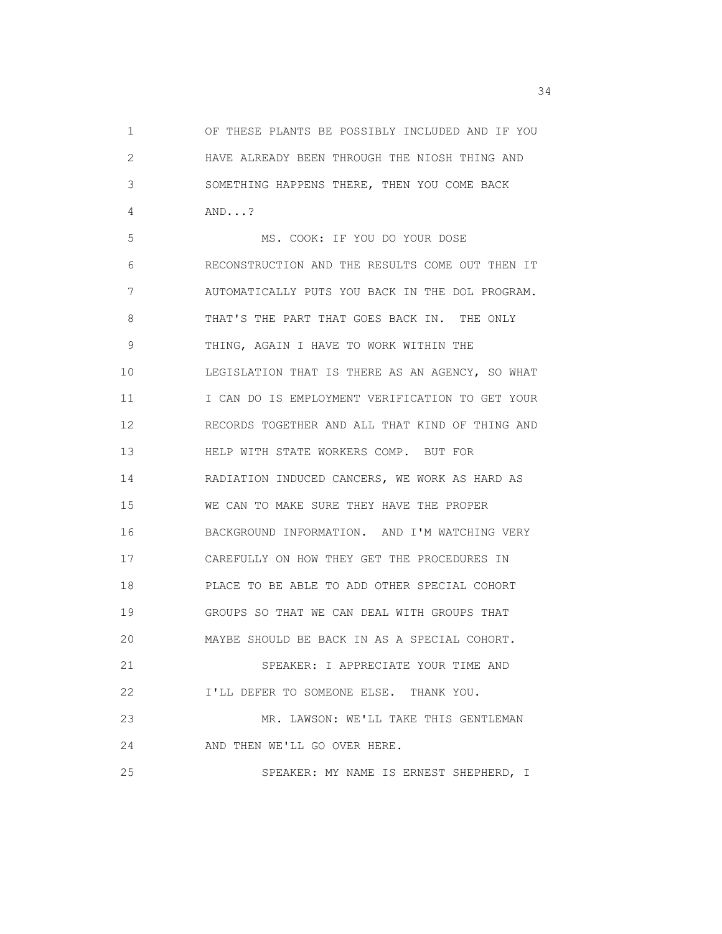1 OF THESE PLANTS BE POSSIBLY INCLUDED AND IF YOU 2 HAVE ALREADY BEEN THROUGH THE NIOSH THING AND 3 SOMETHING HAPPENS THERE, THEN YOU COME BACK 4 AND...?

 5 MS. COOK: IF YOU DO YOUR DOSE 6 RECONSTRUCTION AND THE RESULTS COME OUT THEN IT 7 AUTOMATICALLY PUTS YOU BACK IN THE DOL PROGRAM. 8 THAT'S THE PART THAT GOES BACK IN. THE ONLY 9 THING, AGAIN I HAVE TO WORK WITHIN THE 10 LEGISLATION THAT IS THERE AS AN AGENCY, SO WHAT 11 I CAN DO IS EMPLOYMENT VERIFICATION TO GET YOUR 12 RECORDS TOGETHER AND ALL THAT KIND OF THING AND 13 HELP WITH STATE WORKERS COMP. BUT FOR 14 RADIATION INDUCED CANCERS, WE WORK AS HARD AS 15 WE CAN TO MAKE SURE THEY HAVE THE PROPER 16 BACKGROUND INFORMATION. AND I'M WATCHING VERY 17 CAREFULLY ON HOW THEY GET THE PROCEDURES IN 18 PLACE TO BE ABLE TO ADD OTHER SPECIAL COHORT 19 GROUPS SO THAT WE CAN DEAL WITH GROUPS THAT 20 MAYBE SHOULD BE BACK IN AS A SPECIAL COHORT. 21 SPEAKER: I APPRECIATE YOUR TIME AND 22 I'LL DEFER TO SOMEONE ELSE. THANK YOU. 23 MR. LAWSON: WE'LL TAKE THIS GENTLEMAN 24 AND THEN WE'LL GO OVER HERE. 25 SPEAKER: MY NAME IS ERNEST SHEPHERD, I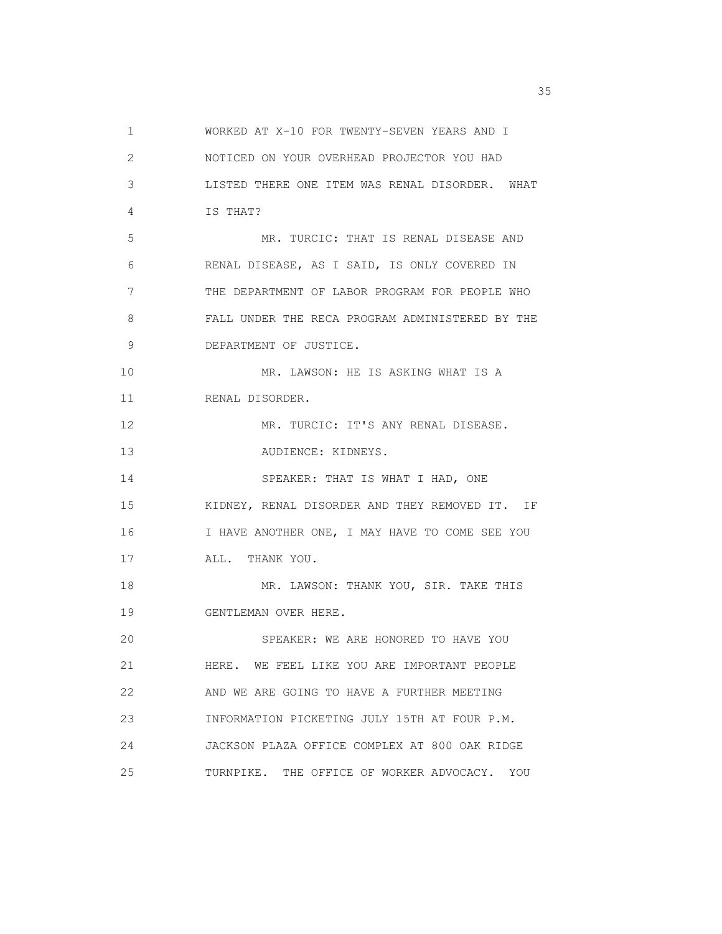1 WORKED AT X-10 FOR TWENTY-SEVEN YEARS AND I 2 NOTICED ON YOUR OVERHEAD PROJECTOR YOU HAD 3 LISTED THERE ONE ITEM WAS RENAL DISORDER. WHAT 4 IS THAT? 5 MR. TURCIC: THAT IS RENAL DISEASE AND 6 RENAL DISEASE, AS I SAID, IS ONLY COVERED IN 7 THE DEPARTMENT OF LABOR PROGRAM FOR PEOPLE WHO 8 FALL UNDER THE RECA PROGRAM ADMINISTERED BY THE 9 DEPARTMENT OF JUSTICE. 10 MR. LAWSON: HE IS ASKING WHAT IS A 11 RENAL DISORDER. 12 MR. TURCIC: IT'S ANY RENAL DISEASE. 13 AUDIENCE: KIDNEYS. 14 SPEAKER: THAT IS WHAT I HAD, ONE 15 KIDNEY, RENAL DISORDER AND THEY REMOVED IT. IF 16 I HAVE ANOTHER ONE, I MAY HAVE TO COME SEE YOU 17 ALL. THANK YOU. 18 MR. LAWSON: THANK YOU, SIR. TAKE THIS 19 GENTLEMAN OVER HERE. 20 SPEAKER: WE ARE HONORED TO HAVE YOU 21 HERE. WE FEEL LIKE YOU ARE IMPORTANT PEOPLE 22 AND WE ARE GOING TO HAVE A FURTHER MEETING 23 INFORMATION PICKETING JULY 15TH AT FOUR P.M. 24 JACKSON PLAZA OFFICE COMPLEX AT 800 OAK RIDGE 25 TURNPIKE. THE OFFICE OF WORKER ADVOCACY. YOU

<u>35</u> and the contract of the contract of the contract of the contract of the contract of the contract of the contract of the contract of the contract of the contract of the contract of the contract of the contract of the c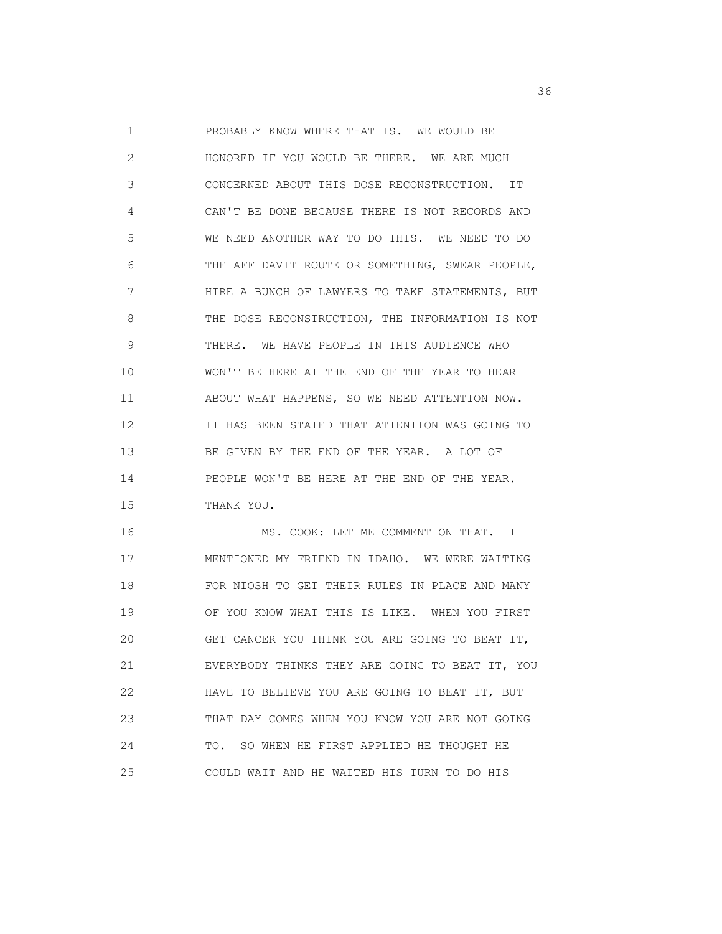1 PROBABLY KNOW WHERE THAT IS. WE WOULD BE 2 HONORED IF YOU WOULD BE THERE. WE ARE MUCH 3 CONCERNED ABOUT THIS DOSE RECONSTRUCTION. IT 4 CAN'T BE DONE BECAUSE THERE IS NOT RECORDS AND 5 WE NEED ANOTHER WAY TO DO THIS. WE NEED TO DO 6 THE AFFIDAVIT ROUTE OR SOMETHING, SWEAR PEOPLE, 7 HIRE A BUNCH OF LAWYERS TO TAKE STATEMENTS, BUT 8 THE DOSE RECONSTRUCTION, THE INFORMATION IS NOT 9 THERE. WE HAVE PEOPLE IN THIS AUDIENCE WHO 10 WON'T BE HERE AT THE END OF THE YEAR TO HEAR 11 ABOUT WHAT HAPPENS, SO WE NEED ATTENTION NOW. 12 IT HAS BEEN STATED THAT ATTENTION WAS GOING TO 13 BE GIVEN BY THE END OF THE YEAR. A LOT OF 14 PEOPLE WON'T BE HERE AT THE END OF THE YEAR. 15 THANK YOU.

 16 MS. COOK: LET ME COMMENT ON THAT. I 17 MENTIONED MY FRIEND IN IDAHO. WE WERE WAITING 18 FOR NIOSH TO GET THEIR RULES IN PLACE AND MANY 19 OF YOU KNOW WHAT THIS IS LIKE. WHEN YOU FIRST 20 GET CANCER YOU THINK YOU ARE GOING TO BEAT IT, 21 EVERYBODY THINKS THEY ARE GOING TO BEAT IT, YOU 22 HAVE TO BELIEVE YOU ARE GOING TO BEAT IT, BUT 23 THAT DAY COMES WHEN YOU KNOW YOU ARE NOT GOING 24 TO. SO WHEN HE FIRST APPLIED HE THOUGHT HE 25 COULD WAIT AND HE WAITED HIS TURN TO DO HIS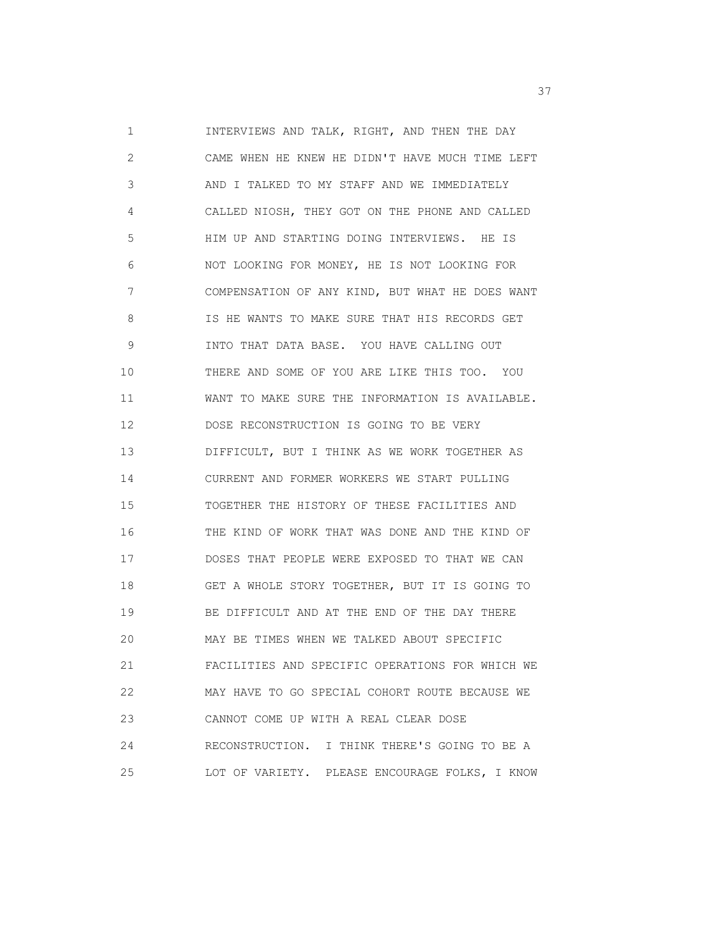1 INTERVIEWS AND TALK, RIGHT, AND THEN THE DAY 2 CAME WHEN HE KNEW HE DIDN'T HAVE MUCH TIME LEFT 3 AND I TALKED TO MY STAFF AND WE IMMEDIATELY 4 CALLED NIOSH, THEY GOT ON THE PHONE AND CALLED 5 HIM UP AND STARTING DOING INTERVIEWS. HE IS 6 NOT LOOKING FOR MONEY, HE IS NOT LOOKING FOR 7 COMPENSATION OF ANY KIND, BUT WHAT HE DOES WANT 8 IS HE WANTS TO MAKE SURE THAT HIS RECORDS GET 9 INTO THAT DATA BASE. YOU HAVE CALLING OUT 10 THERE AND SOME OF YOU ARE LIKE THIS TOO. YOU 11 WANT TO MAKE SURE THE INFORMATION IS AVAILABLE. 12 DOSE RECONSTRUCTION IS GOING TO BE VERY 13 DIFFICULT, BUT I THINK AS WE WORK TOGETHER AS 14 CURRENT AND FORMER WORKERS WE START PULLING 15 TOGETHER THE HISTORY OF THESE FACILITIES AND 16 THE KIND OF WORK THAT WAS DONE AND THE KIND OF 17 DOSES THAT PEOPLE WERE EXPOSED TO THAT WE CAN 18 GET A WHOLE STORY TOGETHER, BUT IT IS GOING TO 19 BE DIFFICULT AND AT THE END OF THE DAY THERE 20 MAY BE TIMES WHEN WE TALKED ABOUT SPECIFIC 21 FACILITIES AND SPECIFIC OPERATIONS FOR WHICH WE 22 MAY HAVE TO GO SPECIAL COHORT ROUTE BECAUSE WE 23 CANNOT COME UP WITH A REAL CLEAR DOSE 24 RECONSTRUCTION. I THINK THERE'S GOING TO BE A 25 LOT OF VARIETY. PLEASE ENCOURAGE FOLKS, I KNOW

<u>37</u>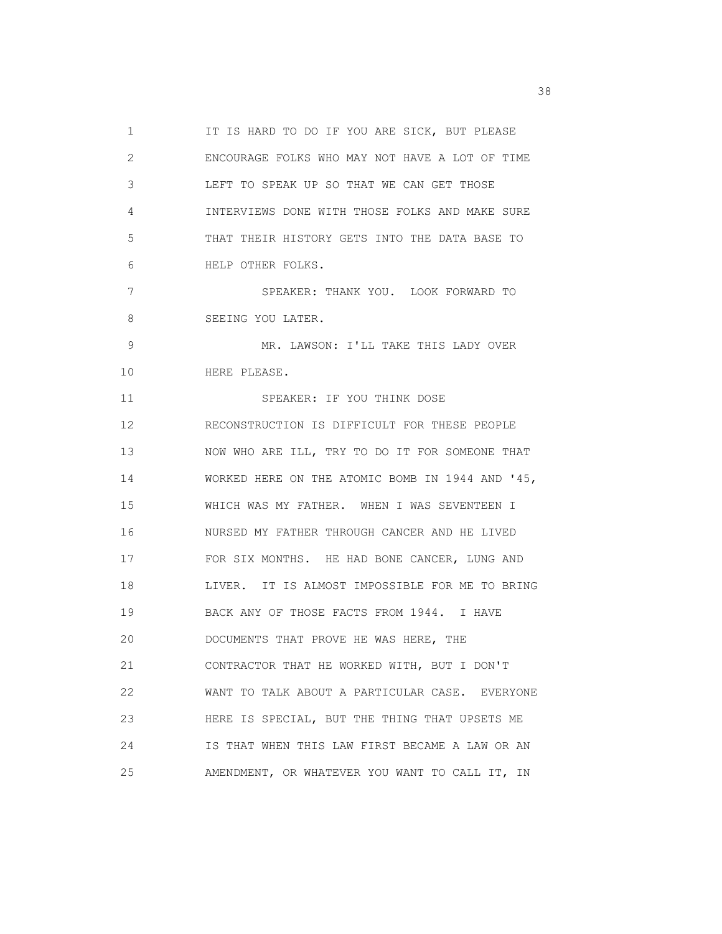1 IT IS HARD TO DO IF YOU ARE SICK, BUT PLEASE 2 ENCOURAGE FOLKS WHO MAY NOT HAVE A LOT OF TIME 3 LEFT TO SPEAK UP SO THAT WE CAN GET THOSE 4 INTERVIEWS DONE WITH THOSE FOLKS AND MAKE SURE 5 THAT THEIR HISTORY GETS INTO THE DATA BASE TO 6 HELP OTHER FOLKS. 7 SPEAKER: THANK YOU. LOOK FORWARD TO 8 SEEING YOU LATER. 9 MR. LAWSON: I'LL TAKE THIS LADY OVER 10 HERE PLEASE. 11 SPEAKER: IF YOU THINK DOSE 12 RECONSTRUCTION IS DIFFICULT FOR THESE PEOPLE 13 NOW WHO ARE ILL, TRY TO DO IT FOR SOMEONE THAT 14 WORKED HERE ON THE ATOMIC BOMB IN 1944 AND '45, 15 WHICH WAS MY FATHER. WHEN I WAS SEVENTEEN I 16 NURSED MY FATHER THROUGH CANCER AND HE LIVED 17 FOR SIX MONTHS. HE HAD BONE CANCER, LUNG AND 18 LIVER. IT IS ALMOST IMPOSSIBLE FOR ME TO BRING 19 BACK ANY OF THOSE FACTS FROM 1944. I HAVE 20 DOCUMENTS THAT PROVE HE WAS HERE, THE 21 CONTRACTOR THAT HE WORKED WITH, BUT I DON'T 22 WANT TO TALK ABOUT A PARTICULAR CASE. EVERYONE 23 HERE IS SPECIAL, BUT THE THING THAT UPSETS ME 24 IS THAT WHEN THIS LAW FIRST BECAME A LAW OR AN 25 AMENDMENT, OR WHATEVER YOU WANT TO CALL IT, IN

<u>38</u> September 2008 and the second control of the second control of the second control of the second control of the second control of the second control of the second control of the second control of the second control of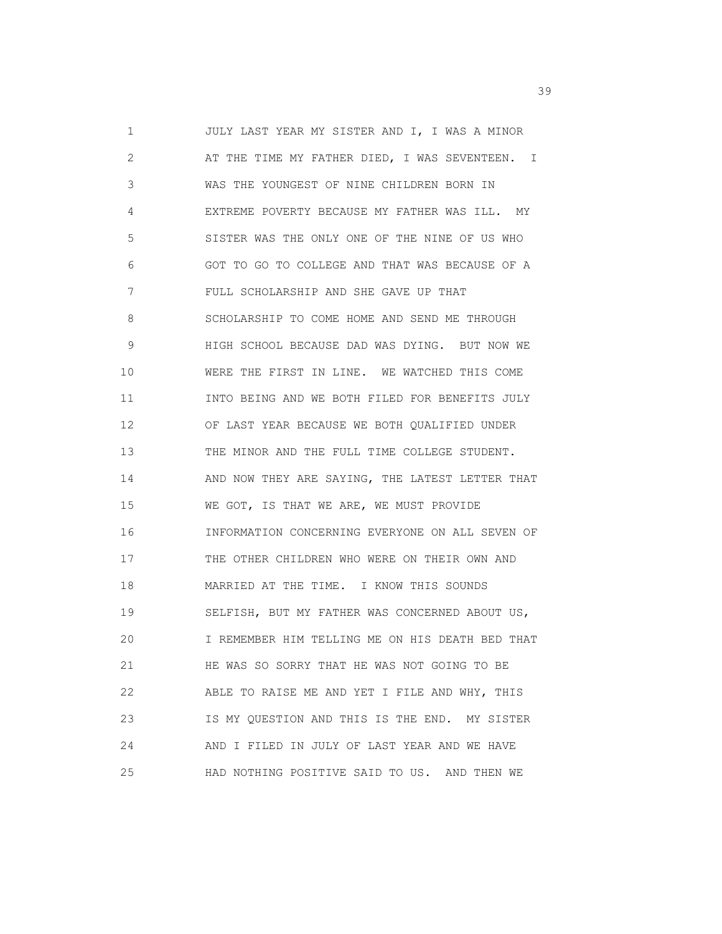1 JULY LAST YEAR MY SISTER AND I, I WAS A MINOR 2 AT THE TIME MY FATHER DIED, I WAS SEVENTEEN. I 3 WAS THE YOUNGEST OF NINE CHILDREN BORN IN 4 EXTREME POVERTY BECAUSE MY FATHER WAS ILL. MY 5 SISTER WAS THE ONLY ONE OF THE NINE OF US WHO 6 GOT TO GO TO COLLEGE AND THAT WAS BECAUSE OF A 7 FULL SCHOLARSHIP AND SHE GAVE UP THAT 8 SCHOLARSHIP TO COME HOME AND SEND ME THROUGH 9 HIGH SCHOOL BECAUSE DAD WAS DYING. BUT NOW WE 10 WERE THE FIRST IN LINE. WE WATCHED THIS COME 11 INTO BEING AND WE BOTH FILED FOR BENEFITS JULY 12 OF LAST YEAR BECAUSE WE BOTH QUALIFIED UNDER 13 THE MINOR AND THE FULL TIME COLLEGE STUDENT. 14 AND NOW THEY ARE SAYING, THE LATEST LETTER THAT 15 WE GOT, IS THAT WE ARE, WE MUST PROVIDE 16 INFORMATION CONCERNING EVERYONE ON ALL SEVEN OF 17 THE OTHER CHILDREN WHO WERE ON THEIR OWN AND 18 MARRIED AT THE TIME. I KNOW THIS SOUNDS 19 SELFISH, BUT MY FATHER WAS CONCERNED ABOUT US, 20 I REMEMBER HIM TELLING ME ON HIS DEATH BED THAT 21 HE WAS SO SORRY THAT HE WAS NOT GOING TO BE 22 ABLE TO RAISE ME AND YET I FILE AND WHY, THIS 23 IS MY QUESTION AND THIS IS THE END. MY SISTER 24 AND I FILED IN JULY OF LAST YEAR AND WE HAVE 25 HAD NOTHING POSITIVE SAID TO US. AND THEN WE

 $39<sup>2</sup>$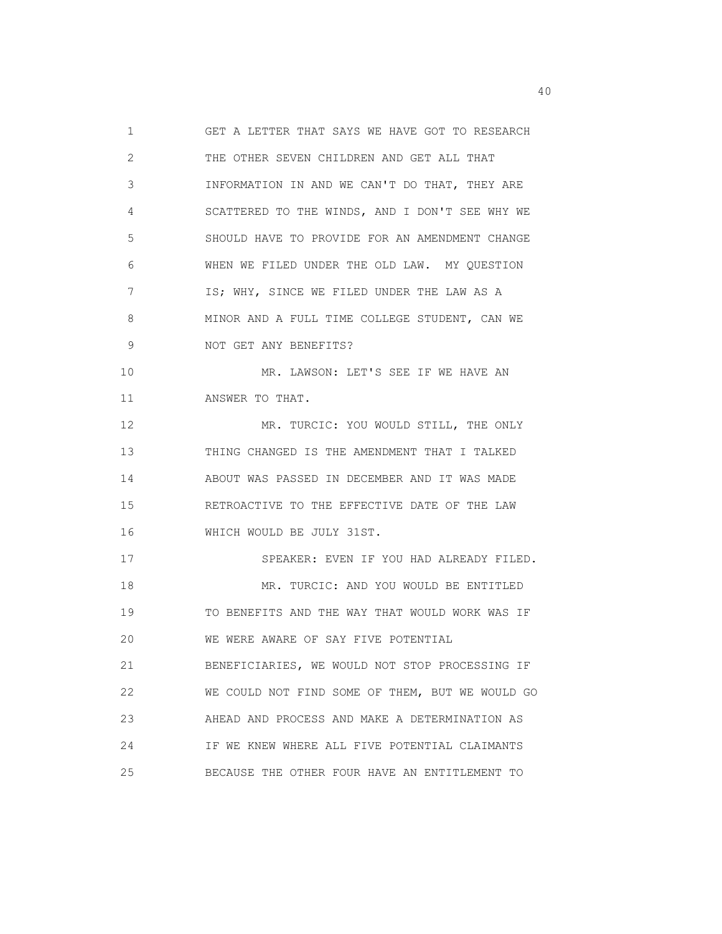1 GET A LETTER THAT SAYS WE HAVE GOT TO RESEARCH 2 THE OTHER SEVEN CHILDREN AND GET ALL THAT 3 INFORMATION IN AND WE CAN'T DO THAT, THEY ARE 4 SCATTERED TO THE WINDS, AND I DON'T SEE WHY WE 5 SHOULD HAVE TO PROVIDE FOR AN AMENDMENT CHANGE 6 WHEN WE FILED UNDER THE OLD LAW. MY QUESTION 7 **IS; WHY, SINCE WE FILED UNDER THE LAW AS A** 8 MINOR AND A FULL TIME COLLEGE STUDENT, CAN WE 9 NOT GET ANY BENEFITS? 10 MR. LAWSON: LET'S SEE IF WE HAVE AN 11 ANSWER TO THAT. 12 MR. TURCIC: YOU WOULD STILL, THE ONLY 13 THING CHANGED IS THE AMENDMENT THAT I TALKED 14 ABOUT WAS PASSED IN DECEMBER AND IT WAS MADE 15 RETROACTIVE TO THE EFFECTIVE DATE OF THE LAW 16 WHICH WOULD BE JULY 31ST. 17 SPEAKER: EVEN IF YOU HAD ALREADY FILED. 18 MR. TURCIC: AND YOU WOULD BE ENTITLED 19 TO BENEFITS AND THE WAY THAT WOULD WORK WAS IF 20 WE WERE AWARE OF SAY FIVE POTENTIAL 21 BENEFICIARIES, WE WOULD NOT STOP PROCESSING IF 22 WE COULD NOT FIND SOME OF THEM, BUT WE WOULD GO 23 AHEAD AND PROCESS AND MAKE A DETERMINATION AS 24 IF WE KNEW WHERE ALL FIVE POTENTIAL CLAIMANTS 25 BECAUSE THE OTHER FOUR HAVE AN ENTITLEMENT TO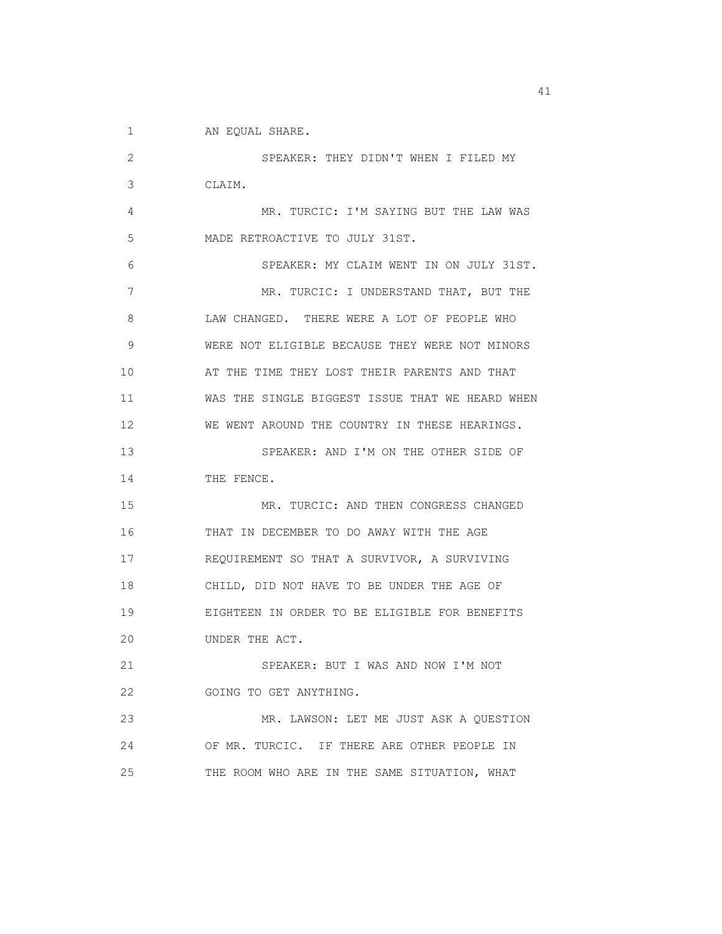1 AN EQUAL SHARE.

 2 SPEAKER: THEY DIDN'T WHEN I FILED MY 3 CLAIM. 4 MR. TURCIC: I'M SAYING BUT THE LAW WAS 5 MADE RETROACTIVE TO JULY 31ST. 6 SPEAKER: MY CLAIM WENT IN ON JULY 31ST. 7 MR. TURCIC: I UNDERSTAND THAT, BUT THE 8 LAW CHANGED. THERE WERE A LOT OF PEOPLE WHO 9 WERE NOT ELIGIBLE BECAUSE THEY WERE NOT MINORS 10 AT THE TIME THEY LOST THEIR PARENTS AND THAT 11 WAS THE SINGLE BIGGEST ISSUE THAT WE HEARD WHEN 12 WE WENT AROUND THE COUNTRY IN THESE HEARINGS. 13 SPEAKER: AND I'M ON THE OTHER SIDE OF 14 THE FENCE. 15 MR. TURCIC: AND THEN CONGRESS CHANGED 16 THAT IN DECEMBER TO DO AWAY WITH THE AGE 17 REQUIREMENT SO THAT A SURVIVOR, A SURVIVING 18 CHILD, DID NOT HAVE TO BE UNDER THE AGE OF 19 EIGHTEEN IN ORDER TO BE ELIGIBLE FOR BENEFITS 20 UNDER THE ACT. 21 SPEAKER: BUT I WAS AND NOW I'M NOT 22 GOING TO GET ANYTHING. 23 MR. LAWSON: LET ME JUST ASK A QUESTION 24 OF MR. TURCIC. IF THERE ARE OTHER PEOPLE IN 25 THE ROOM WHO ARE IN THE SAME SITUATION, WHAT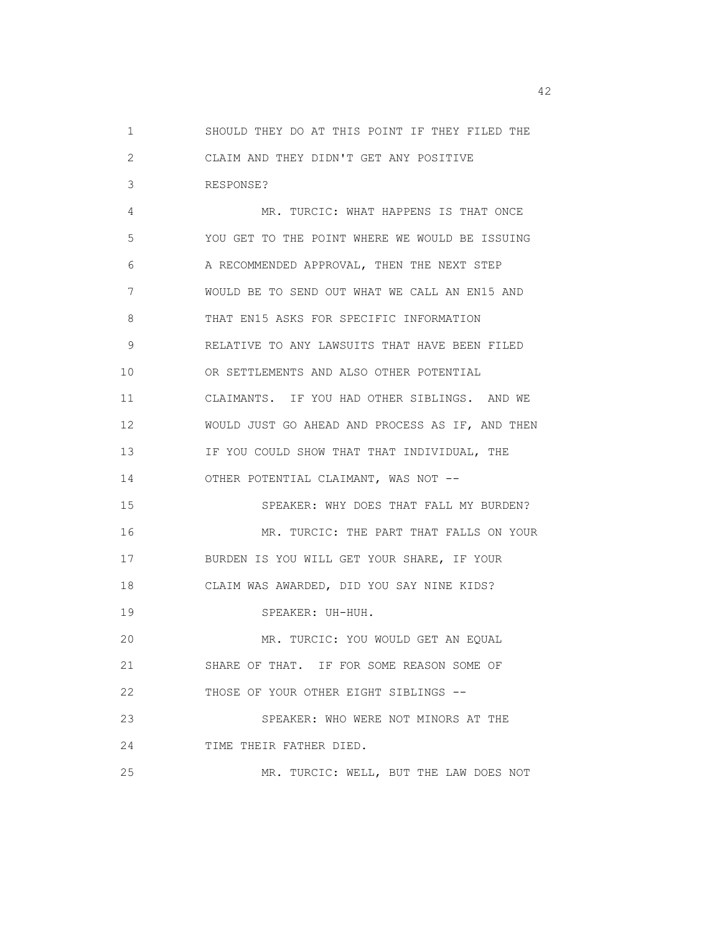1 SHOULD THEY DO AT THIS POINT IF THEY FILED THE 2 CLAIM AND THEY DIDN'T GET ANY POSITIVE 3 RESPONSE?

 4 MR. TURCIC: WHAT HAPPENS IS THAT ONCE 5 YOU GET TO THE POINT WHERE WE WOULD BE ISSUING 6 A RECOMMENDED APPROVAL, THEN THE NEXT STEP 7 WOULD BE TO SEND OUT WHAT WE CALL AN EN15 AND 8 THAT EN15 ASKS FOR SPECIFIC INFORMATION 9 RELATIVE TO ANY LAWSUITS THAT HAVE BEEN FILED 10 OR SETTLEMENTS AND ALSO OTHER POTENTIAL 11 CLAIMANTS. IF YOU HAD OTHER SIBLINGS. AND WE 12 WOULD JUST GO AHEAD AND PROCESS AS IF, AND THEN 13 IF YOU COULD SHOW THAT THAT INDIVIDUAL, THE 14 OTHER POTENTIAL CLAIMANT, WAS NOT -- 15 SPEAKER: WHY DOES THAT FALL MY BURDEN? 16 MR. TURCIC: THE PART THAT FALLS ON YOUR 17 BURDEN IS YOU WILL GET YOUR SHARE, IF YOUR 18 CLAIM WAS AWARDED, DID YOU SAY NINE KIDS? 19 SPEAKER: UH-HUH. 20 MR. TURCIC: YOU WOULD GET AN EQUAL 21 SHARE OF THAT. IF FOR SOME REASON SOME OF 22 THOSE OF YOUR OTHER EIGHT SIBLINGS -- 23 SPEAKER: WHO WERE NOT MINORS AT THE 24 TIME THEIR FATHER DIED. 25 MR. TURCIC: WELL, BUT THE LAW DOES NOT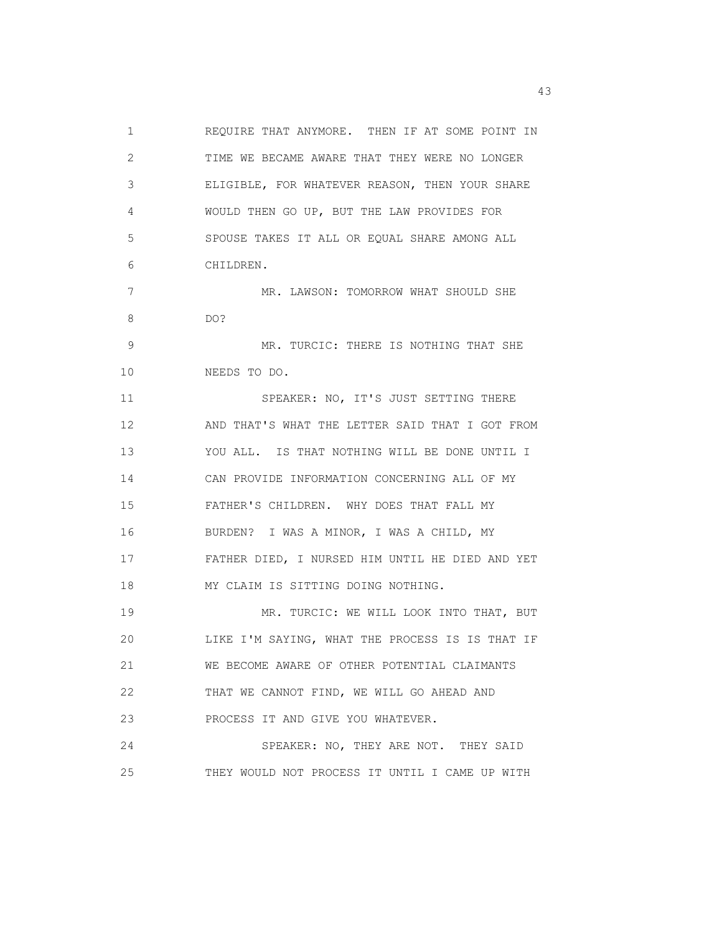1 REQUIRE THAT ANYMORE. THEN IF AT SOME POINT IN 2 TIME WE BECAME AWARE THAT THEY WERE NO LONGER 3 ELIGIBLE, FOR WHATEVER REASON, THEN YOUR SHARE 4 WOULD THEN GO UP, BUT THE LAW PROVIDES FOR 5 SPOUSE TAKES IT ALL OR EQUAL SHARE AMONG ALL 6 CHILDREN. 7 MR. LAWSON: TOMORROW WHAT SHOULD SHE 8 DO? 9 MR. TURCIC: THERE IS NOTHING THAT SHE 10 NEEDS TO DO. 11 SPEAKER: NO, IT'S JUST SETTING THERE 12 AND THAT'S WHAT THE LETTER SAID THAT I GOT FROM 13 YOU ALL. IS THAT NOTHING WILL BE DONE UNTIL I 14 CAN PROVIDE INFORMATION CONCERNING ALL OF MY 15 FATHER'S CHILDREN. WHY DOES THAT FALL MY 16 BURDEN? I WAS A MINOR, I WAS A CHILD, MY 17 FATHER DIED, I NURSED HIM UNTIL HE DIED AND YET 18 MY CLAIM IS SITTING DOING NOTHING. 19 MR. TURCIC: WE WILL LOOK INTO THAT, BUT 20 LIKE I'M SAYING, WHAT THE PROCESS IS IS THAT IF 21 WE BECOME AWARE OF OTHER POTENTIAL CLAIMANTS 22 THAT WE CANNOT FIND, WE WILL GO AHEAD AND 23 PROCESS IT AND GIVE YOU WHATEVER. 24 SPEAKER: NO, THEY ARE NOT. THEY SAID 25 THEY WOULD NOT PROCESS IT UNTIL I CAME UP WITH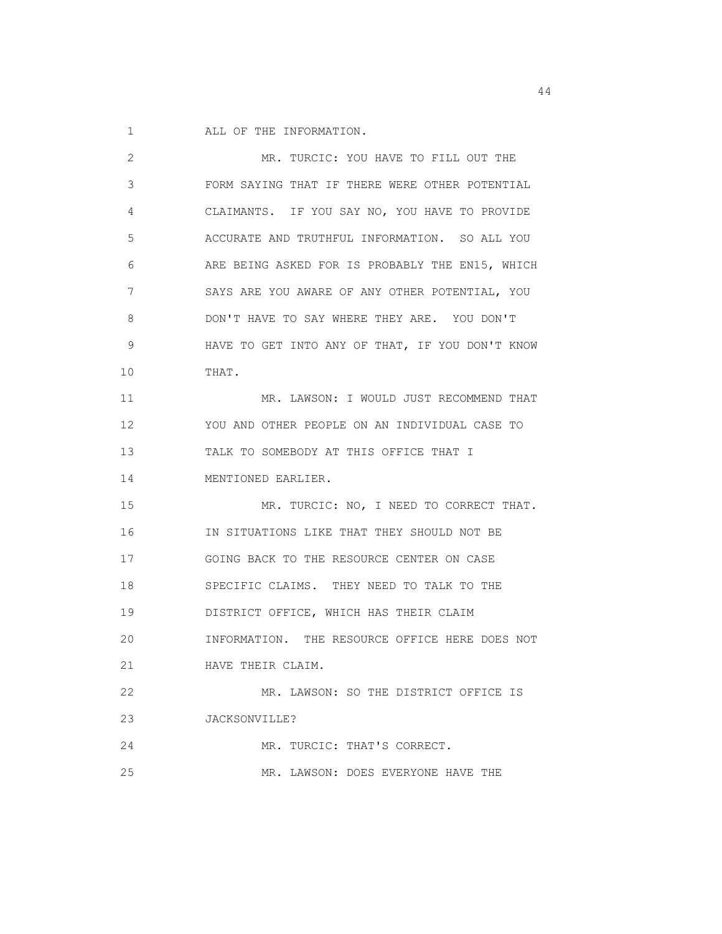1 ALL OF THE INFORMATION.

| 2           | MR. TURCIC: YOU HAVE TO FILL OUT THE            |
|-------------|-------------------------------------------------|
| 3           | FORM SAYING THAT IF THERE WERE OTHER POTENTIAL  |
| 4           | CLAIMANTS. IF YOU SAY NO, YOU HAVE TO PROVIDE   |
| 5           | ACCURATE AND TRUTHFUL INFORMATION. SO ALL YOU   |
| 6           | ARE BEING ASKED FOR IS PROBABLY THE EN15, WHICH |
| 7           | SAYS ARE YOU AWARE OF ANY OTHER POTENTIAL, YOU  |
| 8           | DON'T HAVE TO SAY WHERE THEY ARE. YOU DON'T     |
| $\mathsf 9$ | HAVE TO GET INTO ANY OF THAT, IF YOU DON'T KNOW |
| 10          | THAT.                                           |
| 11          | MR. LAWSON: I WOULD JUST RECOMMEND THAT         |
| 12          | YOU AND OTHER PEOPLE ON AN INDIVIDUAL CASE TO   |
| 13          | TALK TO SOMEBODY AT THIS OFFICE THAT I          |
| 14          | MENTIONED EARLIER.                              |
| 15          | MR. TURCIC: NO, I NEED TO CORRECT THAT.         |
| 16          | IN SITUATIONS LIKE THAT THEY SHOULD NOT BE      |
| 17          | GOING BACK TO THE RESOURCE CENTER ON CASE       |
| 18          | SPECIFIC CLAIMS. THEY NEED TO TALK TO THE       |
| 19          | DISTRICT OFFICE, WHICH HAS THEIR CLAIM          |
| 20          | INFORMATION. THE RESOURCE OFFICE HERE DOES NOT  |
| 21          | HAVE THEIR CLAIM.                               |
| 22          | MR. LAWSON: SO THE DISTRICT OFFICE IS           |
| 23          | JACKSONVILLE?                                   |
| 24          | MR. TURCIC: THAT'S CORRECT.                     |
| 25          | MR. LAWSON: DOES EVERYONE HAVE THE              |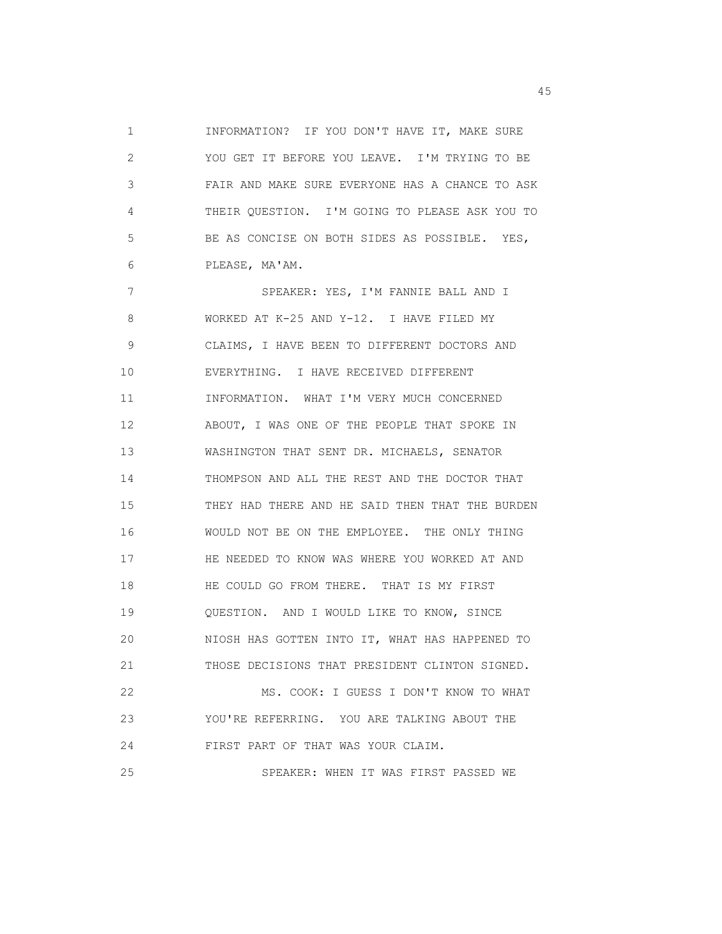1 INFORMATION? IF YOU DON'T HAVE IT, MAKE SURE 2 YOU GET IT BEFORE YOU LEAVE. I'M TRYING TO BE 3 FAIR AND MAKE SURE EVERYONE HAS A CHANCE TO ASK 4 THEIR QUESTION. I'M GOING TO PLEASE ASK YOU TO 5 BE AS CONCISE ON BOTH SIDES AS POSSIBLE. YES, 6 PLEASE, MA'AM.

 7 SPEAKER: YES, I'M FANNIE BALL AND I 8 WORKED AT K-25 AND Y-12. I HAVE FILED MY 9 CLAIMS, I HAVE BEEN TO DIFFERENT DOCTORS AND 10 EVERYTHING. I HAVE RECEIVED DIFFERENT 11 INFORMATION. WHAT I'M VERY MUCH CONCERNED 12 ABOUT, I WAS ONE OF THE PEOPLE THAT SPOKE IN 13 WASHINGTON THAT SENT DR. MICHAELS, SENATOR 14 THOMPSON AND ALL THE REST AND THE DOCTOR THAT 15 THEY HAD THERE AND HE SAID THEN THAT THE BURDEN 16 WOULD NOT BE ON THE EMPLOYEE. THE ONLY THING 17 HE NEEDED TO KNOW WAS WHERE YOU WORKED AT AND 18 HE COULD GO FROM THERE. THAT IS MY FIRST 19 QUESTION. AND I WOULD LIKE TO KNOW, SINCE 20 NIOSH HAS GOTTEN INTO IT, WHAT HAS HAPPENED TO 21 THOSE DECISIONS THAT PRESIDENT CLINTON SIGNED. 22 MS. COOK: I GUESS I DON'T KNOW TO WHAT 23 YOU'RE REFERRING. YOU ARE TALKING ABOUT THE 24 FIRST PART OF THAT WAS YOUR CLAIM. 25 SPEAKER: WHEN IT WAS FIRST PASSED WE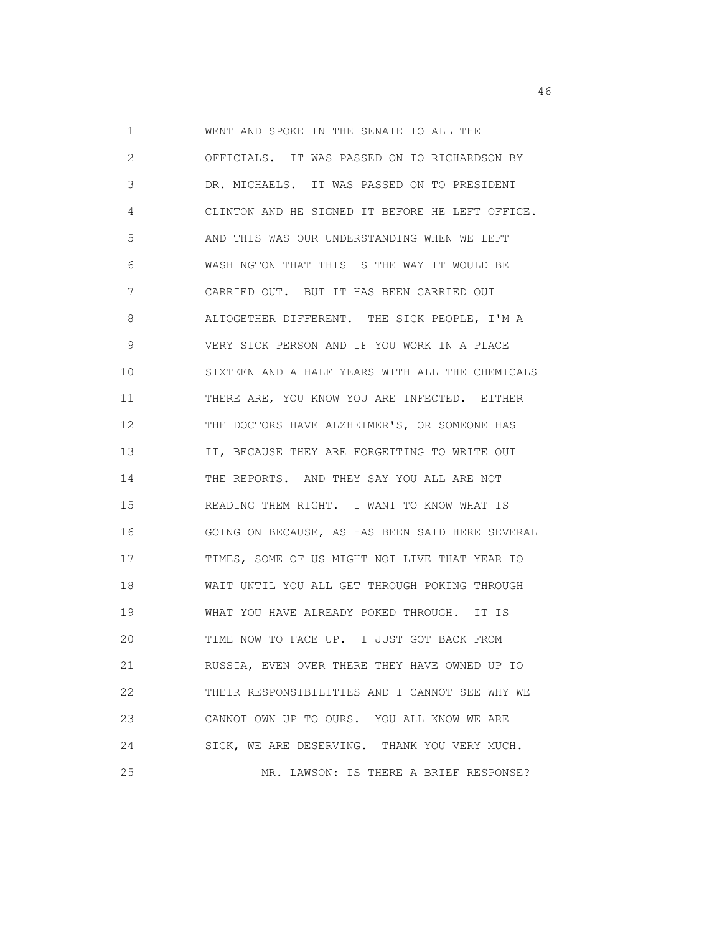1 WENT AND SPOKE IN THE SENATE TO ALL THE 2 OFFICIALS. IT WAS PASSED ON TO RICHARDSON BY 3 DR. MICHAELS. IT WAS PASSED ON TO PRESIDENT 4 CLINTON AND HE SIGNED IT BEFORE HE LEFT OFFICE. 5 AND THIS WAS OUR UNDERSTANDING WHEN WE LEFT 6 WASHINGTON THAT THIS IS THE WAY IT WOULD BE 7 CARRIED OUT. BUT IT HAS BEEN CARRIED OUT 8 ALTOGETHER DIFFERENT. THE SICK PEOPLE, I'M A 9 VERY SICK PERSON AND IF YOU WORK IN A PLACE 10 SIXTEEN AND A HALF YEARS WITH ALL THE CHEMICALS 11 THERE ARE, YOU KNOW YOU ARE INFECTED. EITHER 12 THE DOCTORS HAVE ALZHEIMER'S, OR SOMEONE HAS 13 **IT, BECAUSE THEY ARE FORGETTING TO WRITE OUT**  14 THE REPORTS. AND THEY SAY YOU ALL ARE NOT 15 READING THEM RIGHT. I WANT TO KNOW WHAT IS 16 GOING ON BECAUSE, AS HAS BEEN SAID HERE SEVERAL 17 TIMES, SOME OF US MIGHT NOT LIVE THAT YEAR TO 18 WAIT UNTIL YOU ALL GET THROUGH POKING THROUGH 19 WHAT YOU HAVE ALREADY POKED THROUGH. IT IS 20 TIME NOW TO FACE UP. I JUST GOT BACK FROM 21 RUSSIA, EVEN OVER THERE THEY HAVE OWNED UP TO 22 THEIR RESPONSIBILITIES AND I CANNOT SEE WHY WE 23 CANNOT OWN UP TO OURS. YOU ALL KNOW WE ARE 24 SICK, WE ARE DESERVING. THANK YOU VERY MUCH. 25 MR. LAWSON: IS THERE A BRIEF RESPONSE?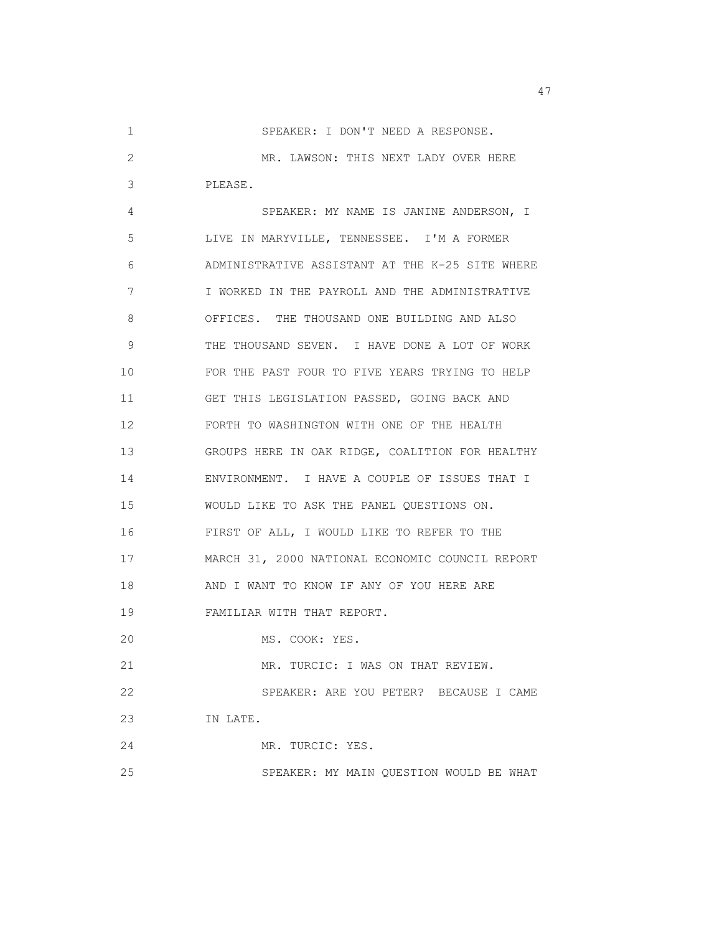1 SPEAKER: I DON'T NEED A RESPONSE. 2 MR. LAWSON: THIS NEXT LADY OVER HERE 3 PLEASE. 4 SPEAKER: MY NAME IS JANINE ANDERSON, I 5 LIVE IN MARYVILLE, TENNESSEE. I'M A FORMER 6 ADMINISTRATIVE ASSISTANT AT THE K-25 SITE WHERE 7 I WORKED IN THE PAYROLL AND THE ADMINISTRATIVE 8 OFFICES. THE THOUSAND ONE BUILDING AND ALSO 9 THE THOUSAND SEVEN. I HAVE DONE A LOT OF WORK 10 FOR THE PAST FOUR TO FIVE YEARS TRYING TO HELP 11 GET THIS LEGISLATION PASSED, GOING BACK AND 12 FORTH TO WASHINGTON WITH ONE OF THE HEALTH 13 GROUPS HERE IN OAK RIDGE, COALITION FOR HEALTHY 14 ENVIRONMENT. I HAVE A COUPLE OF ISSUES THAT I 15 WOULD LIKE TO ASK THE PANEL QUESTIONS ON. 16 FIRST OF ALL, I WOULD LIKE TO REFER TO THE 17 MARCH 31, 2000 NATIONAL ECONOMIC COUNCIL REPORT 18 AND I WANT TO KNOW IF ANY OF YOU HERE ARE 19 FAMILIAR WITH THAT REPORT. 20 MS. COOK: YES. 21 MR. TURCIC: I WAS ON THAT REVIEW. 22 SPEAKER: ARE YOU PETER? BECAUSE I CAME 23 IN LATE. 24 MR. TURCIC: YES. 25 SPEAKER: MY MAIN QUESTION WOULD BE WHAT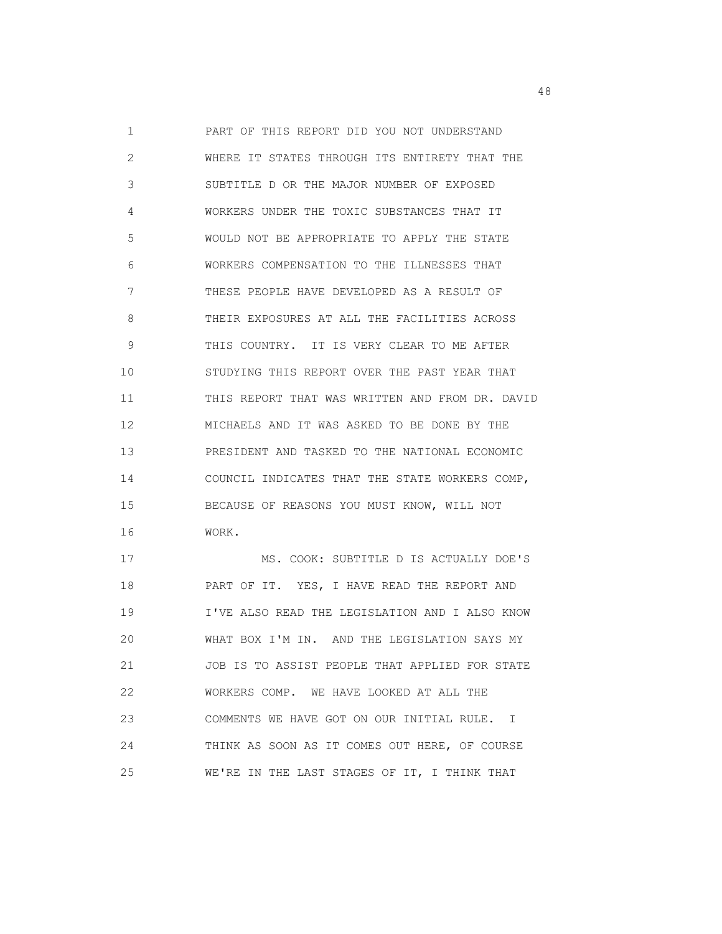1 PART OF THIS REPORT DID YOU NOT UNDERSTAND 2 WHERE IT STATES THROUGH ITS ENTIRETY THAT THE 3 SUBTITLE D OR THE MAJOR NUMBER OF EXPOSED 4 WORKERS UNDER THE TOXIC SUBSTANCES THAT IT 5 WOULD NOT BE APPROPRIATE TO APPLY THE STATE 6 WORKERS COMPENSATION TO THE ILLNESSES THAT 7 THESE PEOPLE HAVE DEVELOPED AS A RESULT OF 8 THEIR EXPOSURES AT ALL THE FACILITIES ACROSS 9 THIS COUNTRY. IT IS VERY CLEAR TO ME AFTER 10 STUDYING THIS REPORT OVER THE PAST YEAR THAT 11 THIS REPORT THAT WAS WRITTEN AND FROM DR. DAVID 12 MICHAELS AND IT WAS ASKED TO BE DONE BY THE 13 PRESIDENT AND TASKED TO THE NATIONAL ECONOMIC 14 COUNCIL INDICATES THAT THE STATE WORKERS COMP, 15 BECAUSE OF REASONS YOU MUST KNOW, WILL NOT 16 WORK. 17 MS. COOK: SUBTITLE D IS ACTUALLY DOE'S

 18 PART OF IT. YES, I HAVE READ THE REPORT AND 19 I'VE ALSO READ THE LEGISLATION AND I ALSO KNOW 20 WHAT BOX I'M IN. AND THE LEGISLATION SAYS MY 21 JOB IS TO ASSIST PEOPLE THAT APPLIED FOR STATE 22 WORKERS COMP. WE HAVE LOOKED AT ALL THE 23 COMMENTS WE HAVE GOT ON OUR INITIAL RULE. I 24 THINK AS SOON AS IT COMES OUT HERE, OF COURSE 25 WE'RE IN THE LAST STAGES OF IT, I THINK THAT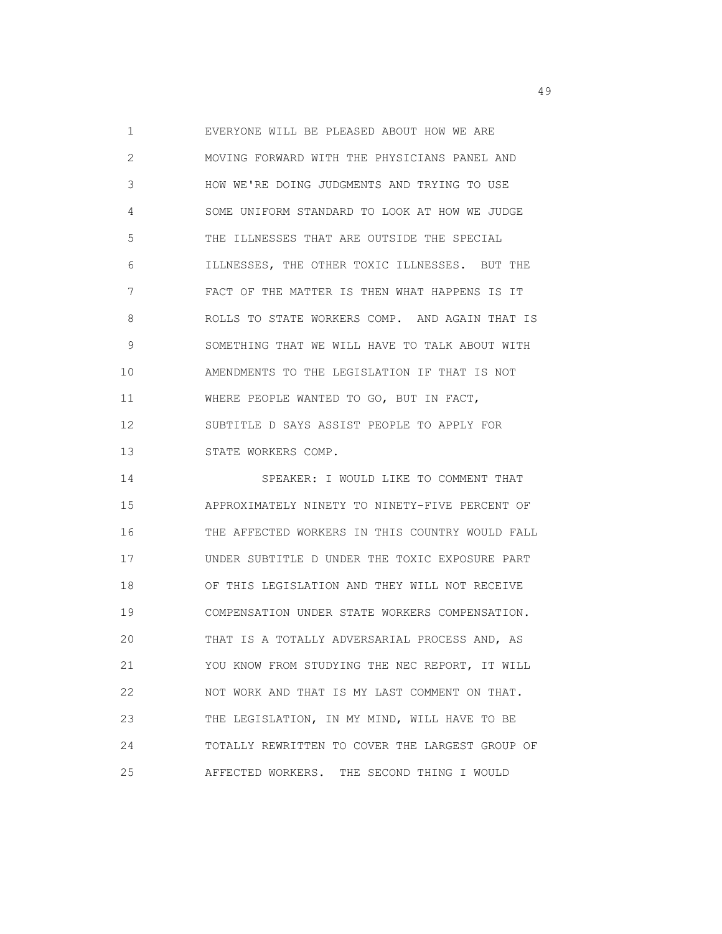1 EVERYONE WILL BE PLEASED ABOUT HOW WE ARE 2 MOVING FORWARD WITH THE PHYSICIANS PANEL AND 3 HOW WE'RE DOING JUDGMENTS AND TRYING TO USE 4 SOME UNIFORM STANDARD TO LOOK AT HOW WE JUDGE 5 THE ILLNESSES THAT ARE OUTSIDE THE SPECIAL 6 ILLNESSES, THE OTHER TOXIC ILLNESSES. BUT THE 7 FACT OF THE MATTER IS THEN WHAT HAPPENS IS IT 8 ROLLS TO STATE WORKERS COMP. AND AGAIN THAT IS 9 SOMETHING THAT WE WILL HAVE TO TALK ABOUT WITH 10 AMENDMENTS TO THE LEGISLATION IF THAT IS NOT 11 WHERE PEOPLE WANTED TO GO, BUT IN FACT, 12 SUBTITLE D SAYS ASSIST PEOPLE TO APPLY FOR 13 STATE WORKERS COMP.

 14 SPEAKER: I WOULD LIKE TO COMMENT THAT 15 APPROXIMATELY NINETY TO NINETY-FIVE PERCENT OF 16 THE AFFECTED WORKERS IN THIS COUNTRY WOULD FALL 17 UNDER SUBTITLE D UNDER THE TOXIC EXPOSURE PART 18 OF THIS LEGISLATION AND THEY WILL NOT RECEIVE 19 COMPENSATION UNDER STATE WORKERS COMPENSATION. 20 THAT IS A TOTALLY ADVERSARIAL PROCESS AND, AS 21 YOU KNOW FROM STUDYING THE NEC REPORT, IT WILL 22 NOT WORK AND THAT IS MY LAST COMMENT ON THAT. 23 THE LEGISLATION, IN MY MIND, WILL HAVE TO BE 24 TOTALLY REWRITTEN TO COVER THE LARGEST GROUP OF 25 AFFECTED WORKERS. THE SECOND THING I WOULD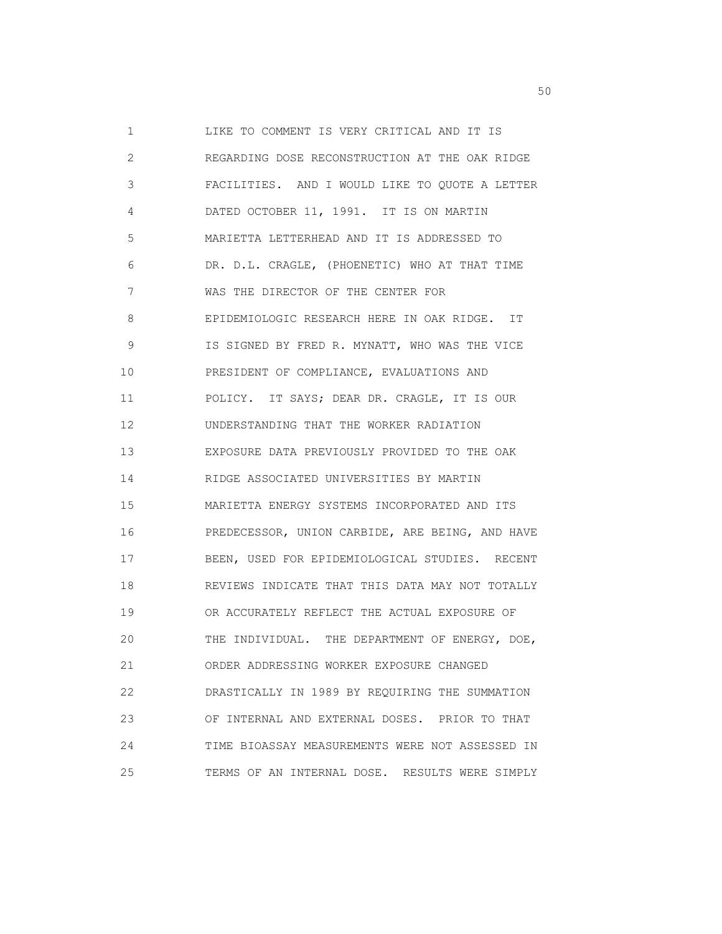1 LIKE TO COMMENT IS VERY CRITICAL AND IT IS 2 REGARDING DOSE RECONSTRUCTION AT THE OAK RIDGE 3 FACILITIES. AND I WOULD LIKE TO QUOTE A LETTER 4 DATED OCTOBER 11, 1991. IT IS ON MARTIN 5 MARIETTA LETTERHEAD AND IT IS ADDRESSED TO 6 DR. D.L. CRAGLE, (PHOENETIC) WHO AT THAT TIME 7 WAS THE DIRECTOR OF THE CENTER FOR 8 EPIDEMIOLOGIC RESEARCH HERE IN OAK RIDGE. IT 9 IS SIGNED BY FRED R. MYNATT, WHO WAS THE VICE 10 PRESIDENT OF COMPLIANCE, EVALUATIONS AND 11 POLICY. IT SAYS; DEAR DR. CRAGLE, IT IS OUR 12 UNDERSTANDING THAT THE WORKER RADIATION 13 EXPOSURE DATA PREVIOUSLY PROVIDED TO THE OAK 14 RIDGE ASSOCIATED UNIVERSITIES BY MARTIN 15 MARIETTA ENERGY SYSTEMS INCORPORATED AND ITS 16 PREDECESSOR, UNION CARBIDE, ARE BEING, AND HAVE 17 BEEN, USED FOR EPIDEMIOLOGICAL STUDIES. RECENT 18 REVIEWS INDICATE THAT THIS DATA MAY NOT TOTALLY 19 OR ACCURATELY REFLECT THE ACTUAL EXPOSURE OF 20 THE INDIVIDUAL. THE DEPARTMENT OF ENERGY, DOE, 21 ORDER ADDRESSING WORKER EXPOSURE CHANGED 22 DRASTICALLY IN 1989 BY REQUIRING THE SUMMATION 23 OF INTERNAL AND EXTERNAL DOSES. PRIOR TO THAT 24 TIME BIOASSAY MEASUREMENTS WERE NOT ASSESSED IN 25 TERMS OF AN INTERNAL DOSE. RESULTS WERE SIMPLY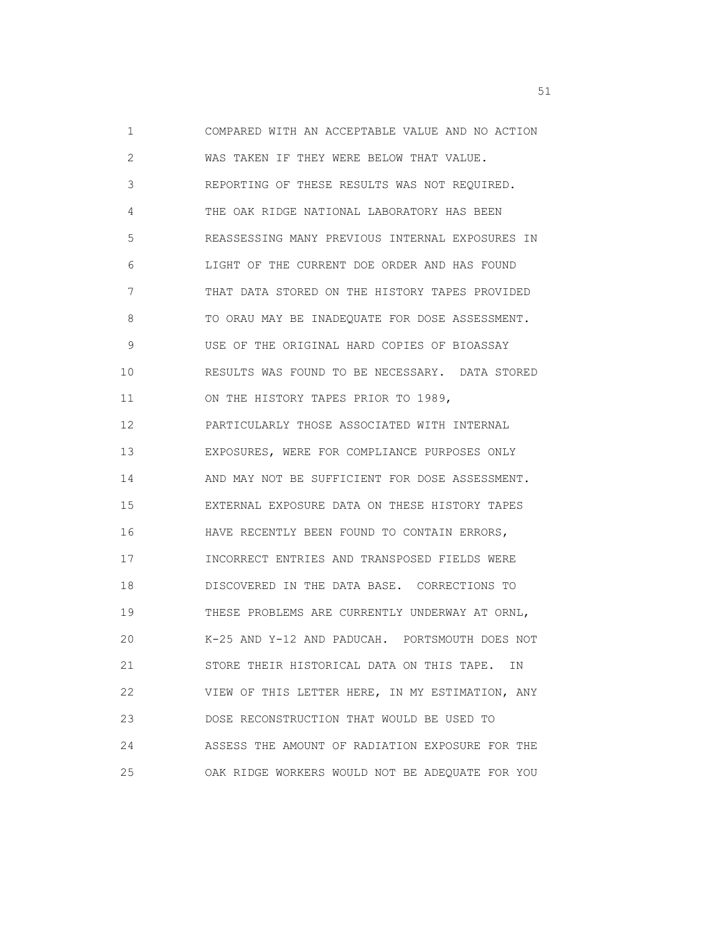1 COMPARED WITH AN ACCEPTABLE VALUE AND NO ACTION 2 WAS TAKEN IF THEY WERE BELOW THAT VALUE. 3 REPORTING OF THESE RESULTS WAS NOT REQUIRED. 4 THE OAK RIDGE NATIONAL LABORATORY HAS BEEN 5 REASSESSING MANY PREVIOUS INTERNAL EXPOSURES IN 6 LIGHT OF THE CURRENT DOE ORDER AND HAS FOUND 7 THAT DATA STORED ON THE HISTORY TAPES PROVIDED 8 TO ORAU MAY BE INADEQUATE FOR DOSE ASSESSMENT. 9 USE OF THE ORIGINAL HARD COPIES OF BIOASSAY 10 RESULTS WAS FOUND TO BE NECESSARY. DATA STORED 11 ON THE HISTORY TAPES PRIOR TO 1989, 12 PARTICULARLY THOSE ASSOCIATED WITH INTERNAL 13 EXPOSURES, WERE FOR COMPLIANCE PURPOSES ONLY 14 AND MAY NOT BE SUFFICIENT FOR DOSE ASSESSMENT. 15 EXTERNAL EXPOSURE DATA ON THESE HISTORY TAPES 16 HAVE RECENTLY BEEN FOUND TO CONTAIN ERRORS, 17 INCORRECT ENTRIES AND TRANSPOSED FIELDS WERE 18 DISCOVERED IN THE DATA BASE. CORRECTIONS TO 19 THESE PROBLEMS ARE CURRENTLY UNDERWAY AT ORNL, 20 K-25 AND Y-12 AND PADUCAH. PORTSMOUTH DOES NOT 21 STORE THEIR HISTORICAL DATA ON THIS TAPE. IN 22 VIEW OF THIS LETTER HERE, IN MY ESTIMATION, ANY 23 DOSE RECONSTRUCTION THAT WOULD BE USED TO 24 ASSESS THE AMOUNT OF RADIATION EXPOSURE FOR THE 25 OAK RIDGE WORKERS WOULD NOT BE ADEQUATE FOR YOU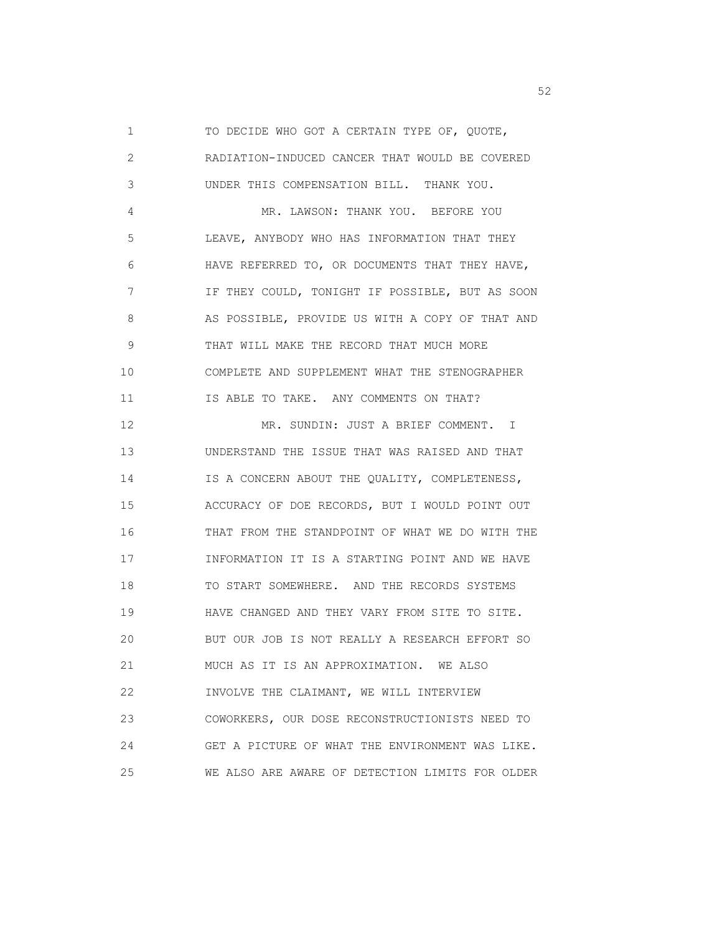1 TO DECIDE WHO GOT A CERTAIN TYPE OF, QUOTE, 2 RADIATION-INDUCED CANCER THAT WOULD BE COVERED 3 UNDER THIS COMPENSATION BILL. THANK YOU. 4 MR. LAWSON: THANK YOU. BEFORE YOU 5 LEAVE, ANYBODY WHO HAS INFORMATION THAT THEY 6 HAVE REFERRED TO, OR DOCUMENTS THAT THEY HAVE, 7 IF THEY COULD, TONIGHT IF POSSIBLE, BUT AS SOON 8 AS POSSIBLE, PROVIDE US WITH A COPY OF THAT AND 9 THAT WILL MAKE THE RECORD THAT MUCH MORE 10 COMPLETE AND SUPPLEMENT WHAT THE STENOGRAPHER 11 IS ABLE TO TAKE. ANY COMMENTS ON THAT? 12 MR. SUNDIN: JUST A BRIEF COMMENT. I 13 UNDERSTAND THE ISSUE THAT WAS RAISED AND THAT 14 IS A CONCERN ABOUT THE QUALITY, COMPLETENESS, 15 ACCURACY OF DOE RECORDS, BUT I WOULD POINT OUT 16 THAT FROM THE STANDPOINT OF WHAT WE DO WITH THE 17 INFORMATION IT IS A STARTING POINT AND WE HAVE 18 TO START SOMEWHERE. AND THE RECORDS SYSTEMS 19 HAVE CHANGED AND THEY VARY FROM SITE TO SITE. 20 BUT OUR JOB IS NOT REALLY A RESEARCH EFFORT SO 21 MUCH AS IT IS AN APPROXIMATION. WE ALSO 22 INVOLVE THE CLAIMANT, WE WILL INTERVIEW 23 COWORKERS, OUR DOSE RECONSTRUCTIONISTS NEED TO 24 GET A PICTURE OF WHAT THE ENVIRONMENT WAS LIKE.

25 WE ALSO ARE AWARE OF DETECTION LIMITS FOR OLDER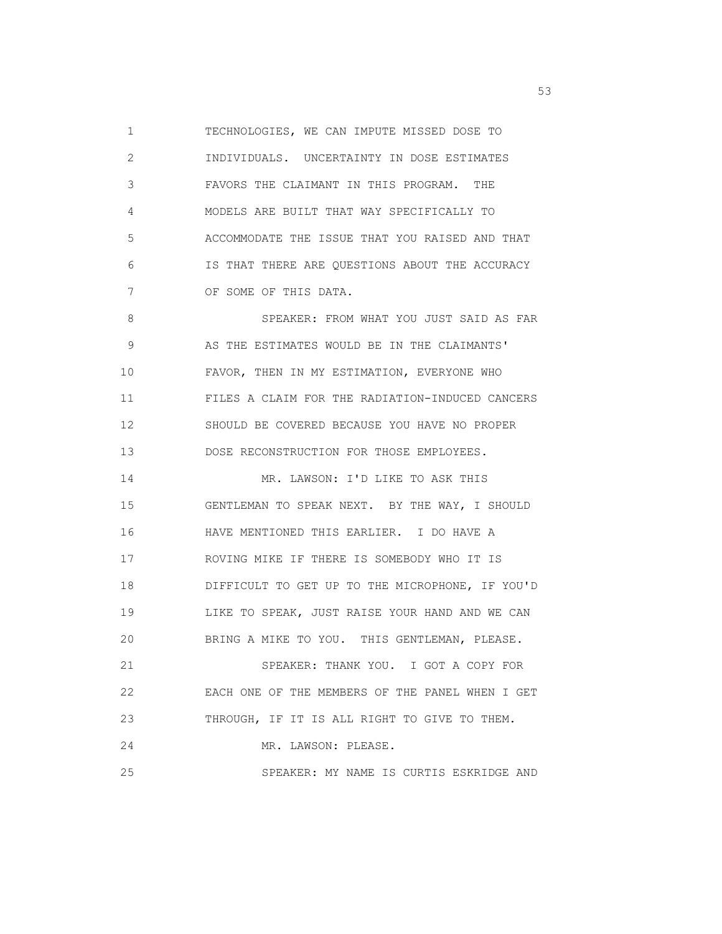1 TECHNOLOGIES, WE CAN IMPUTE MISSED DOSE TO 2 INDIVIDUALS. UNCERTAINTY IN DOSE ESTIMATES 3 FAVORS THE CLAIMANT IN THIS PROGRAM. THE 4 MODELS ARE BUILT THAT WAY SPECIFICALLY TO 5 ACCOMMODATE THE ISSUE THAT YOU RAISED AND THAT 6 IS THAT THERE ARE QUESTIONS ABOUT THE ACCURACY 7 OF SOME OF THIS DATA. 8 SPEAKER: FROM WHAT YOU JUST SAID AS FAR 9 AS THE ESTIMATES WOULD BE IN THE CLAIMANTS' 10 FAVOR, THEN IN MY ESTIMATION, EVERYONE WHO 11 FILES A CLAIM FOR THE RADIATION-INDUCED CANCERS 12 SHOULD BE COVERED BECAUSE YOU HAVE NO PROPER 13 DOSE RECONSTRUCTION FOR THOSE EMPLOYEES. 14 MR. LAWSON: I'D LIKE TO ASK THIS 15 GENTLEMAN TO SPEAK NEXT. BY THE WAY, I SHOULD 16 HAVE MENTIONED THIS EARLIER. I DO HAVE A 17 ROVING MIKE IF THERE IS SOMEBODY WHO IT IS 18 DIFFICULT TO GET UP TO THE MICROPHONE, IF YOU'D 19 LIKE TO SPEAK, JUST RAISE YOUR HAND AND WE CAN 20 BRING A MIKE TO YOU. THIS GENTLEMAN, PLEASE. 21 SPEAKER: THANK YOU. I GOT A COPY FOR 22 EACH ONE OF THE MEMBERS OF THE PANEL WHEN I GET 23 THROUGH, IF IT IS ALL RIGHT TO GIVE TO THEM. 24 MR. LAWSON: PLEASE. 25 SPEAKER: MY NAME IS CURTIS ESKRIDGE AND

the state of the state of the state of the state of the state of the state of the state of the state of the state of the state of the state of the state of the state of the state of the state of the state of the state of t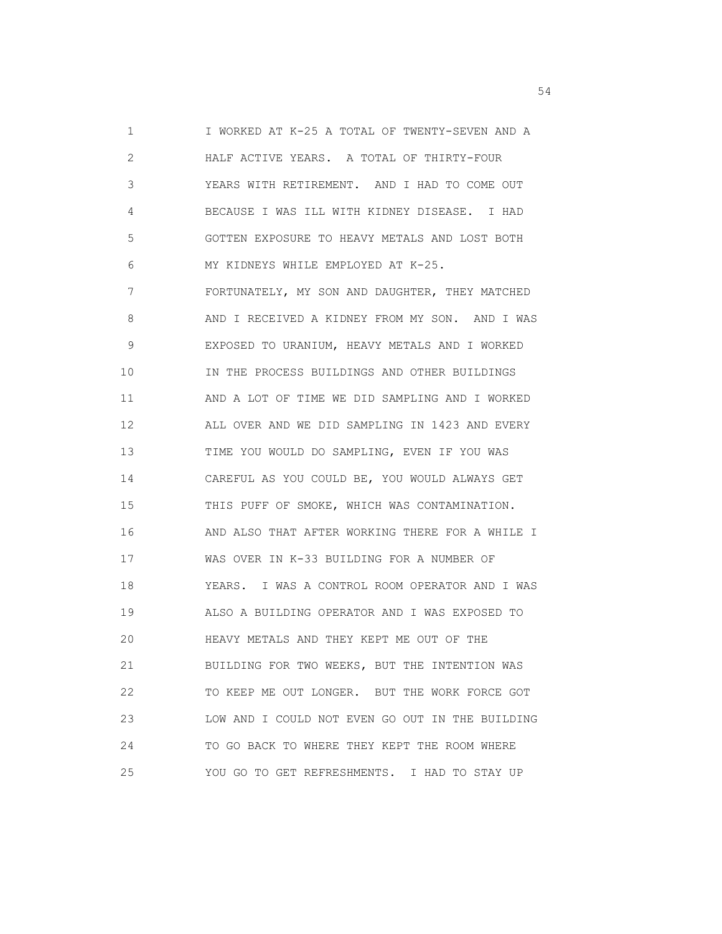1 I WORKED AT K-25 A TOTAL OF TWENTY-SEVEN AND A 2 HALF ACTIVE YEARS. A TOTAL OF THIRTY-FOUR 3 YEARS WITH RETIREMENT. AND I HAD TO COME OUT 4 BECAUSE I WAS ILL WITH KIDNEY DISEASE. I HAD 5 GOTTEN EXPOSURE TO HEAVY METALS AND LOST BOTH 6 MY KIDNEYS WHILE EMPLOYED AT K-25. 7 FORTUNATELY, MY SON AND DAUGHTER, THEY MATCHED 8 AND I RECEIVED A KIDNEY FROM MY SON. AND I WAS 9 EXPOSED TO URANIUM, HEAVY METALS AND I WORKED 10 IN THE PROCESS BUILDINGS AND OTHER BUILDINGS 11 AND A LOT OF TIME WE DID SAMPLING AND I WORKED 12 ALL OVER AND WE DID SAMPLING IN 1423 AND EVERY 13 TIME YOU WOULD DO SAMPLING, EVEN IF YOU WAS 14 CAREFUL AS YOU COULD BE, YOU WOULD ALWAYS GET 15 THIS PUFF OF SMOKE, WHICH WAS CONTAMINATION. 16 AND ALSO THAT AFTER WORKING THERE FOR A WHILE I 17 WAS OVER IN K-33 BUILDING FOR A NUMBER OF 18 YEARS. I WAS A CONTROL ROOM OPERATOR AND I WAS 19 ALSO A BUILDING OPERATOR AND I WAS EXPOSED TO 20 HEAVY METALS AND THEY KEPT ME OUT OF THE 21 BUILDING FOR TWO WEEKS, BUT THE INTENTION WAS 22 TO KEEP ME OUT LONGER. BUT THE WORK FORCE GOT 23 LOW AND I COULD NOT EVEN GO OUT IN THE BUILDING 24 TO GO BACK TO WHERE THEY KEPT THE ROOM WHERE 25 YOU GO TO GET REFRESHMENTS. I HAD TO STAY UP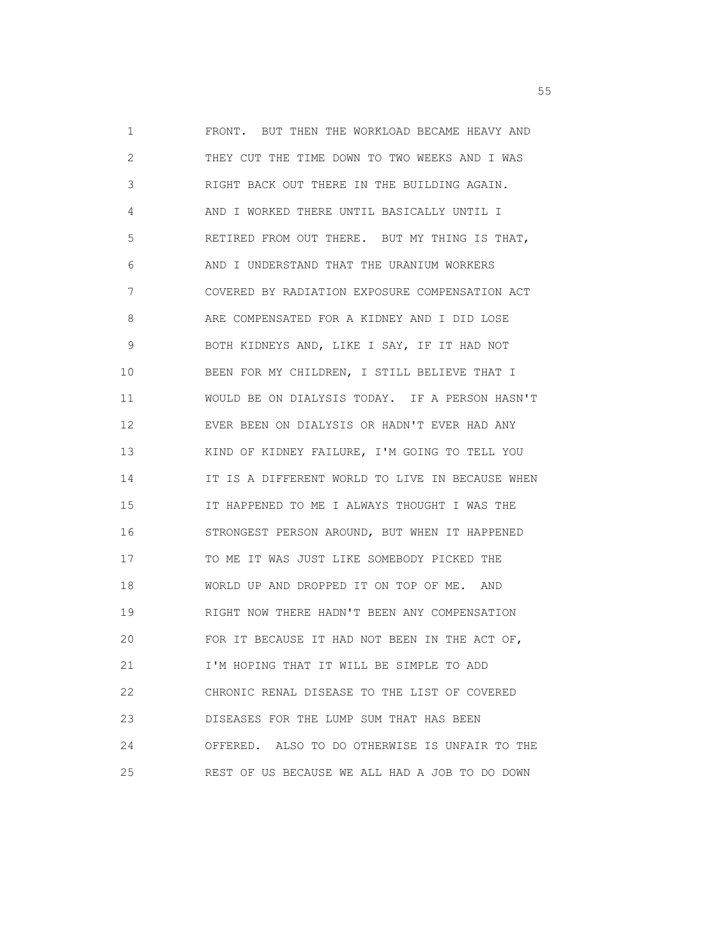1 FRONT. BUT THEN THE WORKLOAD BECAME HEAVY AND 2 THEY CUT THE TIME DOWN TO TWO WEEKS AND I WAS 3 RIGHT BACK OUT THERE IN THE BUILDING AGAIN. 4 AND I WORKED THERE UNTIL BASICALLY UNTIL I 5 RETIRED FROM OUT THERE. BUT MY THING IS THAT, 6 AND I UNDERSTAND THAT THE URANIUM WORKERS 7 COVERED BY RADIATION EXPOSURE COMPENSATION ACT 8 ARE COMPENSATED FOR A KIDNEY AND I DID LOSE 9 BOTH KIDNEYS AND, LIKE I SAY, IF IT HAD NOT 10 BEEN FOR MY CHILDREN, I STILL BELIEVE THAT I 11 WOULD BE ON DIALYSIS TODAY. IF A PERSON HASN'T 12 EVER BEEN ON DIALYSIS OR HADN'T EVER HAD ANY 13 KIND OF KIDNEY FAILURE, I'M GOING TO TELL YOU 14 IT IS A DIFFERENT WORLD TO LIVE IN BECAUSE WHEN 15 IT HAPPENED TO ME I ALWAYS THOUGHT I WAS THE 16 STRONGEST PERSON AROUND, BUT WHEN IT HAPPENED 17 TO ME IT WAS JUST LIKE SOMEBODY PICKED THE 18 WORLD UP AND DROPPED IT ON TOP OF ME. AND 19 RIGHT NOW THERE HADN'T BEEN ANY COMPENSATION 20 FOR IT BECAUSE IT HAD NOT BEEN IN THE ACT OF, 21 I'M HOPING THAT IT WILL BE SIMPLE TO ADD 22 CHRONIC RENAL DISEASE TO THE LIST OF COVERED 23 DISEASES FOR THE LUMP SUM THAT HAS BEEN 24 OFFERED. ALSO TO DO OTHERWISE IS UNFAIR TO THE 25 REST OF US BECAUSE WE ALL HAD A JOB TO DO DOWN

the contract of the contract of the contract of the contract of the contract of the contract of the contract of the contract of the contract of the contract of the contract of the contract of the contract of the contract o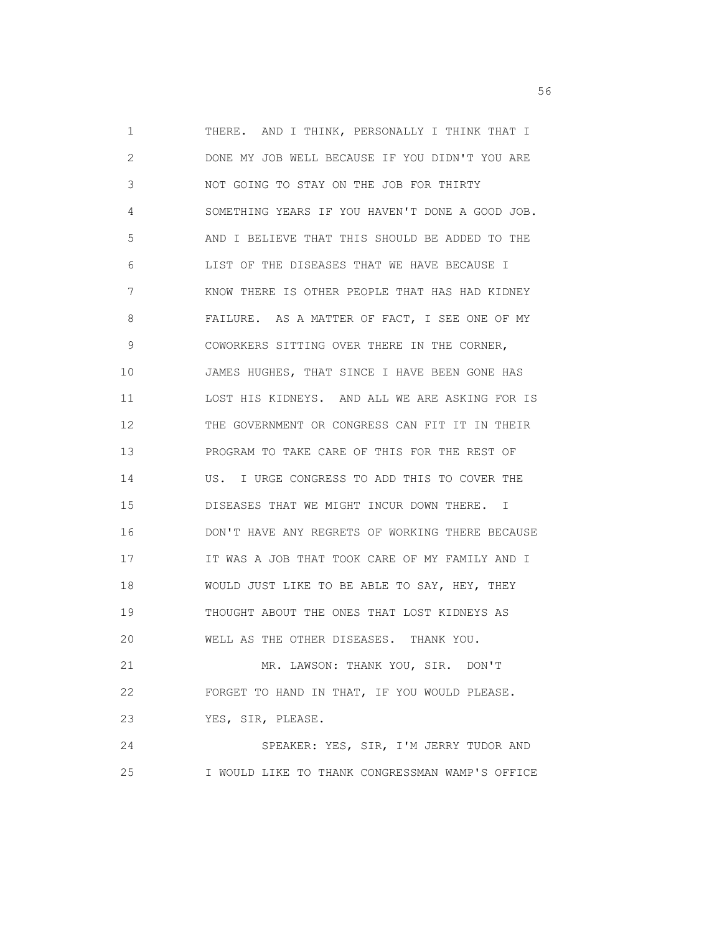1 THERE. AND I THINK, PERSONALLY I THINK THAT I 2 DONE MY JOB WELL BECAUSE IF YOU DIDN'T YOU ARE 3 NOT GOING TO STAY ON THE JOB FOR THIRTY 4 SOMETHING YEARS IF YOU HAVEN'T DONE A GOOD JOB. 5 AND I BELIEVE THAT THIS SHOULD BE ADDED TO THE 6 LIST OF THE DISEASES THAT WE HAVE BECAUSE I 7 KNOW THERE IS OTHER PEOPLE THAT HAS HAD KIDNEY 8 FAILURE. AS A MATTER OF FACT, I SEE ONE OF MY 9 COWORKERS SITTING OVER THERE IN THE CORNER, 10 JAMES HUGHES, THAT SINCE I HAVE BEEN GONE HAS 11 LOST HIS KIDNEYS. AND ALL WE ARE ASKING FOR IS 12 THE GOVERNMENT OR CONGRESS CAN FIT IT IN THEIR 13 PROGRAM TO TAKE CARE OF THIS FOR THE REST OF 14 US. I URGE CONGRESS TO ADD THIS TO COVER THE 15 DISEASES THAT WE MIGHT INCUR DOWN THERE. I 16 DON'T HAVE ANY REGRETS OF WORKING THERE BECAUSE 17 IT WAS A JOB THAT TOOK CARE OF MY FAMILY AND I 18 WOULD JUST LIKE TO BE ABLE TO SAY, HEY, THEY 19 THOUGHT ABOUT THE ONES THAT LOST KIDNEYS AS 20 WELL AS THE OTHER DISEASES. THANK YOU. 21 MR. LAWSON: THANK YOU, SIR. DON'T 22 FORGET TO HAND IN THAT, IF YOU WOULD PLEASE. 23 YES, SIR, PLEASE. 24 SPEAKER: YES, SIR, I'M JERRY TUDOR AND

25 I WOULD LIKE TO THANK CONGRESSMAN WAMP'S OFFICE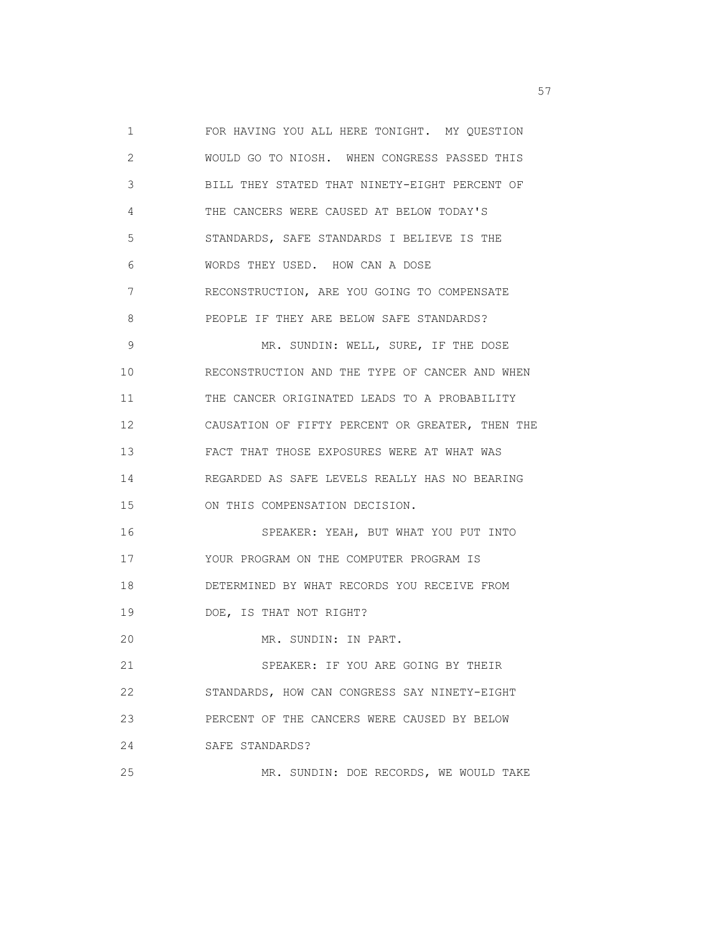1 FOR HAVING YOU ALL HERE TONIGHT. MY QUESTION 2 WOULD GO TO NIOSH. WHEN CONGRESS PASSED THIS 3 BILL THEY STATED THAT NINETY-EIGHT PERCENT OF 4 THE CANCERS WERE CAUSED AT BELOW TODAY'S 5 STANDARDS, SAFE STANDARDS I BELIEVE IS THE 6 WORDS THEY USED. HOW CAN A DOSE 7 RECONSTRUCTION, ARE YOU GOING TO COMPENSATE 8 PEOPLE IF THEY ARE BELOW SAFE STANDARDS? 9 MR. SUNDIN: WELL, SURE, IF THE DOSE 10 RECONSTRUCTION AND THE TYPE OF CANCER AND WHEN 11 THE CANCER ORIGINATED LEADS TO A PROBABILITY 12 CAUSATION OF FIFTY PERCENT OR GREATER, THEN THE 13 FACT THAT THOSE EXPOSURES WERE AT WHAT WAS 14 REGARDED AS SAFE LEVELS REALLY HAS NO BEARING 15 ON THIS COMPENSATION DECISION. 16 SPEAKER: YEAH, BUT WHAT YOU PUT INTO 17 YOUR PROGRAM ON THE COMPUTER PROGRAM IS 18 DETERMINED BY WHAT RECORDS YOU RECEIVE FROM 19 DOE, IS THAT NOT RIGHT? 20 MR. SUNDIN: IN PART. 21 SPEAKER: IF YOU ARE GOING BY THEIR 22 STANDARDS, HOW CAN CONGRESS SAY NINETY-EIGHT 23 PERCENT OF THE CANCERS WERE CAUSED BY BELOW 24 SAFE STANDARDS? 25 MR. SUNDIN: DOE RECORDS, WE WOULD TAKE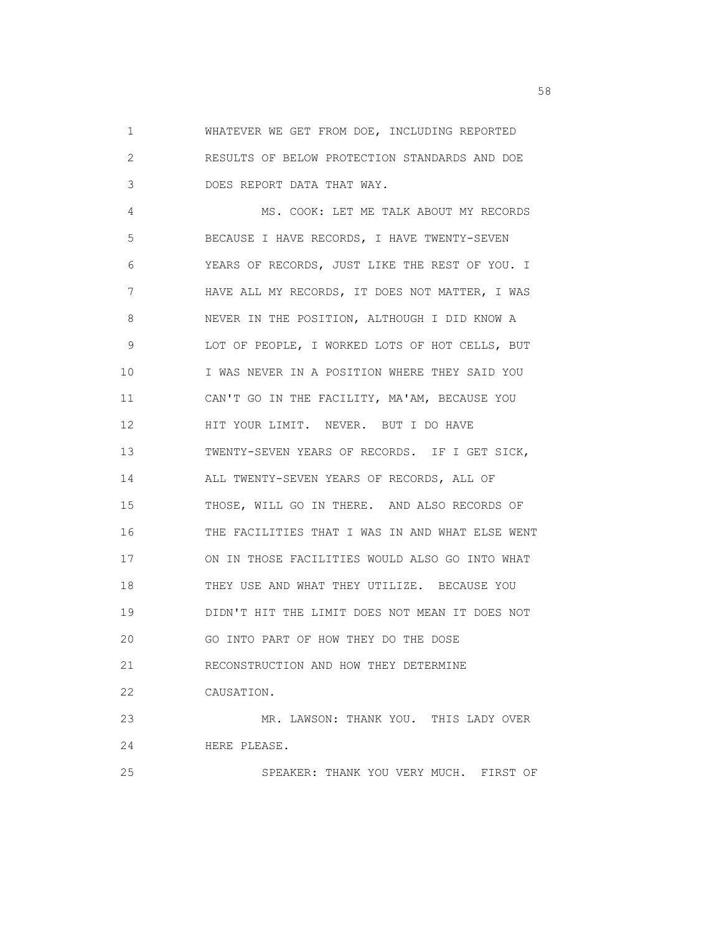1 WHATEVER WE GET FROM DOE, INCLUDING REPORTED 2 RESULTS OF BELOW PROTECTION STANDARDS AND DOE 3 DOES REPORT DATA THAT WAY.

 4 MS. COOK: LET ME TALK ABOUT MY RECORDS 5 BECAUSE I HAVE RECORDS, I HAVE TWENTY-SEVEN 6 YEARS OF RECORDS, JUST LIKE THE REST OF YOU. I 7 HAVE ALL MY RECORDS, IT DOES NOT MATTER, I WAS 8 NEVER IN THE POSITION, ALTHOUGH I DID KNOW A 9 LOT OF PEOPLE, I WORKED LOTS OF HOT CELLS, BUT 10 I WAS NEVER IN A POSITION WHERE THEY SAID YOU 11 CAN'T GO IN THE FACILITY, MA'AM, BECAUSE YOU 12 HIT YOUR LIMIT. NEVER. BUT I DO HAVE 13 TWENTY-SEVEN YEARS OF RECORDS. IF I GET SICK, 14 ALL TWENTY-SEVEN YEARS OF RECORDS, ALL OF 15 THOSE, WILL GO IN THERE. AND ALSO RECORDS OF 16 THE FACILITIES THAT I WAS IN AND WHAT ELSE WENT 17 ON IN THOSE FACILITIES WOULD ALSO GO INTO WHAT 18 THEY USE AND WHAT THEY UTILIZE. BECAUSE YOU 19 DIDN'T HIT THE LIMIT DOES NOT MEAN IT DOES NOT 20 GO INTO PART OF HOW THEY DO THE DOSE 21 RECONSTRUCTION AND HOW THEY DETERMINE 22 CAUSATION. 23 MR. LAWSON: THANK YOU. THIS LADY OVER 24 HERE PLEASE. 25 SPEAKER: THANK YOU VERY MUCH. FIRST OF

the state of the state of the state of the state of the state of the state of the state of the state of the state of the state of the state of the state of the state of the state of the state of the state of the state of t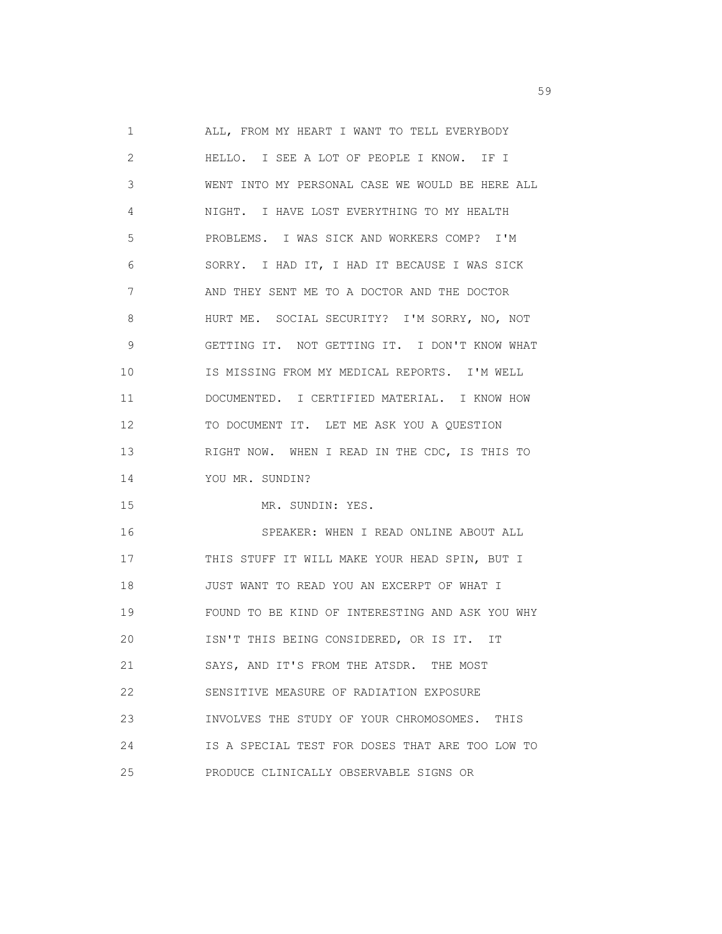1 ALL, FROM MY HEART I WANT TO TELL EVERYBODY 2 HELLO. I SEE A LOT OF PEOPLE I KNOW. IF I 3 WENT INTO MY PERSONAL CASE WE WOULD BE HERE ALL 4 NIGHT. I HAVE LOST EVERYTHING TO MY HEALTH 5 PROBLEMS. I WAS SICK AND WORKERS COMP? I'M 6 SORRY. I HAD IT, I HAD IT BECAUSE I WAS SICK 7 AND THEY SENT ME TO A DOCTOR AND THE DOCTOR 8 HURT ME. SOCIAL SECURITY? I'M SORRY, NO, NOT 9 GETTING IT. NOT GETTING IT. I DON'T KNOW WHAT 10 IS MISSING FROM MY MEDICAL REPORTS. I'M WELL 11 DOCUMENTED. I CERTIFIED MATERIAL. I KNOW HOW 12 TO DOCUMENT IT. LET ME ASK YOU A QUESTION 13 RIGHT NOW. WHEN I READ IN THE CDC, IS THIS TO 14 YOU MR. SUNDIN? 15 MR. SUNDIN: YES. 16 SPEAKER: WHEN I READ ONLINE ABOUT ALL 17 THIS STUFF IT WILL MAKE YOUR HEAD SPIN, BUT I 18 JUST WANT TO READ YOU AN EXCERPT OF WHAT I 19 FOUND TO BE KIND OF INTERESTING AND ASK YOU WHY 20 ISN'T THIS BEING CONSIDERED, OR IS IT. IT 21 SAYS, AND IT'S FROM THE ATSDR. THE MOST 22 SENSITIVE MEASURE OF RADIATION EXPOSURE 23 INVOLVES THE STUDY OF YOUR CHROMOSOMES. THIS 24 IS A SPECIAL TEST FOR DOSES THAT ARE TOO LOW TO 25 PRODUCE CLINICALLY OBSERVABLE SIGNS OR

 $59<sub>2</sub>$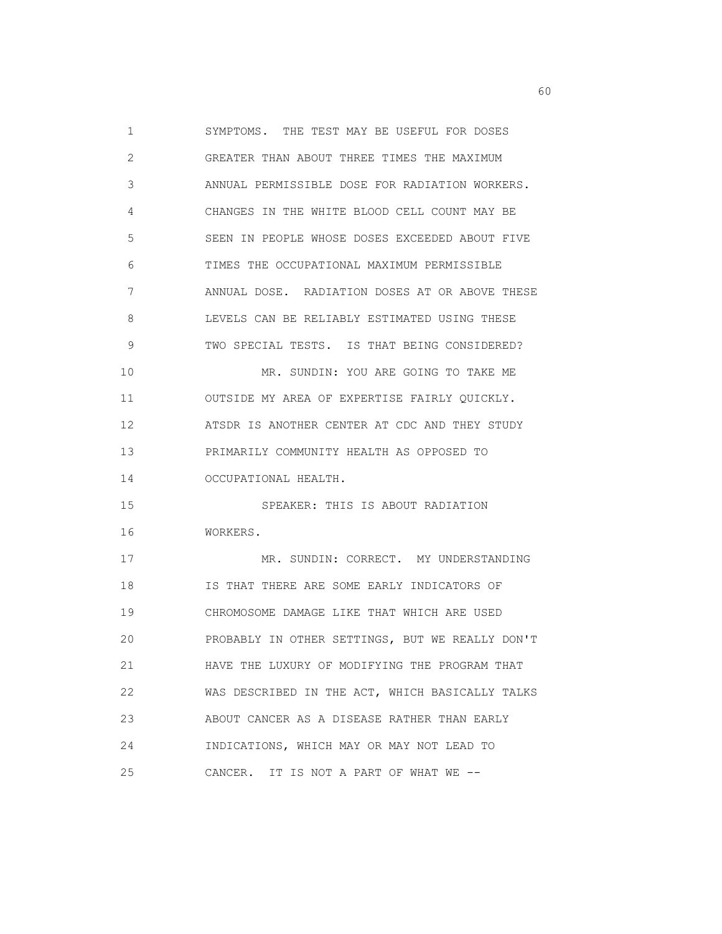1 SYMPTOMS. THE TEST MAY BE USEFUL FOR DOSES 2 GREATER THAN ABOUT THREE TIMES THE MAXIMUM 3 ANNUAL PERMISSIBLE DOSE FOR RADIATION WORKERS. 4 CHANGES IN THE WHITE BLOOD CELL COUNT MAY BE 5 SEEN IN PEOPLE WHOSE DOSES EXCEEDED ABOUT FIVE 6 TIMES THE OCCUPATIONAL MAXIMUM PERMISSIBLE 7 ANNUAL DOSE. RADIATION DOSES AT OR ABOVE THESE 8 LEVELS CAN BE RELIABLY ESTIMATED USING THESE 9 TWO SPECIAL TESTS. IS THAT BEING CONSIDERED? 10 MR. SUNDIN: YOU ARE GOING TO TAKE ME 11 OUTSIDE MY AREA OF EXPERTISE FAIRLY QUICKLY. 12 ATSDR IS ANOTHER CENTER AT CDC AND THEY STUDY 13 PRIMARILY COMMUNITY HEALTH AS OPPOSED TO 14 OCCUPATIONAL HEALTH. 15 SPEAKER: THIS IS ABOUT RADIATION 16 WORKERS. 17 MR. SUNDIN: CORRECT. MY UNDERSTANDING 18 IS THAT THERE ARE SOME EARLY INDICATORS OF 19 CHROMOSOME DAMAGE LIKE THAT WHICH ARE USED 20 PROBABLY IN OTHER SETTINGS, BUT WE REALLY DON'T 21 HAVE THE LUXURY OF MODIFYING THE PROGRAM THAT 22 WAS DESCRIBED IN THE ACT, WHICH BASICALLY TALKS 23 ABOUT CANCER AS A DISEASE RATHER THAN EARLY 24 INDICATIONS, WHICH MAY OR MAY NOT LEAD TO 25 CANCER. IT IS NOT A PART OF WHAT WE --

experience of the contract of the contract of the contract of the contract of the contract of the contract of the contract of the contract of the contract of the contract of the contract of the contract of the contract of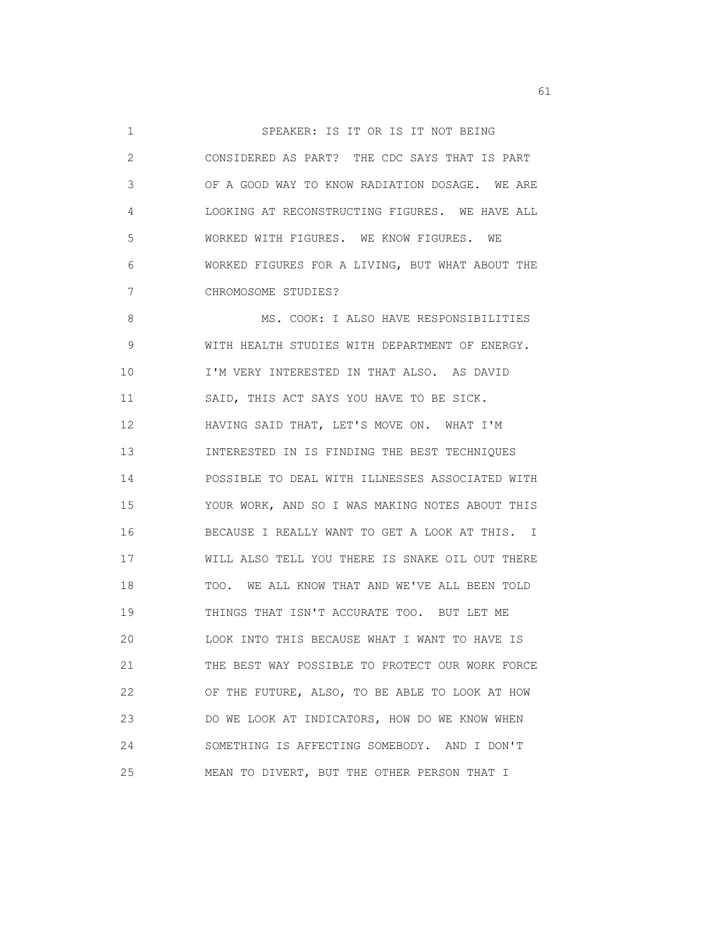1 SPEAKER: IS IT OR IS IT NOT BEING 2 CONSIDERED AS PART? THE CDC SAYS THAT IS PART 3 OF A GOOD WAY TO KNOW RADIATION DOSAGE. WE ARE 4 LOOKING AT RECONSTRUCTING FIGURES. WE HAVE ALL 5 WORKED WITH FIGURES. WE KNOW FIGURES. WE 6 WORKED FIGURES FOR A LIVING, BUT WHAT ABOUT THE 7 CHROMOSOME STUDIES? 8 MS. COOK: I ALSO HAVE RESPONSIBILITIES 9 WITH HEALTH STUDIES WITH DEPARTMENT OF ENERGY. 10 I'M VERY INTERESTED IN THAT ALSO. AS DAVID 11 SAID, THIS ACT SAYS YOU HAVE TO BE SICK. 12 HAVING SAID THAT, LET'S MOVE ON. WHAT I'M 13 INTERESTED IN IS FINDING THE BEST TECHNIQUES 14 POSSIBLE TO DEAL WITH ILLNESSES ASSOCIATED WITH 15 YOUR WORK, AND SO I WAS MAKING NOTES ABOUT THIS 16 BECAUSE I REALLY WANT TO GET A LOOK AT THIS. I 17 WILL ALSO TELL YOU THERE IS SNAKE OIL OUT THERE 18 TOO. WE ALL KNOW THAT AND WE'VE ALL BEEN TOLD 19 THINGS THAT ISN'T ACCURATE TOO. BUT LET ME 20 LOOK INTO THIS BECAUSE WHAT I WANT TO HAVE IS 21 THE BEST WAY POSSIBLE TO PROTECT OUR WORK FORCE 22 OF THE FUTURE, ALSO, TO BE ABLE TO LOOK AT HOW 23 DO WE LOOK AT INDICATORS, HOW DO WE KNOW WHEN 24 SOMETHING IS AFFECTING SOMEBODY. AND I DON'T 25 MEAN TO DIVERT, BUT THE OTHER PERSON THAT I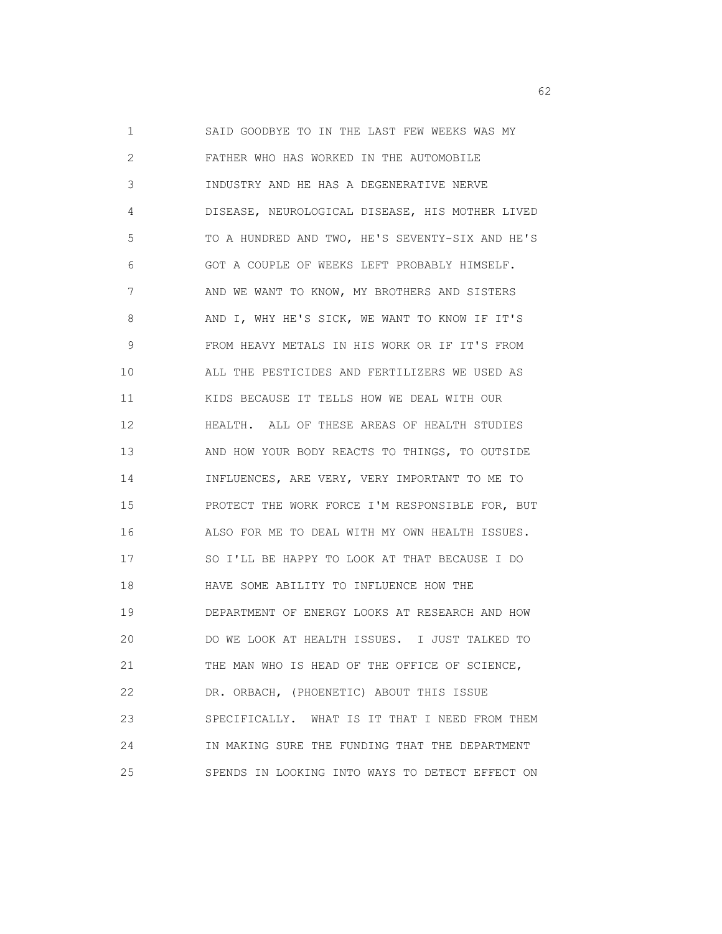1 SAID GOODBYE TO IN THE LAST FEW WEEKS WAS MY 2 FATHER WHO HAS WORKED IN THE AUTOMOBILE 3 INDUSTRY AND HE HAS A DEGENERATIVE NERVE 4 DISEASE, NEUROLOGICAL DISEASE, HIS MOTHER LIVED 5 TO A HUNDRED AND TWO, HE'S SEVENTY-SIX AND HE'S 6 GOT A COUPLE OF WEEKS LEFT PROBABLY HIMSELF. 7 AND WE WANT TO KNOW, MY BROTHERS AND SISTERS 8 AND I, WHY HE'S SICK, WE WANT TO KNOW IF IT'S 9 FROM HEAVY METALS IN HIS WORK OR IF IT'S FROM 10 ALL THE PESTICIDES AND FERTILIZERS WE USED AS 11 KIDS BECAUSE IT TELLS HOW WE DEAL WITH OUR 12 HEALTH. ALL OF THESE AREAS OF HEALTH STUDIES 13 AND HOW YOUR BODY REACTS TO THINGS, TO OUTSIDE 14 INFLUENCES, ARE VERY, VERY IMPORTANT TO ME TO 15 PROTECT THE WORK FORCE I'M RESPONSIBLE FOR, BUT 16 ALSO FOR ME TO DEAL WITH MY OWN HEALTH ISSUES. 17 SO I'LL BE HAPPY TO LOOK AT THAT BECAUSE I DO 18 HAVE SOME ABILITY TO INFLUENCE HOW THE 19 DEPARTMENT OF ENERGY LOOKS AT RESEARCH AND HOW 20 DO WE LOOK AT HEALTH ISSUES. I JUST TALKED TO 21 THE MAN WHO IS HEAD OF THE OFFICE OF SCIENCE, 22 DR. ORBACH, (PHOENETIC) ABOUT THIS ISSUE 23 SPECIFICALLY. WHAT IS IT THAT I NEED FROM THEM 24 IN MAKING SURE THE FUNDING THAT THE DEPARTMENT 25 SPENDS IN LOOKING INTO WAYS TO DETECT EFFECT ON

 $\sim$  62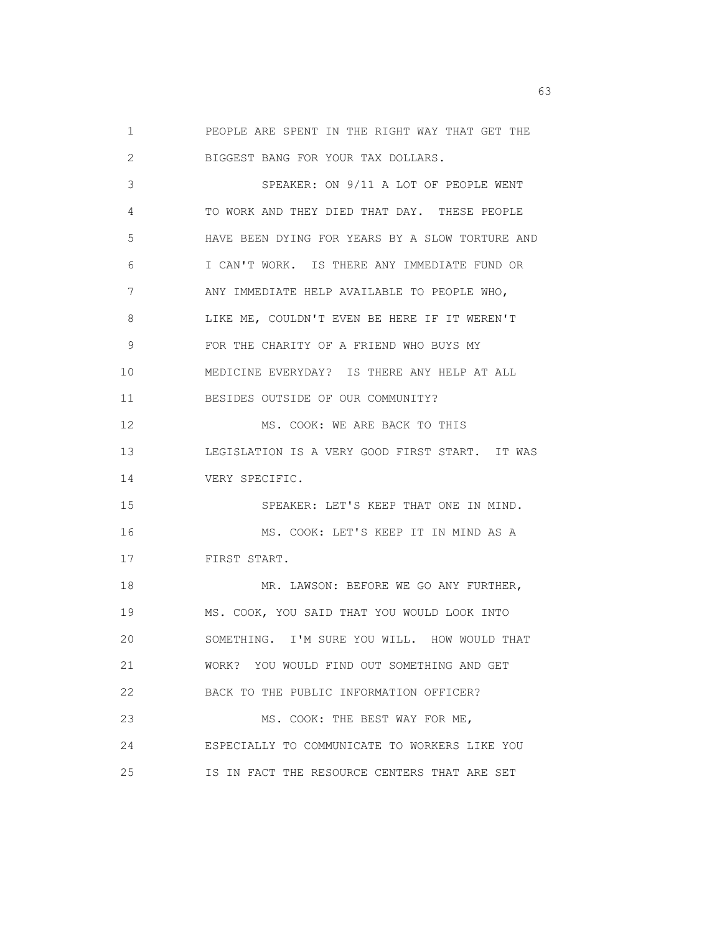1 PEOPLE ARE SPENT IN THE RIGHT WAY THAT GET THE 2 BIGGEST BANG FOR YOUR TAX DOLLARS. 3 SPEAKER: ON 9/11 A LOT OF PEOPLE WENT 4 TO WORK AND THEY DIED THAT DAY. THESE PEOPLE 5 HAVE BEEN DYING FOR YEARS BY A SLOW TORTURE AND 6 I CAN'T WORK. IS THERE ANY IMMEDIATE FUND OR 7 ANY IMMEDIATE HELP AVAILABLE TO PEOPLE WHO, 8 LIKE ME, COULDN'T EVEN BE HERE IF IT WEREN'T 9 FOR THE CHARITY OF A FRIEND WHO BUYS MY 10 MEDICINE EVERYDAY? IS THERE ANY HELP AT ALL 11 BESIDES OUTSIDE OF OUR COMMUNITY? 12 MS. COOK: WE ARE BACK TO THIS 13 LEGISLATION IS A VERY GOOD FIRST START. IT WAS 14 VERY SPECIFIC. 15 SPEAKER: LET'S KEEP THAT ONE IN MIND. 16 MS. COOK: LET'S KEEP IT IN MIND AS A 17 FIRST START. 18 MR. LAWSON: BEFORE WE GO ANY FURTHER, 19 MS. COOK, YOU SAID THAT YOU WOULD LOOK INTO 20 SOMETHING. I'M SURE YOU WILL. HOW WOULD THAT 21 WORK? YOU WOULD FIND OUT SOMETHING AND GET 22 BACK TO THE PUBLIC INFORMATION OFFICER? 23 MS. COOK: THE BEST WAY FOR ME, 24 ESPECIALLY TO COMMUNICATE TO WORKERS LIKE YOU 25 IS IN FACT THE RESOURCE CENTERS THAT ARE SET

experience of the contract of the contract of the contract of the contract of the contract of the contract of the contract of the contract of the contract of the contract of the contract of the contract of the contract of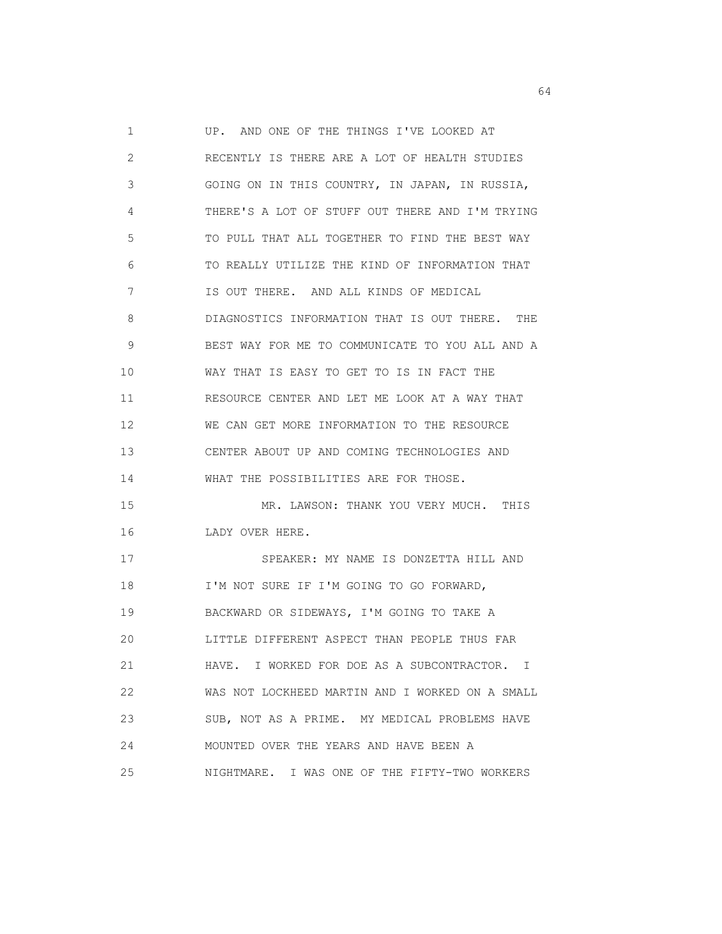1 UP. AND ONE OF THE THINGS I'VE LOOKED AT 2 RECENTLY IS THERE ARE A LOT OF HEALTH STUDIES 3 GOING ON IN THIS COUNTRY, IN JAPAN, IN RUSSIA, 4 THERE'S A LOT OF STUFF OUT THERE AND I'M TRYING 5 TO PULL THAT ALL TOGETHER TO FIND THE BEST WAY 6 TO REALLY UTILIZE THE KIND OF INFORMATION THAT 7 IS OUT THERE. AND ALL KINDS OF MEDICAL 8 DIAGNOSTICS INFORMATION THAT IS OUT THERE. THE 9 BEST WAY FOR ME TO COMMUNICATE TO YOU ALL AND A 10 WAY THAT IS EASY TO GET TO IS IN FACT THE 11 RESOURCE CENTER AND LET ME LOOK AT A WAY THAT 12 WE CAN GET MORE INFORMATION TO THE RESOURCE 13 CENTER ABOUT UP AND COMING TECHNOLOGIES AND 14 WHAT THE POSSIBILITIES ARE FOR THOSE. 15 MR. LAWSON: THANK YOU VERY MUCH. THIS 16 LADY OVER HERE. 17 SPEAKER: MY NAME IS DONZETTA HILL AND 18 I'M NOT SURE IF I'M GOING TO GO FORWARD, 19 BACKWARD OR SIDEWAYS, I'M GOING TO TAKE A 20 LITTLE DIFFERENT ASPECT THAN PEOPLE THUS FAR 21 HAVE. I WORKED FOR DOE AS A SUBCONTRACTOR. I 22 WAS NOT LOCKHEED MARTIN AND I WORKED ON A SMALL 23 SUB, NOT AS A PRIME. MY MEDICAL PROBLEMS HAVE 24 MOUNTED OVER THE YEARS AND HAVE BEEN A 25 NIGHTMARE. I WAS ONE OF THE FIFTY-TWO WORKERS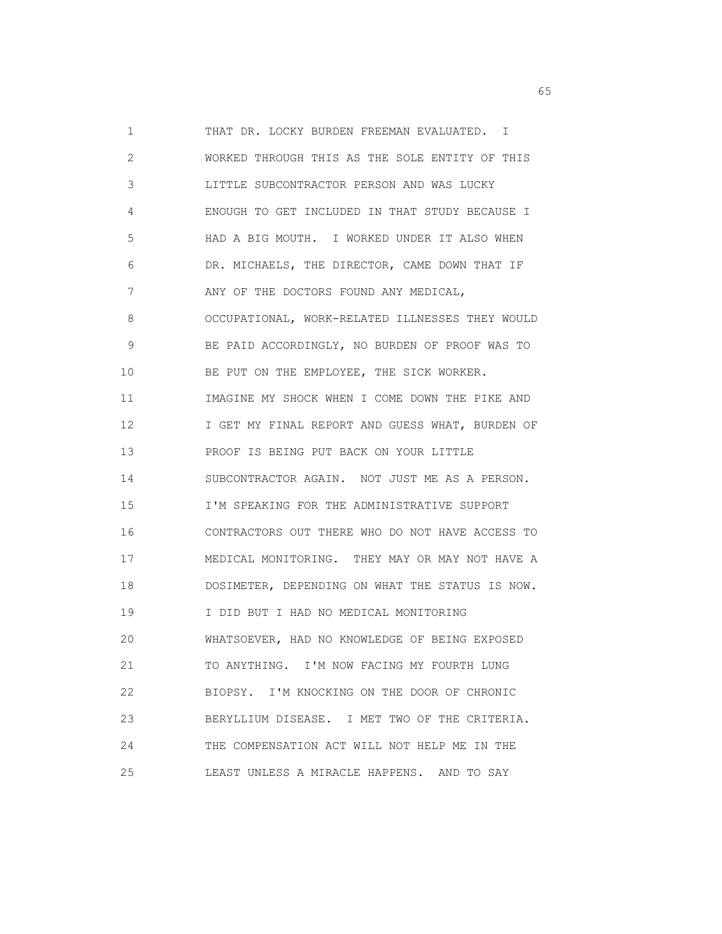1 THAT DR. LOCKY BURDEN FREEMAN EVALUATED. I 2 WORKED THROUGH THIS AS THE SOLE ENTITY OF THIS 3 LITTLE SUBCONTRACTOR PERSON AND WAS LUCKY 4 ENOUGH TO GET INCLUDED IN THAT STUDY BECAUSE I 5 HAD A BIG MOUTH. I WORKED UNDER IT ALSO WHEN 6 DR. MICHAELS, THE DIRECTOR, CAME DOWN THAT IF 7 ANY OF THE DOCTORS FOUND ANY MEDICAL, 8 OCCUPATIONAL, WORK-RELATED ILLNESSES THEY WOULD 9 BE PAID ACCORDINGLY, NO BURDEN OF PROOF WAS TO 10 BE PUT ON THE EMPLOYEE, THE SICK WORKER. 11 IMAGINE MY SHOCK WHEN I COME DOWN THE PIKE AND 12 **I GET MY FINAL REPORT AND GUESS WHAT, BURDEN OF**  13 PROOF IS BEING PUT BACK ON YOUR LITTLE 14 SUBCONTRACTOR AGAIN. NOT JUST ME AS A PERSON. 15 I'M SPEAKING FOR THE ADMINISTRATIVE SUPPORT 16 CONTRACTORS OUT THERE WHO DO NOT HAVE ACCESS TO 17 MEDICAL MONITORING. THEY MAY OR MAY NOT HAVE A 18 DOSIMETER, DEPENDING ON WHAT THE STATUS IS NOW. 19 I DID BUT I HAD NO MEDICAL MONITORING 20 WHATSOEVER, HAD NO KNOWLEDGE OF BEING EXPOSED 21 TO ANYTHING. I'M NOW FACING MY FOURTH LUNG 22 BIOPSY. I'M KNOCKING ON THE DOOR OF CHRONIC 23 BERYLLIUM DISEASE. I MET TWO OF THE CRITERIA. 24 THE COMPENSATION ACT WILL NOT HELP ME IN THE 25 LEAST UNLESS A MIRACLE HAPPENS. AND TO SAY

 $\sim$  65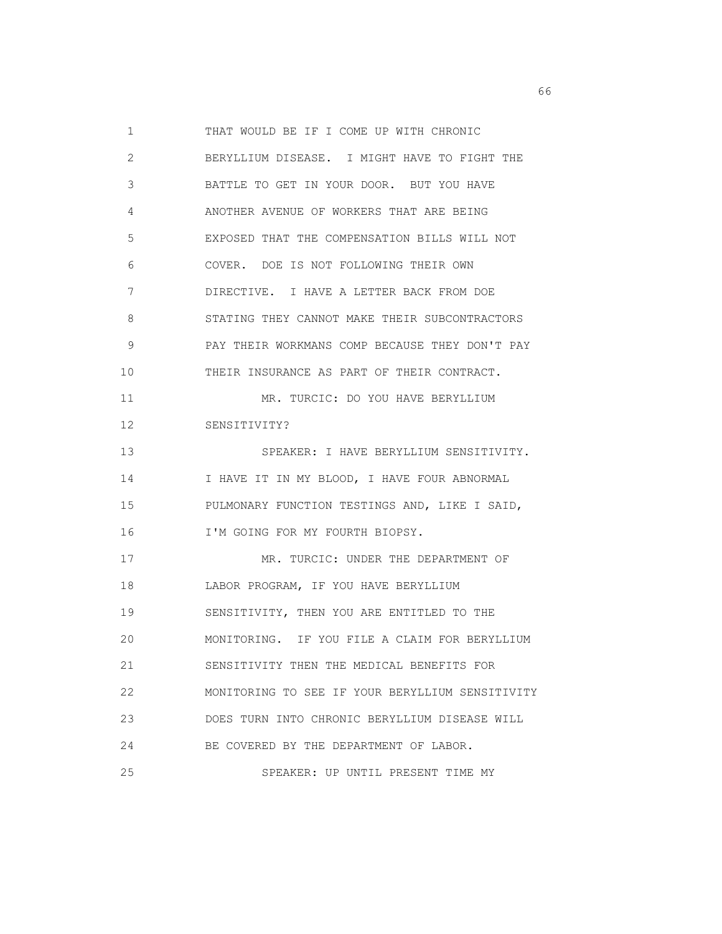1 THAT WOULD BE IF I COME UP WITH CHRONIC 2 BERYLLIUM DISEASE. I MIGHT HAVE TO FIGHT THE 3 BATTLE TO GET IN YOUR DOOR. BUT YOU HAVE 4 ANOTHER AVENUE OF WORKERS THAT ARE BEING 5 EXPOSED THAT THE COMPENSATION BILLS WILL NOT 6 COVER. DOE IS NOT FOLLOWING THEIR OWN 7 DIRECTIVE. I HAVE A LETTER BACK FROM DOE 8 STATING THEY CANNOT MAKE THEIR SUBCONTRACTORS 9 PAY THEIR WORKMANS COMP BECAUSE THEY DON'T PAY 10 THEIR INSURANCE AS PART OF THEIR CONTRACT. 11 MR. TURCIC: DO YOU HAVE BERYLLIUM 12 SENSITIVITY? 13 SPEAKER: I HAVE BERYLLIUM SENSITIVITY. 14 I HAVE IT IN MY BLOOD, I HAVE FOUR ABNORMAL 15 PULMONARY FUNCTION TESTINGS AND, LIKE I SAID, 16 I'M GOING FOR MY FOURTH BIOPSY. 17 MR. TURCIC: UNDER THE DEPARTMENT OF 18 LABOR PROGRAM, IF YOU HAVE BERYLLIUM 19 SENSITIVITY, THEN YOU ARE ENTITLED TO THE 20 MONITORING. IF YOU FILE A CLAIM FOR BERYLLIUM 21 SENSITIVITY THEN THE MEDICAL BENEFITS FOR 22 MONITORING TO SEE IF YOUR BERYLLIUM SENSITIVITY 23 DOES TURN INTO CHRONIC BERYLLIUM DISEASE WILL 24 BE COVERED BY THE DEPARTMENT OF LABOR. 25 SPEAKER: UP UNTIL PRESENT TIME MY

 $\sim$  66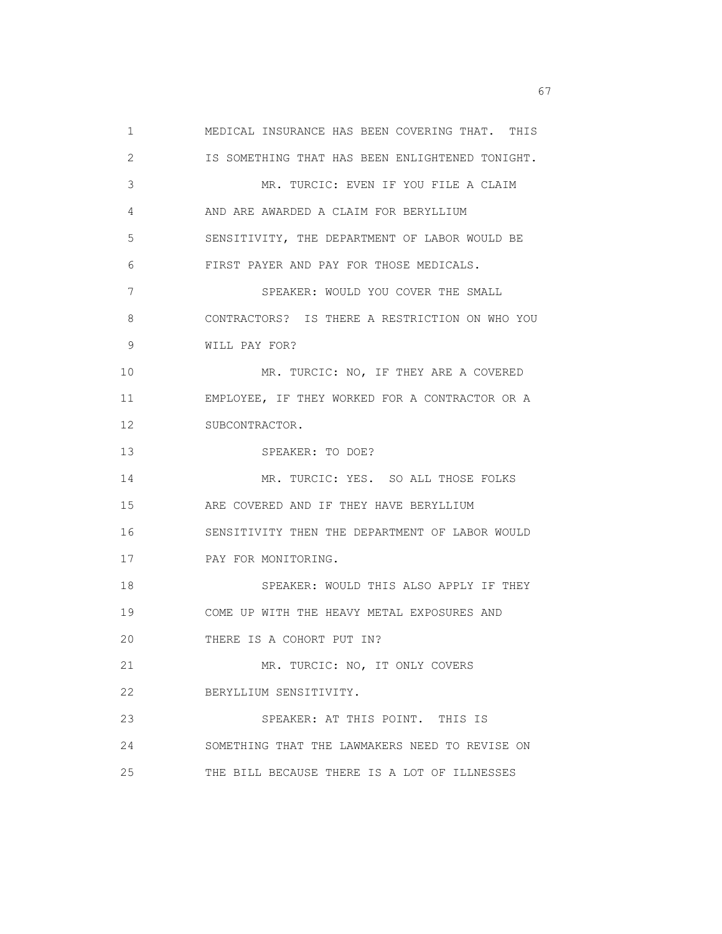1 MEDICAL INSURANCE HAS BEEN COVERING THAT. THIS 2 IS SOMETHING THAT HAS BEEN ENLIGHTENED TONIGHT. 3 MR. TURCIC: EVEN IF YOU FILE A CLAIM 4 AND ARE AWARDED A CLAIM FOR BERYLLIUM 5 SENSITIVITY, THE DEPARTMENT OF LABOR WOULD BE 6 FIRST PAYER AND PAY FOR THOSE MEDICALS. 7 SPEAKER: WOULD YOU COVER THE SMALL 8 CONTRACTORS? IS THERE A RESTRICTION ON WHO YOU 9 WILL PAY FOR? 10 MR. TURCIC: NO, IF THEY ARE A COVERED 11 EMPLOYEE, IF THEY WORKED FOR A CONTRACTOR OR A 12 SUBCONTRACTOR. 13 SPEAKER: TO DOE? 14 MR. TURCIC: YES. SO ALL THOSE FOLKS 15 ARE COVERED AND IF THEY HAVE BERYLLIUM 16 SENSITIVITY THEN THE DEPARTMENT OF LABOR WOULD 17 PAY FOR MONITORING. 18 SPEAKER: WOULD THIS ALSO APPLY IF THEY 19 COME UP WITH THE HEAVY METAL EXPOSURES AND 20 THERE IS A COHORT PUT IN? 21 MR. TURCIC: NO, IT ONLY COVERS 22 BERYLLIUM SENSITIVITY. 23 SPEAKER: AT THIS POINT. THIS IS 24 SOMETHING THAT THE LAWMAKERS NEED TO REVISE ON 25 THE BILL BECAUSE THERE IS A LOT OF ILLNESSES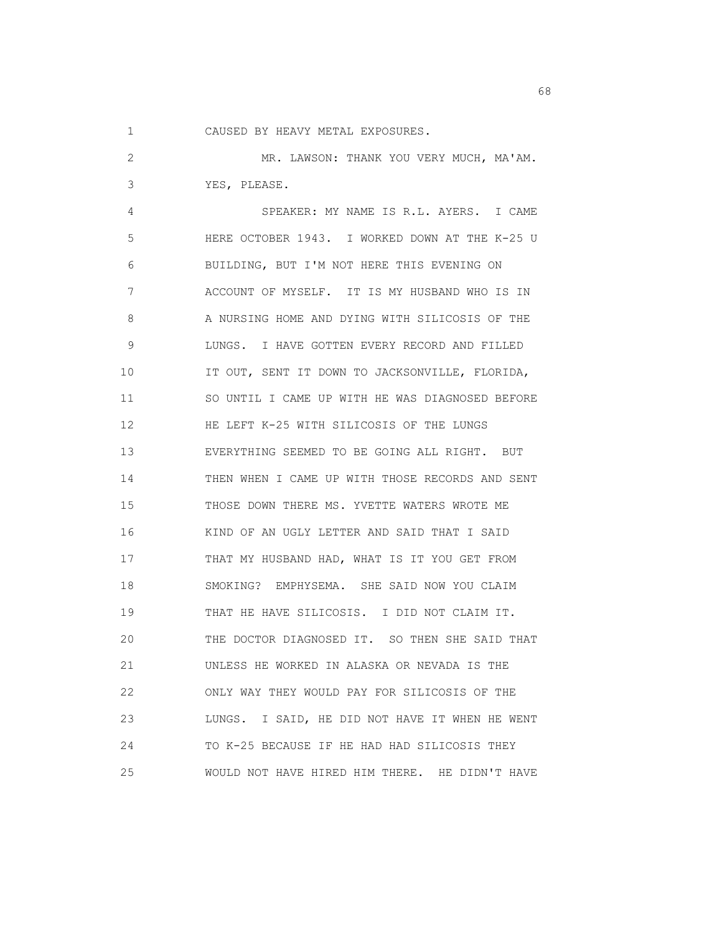1 CAUSED BY HEAVY METAL EXPOSURES.

 2 MR. LAWSON: THANK YOU VERY MUCH, MA'AM. 3 YES, PLEASE. 4 SPEAKER: MY NAME IS R.L. AYERS. I CAME 5 HERE OCTOBER 1943. I WORKED DOWN AT THE K-25 U 6 BUILDING, BUT I'M NOT HERE THIS EVENING ON 7 ACCOUNT OF MYSELF. IT IS MY HUSBAND WHO IS IN 8 A NURSING HOME AND DYING WITH SILICOSIS OF THE 9 LUNGS. I HAVE GOTTEN EVERY RECORD AND FILLED 10 IT OUT, SENT IT DOWN TO JACKSONVILLE, FLORIDA, 11 SO UNTIL I CAME UP WITH HE WAS DIAGNOSED BEFORE 12 HE LEFT K-25 WITH SILICOSIS OF THE LUNGS 13 EVERYTHING SEEMED TO BE GOING ALL RIGHT. BUT 14 THEN WHEN I CAME UP WITH THOSE RECORDS AND SENT 15 THOSE DOWN THERE MS. YVETTE WATERS WROTE ME 16 KIND OF AN UGLY LETTER AND SAID THAT I SAID 17 THAT MY HUSBAND HAD, WHAT IS IT YOU GET FROM 18 SMOKING? EMPHYSEMA. SHE SAID NOW YOU CLAIM 19 THAT HE HAVE SILICOSIS. I DID NOT CLAIM IT. 20 THE DOCTOR DIAGNOSED IT. SO THEN SHE SAID THAT 21 UNLESS HE WORKED IN ALASKA OR NEVADA IS THE 22 ONLY WAY THEY WOULD PAY FOR SILICOSIS OF THE 23 LUNGS. I SAID, HE DID NOT HAVE IT WHEN HE WENT 24 TO K-25 BECAUSE IF HE HAD HAD SILICOSIS THEY 25 WOULD NOT HAVE HIRED HIM THERE. HE DIDN'T HAVE

en de la construction de la construction de la construction de la construction de la construction de la constr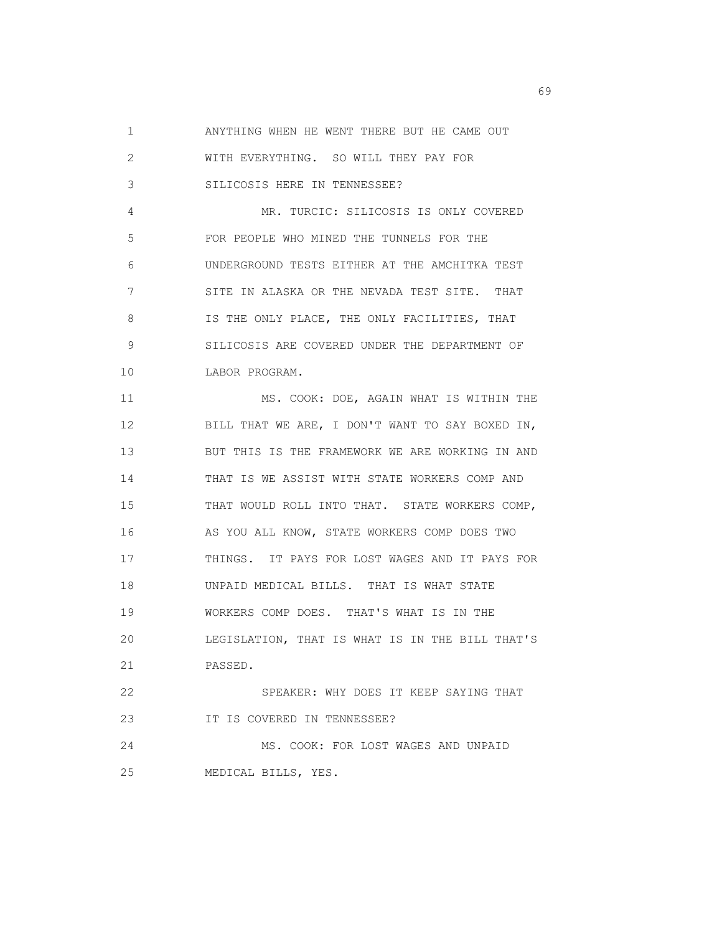1 ANYTHING WHEN HE WENT THERE BUT HE CAME OUT

| 2  | WITH EVERYTHING. SO WILL THEY PAY FOR           |
|----|-------------------------------------------------|
| 3  | SILICOSIS HERE IN TENNESSEE?                    |
| 4  | MR. TURCIC: SILICOSIS IS ONLY COVERED           |
| 5  | FOR PEOPLE WHO MINED THE TUNNELS FOR THE        |
| 6  | UNDERGROUND TESTS EITHER AT THE AMCHITKA TEST   |
| 7  | SITE IN ALASKA OR THE NEVADA TEST SITE. THAT    |
| 8  | IS THE ONLY PLACE, THE ONLY FACILITIES, THAT    |
| 9  | SILICOSIS ARE COVERED UNDER THE DEPARTMENT OF   |
| 10 | LABOR PROGRAM.                                  |
| 11 | MS. COOK: DOE, AGAIN WHAT IS WITHIN THE         |
| 12 | BILL THAT WE ARE, I DON'T WANT TO SAY BOXED IN, |
| 13 | BUT THIS IS THE FRAMEWORK WE ARE WORKING IN AND |
| 14 | THAT IS WE ASSIST WITH STATE WORKERS COMP AND   |
| 15 | THAT WOULD ROLL INTO THAT. STATE WORKERS COMP,  |
| 16 | AS YOU ALL KNOW, STATE WORKERS COMP DOES TWO    |
| 17 | THINGS. IT PAYS FOR LOST WAGES AND IT PAYS FOR  |
| 18 | UNPAID MEDICAL BILLS. THAT IS WHAT STATE        |
| 19 | WORKERS COMP DOES. THAT'S WHAT IS IN THE        |
| 20 | LEGISLATION, THAT IS WHAT IS IN THE BILL THAT'S |
| 21 | PASSED.                                         |
| 22 | SPEAKER: WHY DOES IT KEEP SAYING THAT           |
| 23 | IT IS COVERED IN TENNESSEE?                     |
| 24 | MS. COOK: FOR LOST WAGES AND UNPAID             |
| 25 | MEDICAL BILLS, YES.                             |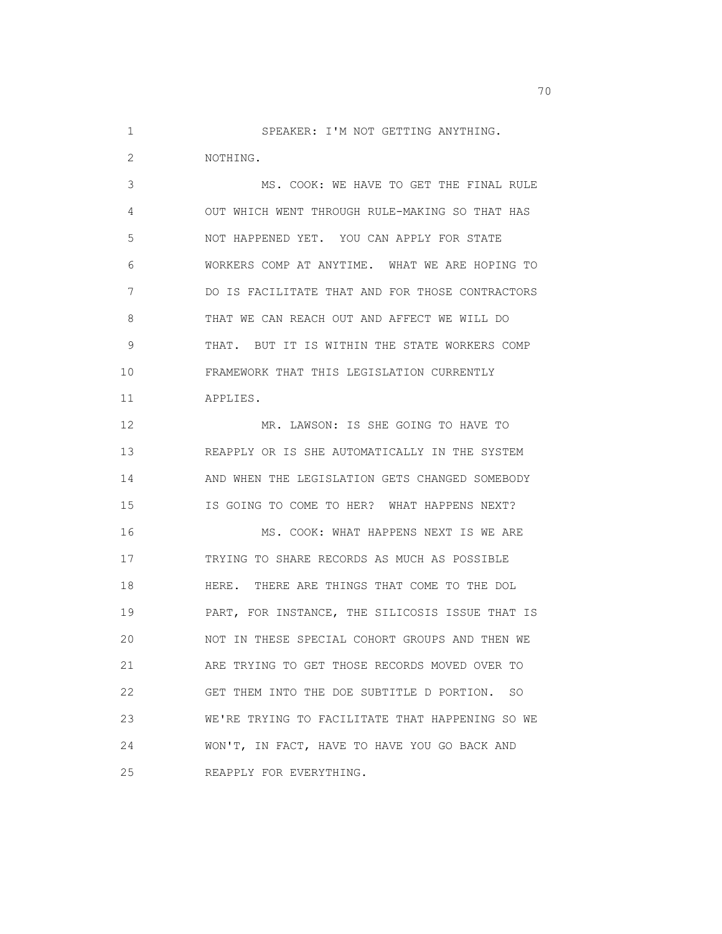1 SPEAKER: I'M NOT GETTING ANYTHING.

2 NOTHING.

 3 MS. COOK: WE HAVE TO GET THE FINAL RULE 4 OUT WHICH WENT THROUGH RULE-MAKING SO THAT HAS 5 NOT HAPPENED YET. YOU CAN APPLY FOR STATE 6 WORKERS COMP AT ANYTIME. WHAT WE ARE HOPING TO 7 DO IS FACILITATE THAT AND FOR THOSE CONTRACTORS 8 THAT WE CAN REACH OUT AND AFFECT WE WILL DO 9 THAT. BUT IT IS WITHIN THE STATE WORKERS COMP 10 FRAMEWORK THAT THIS LEGISLATION CURRENTLY 11 APPLIES. 12 MR. LAWSON: IS SHE GOING TO HAVE TO 13 REAPPLY OR IS SHE AUTOMATICALLY IN THE SYSTEM 14 AND WHEN THE LEGISLATION GETS CHANGED SOMEBODY

 16 MS. COOK: WHAT HAPPENS NEXT IS WE ARE 17 TRYING TO SHARE RECORDS AS MUCH AS POSSIBLE 18 HERE. THERE ARE THINGS THAT COME TO THE DOL 19 PART, FOR INSTANCE, THE SILICOSIS ISSUE THAT IS 20 NOT IN THESE SPECIAL COHORT GROUPS AND THEN WE 21 ARE TRYING TO GET THOSE RECORDS MOVED OVER TO 22 GET THEM INTO THE DOE SUBTITLE D PORTION. SO 23 WE'RE TRYING TO FACILITATE THAT HAPPENING SO WE 24 WON'T, IN FACT, HAVE TO HAVE YOU GO BACK AND 25 REAPPLY FOR EVERYTHING.

15 IS GOING TO COME TO HER? WHAT HAPPENS NEXT?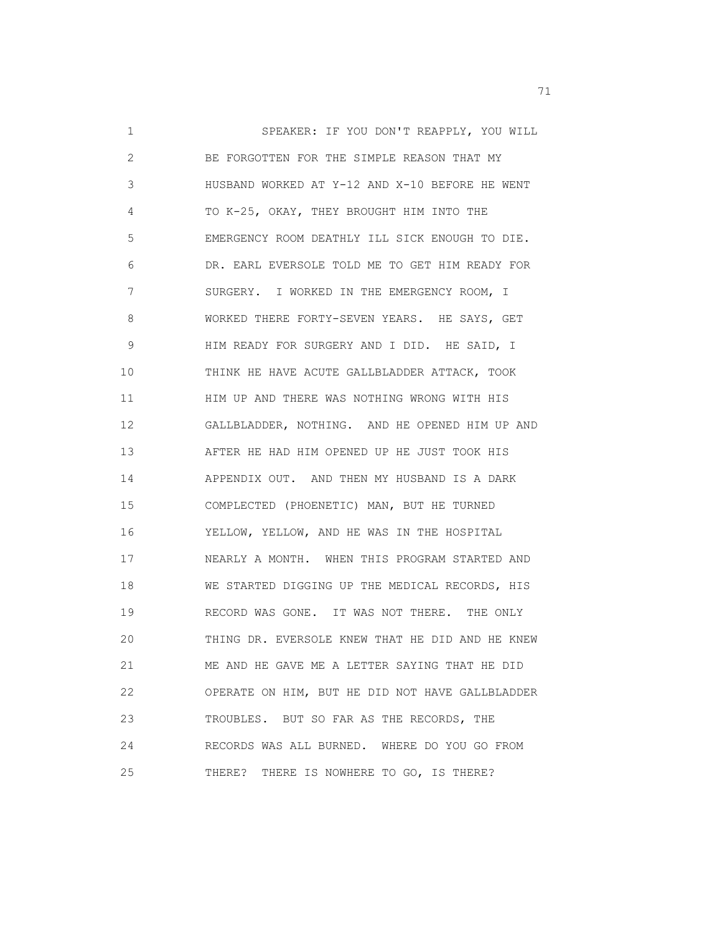1 SPEAKER: IF YOU DON'T REAPPLY, YOU WILL 2 BE FORGOTTEN FOR THE SIMPLE REASON THAT MY 3 HUSBAND WORKED AT Y-12 AND X-10 BEFORE HE WENT 4 TO K-25, OKAY, THEY BROUGHT HIM INTO THE 5 EMERGENCY ROOM DEATHLY ILL SICK ENOUGH TO DIE. 6 DR. EARL EVERSOLE TOLD ME TO GET HIM READY FOR 7 SURGERY. I WORKED IN THE EMERGENCY ROOM, I 8 WORKED THERE FORTY-SEVEN YEARS. HE SAYS, GET 9 HIM READY FOR SURGERY AND I DID. HE SAID, I 10 THINK HE HAVE ACUTE GALLBLADDER ATTACK, TOOK 11 **HIM UP AND THERE WAS NOTHING WRONG WITH HIS**  12 GALLBLADDER, NOTHING. AND HE OPENED HIM UP AND 13 AFTER HE HAD HIM OPENED UP HE JUST TOOK HIS 14 APPENDIX OUT. AND THEN MY HUSBAND IS A DARK 15 COMPLECTED (PHOENETIC) MAN, BUT HE TURNED 16 YELLOW, YELLOW, AND HE WAS IN THE HOSPITAL 17 NEARLY A MONTH. WHEN THIS PROGRAM STARTED AND 18 WE STARTED DIGGING UP THE MEDICAL RECORDS, HIS 19 RECORD WAS GONE. IT WAS NOT THERE. THE ONLY 20 THING DR. EVERSOLE KNEW THAT HE DID AND HE KNEW 21 ME AND HE GAVE ME A LETTER SAYING THAT HE DID 22 OPERATE ON HIM, BUT HE DID NOT HAVE GALLBLADDER 23 TROUBLES. BUT SO FAR AS THE RECORDS, THE 24 RECORDS WAS ALL BURNED. WHERE DO YOU GO FROM 25 THERE? THERE IS NOWHERE TO GO, IS THERE?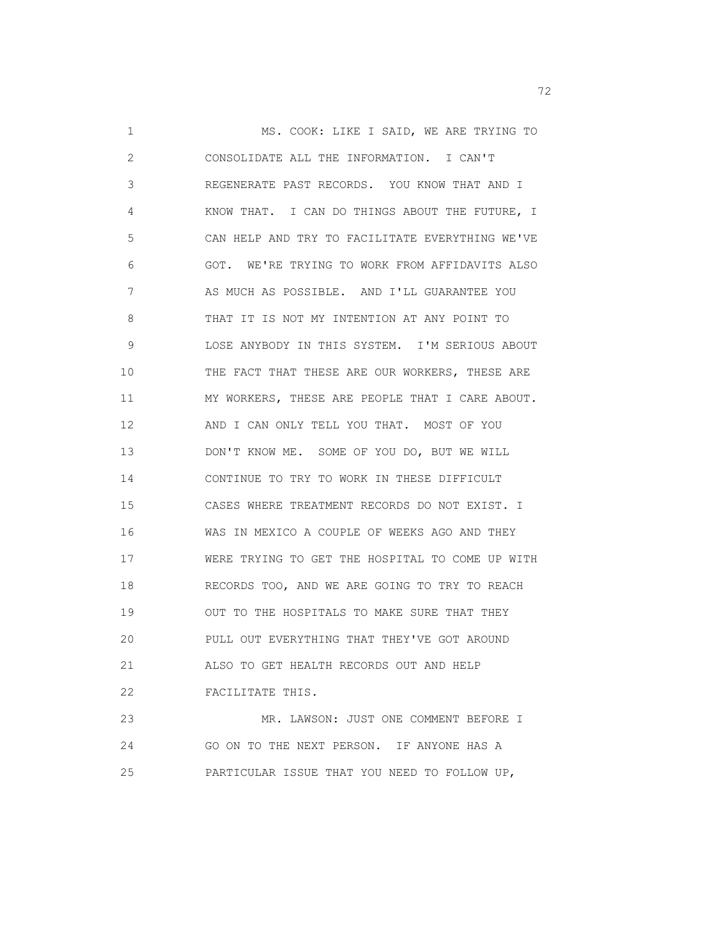1 MS. COOK: LIKE I SAID, WE ARE TRYING TO 2 CONSOLIDATE ALL THE INFORMATION. I CAN'T 3 REGENERATE PAST RECORDS. YOU KNOW THAT AND I 4 KNOW THAT. I CAN DO THINGS ABOUT THE FUTURE, I 5 CAN HELP AND TRY TO FACILITATE EVERYTHING WE'VE 6 GOT. WE'RE TRYING TO WORK FROM AFFIDAVITS ALSO 7 AS MUCH AS POSSIBLE. AND I'LL GUARANTEE YOU 8 THAT IT IS NOT MY INTENTION AT ANY POINT TO 9 LOSE ANYBODY IN THIS SYSTEM. I'M SERIOUS ABOUT 10 THE FACT THAT THESE ARE OUR WORKERS, THESE ARE 11 MY WORKERS, THESE ARE PEOPLE THAT I CARE ABOUT. 12 AND I CAN ONLY TELL YOU THAT. MOST OF YOU 13 DON'T KNOW ME. SOME OF YOU DO, BUT WE WILL 14 CONTINUE TO TRY TO WORK IN THESE DIFFICULT 15 CASES WHERE TREATMENT RECORDS DO NOT EXIST. I 16 WAS IN MEXICO A COUPLE OF WEEKS AGO AND THEY 17 WERE TRYING TO GET THE HOSPITAL TO COME UP WITH 18 RECORDS TOO, AND WE ARE GOING TO TRY TO REACH 19 OUT TO THE HOSPITALS TO MAKE SURE THAT THEY 20 PULL OUT EVERYTHING THAT THEY'VE GOT AROUND 21 ALSO TO GET HEALTH RECORDS OUT AND HELP 22 FACILITATE THIS. 23 MR. LAWSON: JUST ONE COMMENT BEFORE I 24 GO ON TO THE NEXT PERSON. IF ANYONE HAS A

25 PARTICULAR ISSUE THAT YOU NEED TO FOLLOW UP,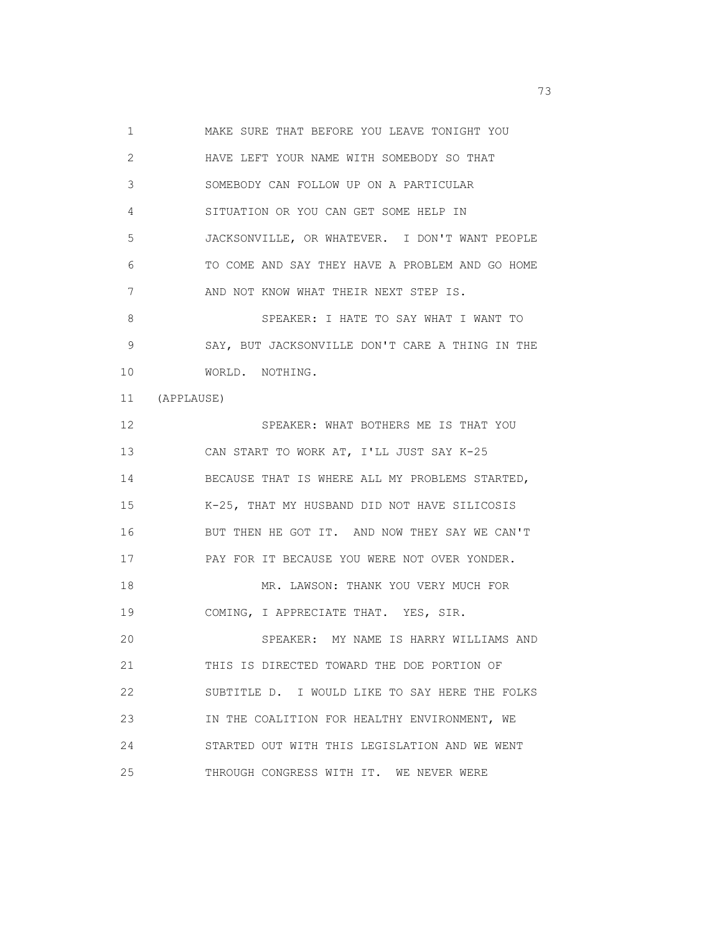1 MAKE SURE THAT BEFORE YOU LEAVE TONIGHT YOU 2 HAVE LEFT YOUR NAME WITH SOMEBODY SO THAT 3 SOMEBODY CAN FOLLOW UP ON A PARTICULAR 4 SITUATION OR YOU CAN GET SOME HELP IN 5 JACKSONVILLE, OR WHATEVER. I DON'T WANT PEOPLE 6 TO COME AND SAY THEY HAVE A PROBLEM AND GO HOME 7 AND NOT KNOW WHAT THEIR NEXT STEP IS. 8 SPEAKER: I HATE TO SAY WHAT I WANT TO 9 SAY, BUT JACKSONVILLE DON'T CARE A THING IN THE 10 WORLD. NOTHING. 11 (APPLAUSE) 12 SPEAKER: WHAT BOTHERS ME IS THAT YOU 13 CAN START TO WORK AT, I'LL JUST SAY K-25 14 BECAUSE THAT IS WHERE ALL MY PROBLEMS STARTED, 15 K-25, THAT MY HUSBAND DID NOT HAVE SILICOSIS 16 BUT THEN HE GOT IT. AND NOW THEY SAY WE CAN'T 17 PAY FOR IT BECAUSE YOU WERE NOT OVER YONDER. 18 MR. LAWSON: THANK YOU VERY MUCH FOR 19 COMING, I APPRECIATE THAT. YES, SIR. 20 SPEAKER: MY NAME IS HARRY WILLIAMS AND 21 THIS IS DIRECTED TOWARD THE DOE PORTION OF 22 SUBTITLE D. I WOULD LIKE TO SAY HERE THE FOLKS 23 IN THE COALITION FOR HEALTHY ENVIRONMENT, WE 24 STARTED OUT WITH THIS LEGISLATION AND WE WENT 25 THROUGH CONGRESS WITH IT. WE NEVER WERE

<u>23</u> and 23 and 23 and 23 and 23 and 23 and 23 and 23 and 23 and 23 and 23 and 23 and 23 and 23 and 23 and 23 and 23 and 23 and 23 and 23 and 23 and 23 and 23 and 23 and 23 and 23 and 23 and 23 and 23 and 23 and 23 and 23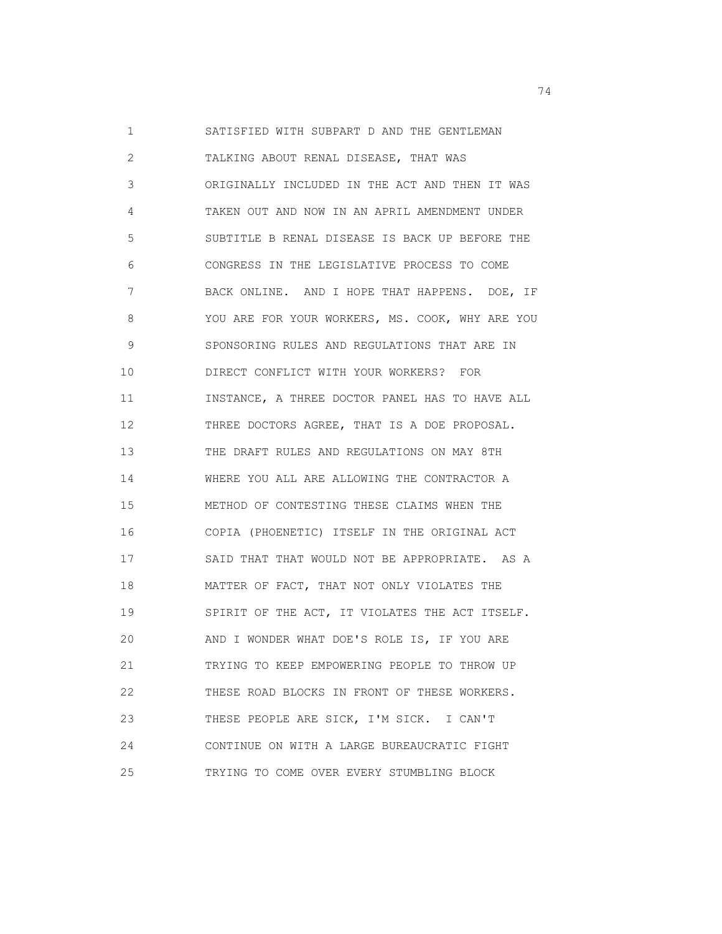1 SATISFIED WITH SUBPART D AND THE GENTLEMAN 2 TALKING ABOUT RENAL DISEASE, THAT WAS 3 ORIGINALLY INCLUDED IN THE ACT AND THEN IT WAS 4 TAKEN OUT AND NOW IN AN APRIL AMENDMENT UNDER 5 SUBTITLE B RENAL DISEASE IS BACK UP BEFORE THE 6 CONGRESS IN THE LEGISLATIVE PROCESS TO COME 7 BACK ONLINE. AND I HOPE THAT HAPPENS. DOE, IF 8 YOU ARE FOR YOUR WORKERS, MS. COOK, WHY ARE YOU 9 SPONSORING RULES AND REGULATIONS THAT ARE IN 10 DIRECT CONFLICT WITH YOUR WORKERS? FOR 11 INSTANCE, A THREE DOCTOR PANEL HAS TO HAVE ALL 12 THREE DOCTORS AGREE, THAT IS A DOE PROPOSAL. 13 THE DRAFT RULES AND REGULATIONS ON MAY 8TH 14 WHERE YOU ALL ARE ALLOWING THE CONTRACTOR A 15 METHOD OF CONTESTING THESE CLAIMS WHEN THE 16 COPIA (PHOENETIC) ITSELF IN THE ORIGINAL ACT 17 SAID THAT THAT WOULD NOT BE APPROPRIATE. AS A 18 MATTER OF FACT, THAT NOT ONLY VIOLATES THE 19 SPIRIT OF THE ACT, IT VIOLATES THE ACT ITSELF. 20 AND I WONDER WHAT DOE'S ROLE IS, IF YOU ARE 21 TRYING TO KEEP EMPOWERING PEOPLE TO THROW UP 22 THESE ROAD BLOCKS IN FRONT OF THESE WORKERS. 23 THESE PEOPLE ARE SICK, I'M SICK. I CAN'T 24 CONTINUE ON WITH A LARGE BUREAUCRATIC FIGHT 25 TRYING TO COME OVER EVERY STUMBLING BLOCK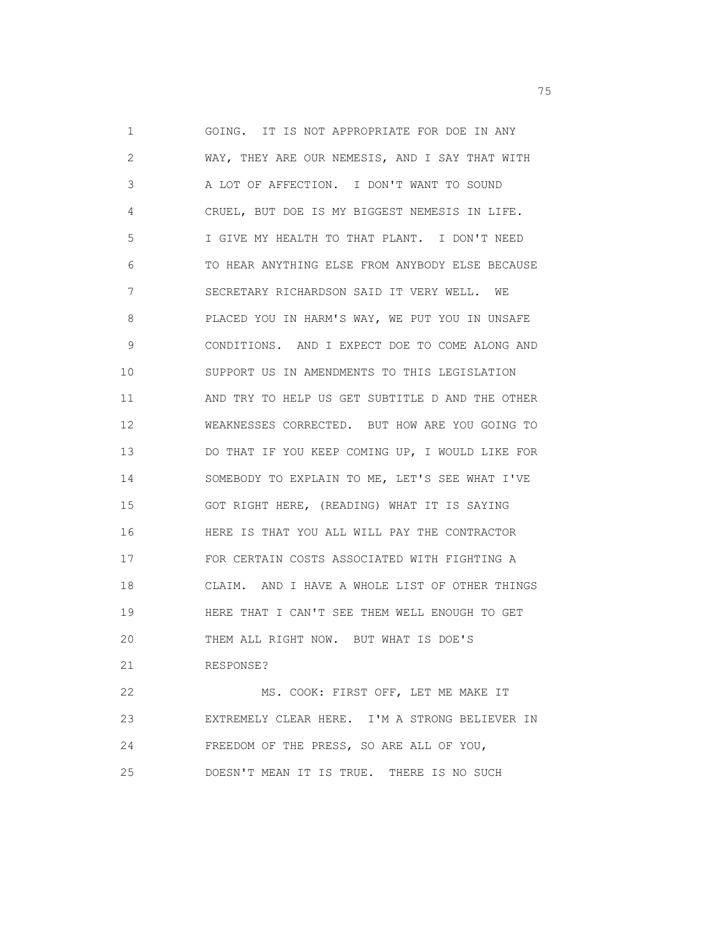1 GOING. IT IS NOT APPROPRIATE FOR DOE IN ANY 2 WAY, THEY ARE OUR NEMESIS, AND I SAY THAT WITH 3 A LOT OF AFFECTION. I DON'T WANT TO SOUND 4 CRUEL, BUT DOE IS MY BIGGEST NEMESIS IN LIFE. 5 I GIVE MY HEALTH TO THAT PLANT. I DON'T NEED 6 TO HEAR ANYTHING ELSE FROM ANYBODY ELSE BECAUSE 7 SECRETARY RICHARDSON SAID IT VERY WELL. WE 8 PLACED YOU IN HARM'S WAY, WE PUT YOU IN UNSAFE 9 CONDITIONS. AND I EXPECT DOE TO COME ALONG AND 10 SUPPORT US IN AMENDMENTS TO THIS LEGISLATION 11 AND TRY TO HELP US GET SUBTITLE D AND THE OTHER 12 WEAKNESSES CORRECTED. BUT HOW ARE YOU GOING TO 13 DO THAT IF YOU KEEP COMING UP, I WOULD LIKE FOR 14 SOMEBODY TO EXPLAIN TO ME, LET'S SEE WHAT I'VE 15 GOT RIGHT HERE, (READING) WHAT IT IS SAYING 16 HERE IS THAT YOU ALL WILL PAY THE CONTRACTOR 17 FOR CERTAIN COSTS ASSOCIATED WITH FIGHTING A 18 CLAIM. AND I HAVE A WHOLE LIST OF OTHER THINGS 19 HERE THAT I CAN'T SEE THEM WELL ENOUGH TO GET 20 THEM ALL RIGHT NOW. BUT WHAT IS DOE'S 21 RESPONSE? 22 MS. COOK: FIRST OFF, LET ME MAKE IT 23 EXTREMELY CLEAR HERE. I'M A STRONG BELIEVER IN

25 DOESN'T MEAN IT IS TRUE. THERE IS NO SUCH

24 FREEDOM OF THE PRESS, SO ARE ALL OF YOU,

<u>25</u> The contract of the contract of the contract of the contract of the contract of the contract of the contract of the contract of the contract of the contract of the contract of the contract of the contract of the contr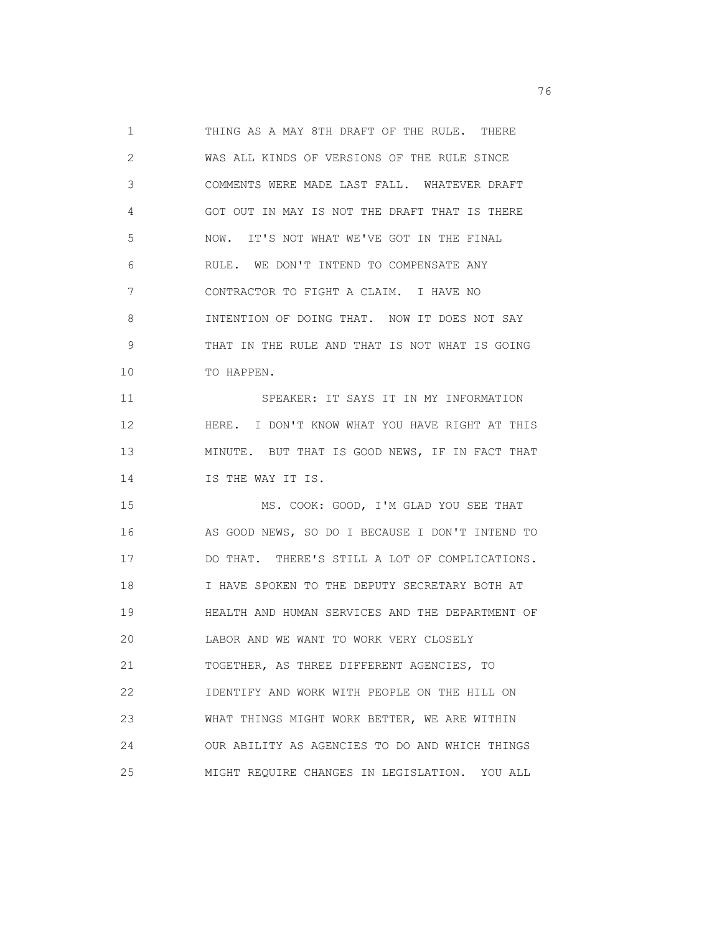1 THING AS A MAY 8TH DRAFT OF THE RULE. THERE 2 WAS ALL KINDS OF VERSIONS OF THE RULE SINCE 3 COMMENTS WERE MADE LAST FALL. WHATEVER DRAFT 4 GOT OUT IN MAY IS NOT THE DRAFT THAT IS THERE 5 NOW. IT'S NOT WHAT WE'VE GOT IN THE FINAL 6 RULE. WE DON'T INTEND TO COMPENSATE ANY 7 CONTRACTOR TO FIGHT A CLAIM. I HAVE NO 8 INTENTION OF DOING THAT. NOW IT DOES NOT SAY 9 THAT IN THE RULE AND THAT IS NOT WHAT IS GOING 10 TO HAPPEN. 11 SPEAKER: IT SAYS IT IN MY INFORMATION 12 HERE. I DON'T KNOW WHAT YOU HAVE RIGHT AT THIS 13 MINUTE. BUT THAT IS GOOD NEWS, IF IN FACT THAT 14 IS THE WAY IT IS. 15 MS. COOK: GOOD, I'M GLAD YOU SEE THAT 16 AS GOOD NEWS, SO DO I BECAUSE I DON'T INTEND TO 17 DO THAT. THERE'S STILL A LOT OF COMPLICATIONS. 18 I HAVE SPOKEN TO THE DEPUTY SECRETARY BOTH AT 19 HEALTH AND HUMAN SERVICES AND THE DEPARTMENT OF 20 LABOR AND WE WANT TO WORK VERY CLOSELY 21 TOGETHER, AS THREE DIFFERENT AGENCIES, TO 22 IDENTIFY AND WORK WITH PEOPLE ON THE HILL ON 23 WHAT THINGS MIGHT WORK BETTER, WE ARE WITHIN 24 OUR ABILITY AS AGENCIES TO DO AND WHICH THINGS 25 MIGHT REQUIRE CHANGES IN LEGISLATION. YOU ALL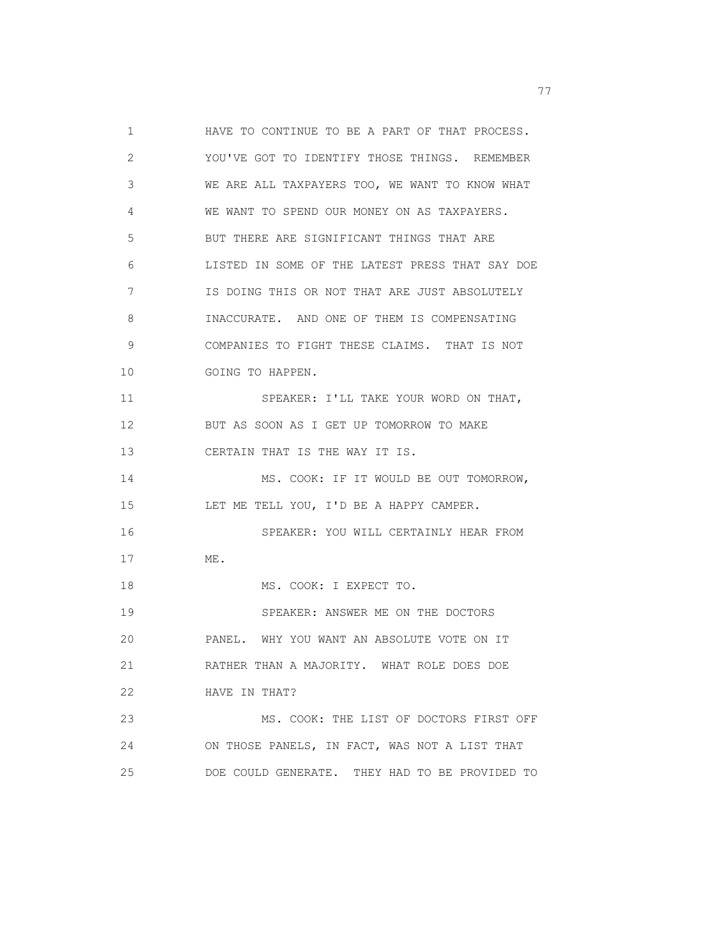1 HAVE TO CONTINUE TO BE A PART OF THAT PROCESS. 2 YOU'VE GOT TO IDENTIFY THOSE THINGS. REMEMBER 3 WE ARE ALL TAXPAYERS TOO, WE WANT TO KNOW WHAT 4 WE WANT TO SPEND OUR MONEY ON AS TAXPAYERS. 5 BUT THERE ARE SIGNIFICANT THINGS THAT ARE 6 LISTED IN SOME OF THE LATEST PRESS THAT SAY DOE 7 IS DOING THIS OR NOT THAT ARE JUST ABSOLUTELY 8 INACCURATE. AND ONE OF THEM IS COMPENSATING 9 COMPANIES TO FIGHT THESE CLAIMS. THAT IS NOT 10 GOING TO HAPPEN. 11 SPEAKER: I'LL TAKE YOUR WORD ON THAT, 12 BUT AS SOON AS I GET UP TOMORROW TO MAKE 13 CERTAIN THAT IS THE WAY IT IS. 14 MS. COOK: IF IT WOULD BE OUT TOMORROW, 15 LET ME TELL YOU, I'D BE A HAPPY CAMPER. 16 SPEAKER: YOU WILL CERTAINLY HEAR FROM 17 ME. 18 MS. COOK: I EXPECT TO. 19 SPEAKER: ANSWER ME ON THE DOCTORS 20 PANEL. WHY YOU WANT AN ABSOLUTE VOTE ON IT 21 RATHER THAN A MAJORITY. WHAT ROLE DOES DOE 22 HAVE IN THAT? 23 MS. COOK: THE LIST OF DOCTORS FIRST OFF 24 ON THOSE PANELS, IN FACT, WAS NOT A LIST THAT 25 DOE COULD GENERATE. THEY HAD TO BE PROVIDED TO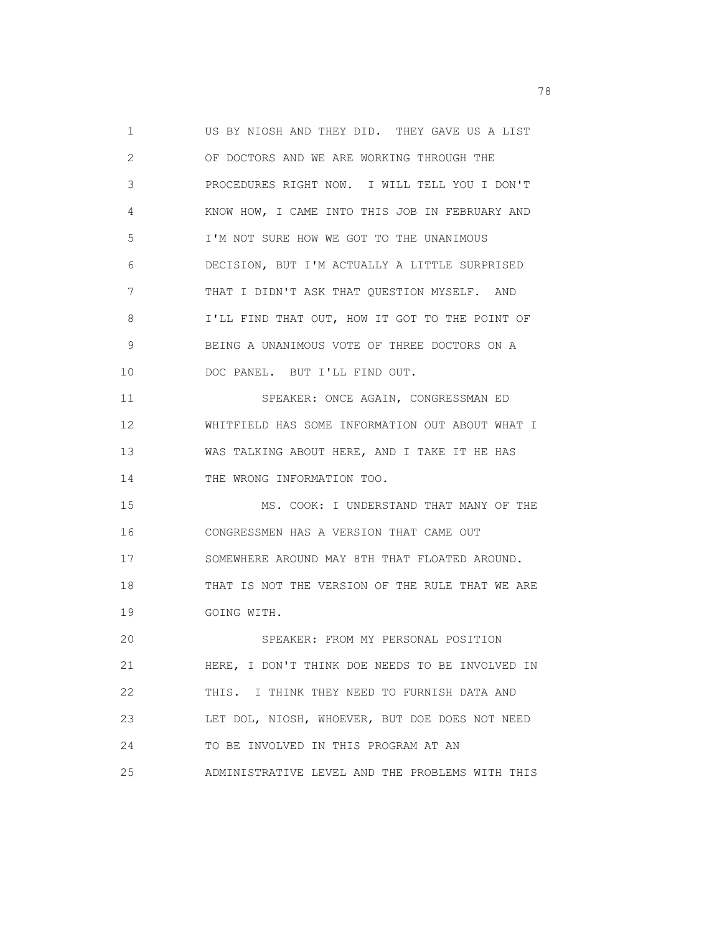1 US BY NIOSH AND THEY DID. THEY GAVE US A LIST 2 OF DOCTORS AND WE ARE WORKING THROUGH THE 3 PROCEDURES RIGHT NOW. I WILL TELL YOU I DON'T 4 KNOW HOW, I CAME INTO THIS JOB IN FEBRUARY AND 5 I'M NOT SURE HOW WE GOT TO THE UNANIMOUS 6 DECISION, BUT I'M ACTUALLY A LITTLE SURPRISED 7 THAT I DIDN'T ASK THAT QUESTION MYSELF. AND 8 I'LL FIND THAT OUT, HOW IT GOT TO THE POINT OF 9 BEING A UNANIMOUS VOTE OF THREE DOCTORS ON A 10 DOC PANEL. BUT I'LL FIND OUT. 11 SPEAKER: ONCE AGAIN, CONGRESSMAN ED 12 WHITFIELD HAS SOME INFORMATION OUT ABOUT WHAT I 13 WAS TALKING ABOUT HERE, AND I TAKE IT HE HAS 14 THE WRONG INFORMATION TOO. 15 MS. COOK: I UNDERSTAND THAT MANY OF THE 16 CONGRESSMEN HAS A VERSION THAT CAME OUT 17 SOMEWHERE AROUND MAY 8TH THAT FLOATED AROUND. 18 THAT IS NOT THE VERSION OF THE RULE THAT WE ARE 19 GOING WITH. 20 SPEAKER: FROM MY PERSONAL POSITION 21 HERE, I DON'T THINK DOE NEEDS TO BE INVOLVED IN 22 THIS. I THINK THEY NEED TO FURNISH DATA AND 23 LET DOL, NIOSH, WHOEVER, BUT DOE DOES NOT NEED 24 TO BE INVOLVED IN THIS PROGRAM AT AN 25 ADMINISTRATIVE LEVEL AND THE PROBLEMS WITH THIS

n and the state of the state of the state of the state of the state of the state of the state of the state of the state of the state of the state of the state of the state of the state of the state of the state of the stat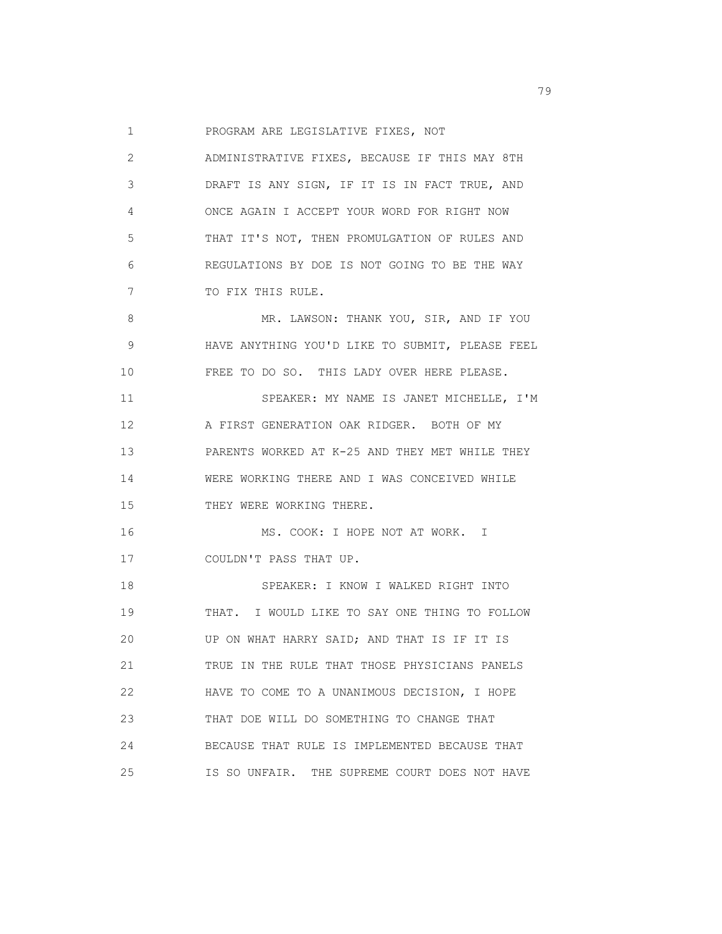1 PROGRAM ARE LEGISLATIVE FIXES, NOT

| $\mathbf{2}^{\prime}$ | ADMINISTRATIVE FIXES, BECAUSE IF THIS MAY 8TH   |
|-----------------------|-------------------------------------------------|
| 3                     | DRAFT IS ANY SIGN, IF IT IS IN FACT TRUE, AND   |
| 4                     | ONCE AGAIN I ACCEPT YOUR WORD FOR RIGHT NOW     |
| 5                     | THAT IT'S NOT, THEN PROMULGATION OF RULES AND   |
| 6                     | REGULATIONS BY DOE IS NOT GOING TO BE THE WAY   |
| 7                     | TO FIX THIS RULE.                               |
| 8                     | MR. LAWSON: THANK YOU, SIR, AND IF YOU          |
| $\mathsf 9$           | HAVE ANYTHING YOU'D LIKE TO SUBMIT, PLEASE FEEL |
| 10                    | FREE TO DO SO. THIS LADY OVER HERE PLEASE.      |
| 11                    | SPEAKER: MY NAME IS JANET MICHELLE, I'M         |
| 12                    | A FIRST GENERATION OAK RIDGER. BOTH OF MY       |
| 13                    | PARENTS WORKED AT K-25 AND THEY MET WHILE THEY  |
| 14                    | WERE WORKING THERE AND I WAS CONCEIVED WHILE    |
| 15                    | THEY WERE WORKING THERE.                        |
| 16                    | MS. COOK: I HOPE NOT AT WORK. I                 |
| 17                    | COULDN'T PASS THAT UP.                          |
| 18                    | SPEAKER: I KNOW I WALKED RIGHT INTO             |
| 19                    | THAT. I WOULD LIKE TO SAY ONE THING TO FOLLOW   |
| 20                    | UP ON WHAT HARRY SAID; AND THAT IS IF IT IS     |
| 21                    | TRUE IN THE RULE THAT THOSE PHYSICIANS PANELS   |
| 22                    | HAVE TO COME TO A UNANIMOUS DECISION, I HOPE    |
| 23                    | THAT DOE WILL DO SOMETHING TO CHANGE THAT       |
| 24                    | BECAUSE THAT RULE IS IMPLEMENTED BECAUSE THAT   |
| 25                    | IS SO UNFAIR. THE SUPREME COURT DOES NOT HAVE   |

ng pangalang pangalang pangalang pangalang pangalang pangalang pangalang pangalang pangalang pangalang pangala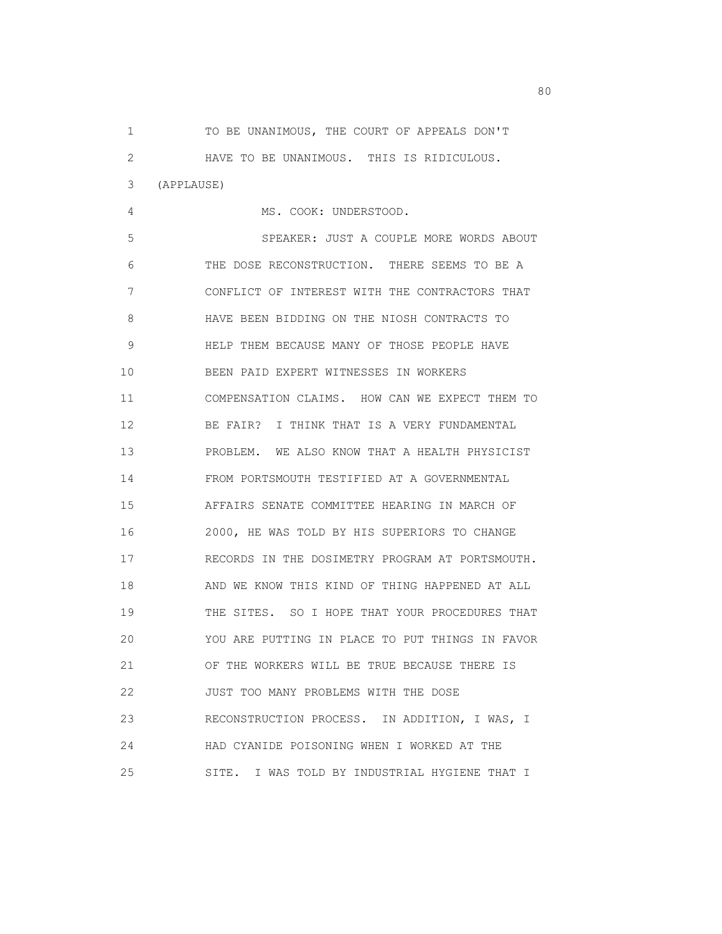1 TO BE UNANIMOUS, THE COURT OF APPEALS DON'T 2 HAVE TO BE UNANIMOUS. THIS IS RIDICULOUS. 3 (APPLAUSE) 4 MS. COOK: UNDERSTOOD. 5 SPEAKER: JUST A COUPLE MORE WORDS ABOUT 6 THE DOSE RECONSTRUCTION. THERE SEEMS TO BE A 7 CONFLICT OF INTEREST WITH THE CONTRACTORS THAT 8 HAVE BEEN BIDDING ON THE NIOSH CONTRACTS TO 9 HELP THEM BECAUSE MANY OF THOSE PEOPLE HAVE 10 BEEN PAID EXPERT WITNESSES IN WORKERS 11 COMPENSATION CLAIMS. HOW CAN WE EXPECT THEM TO 12 BE FAIR? I THINK THAT IS A VERY FUNDAMENTAL 13 PROBLEM. WE ALSO KNOW THAT A HEALTH PHYSICIST 14 FROM PORTSMOUTH TESTIFIED AT A GOVERNMENTAL 15 AFFAIRS SENATE COMMITTEE HEARING IN MARCH OF 16 2000, HE WAS TOLD BY HIS SUPERIORS TO CHANGE 17 RECORDS IN THE DOSIMETRY PROGRAM AT PORTSMOUTH. 18 AND WE KNOW THIS KIND OF THING HAPPENED AT ALL 19 THE SITES. SO I HOPE THAT YOUR PROCEDURES THAT 20 YOU ARE PUTTING IN PLACE TO PUT THINGS IN FAVOR 21 OF THE WORKERS WILL BE TRUE BECAUSE THERE IS 22 JUST TOO MANY PROBLEMS WITH THE DOSE 23 RECONSTRUCTION PROCESS. IN ADDITION, I WAS, I 24 HAD CYANIDE POISONING WHEN I WORKED AT THE 25 SITE. I WAS TOLD BY INDUSTRIAL HYGIENE THAT I

entration of the state of the state of the state of the state of the state of the state of the state of the st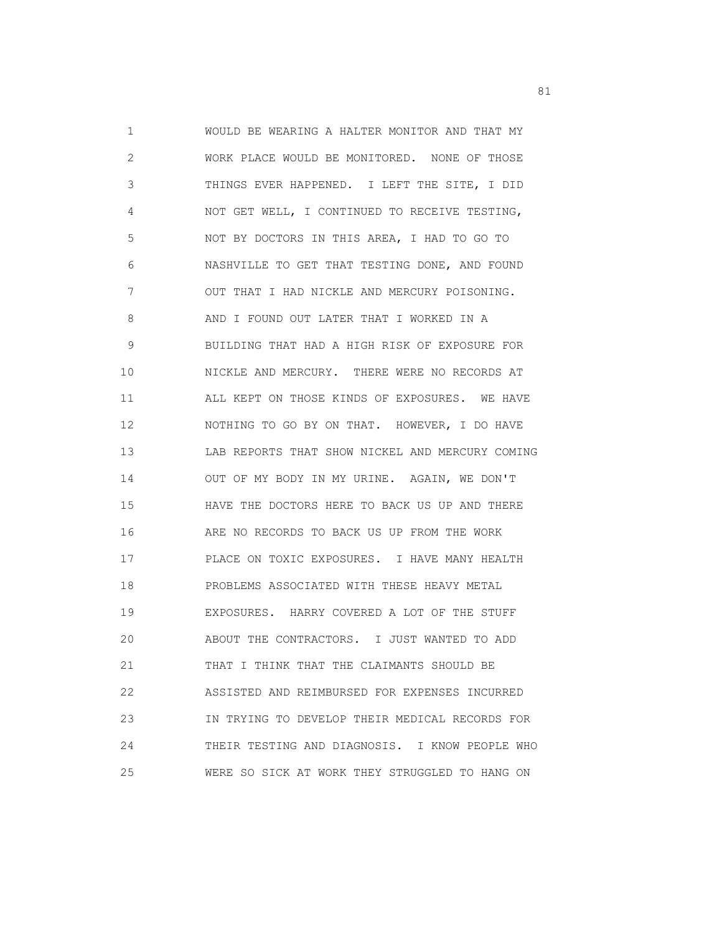1 WOULD BE WEARING A HALTER MONITOR AND THAT MY 2 WORK PLACE WOULD BE MONITORED. NONE OF THOSE 3 THINGS EVER HAPPENED. I LEFT THE SITE, I DID 4 NOT GET WELL, I CONTINUED TO RECEIVE TESTING, 5 NOT BY DOCTORS IN THIS AREA, I HAD TO GO TO 6 NASHVILLE TO GET THAT TESTING DONE, AND FOUND 7 OUT THAT I HAD NICKLE AND MERCURY POISONING. 8 AND I FOUND OUT LATER THAT I WORKED IN A 9 BUILDING THAT HAD A HIGH RISK OF EXPOSURE FOR 10 NICKLE AND MERCURY. THERE WERE NO RECORDS AT 11 ALL KEPT ON THOSE KINDS OF EXPOSURES. WE HAVE 12 NOTHING TO GO BY ON THAT. HOWEVER, I DO HAVE 13 LAB REPORTS THAT SHOW NICKEL AND MERCURY COMING 14 OUT OF MY BODY IN MY URINE. AGAIN, WE DON'T 15 HAVE THE DOCTORS HERE TO BACK US UP AND THERE 16 ARE NO RECORDS TO BACK US UP FROM THE WORK 17 PLACE ON TOXIC EXPOSURES. I HAVE MANY HEALTH 18 PROBLEMS ASSOCIATED WITH THESE HEAVY METAL 19 EXPOSURES. HARRY COVERED A LOT OF THE STUFF 20 ABOUT THE CONTRACTORS. I JUST WANTED TO ADD 21 THAT I THINK THAT THE CLAIMANTS SHOULD BE 22 ASSISTED AND REIMBURSED FOR EXPENSES INCURRED 23 IN TRYING TO DEVELOP THEIR MEDICAL RECORDS FOR 24 THEIR TESTING AND DIAGNOSIS. I KNOW PEOPLE WHO 25 WERE SO SICK AT WORK THEY STRUGGLED TO HANG ON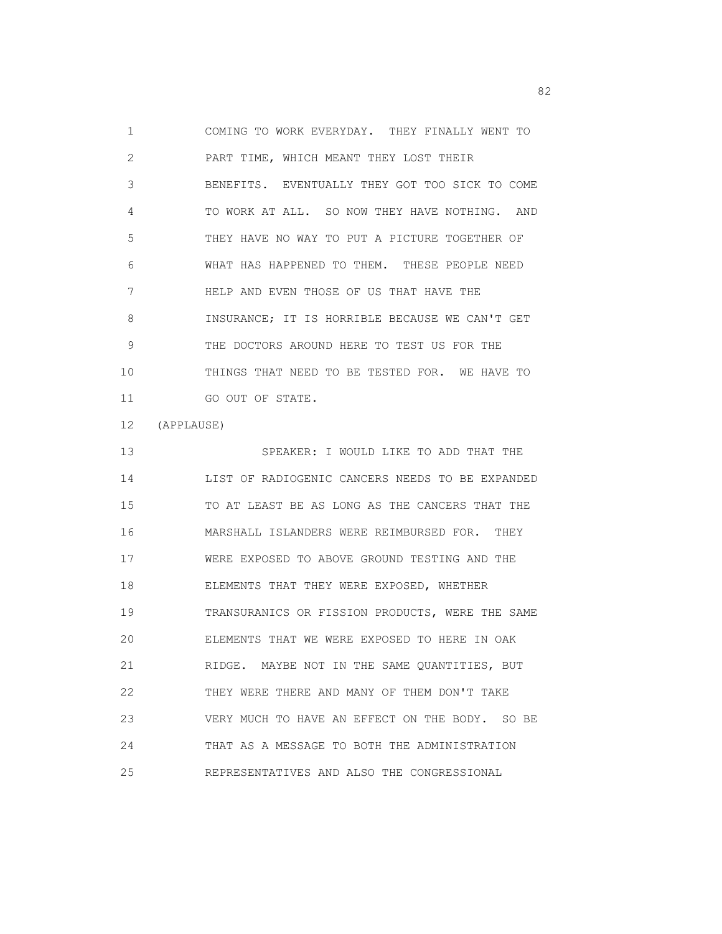1 COMING TO WORK EVERYDAY. THEY FINALLY WENT TO 2 PART TIME, WHICH MEANT THEY LOST THEIR 3 BENEFITS. EVENTUALLY THEY GOT TOO SICK TO COME 4 TO WORK AT ALL. SO NOW THEY HAVE NOTHING. AND 5 THEY HAVE NO WAY TO PUT A PICTURE TOGETHER OF 6 WHAT HAS HAPPENED TO THEM. THESE PEOPLE NEED 7 HELP AND EVEN THOSE OF US THAT HAVE THE 8 INSURANCE; IT IS HORRIBLE BECAUSE WE CAN'T GET 9 THE DOCTORS AROUND HERE TO TEST US FOR THE 10 THINGS THAT NEED TO BE TESTED FOR. WE HAVE TO 11 GO OUT OF STATE.

12 (APPLAUSE)

 13 SPEAKER: I WOULD LIKE TO ADD THAT THE 14 LIST OF RADIOGENIC CANCERS NEEDS TO BE EXPANDED 15 TO AT LEAST BE AS LONG AS THE CANCERS THAT THE 16 MARSHALL ISLANDERS WERE REIMBURSED FOR. THEY 17 WERE EXPOSED TO ABOVE GROUND TESTING AND THE 18 ELEMENTS THAT THEY WERE EXPOSED, WHETHER 19 TRANSURANICS OR FISSION PRODUCTS, WERE THE SAME 20 ELEMENTS THAT WE WERE EXPOSED TO HERE IN OAK 21 RIDGE. MAYBE NOT IN THE SAME QUANTITIES, BUT 22 THEY WERE THERE AND MANY OF THEM DON'T TAKE 23 VERY MUCH TO HAVE AN EFFECT ON THE BODY. SO BE 24 THAT AS A MESSAGE TO BOTH THE ADMINISTRATION 25 REPRESENTATIVES AND ALSO THE CONGRESSIONAL

experience of the state of the state of the state of the state of the state of the state of the state of the s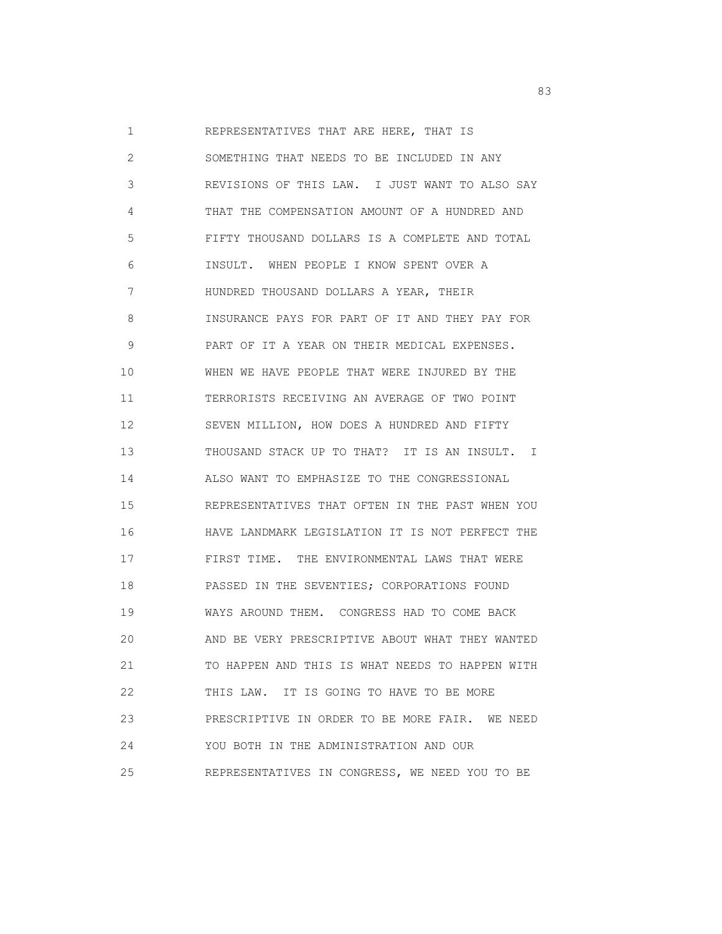1 REPRESENTATIVES THAT ARE HERE, THAT IS 2 SOMETHING THAT NEEDS TO BE INCLUDED IN ANY 3 REVISIONS OF THIS LAW. I JUST WANT TO ALSO SAY 4 THAT THE COMPENSATION AMOUNT OF A HUNDRED AND 5 FIFTY THOUSAND DOLLARS IS A COMPLETE AND TOTAL 6 INSULT. WHEN PEOPLE I KNOW SPENT OVER A 7 HUNDRED THOUSAND DOLLARS A YEAR, THEIR 8 INSURANCE PAYS FOR PART OF IT AND THEY PAY FOR 9 PART OF IT A YEAR ON THEIR MEDICAL EXPENSES. 10 WHEN WE HAVE PEOPLE THAT WERE INJURED BY THE 11 TERRORISTS RECEIVING AN AVERAGE OF TWO POINT 12 SEVEN MILLION, HOW DOES A HUNDRED AND FIFTY 13 THOUSAND STACK UP TO THAT? IT IS AN INSULT. I 14 ALSO WANT TO EMPHASIZE TO THE CONGRESSIONAL 15 REPRESENTATIVES THAT OFTEN IN THE PAST WHEN YOU 16 HAVE LANDMARK LEGISLATION IT IS NOT PERFECT THE 17 FIRST TIME. THE ENVIRONMENTAL LAWS THAT WERE 18 PASSED IN THE SEVENTIES; CORPORATIONS FOUND 19 WAYS AROUND THEM. CONGRESS HAD TO COME BACK 20 AND BE VERY PRESCRIPTIVE ABOUT WHAT THEY WANTED 21 TO HAPPEN AND THIS IS WHAT NEEDS TO HAPPEN WITH 22 THIS LAW. IT IS GOING TO HAVE TO BE MORE 23 PRESCRIPTIVE IN ORDER TO BE MORE FAIR. WE NEED 24 YOU BOTH IN THE ADMINISTRATION AND OUR 25 REPRESENTATIVES IN CONGRESS, WE NEED YOU TO BE

experience of the contract of the contract of the contract of the contract of the contract of the contract of the contract of the contract of the contract of the contract of the contract of the contract of the contract of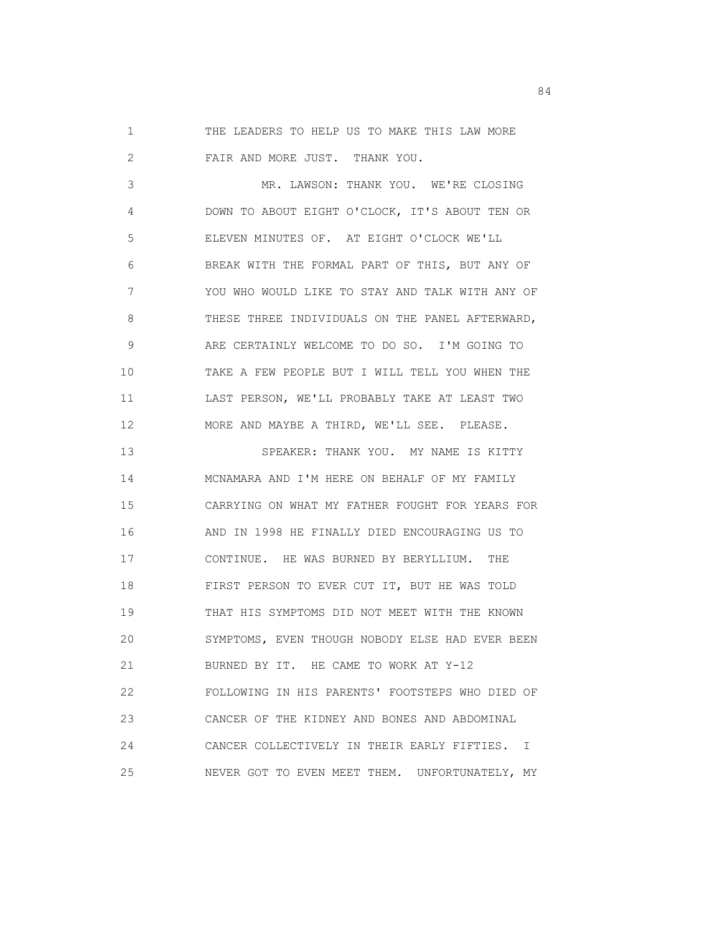1 THE LEADERS TO HELP US TO MAKE THIS LAW MORE 2 FAIR AND MORE JUST. THANK YOU.

 3 MR. LAWSON: THANK YOU. WE'RE CLOSING 4 DOWN TO ABOUT EIGHT O'CLOCK, IT'S ABOUT TEN OR 5 ELEVEN MINUTES OF. AT EIGHT O'CLOCK WE'LL 6 BREAK WITH THE FORMAL PART OF THIS, BUT ANY OF 7 YOU WHO WOULD LIKE TO STAY AND TALK WITH ANY OF 8 THESE THREE INDIVIDUALS ON THE PANEL AFTERWARD, 9 ARE CERTAINLY WELCOME TO DO SO. I'M GOING TO 10 TAKE A FEW PEOPLE BUT I WILL TELL YOU WHEN THE 11 LAST PERSON, WE'LL PROBABLY TAKE AT LEAST TWO 12 MORE AND MAYBE A THIRD, WE'LL SEE. PLEASE.

 13 SPEAKER: THANK YOU. MY NAME IS KITTY 14 MCNAMARA AND I'M HERE ON BEHALF OF MY FAMILY 15 CARRYING ON WHAT MY FATHER FOUGHT FOR YEARS FOR 16 AND IN 1998 HE FINALLY DIED ENCOURAGING US TO 17 CONTINUE. HE WAS BURNED BY BERYLLIUM. THE 18 FIRST PERSON TO EVER CUT IT, BUT HE WAS TOLD 19 THAT HIS SYMPTOMS DID NOT MEET WITH THE KNOWN 20 SYMPTOMS, EVEN THOUGH NOBODY ELSE HAD EVER BEEN 21 BURNED BY IT. HE CAME TO WORK AT Y-12 22 FOLLOWING IN HIS PARENTS' FOOTSTEPS WHO DIED OF 23 CANCER OF THE KIDNEY AND BONES AND ABDOMINAL 24 CANCER COLLECTIVELY IN THEIR EARLY FIFTIES. I 25 NEVER GOT TO EVEN MEET THEM. UNFORTUNATELY, MY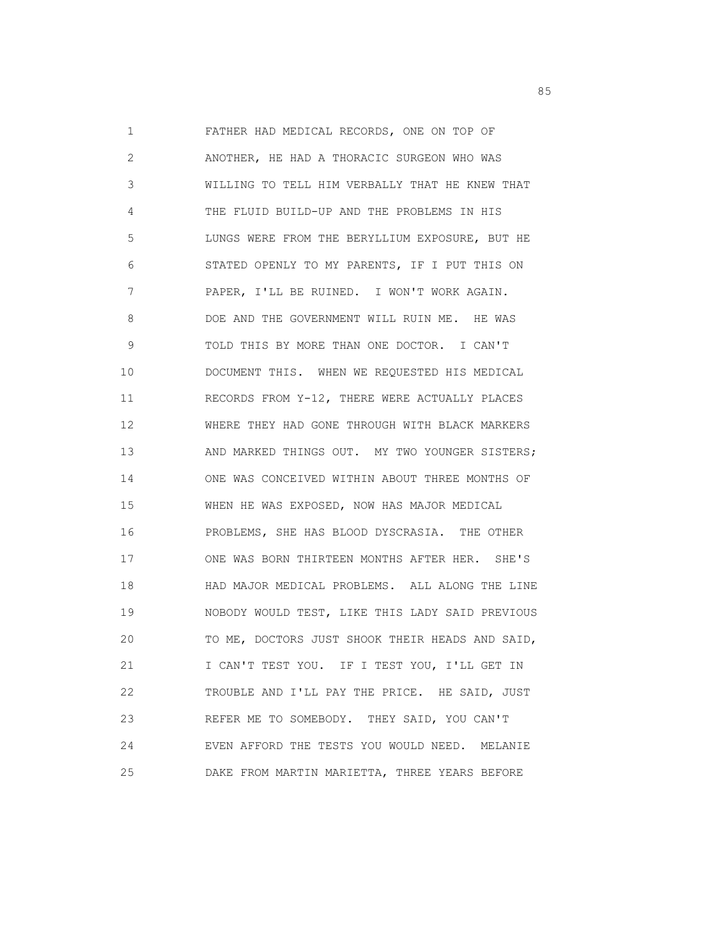1 FATHER HAD MEDICAL RECORDS, ONE ON TOP OF 2 ANOTHER, HE HAD A THORACIC SURGEON WHO WAS 3 WILLING TO TELL HIM VERBALLY THAT HE KNEW THAT 4 THE FLUID BUILD-UP AND THE PROBLEMS IN HIS 5 LUNGS WERE FROM THE BERYLLIUM EXPOSURE, BUT HE 6 STATED OPENLY TO MY PARENTS, IF I PUT THIS ON 7 PAPER, I'LL BE RUINED. I WON'T WORK AGAIN. 8 DOE AND THE GOVERNMENT WILL RUIN ME. HE WAS 9 TOLD THIS BY MORE THAN ONE DOCTOR. I CAN'T 10 DOCUMENT THIS. WHEN WE REQUESTED HIS MEDICAL 11 RECORDS FROM Y-12, THERE WERE ACTUALLY PLACES 12 WHERE THEY HAD GONE THROUGH WITH BLACK MARKERS 13 AND MARKED THINGS OUT. MY TWO YOUNGER SISTERS; 14 ONE WAS CONCEIVED WITHIN ABOUT THREE MONTHS OF 15 WHEN HE WAS EXPOSED, NOW HAS MAJOR MEDICAL 16 PROBLEMS, SHE HAS BLOOD DYSCRASIA. THE OTHER 17 ONE WAS BORN THIRTEEN MONTHS AFTER HER. SHE'S 18 HAD MAJOR MEDICAL PROBLEMS. ALL ALONG THE LINE 19 NOBODY WOULD TEST, LIKE THIS LADY SAID PREVIOUS 20 TO ME, DOCTORS JUST SHOOK THEIR HEADS AND SAID, 21 I CAN'T TEST YOU. IF I TEST YOU, I'LL GET IN 22 TROUBLE AND I'LL PAY THE PRICE. HE SAID, JUST 23 REFER ME TO SOMEBODY. THEY SAID, YOU CAN'T 24 EVEN AFFORD THE TESTS YOU WOULD NEED. MELANIE 25 DAKE FROM MARTIN MARIETTA, THREE YEARS BEFORE

experience of the contract of the contract of the contract of the contract of the contract of the contract of the contract of the contract of the contract of the contract of the contract of the contract of the contract of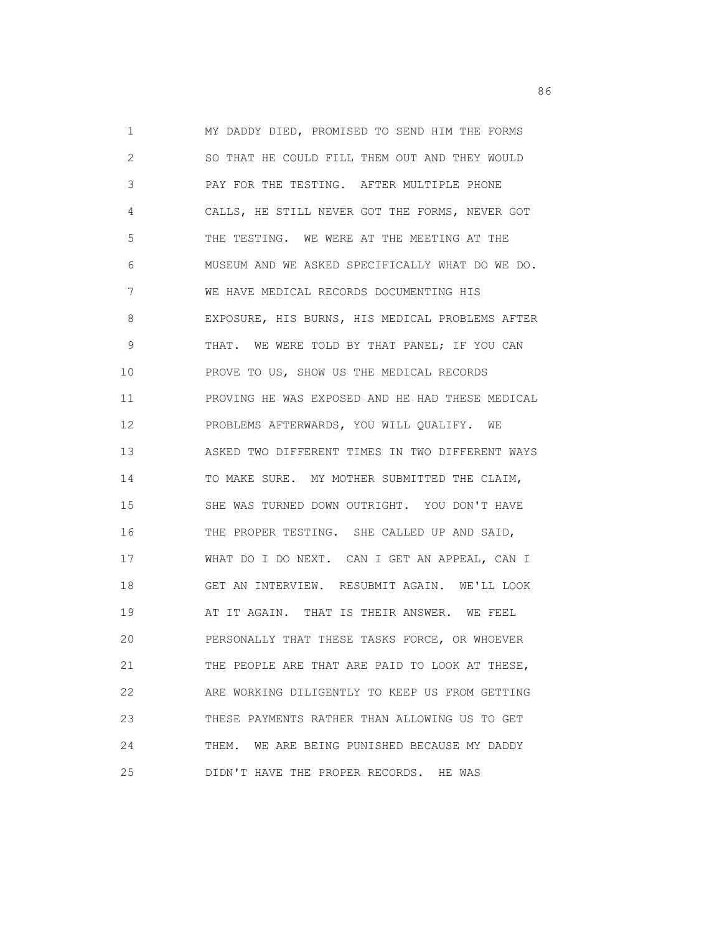1 MY DADDY DIED, PROMISED TO SEND HIM THE FORMS 2 SO THAT HE COULD FILL THEM OUT AND THEY WOULD 3 PAY FOR THE TESTING. AFTER MULTIPLE PHONE 4 CALLS, HE STILL NEVER GOT THE FORMS, NEVER GOT 5 THE TESTING. WE WERE AT THE MEETING AT THE 6 MUSEUM AND WE ASKED SPECIFICALLY WHAT DO WE DO. 7 WE HAVE MEDICAL RECORDS DOCUMENTING HIS 8 EXPOSURE, HIS BURNS, HIS MEDICAL PROBLEMS AFTER 9 THAT. WE WERE TOLD BY THAT PANEL; IF YOU CAN 10 PROVE TO US, SHOW US THE MEDICAL RECORDS 11 PROVING HE WAS EXPOSED AND HE HAD THESE MEDICAL 12 PROBLEMS AFTERWARDS, YOU WILL QUALIFY. WE 13 ASKED TWO DIFFERENT TIMES IN TWO DIFFERENT WAYS 14 TO MAKE SURE. MY MOTHER SUBMITTED THE CLAIM, 15 SHE WAS TURNED DOWN OUTRIGHT. YOU DON'T HAVE 16 THE PROPER TESTING. SHE CALLED UP AND SAID, 17 WHAT DO I DO NEXT. CAN I GET AN APPEAL, CAN I 18 GET AN INTERVIEW. RESUBMIT AGAIN. WE'LL LOOK 19 AT IT AGAIN. THAT IS THEIR ANSWER. WE FEEL 20 PERSONALLY THAT THESE TASKS FORCE, OR WHOEVER 21 THE PEOPLE ARE THAT ARE PAID TO LOOK AT THESE, 22 ARE WORKING DILIGENTLY TO KEEP US FROM GETTING 23 THESE PAYMENTS RATHER THAN ALLOWING US TO GET 24 THEM. WE ARE BEING PUNISHED BECAUSE MY DADDY 25 DIDN'T HAVE THE PROPER RECORDS. HE WAS

en de la construction de la construction de la construction de la construction de la construction de la construction de la construction de la construction de la construction de la construction de la construction de la cons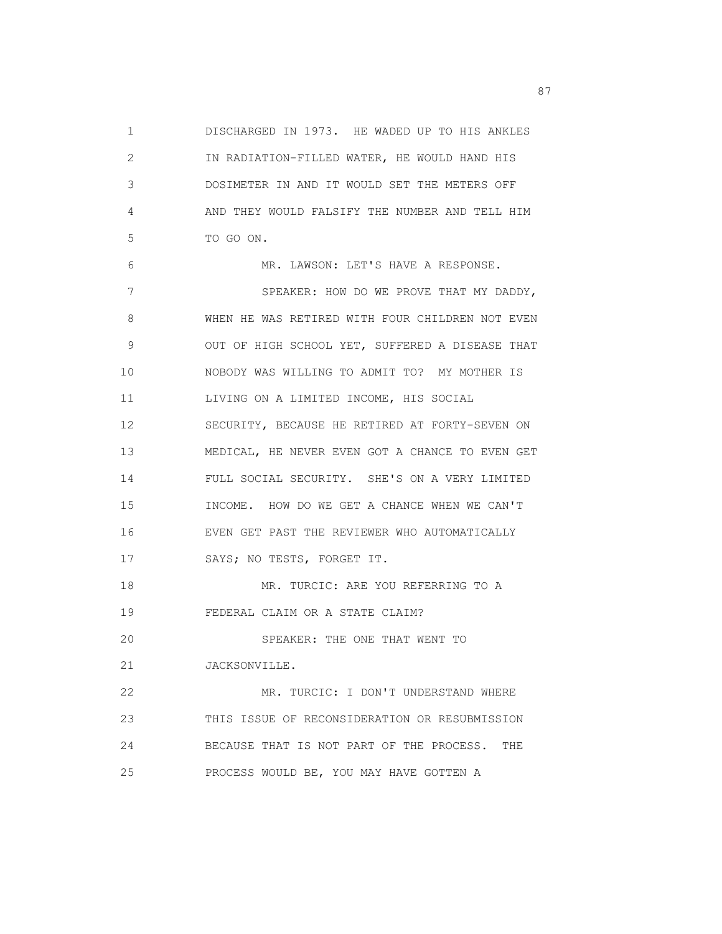1 DISCHARGED IN 1973. HE WADED UP TO HIS ANKLES 2 IN RADIATION-FILLED WATER, HE WOULD HAND HIS 3 DOSIMETER IN AND IT WOULD SET THE METERS OFF 4 AND THEY WOULD FALSIFY THE NUMBER AND TELL HIM 5 TO GO ON. 6 MR. LAWSON: LET'S HAVE A RESPONSE. 7 SPEAKER: HOW DO WE PROVE THAT MY DADDY, 8 WHEN HE WAS RETIRED WITH FOUR CHILDREN NOT EVEN 9 OUT OF HIGH SCHOOL YET, SUFFERED A DISEASE THAT 10 NOBODY WAS WILLING TO ADMIT TO? MY MOTHER IS 11 LIVING ON A LIMITED INCOME, HIS SOCIAL 12 SECURITY, BECAUSE HE RETIRED AT FORTY-SEVEN ON 13 MEDICAL, HE NEVER EVEN GOT A CHANCE TO EVEN GET 14 FULL SOCIAL SECURITY. SHE'S ON A VERY LIMITED 15 INCOME. HOW DO WE GET A CHANCE WHEN WE CAN'T 16 EVEN GET PAST THE REVIEWER WHO AUTOMATICALLY 17 SAYS; NO TESTS, FORGET IT. 18 MR. TURCIC: ARE YOU REFERRING TO A 19 FEDERAL CLAIM OR A STATE CLAIM? 20 SPEAKER: THE ONE THAT WENT TO 21 JACKSONVILLE. 22 MR. TURCIC: I DON'T UNDERSTAND WHERE 23 THIS ISSUE OF RECONSIDERATION OR RESUBMISSION 24 BECAUSE THAT IS NOT PART OF THE PROCESS. THE 25 PROCESS WOULD BE, YOU MAY HAVE GOTTEN A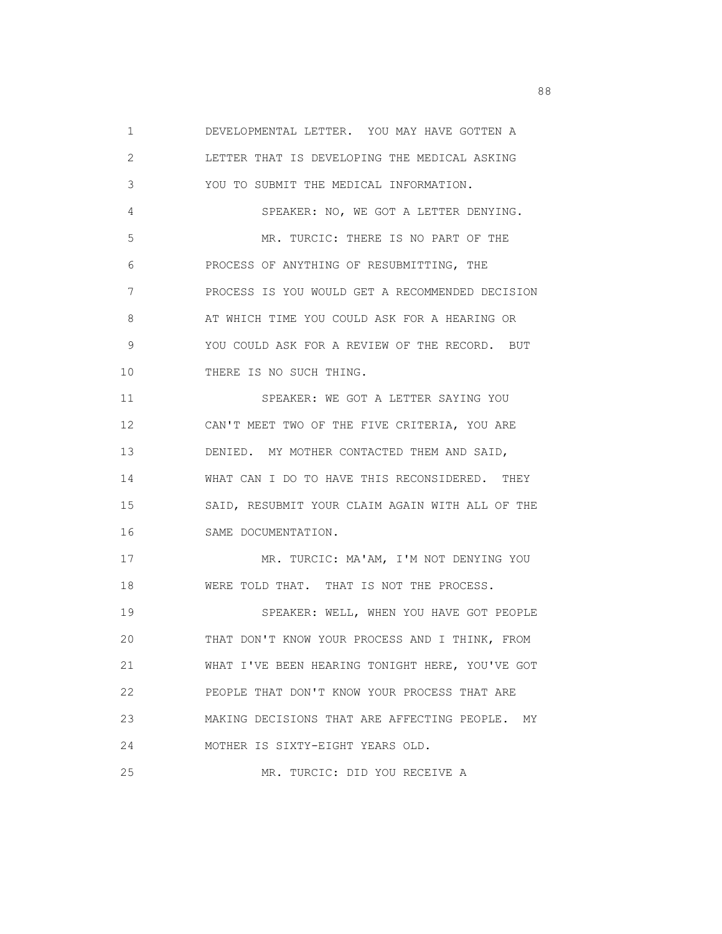1 DEVELOPMENTAL LETTER. YOU MAY HAVE GOTTEN A 2 LETTER THAT IS DEVELOPING THE MEDICAL ASKING 3 YOU TO SUBMIT THE MEDICAL INFORMATION. 4 SPEAKER: NO, WE GOT A LETTER DENYING. 5 MR. TURCIC: THERE IS NO PART OF THE 6 PROCESS OF ANYTHING OF RESUBMITTING, THE 7 PROCESS IS YOU WOULD GET A RECOMMENDED DECISION 8 AT WHICH TIME YOU COULD ASK FOR A HEARING OR 9 YOU COULD ASK FOR A REVIEW OF THE RECORD. BUT 10 THERE IS NO SUCH THING. 11 SPEAKER: WE GOT A LETTER SAYING YOU 12 CAN'T MEET TWO OF THE FIVE CRITERIA, YOU ARE 13 DENIED. MY MOTHER CONTACTED THEM AND SAID, 14 WHAT CAN I DO TO HAVE THIS RECONSIDERED. THEY 15 SAID, RESUBMIT YOUR CLAIM AGAIN WITH ALL OF THE 16 SAME DOCUMENTATION. 17 MR. TURCIC: MA'AM, I'M NOT DENYING YOU 18 WERE TOLD THAT. THAT IS NOT THE PROCESS. 19 SPEAKER: WELL, WHEN YOU HAVE GOT PEOPLE 20 THAT DON'T KNOW YOUR PROCESS AND I THINK, FROM 21 WHAT I'VE BEEN HEARING TONIGHT HERE, YOU'VE GOT 22 PEOPLE THAT DON'T KNOW YOUR PROCESS THAT ARE 23 MAKING DECISIONS THAT ARE AFFECTING PEOPLE. MY 24 MOTHER IS SIXTY-EIGHT YEARS OLD. 25 MR. TURCIC: DID YOU RECEIVE A

en de la construction de la construction de la construction de la construction de la construction de la constr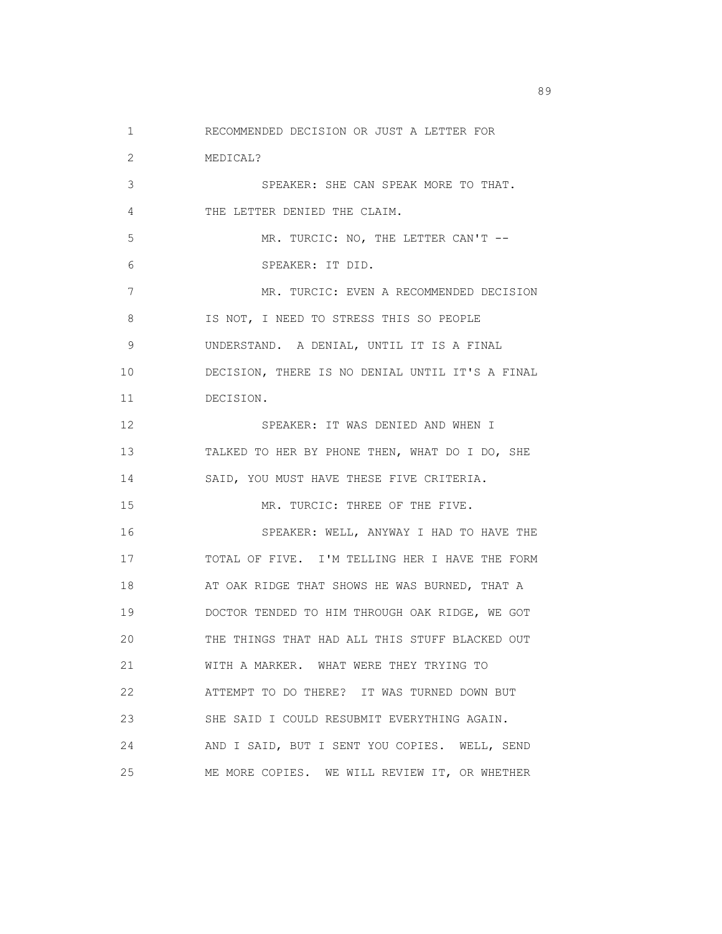1 RECOMMENDED DECISION OR JUST A LETTER FOR

 2 MEDICAL? 3 SPEAKER: SHE CAN SPEAK MORE TO THAT. 4 THE LETTER DENIED THE CLAIM. 5 MR. TURCIC: NO, THE LETTER CAN'T -- 6 SPEAKER: IT DID. 7 MR. TURCIC: EVEN A RECOMMENDED DECISION 8 IS NOT, I NEED TO STRESS THIS SO PEOPLE 9 UNDERSTAND. A DENIAL, UNTIL IT IS A FINAL 10 DECISION, THERE IS NO DENIAL UNTIL IT'S A FINAL 11 DECISION. 12 SPEAKER: IT WAS DENIED AND WHEN I 13 TALKED TO HER BY PHONE THEN, WHAT DO I DO, SHE 14 SAID, YOU MUST HAVE THESE FIVE CRITERIA. 15 MR. TURCIC: THREE OF THE FIVE. 16 SPEAKER: WELL, ANYWAY I HAD TO HAVE THE 17 TOTAL OF FIVE. I'M TELLING HER I HAVE THE FORM 18 AT OAK RIDGE THAT SHOWS HE WAS BURNED, THAT A 19 DOCTOR TENDED TO HIM THROUGH OAK RIDGE, WE GOT 20 THE THINGS THAT HAD ALL THIS STUFF BLACKED OUT 21 WITH A MARKER. WHAT WERE THEY TRYING TO 22 ATTEMPT TO DO THERE? IT WAS TURNED DOWN BUT 23 SHE SAID I COULD RESUBMIT EVERYTHING AGAIN. 24 AND I SAID, BUT I SENT YOU COPIES. WELL, SEND 25 ME MORE COPIES. WE WILL REVIEW IT, OR WHETHER

en andere de la constantin de la constantin de la constantin de la constantin de la constantin de la constantin<br>En 1990, en la constantin de la constantin de la constantin de la constantin de la constantin de la constantin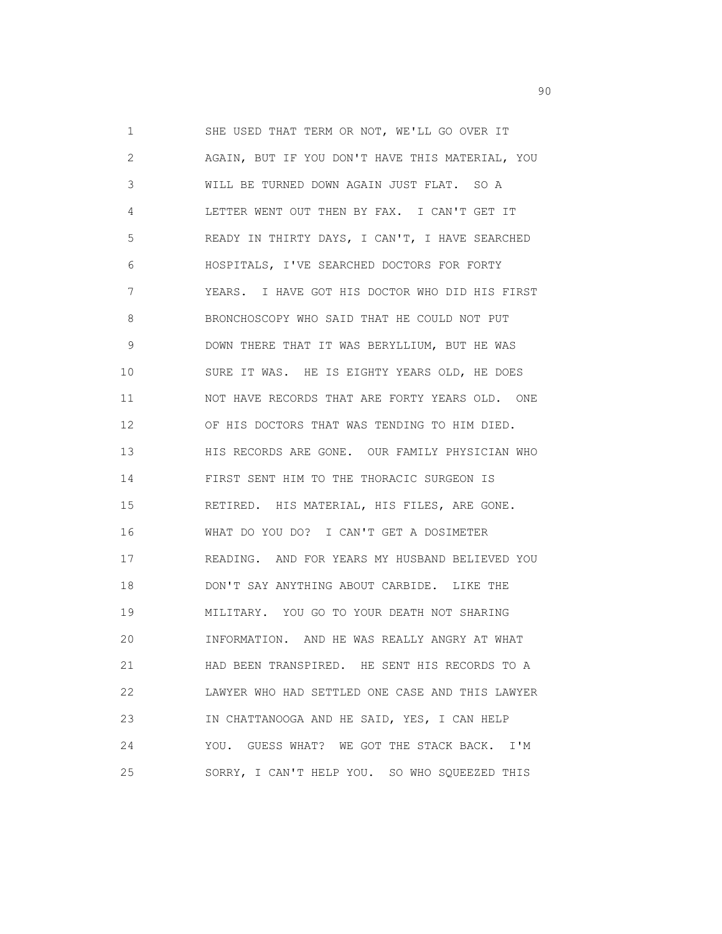1 SHE USED THAT TERM OR NOT, WE'LL GO OVER IT 2 AGAIN, BUT IF YOU DON'T HAVE THIS MATERIAL, YOU 3 WILL BE TURNED DOWN AGAIN JUST FLAT. SO A 4 LETTER WENT OUT THEN BY FAX. I CAN'T GET IT 5 READY IN THIRTY DAYS, I CAN'T, I HAVE SEARCHED 6 HOSPITALS, I'VE SEARCHED DOCTORS FOR FORTY 7 YEARS. I HAVE GOT HIS DOCTOR WHO DID HIS FIRST 8 BRONCHOSCOPY WHO SAID THAT HE COULD NOT PUT 9 DOWN THERE THAT IT WAS BERYLLIUM, BUT HE WAS 10 SURE IT WAS. HE IS EIGHTY YEARS OLD, HE DOES 11 NOT HAVE RECORDS THAT ARE FORTY YEARS OLD. ONE 12 OF HIS DOCTORS THAT WAS TENDING TO HIM DIED. 13 HIS RECORDS ARE GONE. OUR FAMILY PHYSICIAN WHO 14 FIRST SENT HIM TO THE THORACIC SURGEON IS 15 RETIRED. HIS MATERIAL, HIS FILES, ARE GONE. 16 WHAT DO YOU DO? I CAN'T GET A DOSIMETER 17 READING. AND FOR YEARS MY HUSBAND BELIEVED YOU 18 DON'T SAY ANYTHING ABOUT CARBIDE. LIKE THE 19 MILITARY. YOU GO TO YOUR DEATH NOT SHARING 20 INFORMATION. AND HE WAS REALLY ANGRY AT WHAT 21 HAD BEEN TRANSPIRED. HE SENT HIS RECORDS TO A 22 LAWYER WHO HAD SETTLED ONE CASE AND THIS LAWYER 23 IN CHATTANOOGA AND HE SAID, YES, I CAN HELP 24 YOU. GUESS WHAT? WE GOT THE STACK BACK. I'M 25 SORRY, I CAN'T HELP YOU. SO WHO SQUEEZED THIS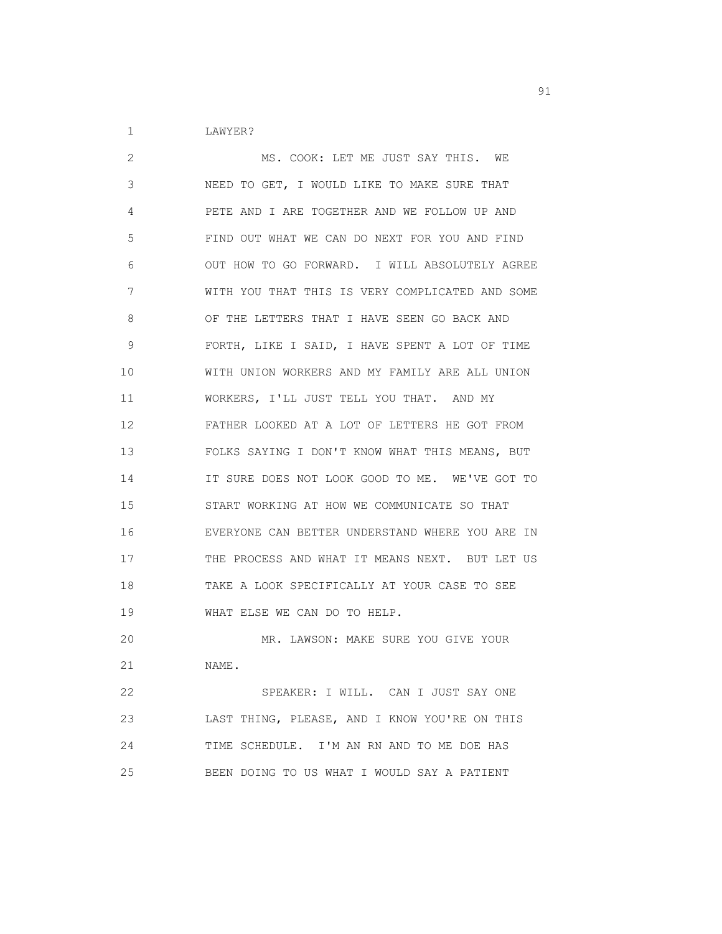1 LAWYER?

 2 MS. COOK: LET ME JUST SAY THIS. WE 3 NEED TO GET, I WOULD LIKE TO MAKE SURE THAT 4 PETE AND I ARE TOGETHER AND WE FOLLOW UP AND 5 FIND OUT WHAT WE CAN DO NEXT FOR YOU AND FIND 6 OUT HOW TO GO FORWARD. I WILL ABSOLUTELY AGREE 7 WITH YOU THAT THIS IS VERY COMPLICATED AND SOME 8 OF THE LETTERS THAT I HAVE SEEN GO BACK AND 9 FORTH, LIKE I SAID, I HAVE SPENT A LOT OF TIME 10 WITH UNION WORKERS AND MY FAMILY ARE ALL UNION 11 WORKERS, I'LL JUST TELL YOU THAT. AND MY 12 FATHER LOOKED AT A LOT OF LETTERS HE GOT FROM 13 FOLKS SAYING I DON'T KNOW WHAT THIS MEANS, BUT 14 IT SURE DOES NOT LOOK GOOD TO ME. WE'VE GOT TO 15 START WORKING AT HOW WE COMMUNICATE SO THAT 16 EVERYONE CAN BETTER UNDERSTAND WHERE YOU ARE IN 17 THE PROCESS AND WHAT IT MEANS NEXT. BUT LET US 18 TAKE A LOOK SPECIFICALLY AT YOUR CASE TO SEE 19 WHAT ELSE WE CAN DO TO HELP. 20 MR. LAWSON: MAKE SURE YOU GIVE YOUR 21 NAME. 22 SPEAKER: I WILL. CAN I JUST SAY ONE 23 LAST THING, PLEASE, AND I KNOW YOU'RE ON THIS 24 TIME SCHEDULE. I'M AN RN AND TO ME DOE HAS

25 BEEN DOING TO US WHAT I WOULD SAY A PATIENT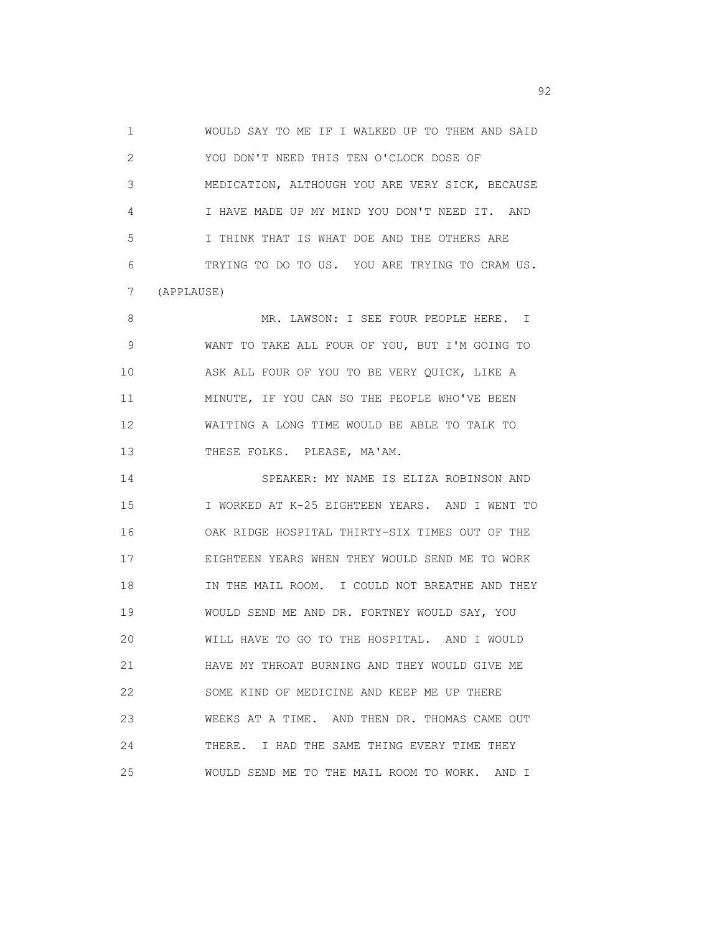1 WOULD SAY TO ME IF I WALKED UP TO THEM AND SAID 2 YOU DON'T NEED THIS TEN O'CLOCK DOSE OF 3 MEDICATION, ALTHOUGH YOU ARE VERY SICK, BECAUSE 4 I HAVE MADE UP MY MIND YOU DON'T NEED IT. AND 5 I THINK THAT IS WHAT DOE AND THE OTHERS ARE 6 TRYING TO DO TO US. YOU ARE TRYING TO CRAM US. 7 (APPLAUSE) 8 MR. LAWSON: I SEE FOUR PEOPLE HERE. I

 9 WANT TO TAKE ALL FOUR OF YOU, BUT I'M GOING TO 10 ASK ALL FOUR OF YOU TO BE VERY QUICK, LIKE A 11 MINUTE, IF YOU CAN SO THE PEOPLE WHO'VE BEEN 12 WAITING A LONG TIME WOULD BE ABLE TO TALK TO 13 THESE FOLKS. PLEASE, MA'AM.

 14 SPEAKER: MY NAME IS ELIZA ROBINSON AND 15 I WORKED AT K-25 EIGHTEEN YEARS. AND I WENT TO 16 OAK RIDGE HOSPITAL THIRTY-SIX TIMES OUT OF THE 17 EIGHTEEN YEARS WHEN THEY WOULD SEND ME TO WORK 18 IN THE MAIL ROOM. I COULD NOT BREATHE AND THEY 19 WOULD SEND ME AND DR. FORTNEY WOULD SAY, YOU 20 WILL HAVE TO GO TO THE HOSPITAL. AND I WOULD 21 HAVE MY THROAT BURNING AND THEY WOULD GIVE ME 22 SOME KIND OF MEDICINE AND KEEP ME UP THERE 23 WEEKS AT A TIME. AND THEN DR. THOMAS CAME OUT 24 THERE. I HAD THE SAME THING EVERY TIME THEY 25 WOULD SEND ME TO THE MAIL ROOM TO WORK. AND I

experience of the contract of the contract of the contract of the contract of the contract of the contract of the contract of the contract of the contract of the contract of the contract of the contract of the contract of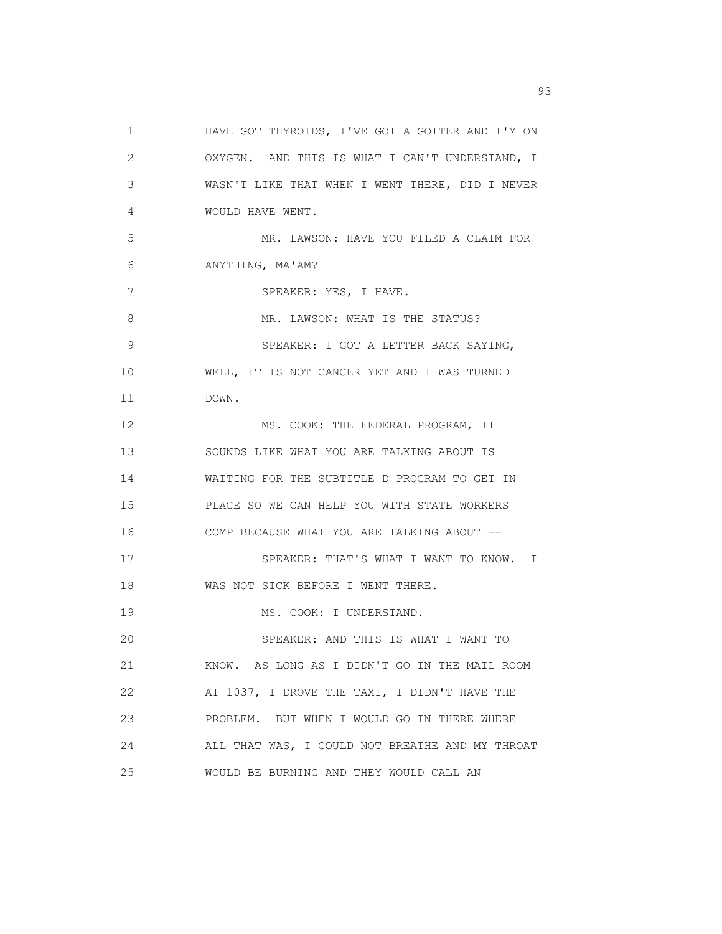1 HAVE GOT THYROIDS, I'VE GOT A GOITER AND I'M ON 2 OXYGEN. AND THIS IS WHAT I CAN'T UNDERSTAND, I 3 WASN'T LIKE THAT WHEN I WENT THERE, DID I NEVER 4 WOULD HAVE WENT. 5 MR. LAWSON: HAVE YOU FILED A CLAIM FOR 6 ANYTHING, MA'AM? 7 SPEAKER: YES, I HAVE. 8 MR. LAWSON: WHAT IS THE STATUS? 9 SPEAKER: I GOT A LETTER BACK SAYING, 10 WELL, IT IS NOT CANCER YET AND I WAS TURNED 11 DOWN. 12 MS. COOK: THE FEDERAL PROGRAM, IT 13 SOUNDS LIKE WHAT YOU ARE TALKING ABOUT IS 14 WAITING FOR THE SUBTITLE D PROGRAM TO GET IN 15 PLACE SO WE CAN HELP YOU WITH STATE WORKERS 16 COMP BECAUSE WHAT YOU ARE TALKING ABOUT -- 17 SPEAKER: THAT'S WHAT I WANT TO KNOW. I 18 WAS NOT SICK BEFORE I WENT THERE. 19 MS. COOK: I UNDERSTAND. 20 SPEAKER: AND THIS IS WHAT I WANT TO 21 KNOW. AS LONG AS I DIDN'T GO IN THE MAIL ROOM 22 AT 1037, I DROVE THE TAXI, I DIDN'T HAVE THE 23 PROBLEM. BUT WHEN I WOULD GO IN THERE WHERE 24 ALL THAT WAS, I COULD NOT BREATHE AND MY THROAT 25 WOULD BE BURNING AND THEY WOULD CALL AN

experience of the contract of the contract of the contract of the contract of the contract of the contract of the contract of the contract of the contract of the contract of the contract of the contract of the contract of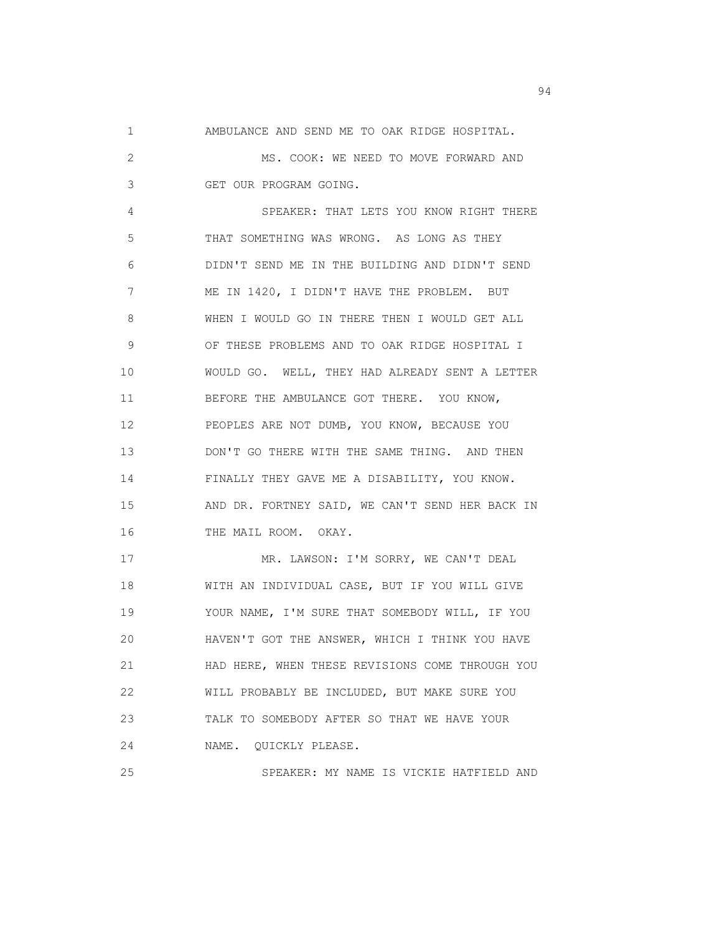1 AMBULANCE AND SEND ME TO OAK RIDGE HOSPITAL.

 2 MS. COOK: WE NEED TO MOVE FORWARD AND 3 GET OUR PROGRAM GOING.

 4 SPEAKER: THAT LETS YOU KNOW RIGHT THERE 5 THAT SOMETHING WAS WRONG. AS LONG AS THEY 6 DIDN'T SEND ME IN THE BUILDING AND DIDN'T SEND 7 ME IN 1420, I DIDN'T HAVE THE PROBLEM. BUT 8 WHEN I WOULD GO IN THERE THEN I WOULD GET ALL 9 OF THESE PROBLEMS AND TO OAK RIDGE HOSPITAL I 10 WOULD GO. WELL, THEY HAD ALREADY SENT A LETTER 11 BEFORE THE AMBULANCE GOT THERE. YOU KNOW, 12 PEOPLES ARE NOT DUMB, YOU KNOW, BECAUSE YOU 13 DON'T GO THERE WITH THE SAME THING. AND THEN 14 FINALLY THEY GAVE ME A DISABILITY, YOU KNOW. 15 AND DR. FORTNEY SAID, WE CAN'T SEND HER BACK IN 16 THE MAIL ROOM. OKAY.

 17 MR. LAWSON: I'M SORRY, WE CAN'T DEAL 18 WITH AN INDIVIDUAL CASE, BUT IF YOU WILL GIVE 19 YOUR NAME, I'M SURE THAT SOMEBODY WILL, IF YOU 20 HAVEN'T GOT THE ANSWER, WHICH I THINK YOU HAVE 21 HAD HERE, WHEN THESE REVISIONS COME THROUGH YOU 22 WILL PROBABLY BE INCLUDED, BUT MAKE SURE YOU 23 TALK TO SOMEBODY AFTER SO THAT WE HAVE YOUR 24 NAME. QUICKLY PLEASE.

25 SPEAKER: MY NAME IS VICKIE HATFIELD AND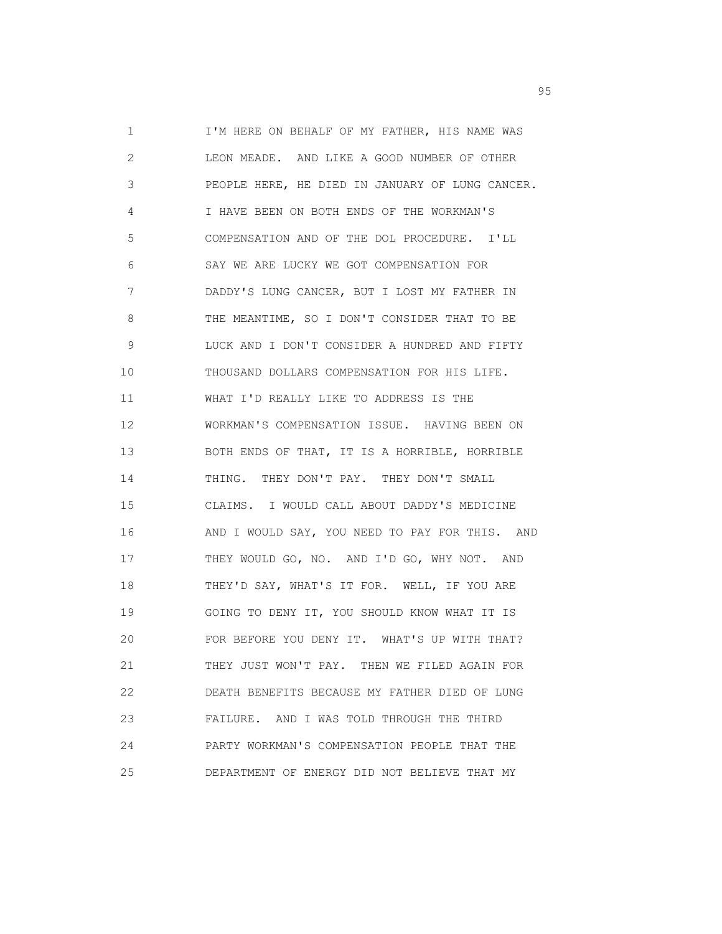1 I'M HERE ON BEHALF OF MY FATHER, HIS NAME WAS 2 LEON MEADE. AND LIKE A GOOD NUMBER OF OTHER 3 PEOPLE HERE, HE DIED IN JANUARY OF LUNG CANCER. 4 I HAVE BEEN ON BOTH ENDS OF THE WORKMAN'S 5 COMPENSATION AND OF THE DOL PROCEDURE. I'LL 6 SAY WE ARE LUCKY WE GOT COMPENSATION FOR 7 DADDY'S LUNG CANCER, BUT I LOST MY FATHER IN 8 THE MEANTIME, SO I DON'T CONSIDER THAT TO BE 9 LUCK AND I DON'T CONSIDER A HUNDRED AND FIFTY 10 THOUSAND DOLLARS COMPENSATION FOR HIS LIFE. 11 WHAT I'D REALLY LIKE TO ADDRESS IS THE 12 WORKMAN'S COMPENSATION ISSUE. HAVING BEEN ON 13 BOTH ENDS OF THAT, IT IS A HORRIBLE, HORRIBLE 14 THING. THEY DON'T PAY. THEY DON'T SMALL 15 CLAIMS. I WOULD CALL ABOUT DADDY'S MEDICINE 16 AND I WOULD SAY, YOU NEED TO PAY FOR THIS. AND 17 THEY WOULD GO, NO. AND I'D GO, WHY NOT. AND 18 THEY'D SAY, WHAT'S IT FOR. WELL, IF YOU ARE 19 GOING TO DENY IT, YOU SHOULD KNOW WHAT IT IS 20 FOR BEFORE YOU DENY IT. WHAT'S UP WITH THAT? 21 THEY JUST WON'T PAY. THEN WE FILED AGAIN FOR 22 DEATH BENEFITS BECAUSE MY FATHER DIED OF LUNG 23 FAILURE. AND I WAS TOLD THROUGH THE THIRD 24 PARTY WORKMAN'S COMPENSATION PEOPLE THAT THE 25 DEPARTMENT OF ENERGY DID NOT BELIEVE THAT MY

experience of the contract of the contract of the contract of the contract of the contract of the contract of the contract of the contract of the contract of the contract of the contract of the contract of the contract of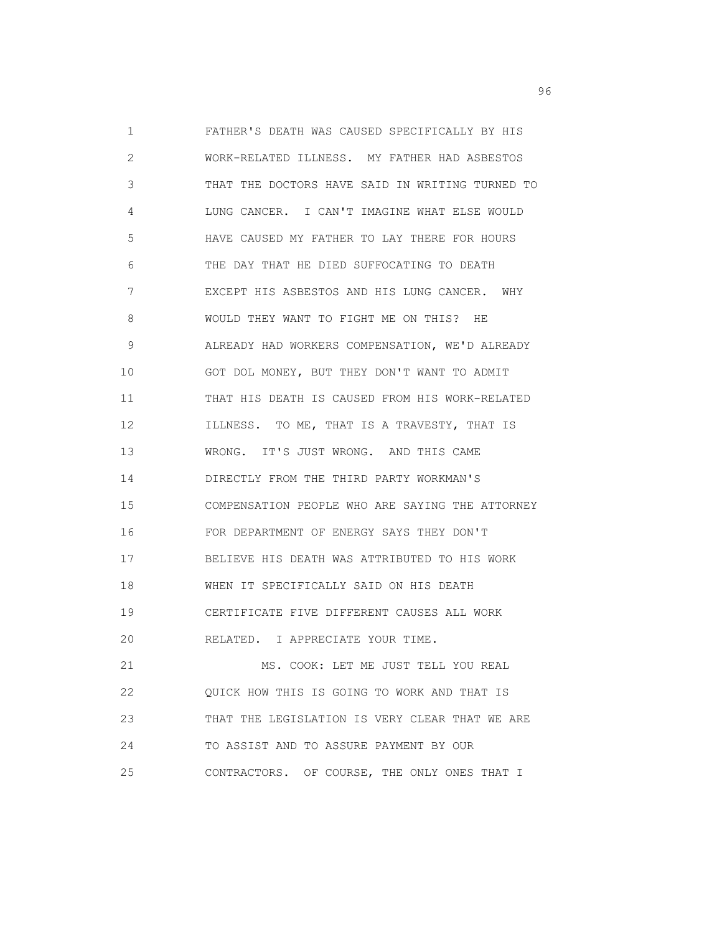1 FATHER'S DEATH WAS CAUSED SPECIFICALLY BY HIS 2 WORK-RELATED ILLNESS. MY FATHER HAD ASBESTOS 3 THAT THE DOCTORS HAVE SAID IN WRITING TURNED TO 4 LUNG CANCER. I CAN'T IMAGINE WHAT ELSE WOULD 5 HAVE CAUSED MY FATHER TO LAY THERE FOR HOURS 6 THE DAY THAT HE DIED SUFFOCATING TO DEATH 7 EXCEPT HIS ASBESTOS AND HIS LUNG CANCER. WHY 8 WOULD THEY WANT TO FIGHT ME ON THIS? HE 9 ALREADY HAD WORKERS COMPENSATION, WE'D ALREADY 10 GOT DOL MONEY, BUT THEY DON'T WANT TO ADMIT 11 THAT HIS DEATH IS CAUSED FROM HIS WORK-RELATED 12 ILLNESS. TO ME, THAT IS A TRAVESTY, THAT IS 13 WRONG. IT'S JUST WRONG. AND THIS CAME 14 DIRECTLY FROM THE THIRD PARTY WORKMAN'S 15 COMPENSATION PEOPLE WHO ARE SAYING THE ATTORNEY 16 FOR DEPARTMENT OF ENERGY SAYS THEY DON'T 17 BELIEVE HIS DEATH WAS ATTRIBUTED TO HIS WORK 18 WHEN IT SPECIFICALLY SAID ON HIS DEATH 19 CERTIFICATE FIVE DIFFERENT CAUSES ALL WORK 20 RELATED. I APPRECIATE YOUR TIME. 21 MS. COOK: LET ME JUST TELL YOU REAL 22 QUICK HOW THIS IS GOING TO WORK AND THAT IS 23 THAT THE LEGISLATION IS VERY CLEAR THAT WE ARE 24 TO ASSIST AND TO ASSURE PAYMENT BY OUR

25 CONTRACTORS. OF COURSE, THE ONLY ONES THAT I

en de la construction de la construction de la construction de la construction de la construction de la construction de la construction de la construction de la construction de la construction de la construction de la cons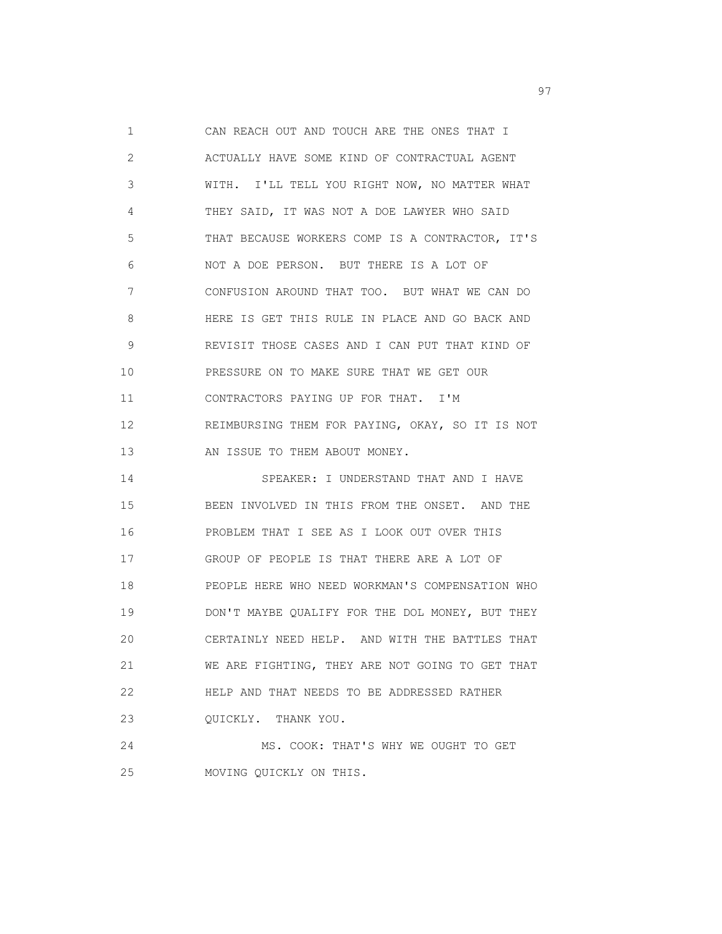1 CAN REACH OUT AND TOUCH ARE THE ONES THAT I 2 ACTUALLY HAVE SOME KIND OF CONTRACTUAL AGENT 3 WITH. I'LL TELL YOU RIGHT NOW, NO MATTER WHAT 4 THEY SAID, IT WAS NOT A DOE LAWYER WHO SAID 5 THAT BECAUSE WORKERS COMP IS A CONTRACTOR, IT'S 6 NOT A DOE PERSON. BUT THERE IS A LOT OF 7 CONFUSION AROUND THAT TOO. BUT WHAT WE CAN DO 8 HERE IS GET THIS RULE IN PLACE AND GO BACK AND 9 REVISIT THOSE CASES AND I CAN PUT THAT KIND OF 10 PRESSURE ON TO MAKE SURE THAT WE GET OUR 11 CONTRACTORS PAYING UP FOR THAT. I'M 12 REIMBURSING THEM FOR PAYING, OKAY, SO IT IS NOT 13 AN ISSUE TO THEM ABOUT MONEY. 14 SPEAKER: I UNDERSTAND THAT AND I HAVE 15 BEEN INVOLVED IN THIS FROM THE ONSET. AND THE 16 PROBLEM THAT I SEE AS I LOOK OUT OVER THIS 17 GROUP OF PEOPLE IS THAT THERE ARE A LOT OF 18 PEOPLE HERE WHO NEED WORKMAN'S COMPENSATION WHO 19 DON'T MAYBE QUALIFY FOR THE DOL MONEY, BUT THEY 20 CERTAINLY NEED HELP. AND WITH THE BATTLES THAT 21 WE ARE FIGHTING, THEY ARE NOT GOING TO GET THAT 22 HELP AND THAT NEEDS TO BE ADDRESSED RATHER 23 QUICKLY. THANK YOU. 24 MS. COOK: THAT'S WHY WE OUGHT TO GET

25 MOVING QUICKLY ON THIS.

experience of the contract of the contract of the contract of the contract of the contract of the contract of the contract of the contract of the contract of the contract of the contract of the contract of the contract of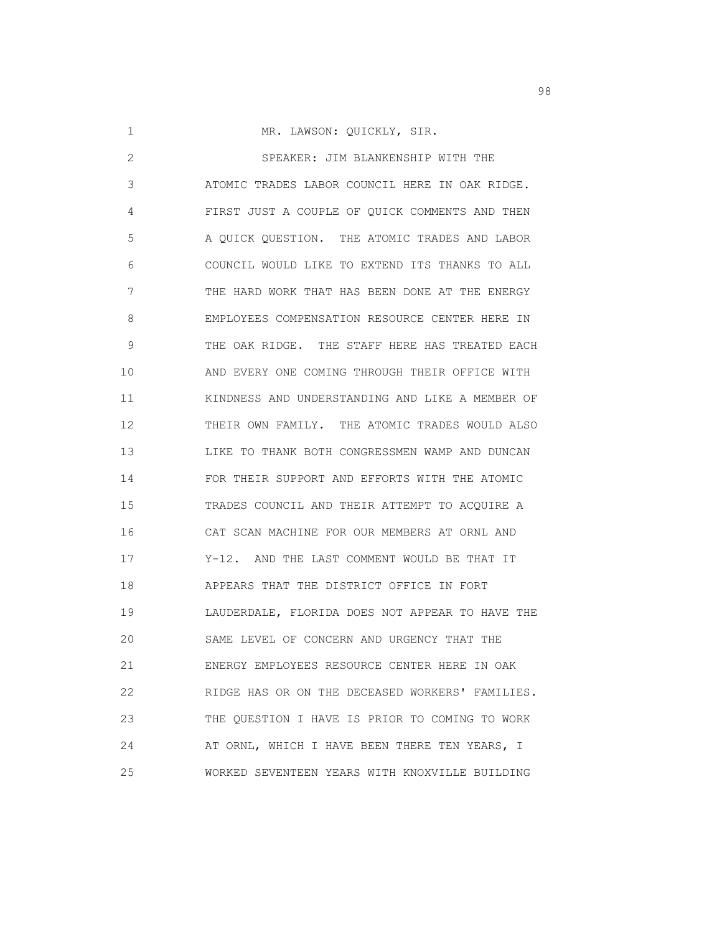1 MR. LAWSON: QUICKLY, SIR.

 2 SPEAKER: JIM BLANKENSHIP WITH THE 3 ATOMIC TRADES LABOR COUNCIL HERE IN OAK RIDGE. 4 FIRST JUST A COUPLE OF QUICK COMMENTS AND THEN 5 A QUICK QUESTION. THE ATOMIC TRADES AND LABOR 6 COUNCIL WOULD LIKE TO EXTEND ITS THANKS TO ALL 7 THE HARD WORK THAT HAS BEEN DONE AT THE ENERGY 8 EMPLOYEES COMPENSATION RESOURCE CENTER HERE IN 9 THE OAK RIDGE. THE STAFF HERE HAS TREATED EACH 10 AND EVERY ONE COMING THROUGH THEIR OFFICE WITH 11 KINDNESS AND UNDERSTANDING AND LIKE A MEMBER OF 12 THEIR OWN FAMILY. THE ATOMIC TRADES WOULD ALSO 13 LIKE TO THANK BOTH CONGRESSMEN WAMP AND DUNCAN 14 FOR THEIR SUPPORT AND EFFORTS WITH THE ATOMIC 15 TRADES COUNCIL AND THEIR ATTEMPT TO ACQUIRE A 16 CAT SCAN MACHINE FOR OUR MEMBERS AT ORNL AND 17 Y-12. AND THE LAST COMMENT WOULD BE THAT IT 18 APPEARS THAT THE DISTRICT OFFICE IN FORT 19 LAUDERDALE, FLORIDA DOES NOT APPEAR TO HAVE THE 20 SAME LEVEL OF CONCERN AND URGENCY THAT THE 21 ENERGY EMPLOYEES RESOURCE CENTER HERE IN OAK 22 RIDGE HAS OR ON THE DECEASED WORKERS' FAMILIES. 23 THE QUESTION I HAVE IS PRIOR TO COMING TO WORK 24 AT ORNL, WHICH I HAVE BEEN THERE TEN YEARS, I 25 WORKED SEVENTEEN YEARS WITH KNOXVILLE BUILDING

en 1980 en 1980 en 1980 en 1980 en 1980 en 1980 en 1980 en 1980 en 1980 en 1980 en 1980 en 1980 en 1980 en 19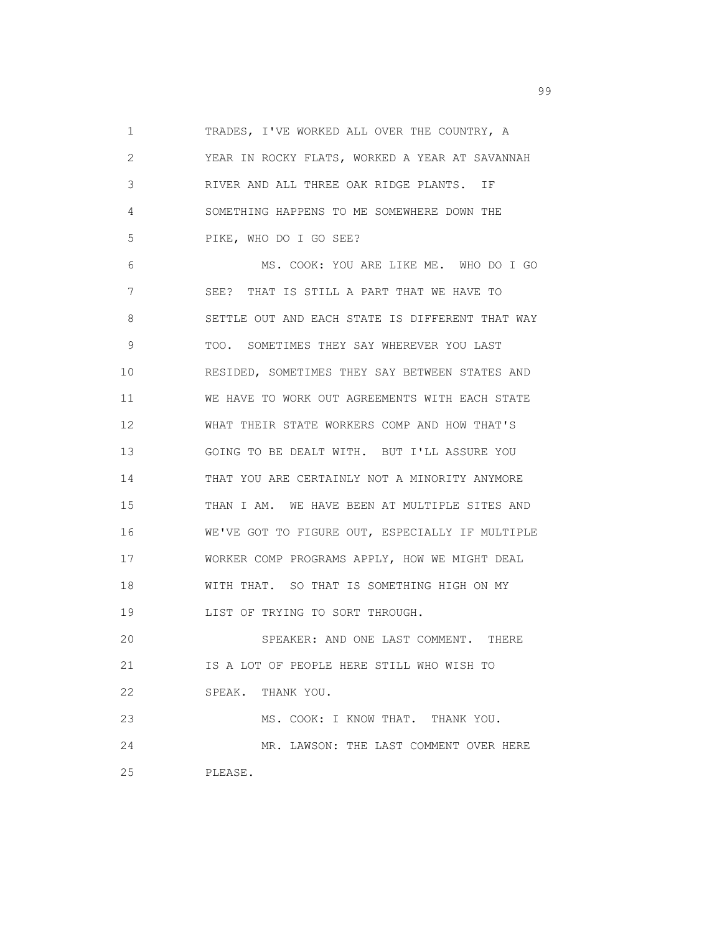1 TRADES, I'VE WORKED ALL OVER THE COUNTRY, A 2 YEAR IN ROCKY FLATS, WORKED A YEAR AT SAVANNAH 3 RIVER AND ALL THREE OAK RIDGE PLANTS. IF 4 SOMETHING HAPPENS TO ME SOMEWHERE DOWN THE 5 PIKE, WHO DO I GO SEE? 6 MS. COOK: YOU ARE LIKE ME. WHO DO I GO 7 SEE? THAT IS STILL A PART THAT WE HAVE TO 8 SETTLE OUT AND EACH STATE IS DIFFERENT THAT WAY 9 TOO. SOMETIMES THEY SAY WHEREVER YOU LAST 10 RESIDED, SOMETIMES THEY SAY BETWEEN STATES AND 11 WE HAVE TO WORK OUT AGREEMENTS WITH EACH STATE 12 WHAT THEIR STATE WORKERS COMP AND HOW THAT'S 13 GOING TO BE DEALT WITH. BUT I'LL ASSURE YOU 14 THAT YOU ARE CERTAINLY NOT A MINORITY ANYMORE 15 THAN I AM. WE HAVE BEEN AT MULTIPLE SITES AND 16 WE'VE GOT TO FIGURE OUT, ESPECIALLY IF MULTIPLE 17 WORKER COMP PROGRAMS APPLY, HOW WE MIGHT DEAL 18 WITH THAT. SO THAT IS SOMETHING HIGH ON MY 19 LIST OF TRYING TO SORT THROUGH. 20 SPEAKER: AND ONE LAST COMMENT. THERE 21 IS A LOT OF PEOPLE HERE STILL WHO WISH TO 22 SPEAK. THANK YOU. 23 MS. COOK: I KNOW THAT. THANK YOU. 24 MR. LAWSON: THE LAST COMMENT OVER HERE 25 PLEASE.

en de la construction de la construction de la construction de la construction de la construction de la constr<br>1990 : le construction de la construction de la construction de la construction de la construction de la const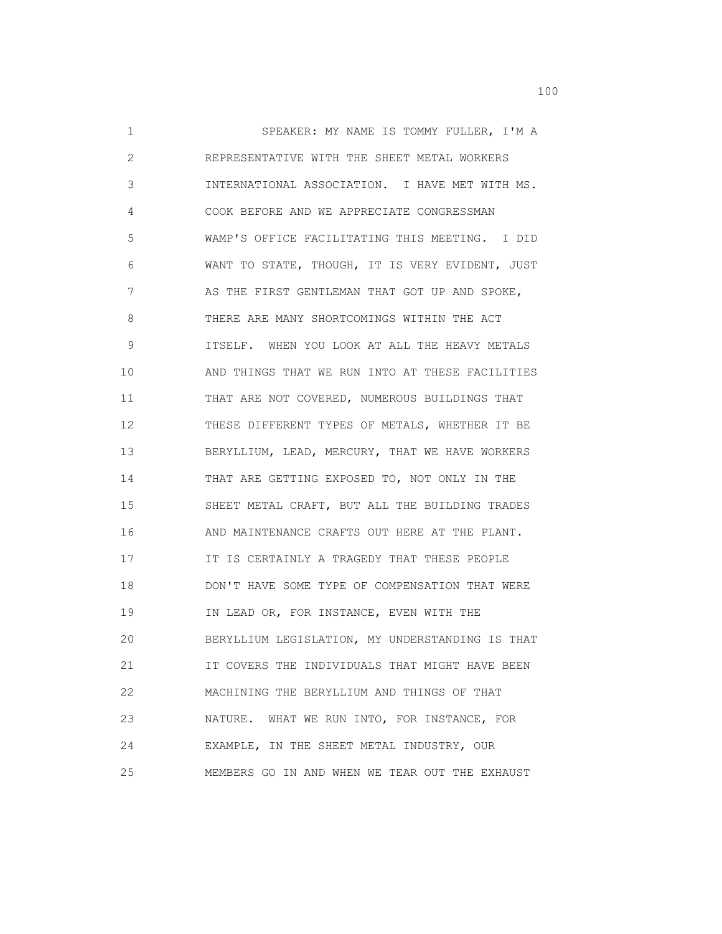1 SPEAKER: MY NAME IS TOMMY FULLER, I'M A 2 REPRESENTATIVE WITH THE SHEET METAL WORKERS 3 INTERNATIONAL ASSOCIATION. I HAVE MET WITH MS. 4 COOK BEFORE AND WE APPRECIATE CONGRESSMAN 5 WAMP'S OFFICE FACILITATING THIS MEETING. I DID 6 WANT TO STATE, THOUGH, IT IS VERY EVIDENT, JUST 7 AS THE FIRST GENTLEMAN THAT GOT UP AND SPOKE, 8 THERE ARE MANY SHORTCOMINGS WITHIN THE ACT 9 ITSELF. WHEN YOU LOOK AT ALL THE HEAVY METALS 10 AND THINGS THAT WE RUN INTO AT THESE FACILITIES 11 THAT ARE NOT COVERED, NUMEROUS BUILDINGS THAT 12 THESE DIFFERENT TYPES OF METALS, WHETHER IT BE 13 BERYLLIUM, LEAD, MERCURY, THAT WE HAVE WORKERS 14 THAT ARE GETTING EXPOSED TO, NOT ONLY IN THE 15 SHEET METAL CRAFT, BUT ALL THE BUILDING TRADES 16 AND MAINTENANCE CRAFTS OUT HERE AT THE PLANT. 17 IT IS CERTAINLY A TRAGEDY THAT THESE PEOPLE 18 DON'T HAVE SOME TYPE OF COMPENSATION THAT WERE 19 IN LEAD OR, FOR INSTANCE, EVEN WITH THE 20 BERYLLIUM LEGISLATION, MY UNDERSTANDING IS THAT 21 **IT COVERS THE INDIVIDUALS THAT MIGHT HAVE BEEN**  22 MACHINING THE BERYLLIUM AND THINGS OF THAT 23 NATURE. WHAT WE RUN INTO, FOR INSTANCE, FOR 24 EXAMPLE, IN THE SHEET METAL INDUSTRY, OUR 25 MEMBERS GO IN AND WHEN WE TEAR OUT THE EXHAUST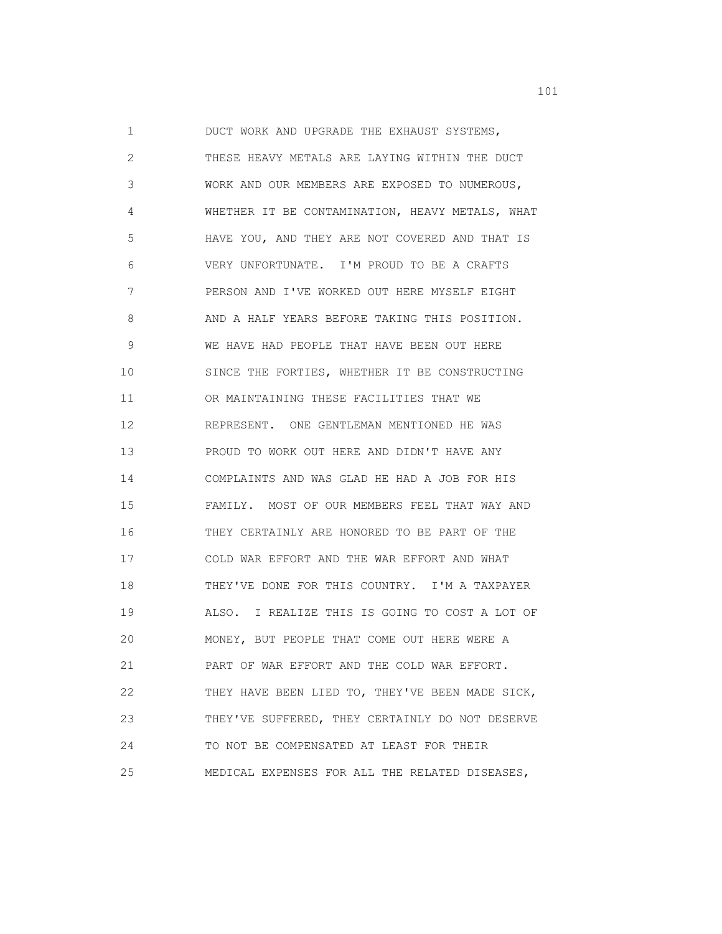1 DUCT WORK AND UPGRADE THE EXHAUST SYSTEMS, 2 THESE HEAVY METALS ARE LAYING WITHIN THE DUCT 3 WORK AND OUR MEMBERS ARE EXPOSED TO NUMEROUS, 4 WHETHER IT BE CONTAMINATION, HEAVY METALS, WHAT 5 HAVE YOU, AND THEY ARE NOT COVERED AND THAT IS 6 VERY UNFORTUNATE. I'M PROUD TO BE A CRAFTS 7 PERSON AND I'VE WORKED OUT HERE MYSELF EIGHT 8 AND A HALF YEARS BEFORE TAKING THIS POSITION. 9 WE HAVE HAD PEOPLE THAT HAVE BEEN OUT HERE 10 SINCE THE FORTIES, WHETHER IT BE CONSTRUCTING 11 OR MAINTAINING THESE FACILITIES THAT WE 12 REPRESENT. ONE GENTLEMAN MENTIONED HE WAS 13 PROUD TO WORK OUT HERE AND DIDN'T HAVE ANY 14 COMPLAINTS AND WAS GLAD HE HAD A JOB FOR HIS 15 FAMILY. MOST OF OUR MEMBERS FEEL THAT WAY AND 16 THEY CERTAINLY ARE HONORED TO BE PART OF THE 17 COLD WAR EFFORT AND THE WAR EFFORT AND WHAT 18 THEY'VE DONE FOR THIS COUNTRY. I'M A TAXPAYER 19 ALSO. I REALIZE THIS IS GOING TO COST A LOT OF 20 MONEY, BUT PEOPLE THAT COME OUT HERE WERE A 21 PART OF WAR EFFORT AND THE COLD WAR EFFORT. 22 THEY HAVE BEEN LIED TO, THEY'VE BEEN MADE SICK, 23 THEY'VE SUFFERED, THEY CERTAINLY DO NOT DESERVE 24 TO NOT BE COMPENSATED AT LEAST FOR THEIR 25 MEDICAL EXPENSES FOR ALL THE RELATED DISEASES,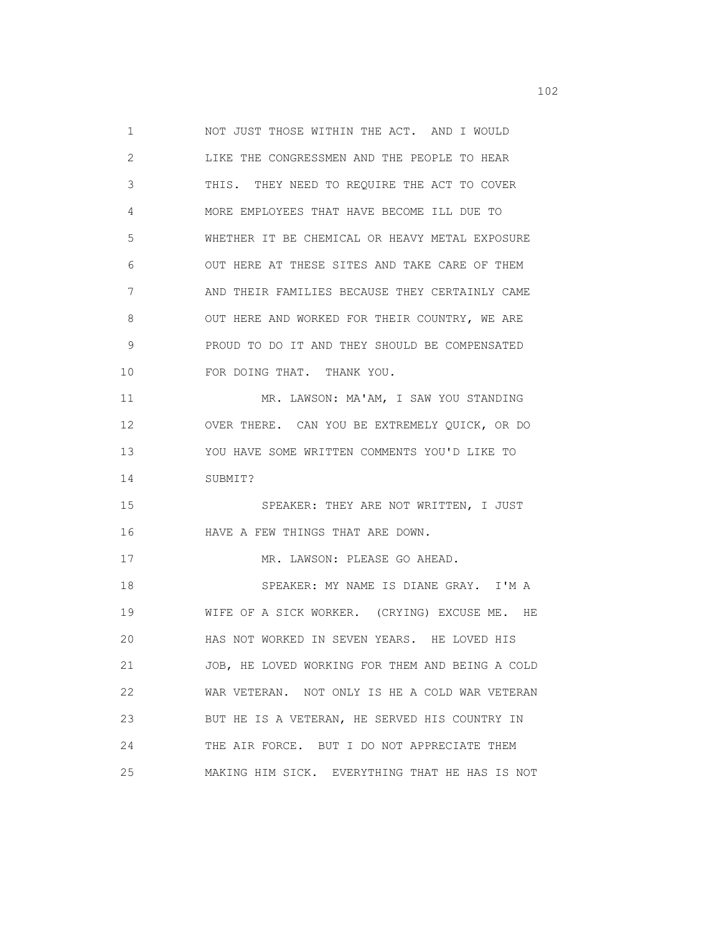1 NOT JUST THOSE WITHIN THE ACT. AND I WOULD 2 LIKE THE CONGRESSMEN AND THE PEOPLE TO HEAR 3 THIS. THEY NEED TO REQUIRE THE ACT TO COVER 4 MORE EMPLOYEES THAT HAVE BECOME ILL DUE TO 5 WHETHER IT BE CHEMICAL OR HEAVY METAL EXPOSURE 6 OUT HERE AT THESE SITES AND TAKE CARE OF THEM 7 AND THEIR FAMILIES BECAUSE THEY CERTAINLY CAME 8 OUT HERE AND WORKED FOR THEIR COUNTRY, WE ARE 9 PROUD TO DO IT AND THEY SHOULD BE COMPENSATED 10 FOR DOING THAT. THANK YOU. 11 MR. LAWSON: MA'AM, I SAW YOU STANDING 12 OVER THERE. CAN YOU BE EXTREMELY QUICK, OR DO 13 YOU HAVE SOME WRITTEN COMMENTS YOU'D LIKE TO 14 SUBMIT? 15 SPEAKER: THEY ARE NOT WRITTEN, I JUST 16 HAVE A FEW THINGS THAT ARE DOWN. 17 MR. LAWSON: PLEASE GO AHEAD. 18 SPEAKER: MY NAME IS DIANE GRAY. I'M A 19 WIFE OF A SICK WORKER. (CRYING) EXCUSE ME. HE 20 HAS NOT WORKED IN SEVEN YEARS. HE LOVED HIS 21 JOB, HE LOVED WORKING FOR THEM AND BEING A COLD 22 WAR VETERAN. NOT ONLY IS HE A COLD WAR VETERAN 23 BUT HE IS A VETERAN, HE SERVED HIS COUNTRY IN 24 THE AIR FORCE. BUT I DO NOT APPRECIATE THEM 25 MAKING HIM SICK. EVERYTHING THAT HE HAS IS NOT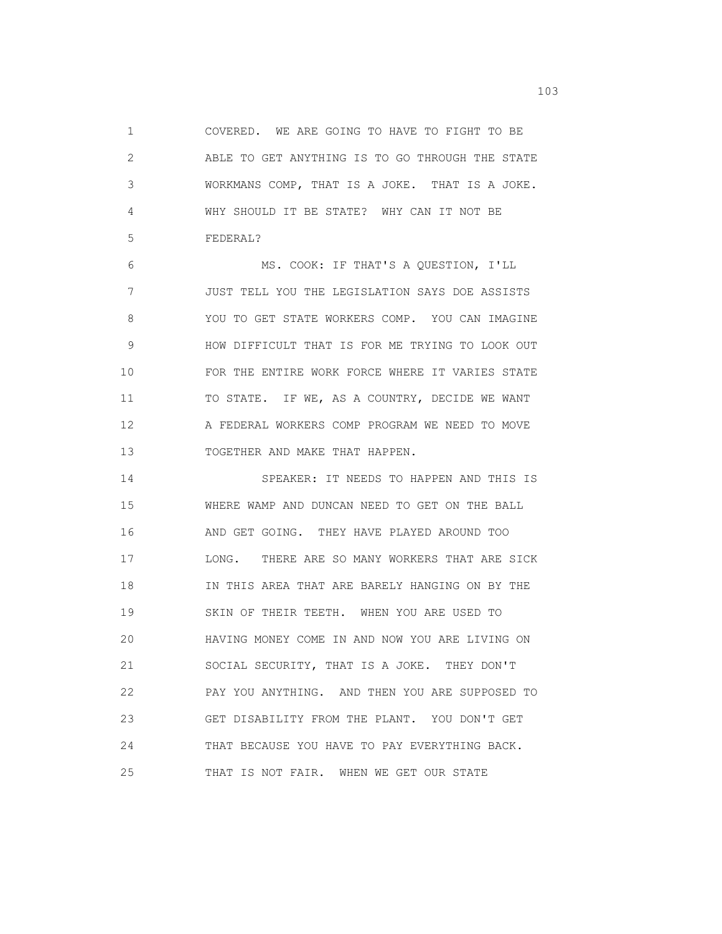1 COVERED. WE ARE GOING TO HAVE TO FIGHT TO BE 2 ABLE TO GET ANYTHING IS TO GO THROUGH THE STATE 3 WORKMANS COMP, THAT IS A JOKE. THAT IS A JOKE. 4 WHY SHOULD IT BE STATE? WHY CAN IT NOT BE 5 FEDERAL?

 6 MS. COOK: IF THAT'S A QUESTION, I'LL 7 JUST TELL YOU THE LEGISLATION SAYS DOE ASSISTS 8 YOU TO GET STATE WORKERS COMP. YOU CAN IMAGINE 9 HOW DIFFICULT THAT IS FOR ME TRYING TO LOOK OUT 10 FOR THE ENTIRE WORK FORCE WHERE IT VARIES STATE 11 TO STATE. IF WE, AS A COUNTRY, DECIDE WE WANT 12 A FEDERAL WORKERS COMP PROGRAM WE NEED TO MOVE 13 TOGETHER AND MAKE THAT HAPPEN.

 14 SPEAKER: IT NEEDS TO HAPPEN AND THIS IS 15 WHERE WAMP AND DUNCAN NEED TO GET ON THE BALL 16 AND GET GOING. THEY HAVE PLAYED AROUND TOO 17 LONG. THERE ARE SO MANY WORKERS THAT ARE SICK 18 IN THIS AREA THAT ARE BARELY HANGING ON BY THE 19 SKIN OF THEIR TEETH. WHEN YOU ARE USED TO 20 HAVING MONEY COME IN AND NOW YOU ARE LIVING ON 21 SOCIAL SECURITY, THAT IS A JOKE. THEY DON'T 22 PAY YOU ANYTHING. AND THEN YOU ARE SUPPOSED TO 23 GET DISABILITY FROM THE PLANT. YOU DON'T GET 24 THAT BECAUSE YOU HAVE TO PAY EVERYTHING BACK. 25 THAT IS NOT FAIR. WHEN WE GET OUR STATE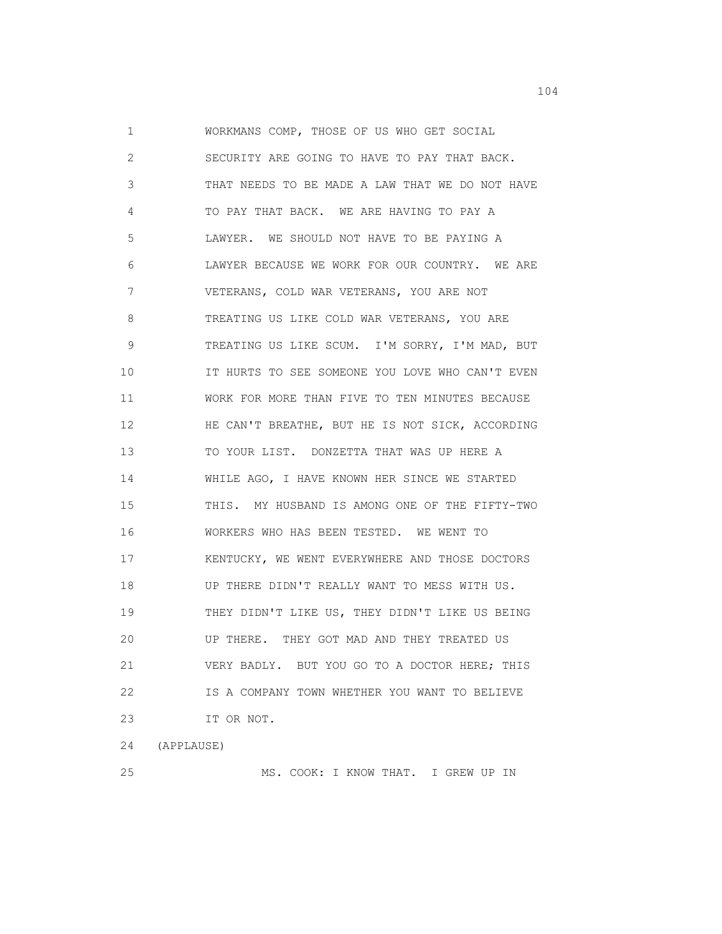1 WORKMANS COMP, THOSE OF US WHO GET SOCIAL 2 SECURITY ARE GOING TO HAVE TO PAY THAT BACK. 3 THAT NEEDS TO BE MADE A LAW THAT WE DO NOT HAVE 4 TO PAY THAT BACK. WE ARE HAVING TO PAY A 5 LAWYER. WE SHOULD NOT HAVE TO BE PAYING A 6 LAWYER BECAUSE WE WORK FOR OUR COUNTRY. WE ARE 7 VETERANS, COLD WAR VETERANS, YOU ARE NOT 8 TREATING US LIKE COLD WAR VETERANS, YOU ARE 9 TREATING US LIKE SCUM. I'M SORRY, I'M MAD, BUT 10 IT HURTS TO SEE SOMEONE YOU LOVE WHO CAN'T EVEN 11 WORK FOR MORE THAN FIVE TO TEN MINUTES BECAUSE 12 HE CAN'T BREATHE, BUT HE IS NOT SICK, ACCORDING 13 TO YOUR LIST. DONZETTA THAT WAS UP HERE A 14 WHILE AGO, I HAVE KNOWN HER SINCE WE STARTED 15 THIS. MY HUSBAND IS AMONG ONE OF THE FIFTY-TWO 16 WORKERS WHO HAS BEEN TESTED. WE WENT TO 17 KENTUCKY, WE WENT EVERYWHERE AND THOSE DOCTORS 18 UP THERE DIDN'T REALLY WANT TO MESS WITH US. 19 THEY DIDN'T LIKE US, THEY DIDN'T LIKE US BEING 20 UP THERE. THEY GOT MAD AND THEY TREATED US 21 VERY BADLY. BUT YOU GO TO A DOCTOR HERE; THIS 22 IS A COMPANY TOWN WHETHER YOU WANT TO BELIEVE 23 IT OR NOT. 24 (APPLAUSE)

25 MS. COOK: I KNOW THAT. I GREW UP IN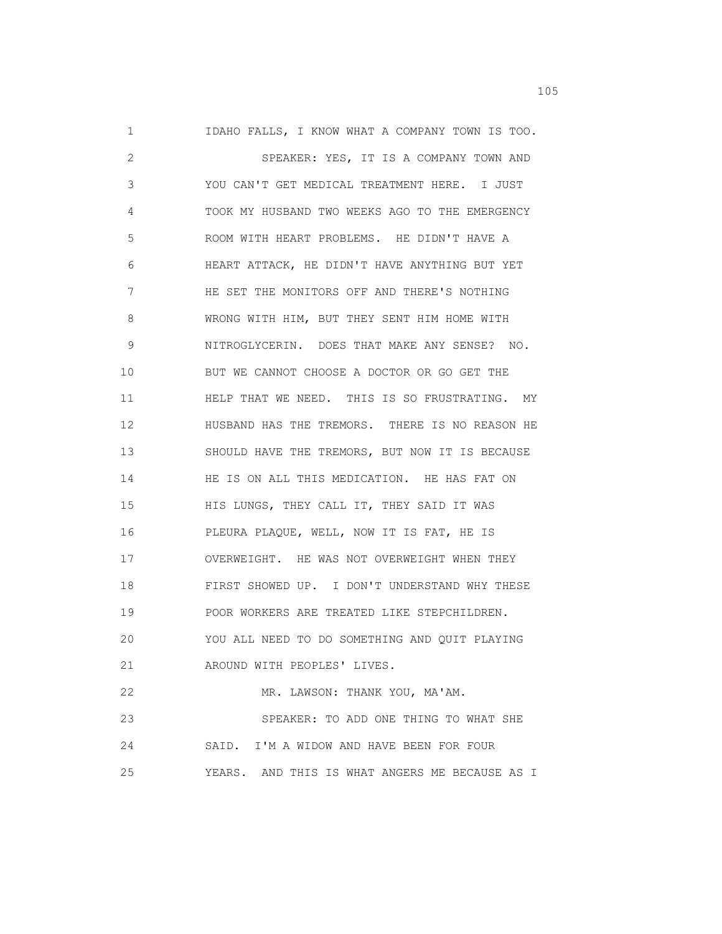1 IDAHO FALLS, I KNOW WHAT A COMPANY TOWN IS TOO. 2 SPEAKER: YES, IT IS A COMPANY TOWN AND 3 YOU CAN'T GET MEDICAL TREATMENT HERE. I JUST 4 TOOK MY HUSBAND TWO WEEKS AGO TO THE EMERGENCY 5 ROOM WITH HEART PROBLEMS. HE DIDN'T HAVE A 6 HEART ATTACK, HE DIDN'T HAVE ANYTHING BUT YET 7 HE SET THE MONITORS OFF AND THERE'S NOTHING 8 WRONG WITH HIM, BUT THEY SENT HIM HOME WITH 9 NITROGLYCERIN. DOES THAT MAKE ANY SENSE? NO. 10 BUT WE CANNOT CHOOSE A DOCTOR OR GO GET THE 11 HELP THAT WE NEED. THIS IS SO FRUSTRATING. MY 12 HUSBAND HAS THE TREMORS. THERE IS NO REASON HE 13 SHOULD HAVE THE TREMORS, BUT NOW IT IS BECAUSE 14 HE IS ON ALL THIS MEDICATION. HE HAS FAT ON 15 HIS LUNGS, THEY CALL IT, THEY SAID IT WAS 16 PLEURA PLAQUE, WELL, NOW IT IS FAT, HE IS 17 OVERWEIGHT. HE WAS NOT OVERWEIGHT WHEN THEY 18 FIRST SHOWED UP. I DON'T UNDERSTAND WHY THESE 19 POOR WORKERS ARE TREATED LIKE STEPCHILDREN. 20 YOU ALL NEED TO DO SOMETHING AND QUIT PLAYING 21 AROUND WITH PEOPLES' LIVES. 22 MR. LAWSON: THANK YOU, MA'AM. 23 SPEAKER: TO ADD ONE THING TO WHAT SHE 24 SAID. I'M A WIDOW AND HAVE BEEN FOR FOUR 25 YEARS. AND THIS IS WHAT ANGERS ME BECAUSE AS I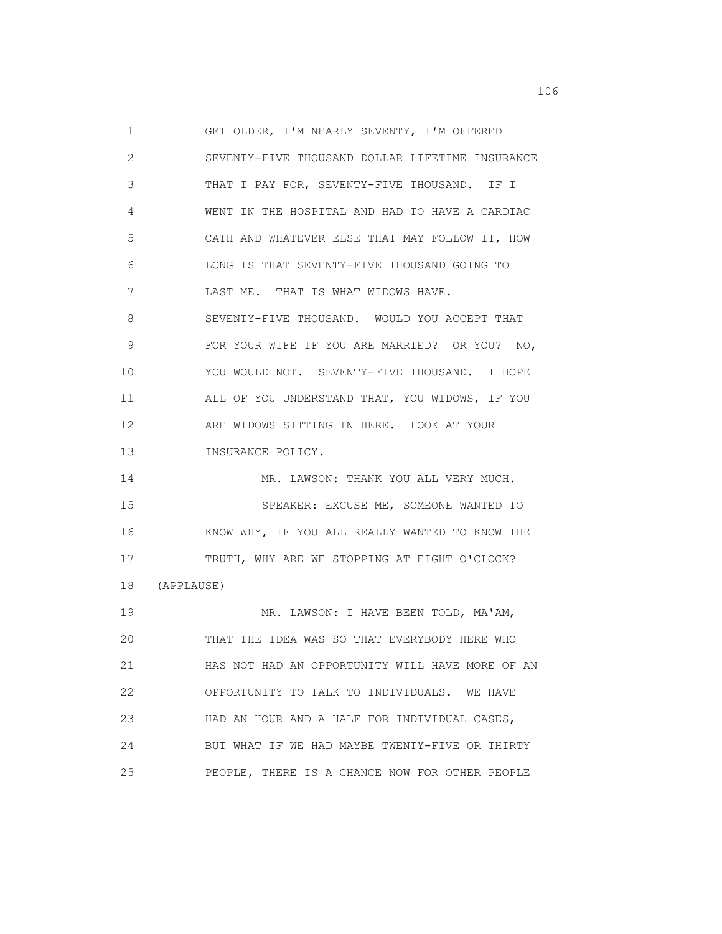1 GET OLDER, I'M NEARLY SEVENTY, I'M OFFERED 2 SEVENTY-FIVE THOUSAND DOLLAR LIFETIME INSURANCE 3 THAT I PAY FOR, SEVENTY-FIVE THOUSAND. IF I 4 WENT IN THE HOSPITAL AND HAD TO HAVE A CARDIAC 5 CATH AND WHATEVER ELSE THAT MAY FOLLOW IT, HOW 6 LONG IS THAT SEVENTY-FIVE THOUSAND GOING TO 7 LAST ME. THAT IS WHAT WIDOWS HAVE. 8 SEVENTY-FIVE THOUSAND. WOULD YOU ACCEPT THAT 9 FOR YOUR WIFE IF YOU ARE MARRIED? OR YOU? NO, 10 YOU WOULD NOT. SEVENTY-FIVE THOUSAND. I HOPE 11 ALL OF YOU UNDERSTAND THAT, YOU WIDOWS, IF YOU 12 ARE WIDOWS SITTING IN HERE. LOOK AT YOUR 13 INSURANCE POLICY. 14 MR. LAWSON: THANK YOU ALL VERY MUCH. 15 SPEAKER: EXCUSE ME, SOMEONE WANTED TO 16 KNOW WHY, IF YOU ALL REALLY WANTED TO KNOW THE 17 TRUTH, WHY ARE WE STOPPING AT EIGHT O'CLOCK? 18 (APPLAUSE) 19 MR. LAWSON: I HAVE BEEN TOLD, MA'AM, 20 THAT THE IDEA WAS SO THAT EVERYBODY HERE WHO 21 HAS NOT HAD AN OPPORTUNITY WILL HAVE MORE OF AN 22 OPPORTUNITY TO TALK TO INDIVIDUALS. WE HAVE 23 HAD AN HOUR AND A HALF FOR INDIVIDUAL CASES, 24 BUT WHAT IF WE HAD MAYBE TWENTY-FIVE OR THIRTY 25 PEOPLE, THERE IS A CHANCE NOW FOR OTHER PEOPLE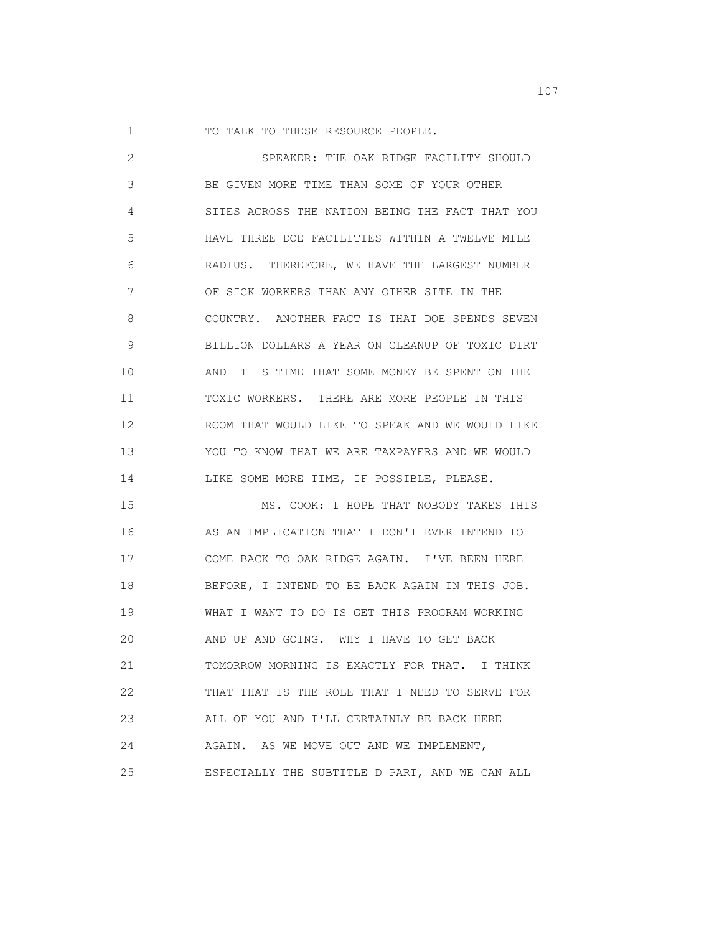1 TO TALK TO THESE RESOURCE PEOPLE.

| 2  | SPEAKER: THE OAK RIDGE FACILITY SHOULD          |
|----|-------------------------------------------------|
| 3  | BE GIVEN MORE TIME THAN SOME OF YOUR OTHER      |
| 4  | SITES ACROSS THE NATION BEING THE FACT THAT YOU |
| 5  | HAVE THREE DOE FACILITIES WITHIN A TWELVE MILE  |
| 6  | RADIUS. THEREFORE, WE HAVE THE LARGEST NUMBER   |
| 7  | OF SICK WORKERS THAN ANY OTHER SITE IN THE      |
| 8  | COUNTRY. ANOTHER FACT IS THAT DOE SPENDS SEVEN  |
| 9  | BILLION DOLLARS A YEAR ON CLEANUP OF TOXIC DIRT |
| 10 | AND IT IS TIME THAT SOME MONEY BE SPENT ON THE  |
| 11 | TOXIC WORKERS. THERE ARE MORE PEOPLE IN THIS    |
| 12 | ROOM THAT WOULD LIKE TO SPEAK AND WE WOULD LIKE |
| 13 | YOU TO KNOW THAT WE ARE TAXPAYERS AND WE WOULD  |
| 14 | LIKE SOME MORE TIME, IF POSSIBLE, PLEASE.       |
| 15 | MS. COOK: I HOPE THAT NOBODY TAKES THIS         |
| 16 | AS AN IMPLICATION THAT I DON'T EVER INTEND TO   |
| 17 | COME BACK TO OAK RIDGE AGAIN. I'VE BEEN HERE    |
| 18 | BEFORE, I INTEND TO BE BACK AGAIN IN THIS JOB.  |
| 19 | WHAT I WANT TO DO IS GET THIS PROGRAM WORKING   |
| 20 | AND UP AND GOING. WHY I HAVE TO GET BACK        |
| 21 | TOMORROW MORNING IS EXACTLY FOR THAT. I THINK   |
| 22 | THAT THAT IS THE ROLE THAT I NEED TO SERVE FOR  |
| 23 | ALL OF YOU AND I'LL CERTAINLY BE BACK HERE      |
| 24 | AGAIN. AS WE MOVE OUT AND WE IMPLEMENT,         |
| 25 | ESPECIALLY THE SUBTITLE D PART, AND WE CAN ALL  |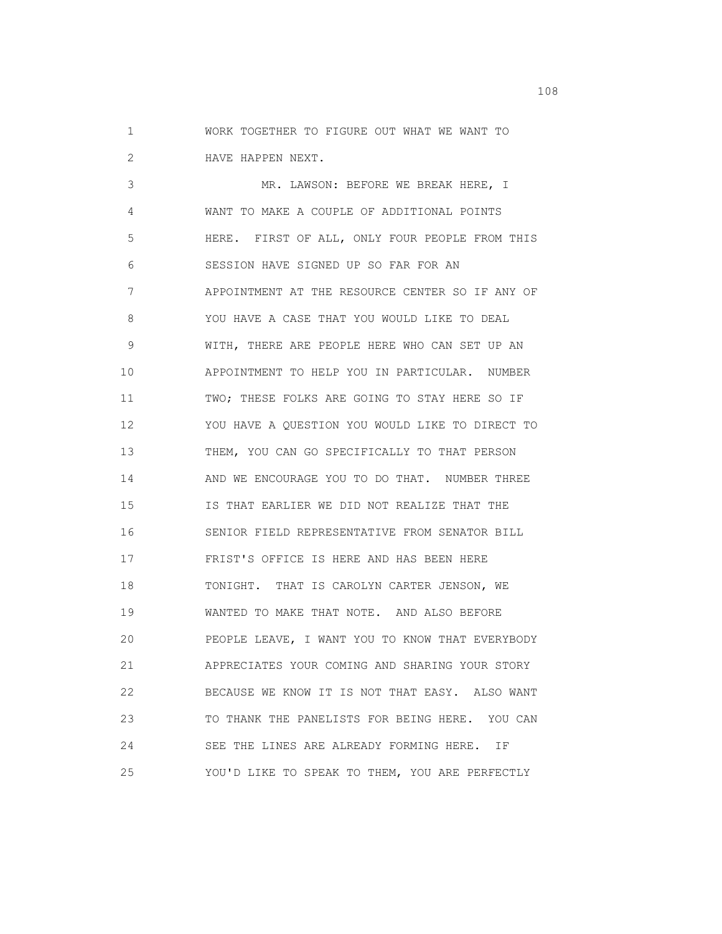1 WORK TOGETHER TO FIGURE OUT WHAT WE WANT TO 2 HAVE HAPPEN NEXT.

 3 MR. LAWSON: BEFORE WE BREAK HERE, I 4 WANT TO MAKE A COUPLE OF ADDITIONAL POINTS 5 HERE. FIRST OF ALL, ONLY FOUR PEOPLE FROM THIS 6 SESSION HAVE SIGNED UP SO FAR FOR AN 7 APPOINTMENT AT THE RESOURCE CENTER SO IF ANY OF 8 YOU HAVE A CASE THAT YOU WOULD LIKE TO DEAL 9 WITH, THERE ARE PEOPLE HERE WHO CAN SET UP AN 10 APPOINTMENT TO HELP YOU IN PARTICULAR. NUMBER 11 TWO; THESE FOLKS ARE GOING TO STAY HERE SO IF 12 YOU HAVE A QUESTION YOU WOULD LIKE TO DIRECT TO 13 THEM, YOU CAN GO SPECIFICALLY TO THAT PERSON 14 AND WE ENCOURAGE YOU TO DO THAT. NUMBER THREE 15 IS THAT EARLIER WE DID NOT REALIZE THAT THE 16 SENIOR FIELD REPRESENTATIVE FROM SENATOR BILL 17 FRIST'S OFFICE IS HERE AND HAS BEEN HERE 18 TONIGHT. THAT IS CAROLYN CARTER JENSON, WE 19 WANTED TO MAKE THAT NOTE. AND ALSO BEFORE 20 PEOPLE LEAVE, I WANT YOU TO KNOW THAT EVERYBODY 21 APPRECIATES YOUR COMING AND SHARING YOUR STORY 22 BECAUSE WE KNOW IT IS NOT THAT EASY. ALSO WANT 23 TO THANK THE PANELISTS FOR BEING HERE. YOU CAN 24 SEE THE LINES ARE ALREADY FORMING HERE. IF 25 YOU'D LIKE TO SPEAK TO THEM, YOU ARE PERFECTLY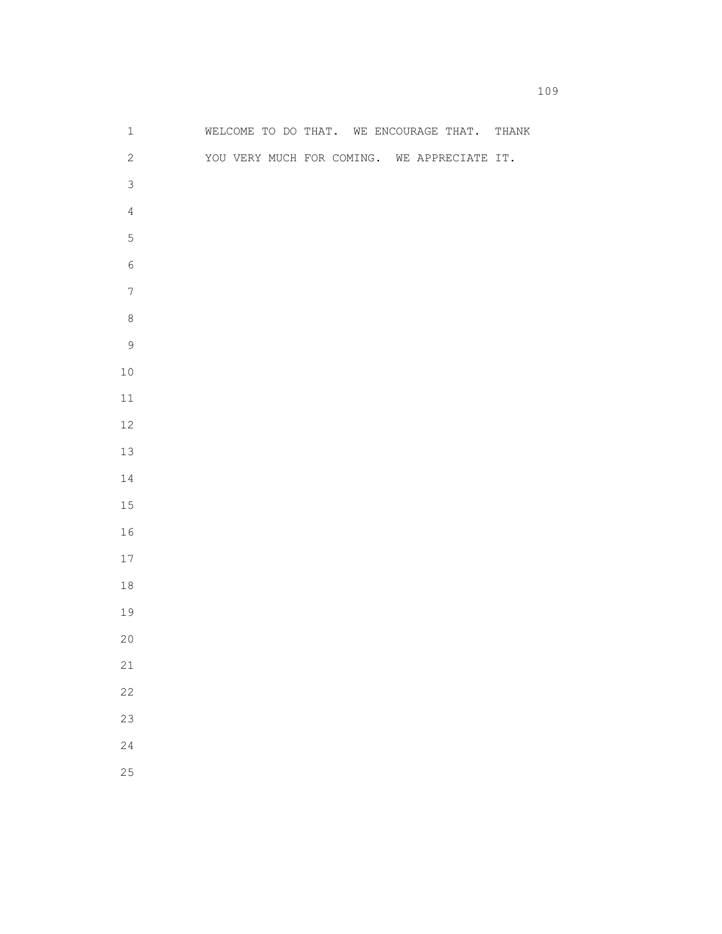| $\mathbf 1$      |  |  |  | WELCOME TO DO THAT. WE ENCOURAGE THAT. THANK |  |
|------------------|--|--|--|----------------------------------------------|--|
| $\mathbf{2}$     |  |  |  | YOU VERY MUCH FOR COMING. WE APPRECIATE IT.  |  |
| $\mathsf 3$      |  |  |  |                                              |  |
| $\overline{4}$   |  |  |  |                                              |  |
| $\mathbf 5$      |  |  |  |                                              |  |
| $\epsilon$       |  |  |  |                                              |  |
| $\boldsymbol{7}$ |  |  |  |                                              |  |
| $\,8\,$          |  |  |  |                                              |  |
| $\mathsf 9$      |  |  |  |                                              |  |
| $10$             |  |  |  |                                              |  |
| $11\,$           |  |  |  |                                              |  |
| $12\,$           |  |  |  |                                              |  |
| 13               |  |  |  |                                              |  |
| 14               |  |  |  |                                              |  |
| 15               |  |  |  |                                              |  |
| 16               |  |  |  |                                              |  |
| $17\,$           |  |  |  |                                              |  |
| $18\,$           |  |  |  |                                              |  |
| 19               |  |  |  |                                              |  |
| 20               |  |  |  |                                              |  |
| $2\sqrt{1}$      |  |  |  |                                              |  |
| $2\sqrt{2}$      |  |  |  |                                              |  |
| 23               |  |  |  |                                              |  |
| 24               |  |  |  |                                              |  |
| 25               |  |  |  |                                              |  |